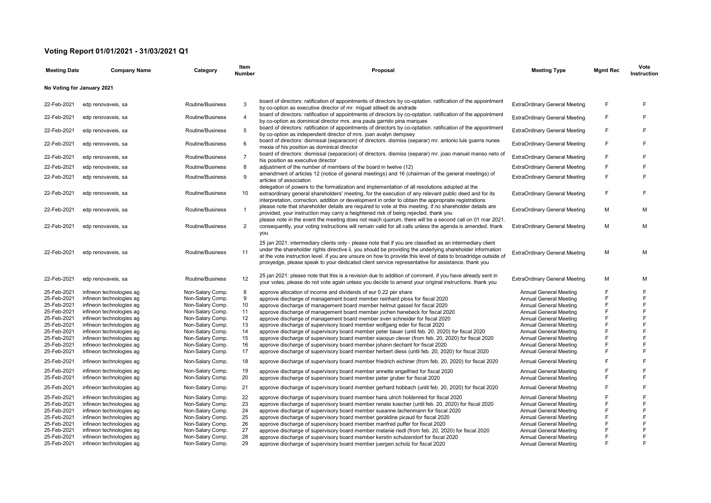## **Voting Report 01/01/2021 - 31/03/2021 Q1**

| <b>Meeting Date</b>        | <b>Company Name</b>      | Category         | Item<br><b>Number</b> | Proposal                                                                                                                                                                                                                                                                                                                                                                                                                                      | <b>Meeting Type</b>                  | <b>Mgmt Rec</b> | Vote<br>Instruction |
|----------------------------|--------------------------|------------------|-----------------------|-----------------------------------------------------------------------------------------------------------------------------------------------------------------------------------------------------------------------------------------------------------------------------------------------------------------------------------------------------------------------------------------------------------------------------------------------|--------------------------------------|-----------------|---------------------|
| No Voting for January 2021 |                          |                  |                       |                                                                                                                                                                                                                                                                                                                                                                                                                                               |                                      |                 |                     |
| 22-Feb-2021                | edp renovaveis, sa       | Routine/Business | 3                     | board of directors: ratification of appointments of directors by co-optation. ratification of the appointment<br>by co-option as executive director of mr. miguel stilwell de andrade                                                                                                                                                                                                                                                         | <b>ExtraOrdinary General Meeting</b> | F               | E                   |
| 22-Feb-2021                | edp renovaveis, sa       | Routine/Business | $\overline{4}$        | board of directors: ratification of appointments of directors by co-optation. ratification of the appointment<br>by co-option as dominical director mrs. ana paula garrido pina marques                                                                                                                                                                                                                                                       | <b>ExtraOrdinary General Meeting</b> | F               | F                   |
| 22-Feb-2021                | edp renovaveis, sa       | Routine/Business | 5                     | board of directors: ratification of appointments of directors by co-optation. ratification of the appointment<br>by co-option as independent director of mrs. joan avalyn dempsey                                                                                                                                                                                                                                                             | <b>ExtraOrdinary General Meeting</b> | F               | E                   |
| 22-Feb-2021                | edp renovaveis, sa       | Routine/Business | 6                     | board of directors: dismissal (separacion) of directors. dismiss (separar) mr. antonio luis guerra nunes<br>mexia of his position as dominical director                                                                                                                                                                                                                                                                                       | <b>ExtraOrdinary General Meeting</b> | F               | E                   |
| 22-Feb-2021                | edp renovaveis, sa       | Routine/Business | $\overline{7}$        | board of directors: dismissal (separacion) of directors. dismiss (separar) mr. joao manuel manso neto of<br>his position as executive director                                                                                                                                                                                                                                                                                                | <b>ExtraOrdinary General Meeting</b> | F               | F                   |
| 22-Feb-2021                | edp renovaveis, sa       | Routine/Business | 8                     | adjustment of the number of members of the board in twelve (12)                                                                                                                                                                                                                                                                                                                                                                               | <b>ExtraOrdinary General Meeting</b> | F               | F                   |
| 22-Feb-2021                | edp renovaveis, sa       | Routine/Business | 9                     | amendment of articles 12 (notice of general meetings) and 16 (chairman of the general meetings) of<br>articles of association                                                                                                                                                                                                                                                                                                                 | <b>ExtraOrdinary General Meeting</b> | F               | F                   |
| 22-Feb-2021                | edp renovaveis, sa       | Routine/Business | 10                    | delegation of powers to the formalization and implementation of all resolutions adopted at the<br>extraordinary general shareholders' meeting, for the execution of any relevant public deed and for its<br>interpretation, correction, addition or development in order to obtain the appropriate registrations                                                                                                                              | <b>ExtraOrdinary General Meeting</b> | F               | F                   |
| 22-Feb-2021                | edp renovaveis, sa       | Routine/Business | $\mathbf{1}$          | please note that shareholder details are required to vote at this meeting. if no shareholder details are<br>provided, your instruction may carry a heightened risk of being rejected. thank you<br>please note in the event the meeting does not reach quorum, there will be a second call on 01 mar 2021.                                                                                                                                    | <b>ExtraOrdinary General Meeting</b> | м               | М                   |
| 22-Feb-2021                | edp renovaveis, sa       | Routine/Business | $\overline{2}$        | consequently, your voting instructions will remain valid for all calls unless the agenda is amended. thank<br>you                                                                                                                                                                                                                                                                                                                             | <b>ExtraOrdinary General Meeting</b> | м               | М                   |
| 22-Feb-2021                | edp renovaveis, sa       | Routine/Business | 11                    | 25 jan 2021: intermediary clients only - please note that if you are classified as an intermediary client<br>under the shareholder rights directive ii, you should be providing the underlying shareholder information<br>at the vote instruction level. if you are unsure on how to provide this level of data to broadridge outside of<br>proxyedge, please speak to your dedicated client service representative for assistance. thank you | <b>ExtraOrdinary General Meeting</b> | M               | M                   |
| 22-Feb-2021                | edp renovaveis, sa       | Routine/Business | 12                    | 25 jan 2021: please note that this is a revision due to addition of comment. if you have already sent in<br>your votes, please do not vote again unless you decide to amend your original instructions. thank you                                                                                                                                                                                                                             | <b>ExtraOrdinary General Meeting</b> | м               | М                   |
| 25-Feb-2021                | infineon technologies ag | Non-Salary Comp. | 8                     | approve allocation of income and dividends of eur 0.22 per share                                                                                                                                                                                                                                                                                                                                                                              | <b>Annual General Meeting</b>        | F               | F                   |
| 25-Feb-2021                | infineon technologies ag | Non-Salary Comp. | 9                     | approve discharge of management board member reinhard ploss for fiscal 2020                                                                                                                                                                                                                                                                                                                                                                   | <b>Annual General Meeting</b>        | F               | F                   |
| 25-Feb-2021                | infineon technologies ag | Non-Salary Comp. | 10                    | approve discharge of management board member helmut gassel for fiscal 2020                                                                                                                                                                                                                                                                                                                                                                    | <b>Annual General Meeting</b>        | F               | F                   |
| 25-Feb-2021                | infineon technologies ag | Non-Salary Comp. | 11                    | approve discharge of management board member jochen hanebeck for fiscal 2020                                                                                                                                                                                                                                                                                                                                                                  | <b>Annual General Meeting</b>        | F               | F                   |
| 25-Feb-2021                | infineon technologies ag | Non-Salary Comp. | 12                    | approve discharge of management board member sven schneider for fiscal 2020                                                                                                                                                                                                                                                                                                                                                                   | <b>Annual General Meeting</b>        | F               | F                   |
| 25-Feb-2021                | infineon technologies ag | Non-Salary Comp. | 13                    | approve discharge of supervisory board member wolfgang eder for fiscal 2020                                                                                                                                                                                                                                                                                                                                                                   | <b>Annual General Meeting</b>        | F               | F                   |
| 25-Feb-2021                | infineon technologies ag | Non-Salary Comp. | 14                    | approve discharge of supervisory board member peter bauer (until feb. 20, 2020) for fiscal 2020                                                                                                                                                                                                                                                                                                                                               | <b>Annual General Meeting</b>        | F               | F                   |
| 25-Feb-2021                | infineon technologies ag | Non-Salary Comp. | 15                    | approve discharge of supervisory board member xiaogun clever (from feb. 20, 2020) for fiscal 2020                                                                                                                                                                                                                                                                                                                                             | Annual General Meeting               | F               | F                   |
| 25-Feb-2021                | infineon technologies ag | Non-Salary Comp. | 16                    | approve discharge of supervisory board member johann dechant for fiscal 2020                                                                                                                                                                                                                                                                                                                                                                  | <b>Annual General Meeting</b>        | F               | F                   |
| 25-Feb-2021                | infineon technologies ag | Non-Salary Comp. | 17                    | approve discharge of supervisory board member herbert diess (until feb. 20, 2020) for fiscal 2020                                                                                                                                                                                                                                                                                                                                             | <b>Annual General Meeting</b>        | F               | F                   |
| 25-Feb-2021                | infineon technologies ag | Non-Salary Comp. | 18                    | approve discharge of supervisory board member friedrich eichiner (from feb. 20, 2020) for fiscal 2020                                                                                                                                                                                                                                                                                                                                         | <b>Annual General Meeting</b>        | F               | F                   |
| 25-Feb-2021                | infineon technologies ag | Non-Salary Comp. | 19                    | approve discharge of supervisory board member annette engelfried for fiscal 2020                                                                                                                                                                                                                                                                                                                                                              | <b>Annual General Meeting</b>        | F               | F                   |
| 25-Feb-2021                | infineon technologies ag | Non-Salary Comp. | 20                    | approve discharge of supervisory board member peter gruber for fiscal 2020                                                                                                                                                                                                                                                                                                                                                                    | <b>Annual General Meeting</b>        | F               | F                   |
| 25-Feb-2021                | infineon technologies ag | Non-Salary Comp. | 21                    | approve discharge of supervisory board member gerhard hobbach (until feb. 20, 2020) for fiscal 2020                                                                                                                                                                                                                                                                                                                                           | <b>Annual General Meeting</b>        | F               | F                   |
| 25-Feb-2021                | infineon technologies ag | Non-Salary Comp. | 22                    | approve discharge of supervisory board member hans ulrich holdenried for fiscal 2020                                                                                                                                                                                                                                                                                                                                                          | <b>Annual General Meeting</b>        |                 | F                   |
| 25-Feb-2021                | infineon technologies ag | Non-Salary Comp. | 23                    | approve discharge of supervisory board member renate koecher (until feb. 20, 2020) for fiscal 2020                                                                                                                                                                                                                                                                                                                                            | <b>Annual General Meeting</b>        | F               | F                   |
| 25-Feb-2021                | infineon technologies ag | Non-Salary Comp. | 24                    | approve discharge of supervisory board member susanne lachenmann for fiscal 2020                                                                                                                                                                                                                                                                                                                                                              | Annual General Meeting               | F               | F                   |
| 25-Feb-2021                | infineon technologies ag | Non-Salary Comp. | 25                    | approve discharge of supervisory board member geraldine picaud for fiscal 2020                                                                                                                                                                                                                                                                                                                                                                | <b>Annual General Meeting</b>        | F               | F                   |
| 25-Feb-2021                | infineon technologies ag | Non-Salary Comp. | 26                    | approve discharge of supervisory board member manfred puffer for fiscal 2020                                                                                                                                                                                                                                                                                                                                                                  | <b>Annual General Meeting</b>        | F               | F                   |
| 25-Feb-2021                | infineon technologies ag | Non-Salary Comp. | 27                    | approve discharge of supervisory board member melanie riedl (from feb. 20, 2020) for fiscal 2020                                                                                                                                                                                                                                                                                                                                              | Annual General Meeting               | F               | F                   |
| 25-Feb-2021                | infineon technologies ag | Non-Salary Comp. | 28                    | approve discharge of supervisory board member kerstin schulzendorf for fiscal 2020                                                                                                                                                                                                                                                                                                                                                            | <b>Annual General Meeting</b>        | F               | F                   |
| 25-Feb-2021                | infineon technologies ag | Non-Salary Comp. | 29                    | approve discharge of supervisory board member juergen scholz for fiscal 2020                                                                                                                                                                                                                                                                                                                                                                  | Annual General Meeting               | F               | E                   |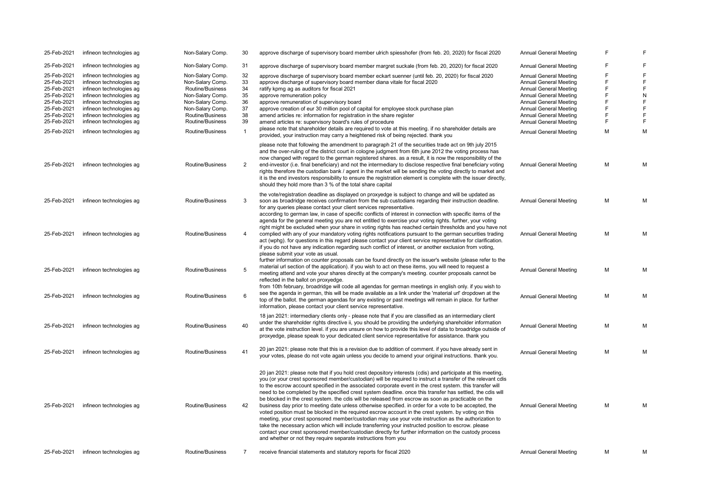| 25-Feb-2021 | infineon technologies ag | Non-Salary Comp. | 30             | approve discharge of supervisory board member ulrich spiesshofer (from feb. 20, 2020) for fiscal 2020                                                                                                                                                                                                                                                                                                                                                                                                                                                                                                                                                                                                                                                                                                                                                                                                                                                                                                                                                                                                                                                                      | <b>Annual General Meeting</b> | F | F           |
|-------------|--------------------------|------------------|----------------|----------------------------------------------------------------------------------------------------------------------------------------------------------------------------------------------------------------------------------------------------------------------------------------------------------------------------------------------------------------------------------------------------------------------------------------------------------------------------------------------------------------------------------------------------------------------------------------------------------------------------------------------------------------------------------------------------------------------------------------------------------------------------------------------------------------------------------------------------------------------------------------------------------------------------------------------------------------------------------------------------------------------------------------------------------------------------------------------------------------------------------------------------------------------------|-------------------------------|---|-------------|
| 25-Feb-2021 | infineon technologies ag | Non-Salary Comp. | 31             | approve discharge of supervisory board member margret suckale (from feb. 20, 2020) for fiscal 2020                                                                                                                                                                                                                                                                                                                                                                                                                                                                                                                                                                                                                                                                                                                                                                                                                                                                                                                                                                                                                                                                         | Annual General Meeting        | F | F           |
| 25-Feb-2021 | infineon technologies ag | Non-Salary Comp. | 32             | approve discharge of supervisory board member eckart suenner (until feb. 20, 2020) for fiscal 2020                                                                                                                                                                                                                                                                                                                                                                                                                                                                                                                                                                                                                                                                                                                                                                                                                                                                                                                                                                                                                                                                         | <b>Annual General Meeting</b> | F | $\mathsf F$ |
|             |                          |                  |                |                                                                                                                                                                                                                                                                                                                                                                                                                                                                                                                                                                                                                                                                                                                                                                                                                                                                                                                                                                                                                                                                                                                                                                            |                               | F | $\mathsf F$ |
| 25-Feb-2021 | infineon technologies ag | Non-Salary Comp. | 33             | approve discharge of supervisory board member diana vitale for fiscal 2020                                                                                                                                                                                                                                                                                                                                                                                                                                                                                                                                                                                                                                                                                                                                                                                                                                                                                                                                                                                                                                                                                                 | <b>Annual General Meeting</b> |   |             |
| 25-Feb-2021 | infineon technologies ag | Routine/Business | 34             | ratify kpmg ag as auditors for fiscal 2021                                                                                                                                                                                                                                                                                                                                                                                                                                                                                                                                                                                                                                                                                                                                                                                                                                                                                                                                                                                                                                                                                                                                 | Annual General Meeting        | F | F           |
| 25-Feb-2021 | infineon technologies ag | Non-Salary Comp. | 35             | approve remuneration policy                                                                                                                                                                                                                                                                                                                                                                                                                                                                                                                                                                                                                                                                                                                                                                                                                                                                                                                                                                                                                                                                                                                                                | Annual General Meeting        | F | ${\sf N}$   |
| 25-Feb-2021 | infineon technologies ag | Non-Salary Comp. | 36             | approve remuneration of supervisory board                                                                                                                                                                                                                                                                                                                                                                                                                                                                                                                                                                                                                                                                                                                                                                                                                                                                                                                                                                                                                                                                                                                                  | Annual General Meeting        | F | F           |
|             |                          |                  |                |                                                                                                                                                                                                                                                                                                                                                                                                                                                                                                                                                                                                                                                                                                                                                                                                                                                                                                                                                                                                                                                                                                                                                                            |                               | F | F           |
| 25-Feb-2021 | infineon technologies ag | Non-Salary Comp. | 37             | approve creation of eur 30 million pool of capital for employee stock purchase plan                                                                                                                                                                                                                                                                                                                                                                                                                                                                                                                                                                                                                                                                                                                                                                                                                                                                                                                                                                                                                                                                                        | <b>Annual General Meeting</b> |   |             |
| 25-Feb-2021 | infineon technologies ag | Routine/Business | 38             | amend articles re: information for registration in the share register                                                                                                                                                                                                                                                                                                                                                                                                                                                                                                                                                                                                                                                                                                                                                                                                                                                                                                                                                                                                                                                                                                      | <b>Annual General Meeting</b> | F | F           |
| 25-Feb-2021 | infineon technologies ag | Routine/Business | 39             | amend articles re: supervisory board's rules of procedure                                                                                                                                                                                                                                                                                                                                                                                                                                                                                                                                                                                                                                                                                                                                                                                                                                                                                                                                                                                                                                                                                                                  | <b>Annual General Meeting</b> | F | $\mathsf F$ |
|             |                          |                  |                | please note that shareholder details are required to vote at this meeting. if no shareholder details are                                                                                                                                                                                                                                                                                                                                                                                                                                                                                                                                                                                                                                                                                                                                                                                                                                                                                                                                                                                                                                                                   |                               |   |             |
| 25-Feb-2021 | infineon technologies ag | Routine/Business | 1              | provided, your instruction may carry a heightened risk of being rejected, thank you                                                                                                                                                                                                                                                                                                                                                                                                                                                                                                                                                                                                                                                                                                                                                                                                                                                                                                                                                                                                                                                                                        | <b>Annual General Meeting</b> | M | M           |
| 25-Feb-2021 | infineon technologies ag | Routine/Business | $\overline{2}$ | please note that following the amendment to paragraph 21 of the securities trade act on 9th july 2015<br>and the over-ruling of the district court in cologne judgment from 6th june 2012 the voting process has<br>now changed with regard to the german registered shares, as a result, it is now the responsibility of the<br>end-investor (i.e. final beneficiary) and not the intermediary to disclose respective final beneficiary voting<br>rights therefore the custodian bank / agent in the market will be sending the voting directly to market and<br>it is the end investors responsibility to ensure the registration element is complete with the issuer directly,<br>should they hold more than 3 % of the total share capital                                                                                                                                                                                                                                                                                                                                                                                                                             | <b>Annual General Meeting</b> | M | M           |
| 25-Feb-2021 | infineon technologies ag | Routine/Business | 3              | the vote/registration deadline as displayed on proxyedge is subject to change and will be updated as<br>soon as broadridge receives confirmation from the sub custodians regarding their instruction deadline.<br>for any queries please contact your client services representative.                                                                                                                                                                                                                                                                                                                                                                                                                                                                                                                                                                                                                                                                                                                                                                                                                                                                                      | Annual General Meeting        | M | М           |
| 25-Feb-2021 | infineon technologies ag | Routine/Business | $\overline{4}$ | according to german law, in case of specific conflicts of interest in connection with specific items of the<br>agenda for the general meeting you are not entitled to exercise your voting rights. further, your voting<br>right might be excluded when your share in voting rights has reached certain thresholds and you have not<br>complied with any of your mandatory voting rights notifications pursuant to the german securities trading<br>act (wphg). for questions in this regard please contact your client service representative for clarification.<br>if you do not have any indication regarding such conflict of interest, or another exclusion from voting,<br>please submit your vote as usual.                                                                                                                                                                                                                                                                                                                                                                                                                                                         | <b>Annual General Meeting</b> | M | M           |
| 25-Feb-2021 | infineon technologies ag | Routine/Business | 5              | further information on counter proposals can be found directly on the issuer's website (please refer to the<br>material url section of the application). If you wish to act on these items, you will need to request a<br>meeting attend and vote your shares directly at the company's meeting. counter proposals cannot be<br>reflected in the ballot on proxyedge.<br>from 10th february, broadridge will code all agendas for german meetings in english only. if you wish to<br>see the agenda in german, this will be made available as a link under the 'material url' dropdown at the                                                                                                                                                                                                                                                                                                                                                                                                                                                                                                                                                                              | <b>Annual General Meeting</b> | M | M           |
| 25-Feb-2021 | infineon technologies ag | Routine/Business | 6              | top of the ballot. the german agendas for any existing or past meetings will remain in place. for further<br>information, please contact your client service representative.                                                                                                                                                                                                                                                                                                                                                                                                                                                                                                                                                                                                                                                                                                                                                                                                                                                                                                                                                                                               | <b>Annual General Meeting</b> | M | M           |
| 25-Feb-2021 | infineon technologies ag | Routine/Business | 40             | 18 jan 2021: intermediary clients only - please note that if you are classified as an intermediary client<br>under the shareholder rights directive ii, you should be providing the underlying shareholder information<br>at the vote instruction level, if you are unsure on how to provide this level of data to broadridge outside of<br>proxyedge, please speak to your dedicated client service representative for assistance. thank you                                                                                                                                                                                                                                                                                                                                                                                                                                                                                                                                                                                                                                                                                                                              | <b>Annual General Meeting</b> | M | М           |
| 25-Feb-2021 | infineon technologies ag | Routine/Business | 41             | 20 jan 2021: please note that this is a revision due to addition of comment. if you have already sent in<br>your votes, please do not vote again unless you decide to amend your original instructions. thank you.                                                                                                                                                                                                                                                                                                                                                                                                                                                                                                                                                                                                                                                                                                                                                                                                                                                                                                                                                         | Annual General Meeting        | M | M           |
| 25-Feb-2021 | infineon technologies ag | Routine/Business | 42             | 20 jan 2021: please note that if you hold crest depository interests (cdis) and participate at this meeting,<br>you (or your crest sponsored member/custodian) will be required to instruct a transfer of the relevant cdis<br>to the escrow account specified in the associated corporate event in the crest system. this transfer will<br>need to be completed by the specified crest system deadline, once this transfer has settled, the cdis will<br>be blocked in the crest system. the cdis will be released from escrow as soon as practicable on the<br>business day prior to meeting date unless otherwise specified. in order for a vote to be accepted, the<br>voted position must be blocked in the required escrow account in the crest system. by voting on this<br>meeting, your crest sponsored member/custodian may use your vote instruction as the authorization to<br>take the necessary action which will include transferring your instructed position to escrow. please<br>contact your crest sponsored member/custodian directly for further information on the custody process<br>and whether or not they require separate instructions from you | Annual General Meeting        | M | M           |
| 25-Feb-2021 | infineon technologies ag | Routine/Business | 7              | receive financial statements and statutory reports for fiscal 2020                                                                                                                                                                                                                                                                                                                                                                                                                                                                                                                                                                                                                                                                                                                                                                                                                                                                                                                                                                                                                                                                                                         | Annual General Meeting        | M | M           |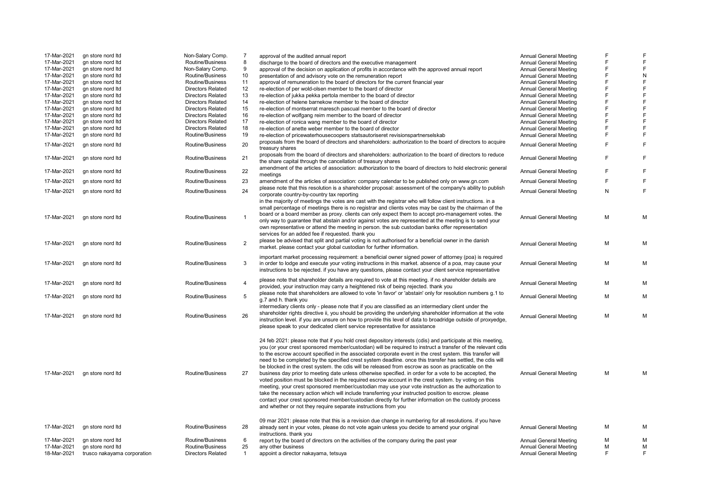| 17-Mar-2021 | gn store nord Itd           | Non-Salary Comp.         | 7              | approval of the audited annual report                                                                                                                                                                                                                                                                                                                                                                                                                                                                                                                                                                                                                                                                                                                                                                                                                                                                                                                                                                                                                                                                                                                                      | <b>Annual General Meeting</b> | F | F              |
|-------------|-----------------------------|--------------------------|----------------|----------------------------------------------------------------------------------------------------------------------------------------------------------------------------------------------------------------------------------------------------------------------------------------------------------------------------------------------------------------------------------------------------------------------------------------------------------------------------------------------------------------------------------------------------------------------------------------------------------------------------------------------------------------------------------------------------------------------------------------------------------------------------------------------------------------------------------------------------------------------------------------------------------------------------------------------------------------------------------------------------------------------------------------------------------------------------------------------------------------------------------------------------------------------------|-------------------------------|---|----------------|
| 17-Mar-2021 | gn store nord Itd           | Routine/Business         | 8              | discharge to the board of directors and the executive management                                                                                                                                                                                                                                                                                                                                                                                                                                                                                                                                                                                                                                                                                                                                                                                                                                                                                                                                                                                                                                                                                                           | <b>Annual General Meeting</b> | F | E              |
| 17-Mar-2021 | gn store nord Itd           | Non-Salary Comp.         | 9              | approval of the decision on application of profits in accordance with the approved annual report                                                                                                                                                                                                                                                                                                                                                                                                                                                                                                                                                                                                                                                                                                                                                                                                                                                                                                                                                                                                                                                                           | <b>Annual General Meeting</b> | F | $\overline{F}$ |
| 17-Mar-2021 | gn store nord Itd           | Routine/Business         | 10             | presentation of and advisory vote on the remuneration report                                                                                                                                                                                                                                                                                                                                                                                                                                                                                                                                                                                                                                                                                                                                                                                                                                                                                                                                                                                                                                                                                                               | <b>Annual General Meeting</b> | F | ${\sf N}$      |
| 17-Mar-2021 | gn store nord Itd           | Routine/Business         | 11             | approval of remuneration to the board of directors for the current financial year                                                                                                                                                                                                                                                                                                                                                                                                                                                                                                                                                                                                                                                                                                                                                                                                                                                                                                                                                                                                                                                                                          | <b>Annual General Meeting</b> | F | E              |
| 17-Mar-2021 | gn store nord Itd           | <b>Directors Related</b> | 12             | re-election of per wold-olsen member to the board of director                                                                                                                                                                                                                                                                                                                                                                                                                                                                                                                                                                                                                                                                                                                                                                                                                                                                                                                                                                                                                                                                                                              | <b>Annual General Meeting</b> | F | $\overline{F}$ |
| 17-Mar-2021 | gn store nord Itd           | <b>Directors Related</b> | 13             | re-election of jukka pekka pertola member to the board of director                                                                                                                                                                                                                                                                                                                                                                                                                                                                                                                                                                                                                                                                                                                                                                                                                                                                                                                                                                                                                                                                                                         | <b>Annual General Meeting</b> | F | $\overline{F}$ |
| 17-Mar-2021 | gn store nord Itd           | <b>Directors Related</b> | 14             | re-election of helene barnekow member to the board of director                                                                                                                                                                                                                                                                                                                                                                                                                                                                                                                                                                                                                                                                                                                                                                                                                                                                                                                                                                                                                                                                                                             | <b>Annual General Meeting</b> | F | $\mathsf F$    |
| 17-Mar-2021 | gn store nord Itd           | <b>Directors Related</b> | 15             | re-election of montserrat maresch pascual member to the board of director                                                                                                                                                                                                                                                                                                                                                                                                                                                                                                                                                                                                                                                                                                                                                                                                                                                                                                                                                                                                                                                                                                  | <b>Annual General Meeting</b> | F | $\mathsf F$    |
| 17-Mar-2021 | gn store nord Itd           | <b>Directors Related</b> | 16             | re-election of wolfgang reim member to the board of director                                                                                                                                                                                                                                                                                                                                                                                                                                                                                                                                                                                                                                                                                                                                                                                                                                                                                                                                                                                                                                                                                                               | Annual General Meeting        | F | $\overline{F}$ |
| 17-Mar-2021 | gn store nord Itd           | <b>Directors Related</b> | 17             | re-election of ronica wang member to the board of director                                                                                                                                                                                                                                                                                                                                                                                                                                                                                                                                                                                                                                                                                                                                                                                                                                                                                                                                                                                                                                                                                                                 | <b>Annual General Meeting</b> | F | $\mathsf F$    |
| 17-Mar-2021 | gn store nord Itd           | Directors Related        | 18             | re-election of anette weber member to the board of director                                                                                                                                                                                                                                                                                                                                                                                                                                                                                                                                                                                                                                                                                                                                                                                                                                                                                                                                                                                                                                                                                                                | <b>Annual General Meeting</b> | F | F              |
| 17-Mar-2021 | gn store nord ltd           | Routine/Business         | 19             | re-election of pricewaterhousecoopers statsautoriseret revisionspartnerselskab                                                                                                                                                                                                                                                                                                                                                                                                                                                                                                                                                                                                                                                                                                                                                                                                                                                                                                                                                                                                                                                                                             | <b>Annual General Meeting</b> | F | $\mathsf F$    |
|             |                             |                          |                |                                                                                                                                                                                                                                                                                                                                                                                                                                                                                                                                                                                                                                                                                                                                                                                                                                                                                                                                                                                                                                                                                                                                                                            |                               |   |                |
| 17-Mar-2021 | gn store nord Itd           | Routine/Business         | 20             | proposals from the board of directors and shareholders: authorization to the board of directors to acquire<br>treasury shares                                                                                                                                                                                                                                                                                                                                                                                                                                                                                                                                                                                                                                                                                                                                                                                                                                                                                                                                                                                                                                              | <b>Annual General Meeting</b> | F | F              |
| 17-Mar-2021 | gn store nord ltd           | Routine/Business         | 21             | proposals from the board of directors and shareholders: authorization to the board of directors to reduce<br>the share capital through the cancellation of treasury shares                                                                                                                                                                                                                                                                                                                                                                                                                                                                                                                                                                                                                                                                                                                                                                                                                                                                                                                                                                                                 | <b>Annual General Meeting</b> | F | $\mathsf F$    |
| 17-Mar-2021 | gn store nord Itd           | Routine/Business         | 22             | amendment of the articles of association: authorization to the board of directors to hold electronic general<br>meetings                                                                                                                                                                                                                                                                                                                                                                                                                                                                                                                                                                                                                                                                                                                                                                                                                                                                                                                                                                                                                                                   | <b>Annual General Meeting</b> | F | F              |
| 17-Mar-2021 | gn store nord Itd           | Routine/Business         | 23             | amendment of the articles of association: company calendar to be published only on www.qn.com                                                                                                                                                                                                                                                                                                                                                                                                                                                                                                                                                                                                                                                                                                                                                                                                                                                                                                                                                                                                                                                                              | <b>Annual General Meeting</b> | F | $\mathsf F$    |
| 17-Mar-2021 |                             | Routine/Business         | 24             | please note that this resolution is a shareholder proposal: assessment of the company's ability to publish                                                                                                                                                                                                                                                                                                                                                                                                                                                                                                                                                                                                                                                                                                                                                                                                                                                                                                                                                                                                                                                                 |                               | N | F              |
|             | gn store nord Itd           |                          |                | corporate country-by-country tax reporting                                                                                                                                                                                                                                                                                                                                                                                                                                                                                                                                                                                                                                                                                                                                                                                                                                                                                                                                                                                                                                                                                                                                 | <b>Annual General Meeting</b> |   |                |
| 17-Mar-2021 | gn store nord Itd           | Routine/Business         |                | in the majority of meetings the votes are cast with the registrar who will follow client instructions. in a<br>small percentage of meetings there is no registrar and clients votes may be cast by the chairman of the<br>board or a board member as proxy. clients can only expect them to accept pro-management votes. the<br>only way to guarantee that abstain and/or against votes are represented at the meeting is to send your<br>own representative or attend the meeting in person. the sub custodian banks offer representation<br>services for an added fee if requested. thank you                                                                                                                                                                                                                                                                                                                                                                                                                                                                                                                                                                            | <b>Annual General Meeting</b> | M | М              |
| 17-Mar-2021 | gn store nord Itd           | Routine/Business         | $\overline{2}$ | please be advised that split and partial voting is not authorised for a beneficial owner in the danish<br>market. please contact your global custodian for further information.                                                                                                                                                                                                                                                                                                                                                                                                                                                                                                                                                                                                                                                                                                                                                                                                                                                                                                                                                                                            | <b>Annual General Meeting</b> | М | М              |
| 17-Mar-2021 | gn store nord Itd           | Routine/Business         | 3              | important market processing requirement: a beneficial owner signed power of attorney (poa) is required<br>in order to lodge and execute your voting instructions in this market. absence of a poa, may cause your<br>instructions to be rejected. if you have any questions, please contact your client service representative                                                                                                                                                                                                                                                                                                                                                                                                                                                                                                                                                                                                                                                                                                                                                                                                                                             | <b>Annual General Meeting</b> | М | М              |
| 17-Mar-2021 | gn store nord Itd           | Routine/Business         | 4              | please note that shareholder details are required to vote at this meeting. if no shareholder details are<br>provided, your instruction may carry a heightened risk of being rejected. thank you                                                                                                                                                                                                                                                                                                                                                                                                                                                                                                                                                                                                                                                                                                                                                                                                                                                                                                                                                                            | <b>Annual General Meeting</b> | М | М              |
| 17-Mar-2021 | gn store nord Itd           | Routine/Business         | 5              | please note that shareholders are allowed to vote 'in favor' or 'abstain' only for resolution numbers g.1 to<br>g.7 and h. thank you                                                                                                                                                                                                                                                                                                                                                                                                                                                                                                                                                                                                                                                                                                                                                                                                                                                                                                                                                                                                                                       | <b>Annual General Meeting</b> | M | M              |
| 17-Mar-2021 | gn store nord Itd           | Routine/Business         | 26             | intermediary clients only - please note that if you are classified as an intermediary client under the<br>shareholder rights directive ii, you should be providing the underlying shareholder information at the vote<br>instruction level. if you are unsure on how to provide this level of data to broadridge outside of proxyedge,<br>please speak to your dedicated client service representative for assistance                                                                                                                                                                                                                                                                                                                                                                                                                                                                                                                                                                                                                                                                                                                                                      | <b>Annual General Meeting</b> | M | М              |
| 17-Mar-2021 | gn store nord Itd           | Routine/Business         | 27             | 24 feb 2021: please note that if you hold crest depository interests (cdis) and participate at this meeting,<br>you (or your crest sponsored member/custodian) will be required to instruct a transfer of the relevant cdis<br>to the escrow account specified in the associated corporate event in the crest system. this transfer will<br>need to be completed by the specified crest system deadline, once this transfer has settled, the cdis will<br>be blocked in the crest system. the cdis will be released from escrow as soon as practicable on the<br>business day prior to meeting date unless otherwise specified. in order for a vote to be accepted, the<br>voted position must be blocked in the required escrow account in the crest system. by voting on this<br>meeting, your crest sponsored member/custodian may use your vote instruction as the authorization to<br>take the necessary action which will include transferring your instructed position to escrow. please<br>contact your crest sponsored member/custodian directly for further information on the custody process<br>and whether or not they require separate instructions from you | <b>Annual General Meeting</b> | M | M              |
| 17-Mar-2021 | gn store nord ltd           | Routine/Business         | 28             | 09 mar 2021: please note that this is a revision due change in numbering for all resolutions. if you have<br>already sent in your votes, please do not vote again unless you decide to amend your original<br>instructions. thank you                                                                                                                                                                                                                                                                                                                                                                                                                                                                                                                                                                                                                                                                                                                                                                                                                                                                                                                                      | <b>Annual General Meeting</b> | M | м              |
| 17-Mar-2021 | gn store nord Itd           | Routine/Business         | 6              | report by the board of directors on the activities of the company during the past year                                                                                                                                                                                                                                                                                                                                                                                                                                                                                                                                                                                                                                                                                                                                                                                                                                                                                                                                                                                                                                                                                     | <b>Annual General Meeting</b> | М | М              |
| 17-Mar-2021 | gn store nord Itd           | Routine/Business         | 25             | any other business                                                                                                                                                                                                                                                                                                                                                                                                                                                                                                                                                                                                                                                                                                                                                                                                                                                                                                                                                                                                                                                                                                                                                         | <b>Annual General Meeting</b> | M | M              |
| 18-Mar-2021 | trusco nakayama corporation | <b>Directors Related</b> | $\mathbf{1}$   | appoint a director nakayama, tetsuya                                                                                                                                                                                                                                                                                                                                                                                                                                                                                                                                                                                                                                                                                                                                                                                                                                                                                                                                                                                                                                                                                                                                       | <b>Annual General Meeting</b> | E | F              |
|             |                             |                          |                |                                                                                                                                                                                                                                                                                                                                                                                                                                                                                                                                                                                                                                                                                                                                                                                                                                                                                                                                                                                                                                                                                                                                                                            |                               |   |                |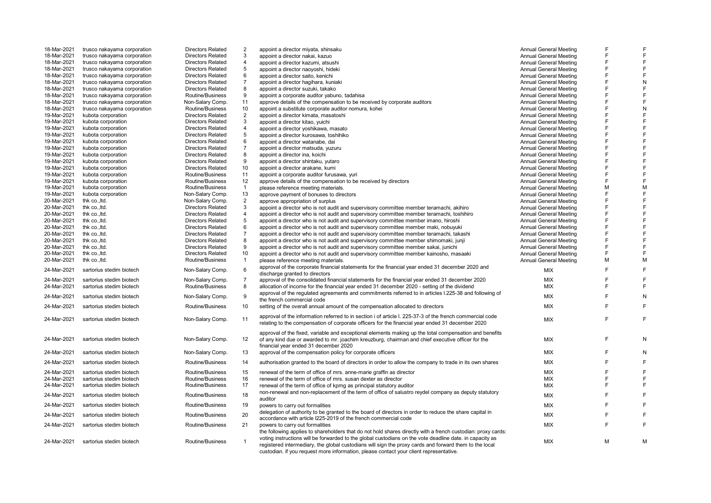| 18-Mar-2021 | trusco nakayama corporation | <b>Directors Related</b> | 2                       | appoint a director miyata, shinsaku                                                                          | <b>Annual General Meeting</b> |   |   |
|-------------|-----------------------------|--------------------------|-------------------------|--------------------------------------------------------------------------------------------------------------|-------------------------------|---|---|
| 18-Mar-2021 | trusco nakayama corporation | <b>Directors Related</b> | 3                       | appoint a director nakai, kazuo                                                                              | <b>Annual General Meeting</b> | E | F |
| 18-Mar-2021 | trusco nakayama corporation | <b>Directors Related</b> | 4                       | appoint a director kazumi, atsushi                                                                           | <b>Annual General Meeting</b> | F | F |
| 18-Mar-2021 | trusco nakayama corporation | <b>Directors Related</b> | 5                       | appoint a director naoyoshi, hideki                                                                          | Annual General Meeting        | E | F |
| 18-Mar-2021 | trusco nakayama corporation | <b>Directors Related</b> | 6                       | appoint a director saito, kenichi                                                                            | Annual General Meeting        | F | F |
| 18-Mar-2021 | trusco nakayama corporation | <b>Directors Related</b> | $\overline{7}$          | appoint a director hagihara, kuniaki                                                                         | <b>Annual General Meeting</b> | E | N |
| 18-Mar-2021 | trusco nakayama corporation | <b>Directors Related</b> | 8                       | appoint a director suzuki, takako                                                                            | <b>Annual General Meeting</b> | F | F |
| 18-Mar-2021 | trusco nakayama corporation | Routine/Business         | 9                       | appoint a corporate auditor yabuno, tadahisa                                                                 | <b>Annual General Meeting</b> | F | F |
| 18-Mar-2021 | trusco nakayama corporation | Non-Salary Comp.         | 11                      | approve details of the compensation to be received by corporate auditors                                     | <b>Annual General Meeting</b> | F | F |
| 18-Mar-2021 | trusco nakayama corporation | Routine/Business         | 10                      | appoint a substitute corporate auditor nomura, kohei                                                         | <b>Annual General Meeting</b> | F | N |
| 19-Mar-2021 | kubota corporation          | <b>Directors Related</b> | 2                       | appoint a director kimata, masatoshi                                                                         | <b>Annual General Meeting</b> | E | F |
| 19-Mar-2021 | kubota corporation          | <b>Directors Related</b> | 3                       | appoint a director kitao, yuichi                                                                             | <b>Annual General Meeting</b> | F | F |
| 19-Mar-2021 | kubota corporation          | <b>Directors Related</b> | 4                       | appoint a director yoshikawa, masato                                                                         | <b>Annual General Meeting</b> | F | F |
| 19-Mar-2021 | kubota corporation          | <b>Directors Related</b> | 5                       | appoint a director kurosawa, toshihiko                                                                       | <b>Annual General Meeting</b> | E | F |
| 19-Mar-2021 | kubota corporation          | <b>Directors Related</b> | 6                       | appoint a director watanabe, dai                                                                             | <b>Annual General Meeting</b> | F | F |
| 19-Mar-2021 | kubota corporation          | <b>Directors Related</b> | $\overline{7}$          | appoint a director matsuda, yuzuru                                                                           | Annual General Meeting        | E | F |
| 19-Mar-2021 | kubota corporation          | <b>Directors Related</b> | 8                       | appoint a director ina, koichi                                                                               | <b>Annual General Meeting</b> | F | F |
| 19-Mar-2021 | kubota corporation          | <b>Directors Related</b> | 9                       | appoint a director shintaku, yutaro                                                                          | Annual General Meeting        | E | F |
| 19-Mar-2021 | kubota corporation          | <b>Directors Related</b> | 10                      | appoint a director arakane, kumi                                                                             | <b>Annual General Meeting</b> | F | F |
| 19-Mar-2021 | kubota corporation          | Routine/Business         | 11                      | appoint a corporate auditor furusawa, yuri                                                                   | <b>Annual General Meeting</b> | F | F |
| 19-Mar-2021 | kubota corporation          | Routine/Business         | 12                      | approve details of the compensation to be received by directors                                              | <b>Annual General Meeting</b> | F | F |
| 19-Mar-2021 | kubota corporation          | Routine/Business         | $\mathbf{1}$            | please reference meeting materials.                                                                          | <b>Annual General Meeting</b> | M | M |
| 19-Mar-2021 | kubota corporation          | Non-Salary Comp.         | 13                      | approve payment of bonuses to directors                                                                      | Annual General Meeting        | E | F |
| 20-Mar-2021 | thk co., ltd.               | Non-Salary Comp.         | $\overline{2}$          | approve appropriation of surplus                                                                             | <b>Annual General Meeting</b> | E | F |
| 20-Mar-2021 | thk co., ltd.               | <b>Directors Related</b> | 3                       | appoint a director who is not audit and supervisory committee member teramachi, akihiro                      | <b>Annual General Meeting</b> | F | F |
| 20-Mar-2021 | thk co., ltd.               | <b>Directors Related</b> | $\overline{\mathbf{4}}$ | appoint a director who is not audit and supervisory committee member teramachi, toshihiro                    | <b>Annual General Meeting</b> | F | F |
| 20-Mar-2021 | thk co., ltd.               | <b>Directors Related</b> | 5                       | appoint a director who is not audit and supervisory committee member imano, hiroshi                          | <b>Annual General Meeting</b> | F | F |
| 20-Mar-2021 | thk co., ltd.               | <b>Directors Related</b> | 6                       | appoint a director who is not audit and supervisory committee member maki, nobuyuki                          | Annual General Meeting        | E | F |
| 20-Mar-2021 | thk co., ltd.               | <b>Directors Related</b> | $\overline{7}$          | appoint a director who is not audit and supervisory committee member teramachi, takashi                      | <b>Annual General Meeting</b> |   | F |
| 20-Mar-2021 | thk co., ltd.               | <b>Directors Related</b> | 8                       | appoint a director who is not audit and supervisory committee member shimomaki, junji                        | <b>Annual General Meeting</b> | F | F |
| 20-Mar-2021 | thk co., ltd.               | <b>Directors Related</b> | 9                       | appoint a director who is not audit and supervisory committee member sakai, junichi                          | <b>Annual General Meeting</b> | F | F |
| 20-Mar-2021 | thk co., ltd.               | <b>Directors Related</b> | 10                      | appoint a director who is not audit and supervisory committee member kainosho, masaaki                       | <b>Annual General Meeting</b> | F | F |
| 20-Mar-2021 | thk co., ltd.               | Routine/Business         | $\mathbf{1}$            | please reference meeting materials.                                                                          | Annual General Meeting        | M | M |
| 24-Mar-2021 | sartorius stedim biotech    | Non-Salary Comp.         | 6                       | approval of the corporate financial statements for the financial year ended 31 december 2020 and             | <b>MIX</b>                    | F | F |
|             |                             |                          |                         | discharge granted to directors                                                                               |                               |   |   |
| 24-Mar-2021 | sartorius stedim biotech    | Non-Salary Comp.         | $\overline{7}$          | approval of the consolidated financial statements for the financial year ended 31 december 2020              | MIX                           | F | F |
| 24-Mar-2021 | sartorius stedim biotech    | Routine/Business         | 8                       | allocation of income for the financial year ended 31 december 2020 - setting of the dividend                 | <b>MIX</b>                    | F | F |
| 24-Mar-2021 | sartorius stedim biotech    | Non-Salary Comp.         | 9                       | approval of the regulated agreements and commitments referred to in articles I.225-38 and following of       | <b>MIX</b>                    | E | N |
|             |                             |                          |                         | the french commercial code                                                                                   |                               | F | F |
| 24-Mar-2021 | sartorius stedim biotech    | Routine/Business         | 10                      | setting of the overall annual amount of the compensation allocated to directors                              | MIX                           |   |   |
| 24-Mar-2021 | sartorius stedim biotech    | Non-Salary Comp.         | 11                      | approval of the information referred to in section i of article I. 225-37-3 of the french commercial code    | MIX                           | E | F |
|             |                             |                          |                         | relating to the compensation of corporate officers for the financial year ended 31 december 2020             |                               |   |   |
|             |                             |                          |                         | approval of the fixed, variable and exceptional elements making up the total compensation and benefits       |                               |   |   |
| 24-Mar-2021 | sartorius stedim biotech    | Non-Salary Comp.         | 12                      | of any kind due or awarded to mr. joachim kreuzburg, chairman and chief executive officer for the            | <b>MIX</b>                    | E | N |
|             |                             |                          |                         | financial year ended 31 december 2020                                                                        |                               |   |   |
| 24-Mar-2021 | sartorius stedim biotech    | Non-Salary Comp.         | 13                      | approval of the compensation policy for corporate officers                                                   | MIX                           | E | N |
| 24-Mar-2021 | sartorius stedim biotech    | Routine/Business         | 14                      | authorisation granted to the board of directors in order to allow the company to trade in its own shares     | MIX                           | E | F |
| 24-Mar-2021 | sartorius stedim biotech    | Routine/Business         | 15                      | renewal of the term of office of mrs. anne-marie graffin as director                                         | MIX                           | F | F |
| 24-Mar-2021 | sartorius stedim biotech    | Routine/Business         | 16                      | renewal of the term of office of mrs. susan dexter as director                                               | <b>MIX</b>                    | E | F |
| 24-Mar-2021 | sartorius stedim biotech    | Routine/Business         | 17                      | renewal of the term of office of kpmg as principal statutory auditor                                         | MIX                           | F | F |
|             |                             |                          |                         | non-renewal and non-replacement of the term of office of salustro reydel company as deputy statutory         |                               |   |   |
| 24-Mar-2021 | sartorius stedim biotech    | Routine/Business         | 18                      | auditor                                                                                                      | MIX                           | E | F |
| 24-Mar-2021 | sartorius stedim biotech    | Routine/Business         | 19                      | powers to carry out formalities                                                                              | <b>MIX</b>                    | E | F |
| 24-Mar-2021 | sartorius stedim biotech    | Routine/Business         | 20                      | delegation of authority to be granted to the board of directors in order to reduce the share capital in      | MIX                           | F | F |
| 24-Mar-2021 | sartorius stedim biotech    | Routine/Business         | 21                      | accordance with article I225-2019 of the french commercial code<br>powers to carry out formalities           | MIX                           | E | F |
|             |                             |                          |                         | the following applies to shareholders that do not hold shares directly with a french custodian: proxy cards: |                               |   |   |
|             |                             |                          |                         | voting instructions will be forwarded to the global custodians on the vote deadline date. in capacity as     |                               |   |   |
| 24-Mar-2021 | sartorius stedim biotech    | Routine/Business         | $\mathbf{1}$            | registered intermediary, the global custodians will sign the proxy cards and forward them to the local       | MIX                           | M | M |
|             |                             |                          |                         | custodian. if you request more information, please contact your client representative.                       |                               |   |   |
|             |                             |                          |                         |                                                                                                              |                               |   |   |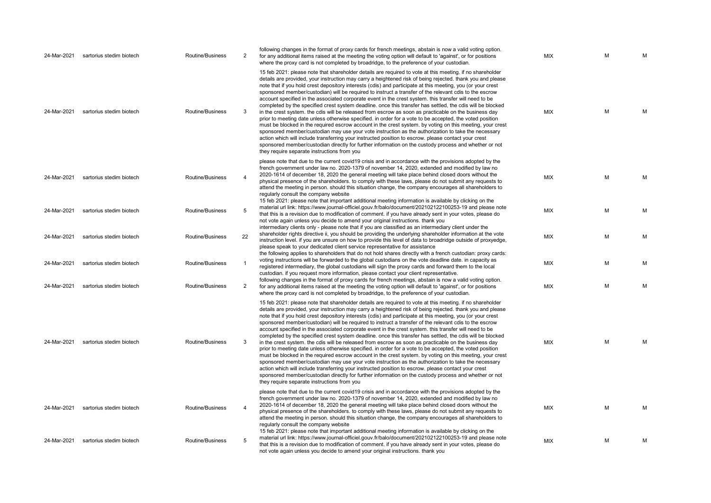| 24-Mar-2021 | sartorius stedim biotech | Routine/Business | 2                       | following changes in the format of proxy cards for french meetings, abstain is now a valid voting option.<br>for any additional items raised at the meeting the voting option will default to 'against', or for positions<br>where the proxy card is not completed by broadridge, to the preference of your custodian.                                                                                                                                                                                                                                                                                                                                                                                                                                                                                                                                                                                                                                                                                                                                                                                                                                                                                                                                                                                                                                                            | <b>MIX</b> | м | М |
|-------------|--------------------------|------------------|-------------------------|-----------------------------------------------------------------------------------------------------------------------------------------------------------------------------------------------------------------------------------------------------------------------------------------------------------------------------------------------------------------------------------------------------------------------------------------------------------------------------------------------------------------------------------------------------------------------------------------------------------------------------------------------------------------------------------------------------------------------------------------------------------------------------------------------------------------------------------------------------------------------------------------------------------------------------------------------------------------------------------------------------------------------------------------------------------------------------------------------------------------------------------------------------------------------------------------------------------------------------------------------------------------------------------------------------------------------------------------------------------------------------------|------------|---|---|
| 24-Mar-2021 | sartorius stedim biotech | Routine/Business | 3                       | 15 feb 2021: please note that shareholder details are required to vote at this meeting. if no shareholder<br>details are provided, your instruction may carry a heightened risk of being rejected. thank you and please<br>note that if you hold crest depository interests (cdis) and participate at this meeting, you (or your crest<br>sponsored member/custodian) will be required to instruct a transfer of the relevant cdis to the escrow<br>account specified in the associated corporate event in the crest system. this transfer will need to be<br>completed by the specified crest system deadline. once this transfer has settled, the cdis will be blocked<br>in the crest system. the cdis will be released from escrow as soon as practicable on the business day<br>prior to meeting date unless otherwise specified. in order for a vote to be accepted, the voted position<br>must be blocked in the required escrow account in the crest system. by voting on this meeting, your crest<br>sponsored member/custodian may use your vote instruction as the authorization to take the necessary<br>action which will include transferring your instructed position to escrow. please contact your crest<br>sponsored member/custodian directly for further information on the custody process and whether or not<br>they require separate instructions from you | MIX        | M | M |
| 24-Mar-2021 | sartorius stedim biotech | Routine/Business | 4                       | please note that due to the current covid19 crisis and in accordance with the provisions adopted by the<br>french government under law no. 2020-1379 of november 14, 2020, extended and modified by law no<br>2020-1614 of december 18, 2020 the general meeting will take place behind closed doors without the<br>physical presence of the shareholders, to comply with these laws, please do not submit any requests to<br>attend the meeting in person. should this situation change, the company encourages all shareholders to<br>regularly consult the company website                                                                                                                                                                                                                                                                                                                                                                                                                                                                                                                                                                                                                                                                                                                                                                                                     | MIX        | M | M |
| 24-Mar-2021 | sartorius stedim biotech | Routine/Business | 5                       | 15 feb 2021: please note that important additional meeting information is available by clicking on the<br>material url link: https://www.journal-officiel.gouv.fr/balo/document/202102122100253-19 and please note<br>that this is a revision due to modification of comment. if you have already sent in your votes, please do<br>not vote again unless you decide to amend your original instructions. thank you                                                                                                                                                                                                                                                                                                                                                                                                                                                                                                                                                                                                                                                                                                                                                                                                                                                                                                                                                                | MIX        | M | М |
| 24-Mar-2021 | sartorius stedim biotech | Routine/Business | 22                      | intermediary clients only - please note that if you are classified as an intermediary client under the<br>shareholder rights directive ii, you should be providing the underlying shareholder information at the vote<br>instruction level. if you are unsure on how to provide this level of data to broadridge outside of proxyedge,<br>please speak to your dedicated client service representative for assistance<br>the following applies to shareholders that do not hold shares directly with a french custodian: proxy cards:                                                                                                                                                                                                                                                                                                                                                                                                                                                                                                                                                                                                                                                                                                                                                                                                                                             | <b>MIX</b> | M | M |
| 24-Mar-2021 | sartorius stedim biotech | Routine/Business | 1                       | voting instructions will be forwarded to the global custodians on the vote deadline date. in capacity as<br>registered intermediary, the global custodians will sign the proxy cards and forward them to the local<br>custodian. if you request more information, please contact your client representative.                                                                                                                                                                                                                                                                                                                                                                                                                                                                                                                                                                                                                                                                                                                                                                                                                                                                                                                                                                                                                                                                      | MIX        | М | М |
| 24-Mar-2021 | sartorius stedim biotech | Routine/Business | 2                       | following changes in the format of proxy cards for french meetings, abstain is now a valid voting option.<br>for any additional items raised at the meeting the voting option will default to 'against', or for positions<br>where the proxy card is not completed by broadridge, to the preference of your custodian.                                                                                                                                                                                                                                                                                                                                                                                                                                                                                                                                                                                                                                                                                                                                                                                                                                                                                                                                                                                                                                                            | MIX        | M | M |
| 24-Mar-2021 | sartorius stedim biotech | Routine/Business | 3                       | 15 feb 2021: please note that shareholder details are required to vote at this meeting. if no shareholder<br>details are provided, your instruction may carry a heightened risk of being rejected. thank you and please<br>note that if you hold crest depository interests (cdis) and participate at this meeting, you (or your crest<br>sponsored member/custodian) will be required to instruct a transfer of the relevant cdis to the escrow<br>account specified in the associated corporate event in the crest system. this transfer will need to be<br>completed by the specified crest system deadline. once this transfer has settled, the cdis will be blocked<br>in the crest system, the cdis will be released from escrow as soon as practicable on the business day<br>prior to meeting date unless otherwise specified. in order for a vote to be accepted, the voted position<br>must be blocked in the required escrow account in the crest system. by voting on this meeting, your crest<br>sponsored member/custodian may use your vote instruction as the authorization to take the necessary<br>action which will include transferring your instructed position to escrow. please contact your crest<br>sponsored member/custodian directly for further information on the custody process and whether or not<br>they require separate instructions from you | MIX        | M | M |
| 24-Mar-2021 | sartorius stedim biotech | Routine/Business | $\overline{\mathbf{A}}$ | please note that due to the current covid19 crisis and in accordance with the provisions adopted by the<br>french government under law no. 2020-1379 of november 14, 2020, extended and modified by law no<br>2020-1614 of december 18, 2020 the general meeting will take place behind closed doors without the<br>physical presence of the shareholders, to comply with these laws, please do not submit any requests to<br>attend the meeting in person. should this situation change, the company encourages all shareholders to<br>regularly consult the company website                                                                                                                                                                                                                                                                                                                                                                                                                                                                                                                                                                                                                                                                                                                                                                                                     | <b>MIX</b> | M | м |
| 24-Mar-2021 | sartorius stedim biotech | Routine/Business | 5                       | 15 feb 2021: please note that important additional meeting information is available by clicking on the<br>material url link: https://www.journal-officiel.gouv.fr/balo/document/202102122100253-19 and please note<br>that this is a revision due to modification of comment. if you have already sent in your votes, please do<br>not vote again unless you decide to amend your original instructions, thank you                                                                                                                                                                                                                                                                                                                                                                                                                                                                                                                                                                                                                                                                                                                                                                                                                                                                                                                                                                | <b>MIX</b> | M | M |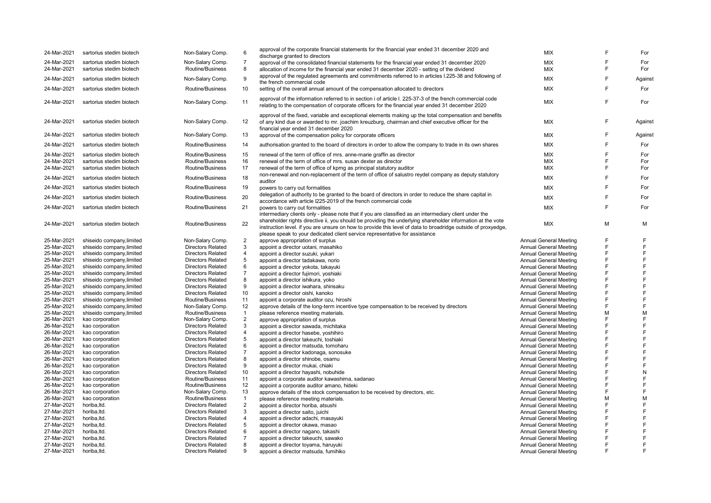| 24-Mar-2021 | sartorius stedim biotech  | Non-Salary Comp.         | 6              | approval of the corporate financial statements for the financial year ended 31 december 2020 and                                                                                                                                                                                                            | <b>MIX</b>                    |   | For     |
|-------------|---------------------------|--------------------------|----------------|-------------------------------------------------------------------------------------------------------------------------------------------------------------------------------------------------------------------------------------------------------------------------------------------------------------|-------------------------------|---|---------|
|             |                           |                          |                | discharge granted to directors                                                                                                                                                                                                                                                                              |                               |   |         |
| 24-Mar-2021 | sartorius stedim biotech  | Non-Salary Comp.         | $\overline{7}$ | approval of the consolidated financial statements for the financial year ended 31 december 2020                                                                                                                                                                                                             | <b>MIX</b>                    | F | For     |
| 24-Mar-2021 | sartorius stedim biotech  | Routine/Business         | 8              | allocation of income for the financial year ended 31 december 2020 - setting of the dividend                                                                                                                                                                                                                | <b>MIX</b>                    | F | For     |
| 24-Mar-2021 | sartorius stedim biotech  | Non-Salary Comp.         | 9              | approval of the regulated agreements and commitments referred to in articles I.225-38 and following of<br>the french commercial code                                                                                                                                                                        | <b>MIX</b>                    | F | Against |
| 24-Mar-2021 | sartorius stedim biotech  | Routine/Business         | 10             | setting of the overall annual amount of the compensation allocated to directors                                                                                                                                                                                                                             | <b>MIX</b>                    | F | For     |
| 24-Mar-2021 | sartorius stedim biotech  | Non-Salary Comp.         | 11             | approval of the information referred to in section i of article I. 225-37-3 of the french commercial code<br>relating to the compensation of corporate officers for the financial year ended 31 december 2020                                                                                               | <b>MIX</b>                    | F | For     |
| 24-Mar-2021 | sartorius stedim biotech  | Non-Salary Comp.         | 12             | approval of the fixed, variable and exceptional elements making up the total compensation and benefits<br>of any kind due or awarded to mr. joachim kreuzburg, chairman and chief executive officer for the<br>financial year ended 31 december 2020                                                        | MIX                           | F | Against |
| 24-Mar-2021 | sartorius stedim biotech  | Non-Salary Comp.         | 13             | approval of the compensation policy for corporate officers                                                                                                                                                                                                                                                  | MIX                           | F | Against |
| 24-Mar-2021 | sartorius stedim biotech  | Routine/Business         | 14             | authorisation granted to the board of directors in order to allow the company to trade in its own shares                                                                                                                                                                                                    | <b>MIX</b>                    | E | For     |
| 24-Mar-2021 | sartorius stedim biotech  | Routine/Business         | 15             | renewal of the term of office of mrs. anne-marie graffin as director                                                                                                                                                                                                                                        | <b>MIX</b>                    | F | For     |
| 24-Mar-2021 | sartorius stedim biotech  | Routine/Business         | 16             | renewal of the term of office of mrs. susan dexter as director                                                                                                                                                                                                                                              | MIX                           | F | For     |
| 24-Mar-2021 | sartorius stedim biotech  | Routine/Business         | 17             | renewal of the term of office of kpmq as principal statutory auditor                                                                                                                                                                                                                                        | MIX                           | F | For     |
| 24-Mar-2021 | sartorius stedim biotech  | Routine/Business         | 18             | non-renewal and non-replacement of the term of office of salustro reydel company as deputy statutory                                                                                                                                                                                                        | MIX                           | F | For     |
|             |                           |                          |                | auditor                                                                                                                                                                                                                                                                                                     |                               |   |         |
| 24-Mar-2021 | sartorius stedim biotech  | Routine/Business         | 19             | powers to carry out formalities                                                                                                                                                                                                                                                                             | <b>MIX</b>                    | F | For     |
| 24-Mar-2021 | sartorius stedim biotech  | Routine/Business         | 20             | delegation of authority to be granted to the board of directors in order to reduce the share capital in<br>accordance with article I225-2019 of the french commercial code                                                                                                                                  | <b>MIX</b>                    | F | For     |
| 24-Mar-2021 | sartorius stedim biotech  | Routine/Business         | 21             | powers to carry out formalities                                                                                                                                                                                                                                                                             | <b>MIX</b>                    | F | For     |
|             |                           |                          |                | intermediary clients only - please note that if you are classified as an intermediary client under the                                                                                                                                                                                                      |                               |   |         |
| 24-Mar-2021 | sartorius stedim biotech  | Routine/Business         | 22             | shareholder rights directive ii, you should be providing the underlying shareholder information at the vote<br>instruction level. if you are unsure on how to provide this level of data to broadridge outside of proxyedge,<br>please speak to your dedicated client service representative for assistance | <b>MIX</b>                    | м | М       |
| 25-Mar-2021 | shiseido company, limited | Non-Salary Comp.         | $\overline{2}$ | approve appropriation of surplus                                                                                                                                                                                                                                                                            | <b>Annual General Meeting</b> | F | F       |
| 25-Mar-2021 | shiseido company, limited | <b>Directors Related</b> | 3              | appoint a director uotani, masahiko                                                                                                                                                                                                                                                                         | <b>Annual General Meeting</b> | F | F       |
| 25-Mar-2021 | shiseido company, limited | <b>Directors Related</b> | 4              | appoint a director suzuki, yukari                                                                                                                                                                                                                                                                           | <b>Annual General Meeting</b> | F | F       |
| 25-Mar-2021 | shiseido company, limited | <b>Directors Related</b> | 5              | appoint a director tadakawa, norio                                                                                                                                                                                                                                                                          | <b>Annual General Meeting</b> | F | F       |
| 25-Mar-2021 | shiseido company, limited | <b>Directors Related</b> | 6              | appoint a director yokota, takayuki                                                                                                                                                                                                                                                                         | <b>Annual General Meeting</b> | F | F       |
| 25-Mar-2021 | shiseido company, limited | <b>Directors Related</b> | $\overline{7}$ | appoint a director fujimori, yoshiaki                                                                                                                                                                                                                                                                       | <b>Annual General Meeting</b> | F | F       |
| 25-Mar-2021 | shiseido company, limited | <b>Directors Related</b> | 8              | appoint a director ishikura, yoko                                                                                                                                                                                                                                                                           | <b>Annual General Meeting</b> | F | F       |
| 25-Mar-2021 | shiseido company, limited | <b>Directors Related</b> | 9              | appoint a director iwahara, shinsaku                                                                                                                                                                                                                                                                        | <b>Annual General Meeting</b> | F | F       |
| 25-Mar-2021 | shiseido company, limited | <b>Directors Related</b> | $10$           | appoint a director oishi, kanoko                                                                                                                                                                                                                                                                            | <b>Annual General Meeting</b> | F | F       |
| 25-Mar-2021 | shiseido company, limited | Routine/Business         | 11             | appoint a corporate auditor ozu, hiroshi                                                                                                                                                                                                                                                                    | <b>Annual General Meeting</b> | F | E       |
| 25-Mar-2021 | shiseido company, limited | Non-Salary Comp.         | 12             | approve details of the long-term incentive type compensation to be received by directors                                                                                                                                                                                                                    | <b>Annual General Meeting</b> | F | F       |
| 25-Mar-2021 | shiseido company, limited | Routine/Business         | $\mathbf{1}$   | please reference meeting materials.                                                                                                                                                                                                                                                                         | <b>Annual General Meeting</b> | М | М       |
| 26-Mar-2021 | kao corporation           | Non-Salary Comp.         | $\overline{2}$ | approve appropriation of surplus                                                                                                                                                                                                                                                                            | <b>Annual General Meeting</b> | F | F       |
| 26-Mar-2021 | kao corporation           | <b>Directors Related</b> | 3              | appoint a director sawada, michitaka                                                                                                                                                                                                                                                                        | <b>Annual General Meeting</b> | F | F       |
| 26-Mar-2021 | kao corporation           | <b>Directors Related</b> | $\overline{4}$ | appoint a director hasebe, yoshihiro                                                                                                                                                                                                                                                                        | <b>Annual General Meeting</b> | F | F       |
| 26-Mar-2021 | kao corporation           | <b>Directors Related</b> | 5              | appoint a director takeuchi, toshiaki                                                                                                                                                                                                                                                                       | <b>Annual General Meeting</b> | F | F       |
| 26-Mar-2021 | kao corporation           | <b>Directors Related</b> | 6              | appoint a director matsuda, tomoharu                                                                                                                                                                                                                                                                        | Annual General Meeting        | F | F       |
| 26-Mar-2021 | kao corporation           | <b>Directors Related</b> | $\overline{7}$ | appoint a director kadonaga, sonosuke                                                                                                                                                                                                                                                                       | <b>Annual General Meeting</b> | F | F       |
| 26-Mar-2021 | kao corporation           | <b>Directors Related</b> | 8              | appoint a director shinobe, osamu                                                                                                                                                                                                                                                                           | <b>Annual General Meeting</b> | F | F       |
| 26-Mar-2021 | kao corporation           | <b>Directors Related</b> | 9              | appoint a director mukai, chiaki                                                                                                                                                                                                                                                                            | <b>Annual General Meeting</b> | F | F       |
| 26-Mar-2021 | kao corporation           | <b>Directors Related</b> | 10             | appoint a director hayashi, nobuhide                                                                                                                                                                                                                                                                        | Annual General Meeting        | F | N       |
| 26-Mar-2021 | kao corporation           | Routine/Business         | 11             | appoint a corporate auditor kawashima, sadanao                                                                                                                                                                                                                                                              | <b>Annual General Meeting</b> | F | F       |
| 26-Mar-2021 | kao corporation           | Routine/Business         | 12             | appoint a corporate auditor amano, hideki                                                                                                                                                                                                                                                                   | Annual General Meeting        | F | F       |
| 26-Mar-2021 | kao corporation           | Non-Salary Comp.         | 13             | approve details of the stock compensation to be received by directors, etc.                                                                                                                                                                                                                                 | <b>Annual General Meeting</b> | F | F       |
| 26-Mar-2021 | kao corporation           | Routine/Business         | $\mathbf{1}$   | please reference meeting materials.                                                                                                                                                                                                                                                                         | <b>Annual General Meeting</b> | M | М       |
| 27-Mar-2021 | horiba, Itd.              | <b>Directors Related</b> | $\overline{2}$ | appoint a director horiba, atsushi                                                                                                                                                                                                                                                                          | <b>Annual General Meeting</b> | F | F       |
| 27-Mar-2021 | horiba.ltd.               | <b>Directors Related</b> | 3              | appoint a director saito, juichi                                                                                                                                                                                                                                                                            | <b>Annual General Meeting</b> | F | F       |
| 27-Mar-2021 | horiba, Itd.              | <b>Directors Related</b> | $\overline{4}$ | appoint a director adachi, masayuki                                                                                                                                                                                                                                                                         | <b>Annual General Meeting</b> | Ë | F       |
| 27-Mar-2021 | horiba, Itd.              | <b>Directors Related</b> | 5              | appoint a director okawa, masao                                                                                                                                                                                                                                                                             | <b>Annual General Meeting</b> | F | F       |
| 27-Mar-2021 | horiba, Itd.              | <b>Directors Related</b> | 6              | appoint a director nagano, takashi                                                                                                                                                                                                                                                                          | <b>Annual General Meeting</b> | F | F       |
| 27-Mar-2021 | horiba, Itd.              | <b>Directors Related</b> | $\overline{7}$ | appoint a director takeuchi, sawako                                                                                                                                                                                                                                                                         | <b>Annual General Meeting</b> | F | F       |
| 27-Mar-2021 | horiba, ltd.              | <b>Directors Related</b> | 8              | appoint a director toyama, haruyuki                                                                                                                                                                                                                                                                         | <b>Annual General Meeting</b> | F | F       |
| 27-Mar-2021 | horiba.ltd.               | <b>Directors Related</b> | 9              | appoint a director matsuda, fumihiko                                                                                                                                                                                                                                                                        | <b>Annual General Meeting</b> | F | F       |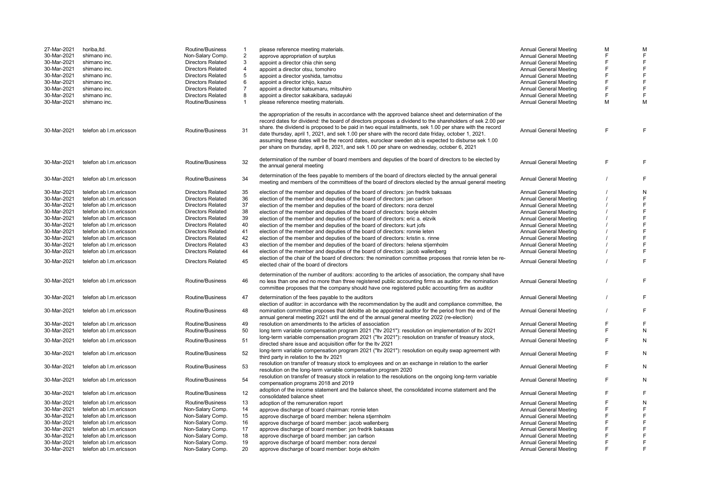| 27-Mar-2021 | horiba, Itd.            | Routine/Business         | $\mathbf{1}$   | please reference meeting materials.                                                                                                                                                                                                                                                                                                                                                                                                                                                                                                                                                                                                         | <b>Annual General Meeting</b> | M            |   |
|-------------|-------------------------|--------------------------|----------------|---------------------------------------------------------------------------------------------------------------------------------------------------------------------------------------------------------------------------------------------------------------------------------------------------------------------------------------------------------------------------------------------------------------------------------------------------------------------------------------------------------------------------------------------------------------------------------------------------------------------------------------------|-------------------------------|--------------|---|
| 30-Mar-2021 | shimano inc.            | Non-Salary Comp.         | $\overline{2}$ | approve appropriation of surplus                                                                                                                                                                                                                                                                                                                                                                                                                                                                                                                                                                                                            | <b>Annual General Meeting</b> | $\mathsf{F}$ |   |
|             |                         |                          |                |                                                                                                                                                                                                                                                                                                                                                                                                                                                                                                                                                                                                                                             |                               | F            |   |
| 30-Mar-2021 | shimano inc.            | <b>Directors Related</b> | 3              | appoint a director chia chin seng                                                                                                                                                                                                                                                                                                                                                                                                                                                                                                                                                                                                           | <b>Annual General Meeting</b> |              |   |
| 30-Mar-2021 | shimano inc.            | <b>Directors Related</b> | 4              | appoint a director otsu, tomohiro                                                                                                                                                                                                                                                                                                                                                                                                                                                                                                                                                                                                           | <b>Annual General Meeting</b> | E            |   |
| 30-Mar-2021 | shimano inc.            | <b>Directors Related</b> | 5              | appoint a director yoshida, tamotsu                                                                                                                                                                                                                                                                                                                                                                                                                                                                                                                                                                                                         | <b>Annual General Meeting</b> | E            |   |
| 30-Mar-2021 | shimano inc.            | <b>Directors Related</b> | 6              | appoint a director ichijo, kazuo                                                                                                                                                                                                                                                                                                                                                                                                                                                                                                                                                                                                            | Annual General Meeting        | F            |   |
| 30-Mar-2021 | shimano inc.            | <b>Directors Related</b> | $\overline{7}$ | appoint a director katsumaru, mitsuhiro                                                                                                                                                                                                                                                                                                                                                                                                                                                                                                                                                                                                     | Annual General Meeting        | F            |   |
|             |                         |                          |                |                                                                                                                                                                                                                                                                                                                                                                                                                                                                                                                                                                                                                                             |                               |              |   |
| 30-Mar-2021 | shimano inc.            | <b>Directors Related</b> | 8              | appoint a director sakakibara, sadayuki                                                                                                                                                                                                                                                                                                                                                                                                                                                                                                                                                                                                     | Annual General Meeting        | F            |   |
| 30-Mar-2021 | shimano inc.            | Routine/Business         | 1              | please reference meeting materials.                                                                                                                                                                                                                                                                                                                                                                                                                                                                                                                                                                                                         | <b>Annual General Meeting</b> | M            | М |
| 30-Mar-2021 | telefon ab I.m.ericsson | Routine/Business         | 31             | the appropriation of the results in accordance with the approved balance sheet and determination of the<br>record dates for dividend: the board of directors proposes a dividend to the shareholders of sek 2.00 per<br>share. the dividend is proposed to be paid in two equal installments, sek 1.00 per share with the record<br>date thursday, april 1, 2021, and sek 1.00 per share with the record date friday, october 1, 2021.<br>assuming these dates will be the record dates, euroclear sweden ab is expected to disburse sek 1.00<br>per share on thursday, april 8, 2021, and sek 1.00 per share on wednesday, october 6, 2021 | <b>Annual General Meeting</b> | F            | F |
| 30-Mar-2021 | telefon ab I.m.ericsson | Routine/Business         | 32             | determination of the number of board members and deputies of the board of directors to be elected by<br>the annual general meeting                                                                                                                                                                                                                                                                                                                                                                                                                                                                                                          | <b>Annual General Meeting</b> | F            | F |
|             |                         |                          |                |                                                                                                                                                                                                                                                                                                                                                                                                                                                                                                                                                                                                                                             |                               |              |   |
| 30-Mar-2021 | telefon ab I.m.ericsson | Routine/Business         | 34             | determination of the fees payable to members of the board of directors elected by the annual general<br>meeting and members of the committees of the board of directors elected by the annual general meeting                                                                                                                                                                                                                                                                                                                                                                                                                               | <b>Annual General Meeting</b> |              | F |
| 30-Mar-2021 | telefon ab I.m.ericsson | <b>Directors Related</b> | 35             | election of the member and deputies of the board of directors: jon fredrik baksaas                                                                                                                                                                                                                                                                                                                                                                                                                                                                                                                                                          | <b>Annual General Meeting</b> |              | N |
| 30-Mar-2021 | telefon ab I.m.ericsson | <b>Directors Related</b> | 36             | election of the member and deputies of the board of directors: jan carlson                                                                                                                                                                                                                                                                                                                                                                                                                                                                                                                                                                  | <b>Annual General Meeting</b> |              |   |
|             |                         |                          | 37             |                                                                                                                                                                                                                                                                                                                                                                                                                                                                                                                                                                                                                                             |                               |              |   |
| 30-Mar-2021 | telefon ab I.m.ericsson | <b>Directors Related</b> |                | election of the member and deputies of the board of directors: nora denzel                                                                                                                                                                                                                                                                                                                                                                                                                                                                                                                                                                  | <b>Annual General Meeting</b> |              |   |
| 30-Mar-2021 | telefon ab I.m.ericsson | <b>Directors Related</b> | 38             | election of the member and deputies of the board of directors: borje ekholm                                                                                                                                                                                                                                                                                                                                                                                                                                                                                                                                                                 | <b>Annual General Meeting</b> |              |   |
| 30-Mar-2021 | telefon ab I.m.ericsson | <b>Directors Related</b> | 39             | election of the member and deputies of the board of directors: eric a. elzvik                                                                                                                                                                                                                                                                                                                                                                                                                                                                                                                                                               | <b>Annual General Meeting</b> |              |   |
| 30-Mar-2021 | telefon ab I.m.ericsson | <b>Directors Related</b> | 40             | election of the member and deputies of the board of directors: kurt jofs                                                                                                                                                                                                                                                                                                                                                                                                                                                                                                                                                                    | <b>Annual General Meeting</b> |              |   |
| 30-Mar-2021 | telefon ab I.m.ericsson | <b>Directors Related</b> | 41             | election of the member and deputies of the board of directors: ronnie leten                                                                                                                                                                                                                                                                                                                                                                                                                                                                                                                                                                 | <b>Annual General Meeting</b> |              |   |
|             |                         |                          |                |                                                                                                                                                                                                                                                                                                                                                                                                                                                                                                                                                                                                                                             |                               |              |   |
| 30-Mar-2021 | telefon ab I.m.ericsson | <b>Directors Related</b> | 42             | election of the member and deputies of the board of directors: kristin s. rinne                                                                                                                                                                                                                                                                                                                                                                                                                                                                                                                                                             | <b>Annual General Meeting</b> |              |   |
| 30-Mar-2021 | telefon ab I.m.ericsson | <b>Directors Related</b> | 43             | election of the member and deputies of the board of directors: helena stjernholm                                                                                                                                                                                                                                                                                                                                                                                                                                                                                                                                                            | <b>Annual General Meeting</b> |              |   |
| 30-Mar-2021 | telefon ab I.m.ericsson | <b>Directors Related</b> | 44             | election of the member and deputies of the board of directors: jacob wallenberg                                                                                                                                                                                                                                                                                                                                                                                                                                                                                                                                                             | <b>Annual General Meeting</b> | $\prime$     |   |
|             |                         |                          |                | election of the chair of the board of directors: the nomination committee proposes that ronnie leten be re-                                                                                                                                                                                                                                                                                                                                                                                                                                                                                                                                 |                               |              |   |
| 30-Mar-2021 | telefon ab I.m.ericsson | <b>Directors Related</b> | 45             | elected chair of the board of directors                                                                                                                                                                                                                                                                                                                                                                                                                                                                                                                                                                                                     | <b>Annual General Meeting</b> |              | F |
| 30-Mar-2021 | telefon ab I.m.ericsson | Routine/Business         | 46             | determination of the number of auditors: according to the articles of association, the company shall have<br>no less than one and no more than three registered public accounting firms as auditor, the nomination                                                                                                                                                                                                                                                                                                                                                                                                                          | <b>Annual General Meeting</b> |              | F |
|             |                         |                          |                | committee proposes that the company should have one registered public accounting firm as auditor                                                                                                                                                                                                                                                                                                                                                                                                                                                                                                                                            |                               |              |   |
| 30-Mar-2021 | telefon ab I.m.ericsson | Routine/Business         | 47             | determination of the fees payable to the auditors<br>election of auditor: in accordance with the recommendation by the audit and compliance committee, the                                                                                                                                                                                                                                                                                                                                                                                                                                                                                  | <b>Annual General Meeting</b> |              | F |
| 30-Mar-2021 | telefon ab I.m.ericsson | Routine/Business         | 48             | nomination committee proposes that deloitte ab be appointed auditor for the period from the end of the<br>annual general meeting 2021 until the end of the annual general meeting 2022 (re-election)                                                                                                                                                                                                                                                                                                                                                                                                                                        | <b>Annual General Meeting</b> |              |   |
| 30-Mar-2021 | telefon ab I.m.ericsson | Routine/Business         | 49             | resolution on amendments to the articles of association                                                                                                                                                                                                                                                                                                                                                                                                                                                                                                                                                                                     | <b>Annual General Meeting</b> | F            |   |
|             |                         |                          |                |                                                                                                                                                                                                                                                                                                                                                                                                                                                                                                                                                                                                                                             |                               | F            |   |
| 30-Mar-2021 | telefon ab I.m.ericsson | Routine/Business         | 50             | long term variable compensation program 2021 ("Itv 2021"): resolution on implementation of Itv 2021                                                                                                                                                                                                                                                                                                                                                                                                                                                                                                                                         | <b>Annual General Meeting</b> |              | N |
| 30-Mar-2021 | telefon ab I.m.ericsson | Routine/Business         | 51             | long-term variable compensation program 2021 ("Itv 2021"): resolution on transfer of treasury stock,<br>directed share issue and acquisition offer for the Itv 2021                                                                                                                                                                                                                                                                                                                                                                                                                                                                         | <b>Annual General Meeting</b> | E            | N |
| 30-Mar-2021 | telefon ab I.m.ericsson | Routine/Business         | 52             | long-term variable compensation program 2021 ("Itv 2021"): resolution on equity swap agreement with<br>third party in relation to the Itv 2021                                                                                                                                                                                                                                                                                                                                                                                                                                                                                              | <b>Annual General Meeting</b> | E            | N |
| 30-Mar-2021 | telefon ab I.m.ericsson | Routine/Business         | 53             | resolution on transfer of treasury stock to employees and on an exchange in relation to the earlier<br>resolution on the long-term variable compensation program 2020                                                                                                                                                                                                                                                                                                                                                                                                                                                                       | <b>Annual General Meeting</b> | E            | N |
| 30-Mar-2021 | telefon ab I.m.ericsson | Routine/Business         | 54             | resolution on transfer of treasury stock in relation to the resolutions on the ongoing long-term variable<br>compensation programs 2018 and 2019                                                                                                                                                                                                                                                                                                                                                                                                                                                                                            | <b>Annual General Meeting</b> | E            | N |
| 30-Mar-2021 | telefon ab I.m.ericsson | Routine/Business         | 12             | adoption of the income statement and the balance sheet, the consolidated income statement and the<br>consolidated balance sheet                                                                                                                                                                                                                                                                                                                                                                                                                                                                                                             | <b>Annual General Meeting</b> | E            | F |
| 30-Mar-2021 | telefon ab I.m.ericsson | Routine/Business         | 13             | adoption of the remuneration report                                                                                                                                                                                                                                                                                                                                                                                                                                                                                                                                                                                                         | <b>Annual General Meeting</b> | E            | N |
| 30-Mar-2021 | telefon ab I.m.ericsson | Non-Salary Comp.         | 14             | approve discharge of board chairman: ronnie leten                                                                                                                                                                                                                                                                                                                                                                                                                                                                                                                                                                                           | <b>Annual General Meeting</b> | E            |   |
| 30-Mar-2021 | telefon ab I.m.ericsson | Non-Salary Comp.         | 15             | approve discharge of board member: helena stjernholm                                                                                                                                                                                                                                                                                                                                                                                                                                                                                                                                                                                        | <b>Annual General Meeting</b> | F            |   |
| 30-Mar-2021 | telefon ab I.m.ericsson | Non-Salary Comp.         | 16             |                                                                                                                                                                                                                                                                                                                                                                                                                                                                                                                                                                                                                                             |                               | E            |   |
|             |                         |                          |                | approve discharge of board member: jacob wallenberg                                                                                                                                                                                                                                                                                                                                                                                                                                                                                                                                                                                         | <b>Annual General Meeting</b> |              |   |
| 30-Mar-2021 | telefon ab I.m.ericsson | Non-Salary Comp.         | 17             | approve discharge of board member: jon fredrik baksaas                                                                                                                                                                                                                                                                                                                                                                                                                                                                                                                                                                                      | Annual General Meeting        | E            |   |
| 30-Mar-2021 | telefon ab I.m.ericsson | Non-Salary Comp.         | 18             | approve discharge of board member: jan carlson                                                                                                                                                                                                                                                                                                                                                                                                                                                                                                                                                                                              | <b>Annual General Meeting</b> | E            |   |
| 30-Mar-2021 | telefon ab I.m.ericsson | Non-Salary Comp.         | 19             | approve discharge of board member: nora denzel                                                                                                                                                                                                                                                                                                                                                                                                                                                                                                                                                                                              | Annual General Meeting        | F            |   |
| 30-Mar-2021 | telefon ab I.m.ericsson | Non-Salary Comp.         | 20             | approve discharge of board member: borje ekholm                                                                                                                                                                                                                                                                                                                                                                                                                                                                                                                                                                                             | <b>Annual General Meeting</b> | E            |   |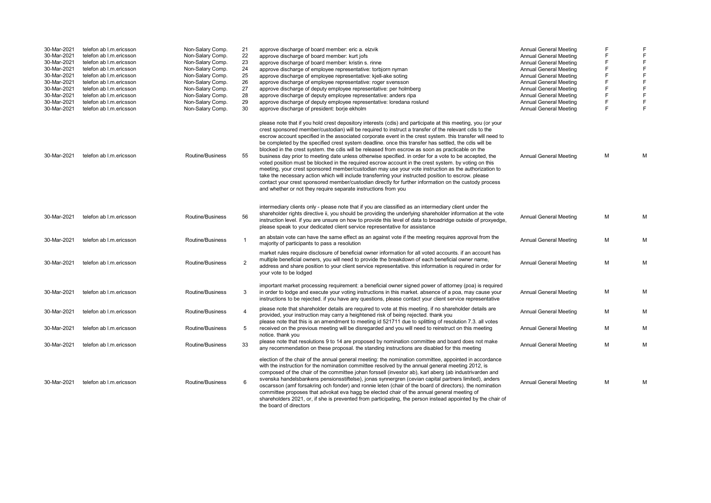| 30-Mar-2021 | telefon ab I.m.ericsson | Non-Salary Comp. | 21         | approve discharge of board member: eric a. elzvik                                                                                                                                                                                                                                                                                                                                                                                                                                                                                                                                                                                                                                                                                                                                                                                                                                                                                                                                                                                                                                                                                                             | <b>Annual General Meeting</b> |   |              |
|-------------|-------------------------|------------------|------------|---------------------------------------------------------------------------------------------------------------------------------------------------------------------------------------------------------------------------------------------------------------------------------------------------------------------------------------------------------------------------------------------------------------------------------------------------------------------------------------------------------------------------------------------------------------------------------------------------------------------------------------------------------------------------------------------------------------------------------------------------------------------------------------------------------------------------------------------------------------------------------------------------------------------------------------------------------------------------------------------------------------------------------------------------------------------------------------------------------------------------------------------------------------|-------------------------------|---|--------------|
| 30-Mar-2021 | telefon ab I.m.ericsson | Non-Salary Comp. | 22         | approve discharge of board member: kurt jofs                                                                                                                                                                                                                                                                                                                                                                                                                                                                                                                                                                                                                                                                                                                                                                                                                                                                                                                                                                                                                                                                                                                  | Annual General Meeting        | F | F            |
| 30-Mar-2021 | telefon ab I.m.ericsson | Non-Salary Comp. | 23         | approve discharge of board member: kristin s. rinne                                                                                                                                                                                                                                                                                                                                                                                                                                                                                                                                                                                                                                                                                                                                                                                                                                                                                                                                                                                                                                                                                                           | <b>Annual General Meeting</b> |   | F            |
| 30-Mar-2021 | telefon ab I.m.ericsson | Non-Salary Comp. | 24         | approve discharge of employee representative: torbjorn nyman                                                                                                                                                                                                                                                                                                                                                                                                                                                                                                                                                                                                                                                                                                                                                                                                                                                                                                                                                                                                                                                                                                  | Annual General Meeting        | E | F            |
| 30-Mar-2021 | telefon ab I.m.ericsson | Non-Salary Comp. | 25         | approve discharge of employee representative: kiell-ake soting                                                                                                                                                                                                                                                                                                                                                                                                                                                                                                                                                                                                                                                                                                                                                                                                                                                                                                                                                                                                                                                                                                | Annual General Meeting        | E | $\mathsf F$  |
| 30-Mar-2021 | telefon ab I.m.ericsson | Non-Salary Comp. | 26         | approve discharge of employee representative: roger svensson                                                                                                                                                                                                                                                                                                                                                                                                                                                                                                                                                                                                                                                                                                                                                                                                                                                                                                                                                                                                                                                                                                  | Annual General Meeting        |   | F            |
| 30-Mar-2021 | telefon ab I.m.ericsson | Non-Salary Comp. | 27         | approve discharge of deputy employee representative: per holmberg                                                                                                                                                                                                                                                                                                                                                                                                                                                                                                                                                                                                                                                                                                                                                                                                                                                                                                                                                                                                                                                                                             | Annual General Meeting        |   | $\mathsf F$  |
| 30-Mar-2021 | telefon ab I.m.ericsson | Non-Salary Comp. | 28         | approve discharge of deputy employee representative: anders ripa                                                                                                                                                                                                                                                                                                                                                                                                                                                                                                                                                                                                                                                                                                                                                                                                                                                                                                                                                                                                                                                                                              | Annual General Meeting        | F | F            |
| 30-Mar-2021 | telefon ab I.m.ericsson | Non-Salary Comp. | 29         | approve discharge of deputy employee representative: loredana roslund                                                                                                                                                                                                                                                                                                                                                                                                                                                                                                                                                                                                                                                                                                                                                                                                                                                                                                                                                                                                                                                                                         | Annual General Meeting        | F | F            |
| 30-Mar-2021 | telefon ab I.m.ericsson | Non-Salary Comp. | 30         | approve discharge of president: borje ekholm                                                                                                                                                                                                                                                                                                                                                                                                                                                                                                                                                                                                                                                                                                                                                                                                                                                                                                                                                                                                                                                                                                                  | Annual General Meeting        | F | $\mathsf{F}$ |
| 30-Mar-2021 | telefon ab I.m.ericsson | Routine/Business | 55         | please note that if you hold crest depository interests (cdis) and participate at this meeting, you (or your<br>crest sponsored member/custodian) will be required to instruct a transfer of the relevant cdis to the<br>escrow account specified in the associated corporate event in the crest system. this transfer will need to<br>be completed by the specified crest system deadline, once this transfer has settled, the cdis will be<br>blocked in the crest system, the cdis will be released from escrow as soon as practicable on the<br>business day prior to meeting date unless otherwise specified. in order for a vote to be accepted, the<br>voted position must be blocked in the required escrow account in the crest system. by voting on this<br>meeting, your crest sponsored member/custodian may use your vote instruction as the authorization to<br>take the necessary action which will include transferring your instructed position to escrow. please<br>contact your crest sponsored member/custodian directly for further information on the custody process<br>and whether or not they require separate instructions from you | Annual General Meeting        | м | M            |
| 30-Mar-2021 | telefon ab I.m.ericsson | Routine/Business | 56         | intermediary clients only - please note that if you are classified as an intermediary client under the<br>shareholder rights directive ii, you should be providing the underlying shareholder information at the vote<br>instruction level. if you are unsure on how to provide this level of data to broadridge outside of proxyedge,<br>please speak to your dedicated client service representative for assistance                                                                                                                                                                                                                                                                                                                                                                                                                                                                                                                                                                                                                                                                                                                                         | Annual General Meeting        | M | М            |
| 30-Mar-2021 | telefon ab I.m.ericsson | Routine/Business |            | an abstain vote can have the same effect as an against vote if the meeting requires approval from the<br>majority of participants to pass a resolution                                                                                                                                                                                                                                                                                                                                                                                                                                                                                                                                                                                                                                                                                                                                                                                                                                                                                                                                                                                                        | Annual General Meeting        | M | М            |
| 30-Mar-2021 | telefon ab I.m.ericsson | Routine/Business | 2          | market rules require disclosure of beneficial owner information for all voted accounts. if an account has<br>multiple beneficial owners, you will need to provide the breakdown of each beneficial owner name,<br>address and share position to your client service representative. this information is required in order for<br>vour vote to be lodged                                                                                                                                                                                                                                                                                                                                                                                                                                                                                                                                                                                                                                                                                                                                                                                                       | <b>Annual General Meeting</b> | м | M            |
| 30-Mar-2021 | telefon ab I.m.ericsson | Routine/Business | 3          | important market processing requirement: a beneficial owner signed power of attorney (poa) is required<br>in order to lodge and execute your voting instructions in this market, absence of a poa, may cause your<br>instructions to be rejected, if you have any questions, please contact your client service representative                                                                                                                                                                                                                                                                                                                                                                                                                                                                                                                                                                                                                                                                                                                                                                                                                                | Annual General Meeting        | M | М            |
| 30-Mar-2021 | telefon ab I.m.ericsson | Routine/Business |            | please note that shareholder details are required to vote at this meeting. if no shareholder details are<br>provided, your instruction may carry a heightened risk of being rejected, thank you                                                                                                                                                                                                                                                                                                                                                                                                                                                                                                                                                                                                                                                                                                                                                                                                                                                                                                                                                               | Annual General Meeting        | м | M            |
| 30-Mar-2021 | telefon ab I.m.ericsson | Routine/Business | 5          | please note that this is an amendment to meeting id 521711 due to splitting of resolution 7.3. all votes<br>received on the previous meeting will be disregarded and you will need to reinstruct on this meeting<br>notice. thank you                                                                                                                                                                                                                                                                                                                                                                                                                                                                                                                                                                                                                                                                                                                                                                                                                                                                                                                         | <b>Annual General Meeting</b> | м | М            |
| 30-Mar-2021 | telefon ab I.m.ericsson | Routine/Business | 33         | please note that resolutions 9 to 14 are proposed by nomination committee and board does not make<br>any recommendation on these proposal. the standing instructions are disabled for this meeting                                                                                                                                                                                                                                                                                                                                                                                                                                                                                                                                                                                                                                                                                                                                                                                                                                                                                                                                                            | <b>Annual General Meeting</b> | м | M            |
| 30-Mar-2021 | telefon ab I.m.ericsson | Routine/Business | $\epsilon$ | election of the chair of the annual general meeting: the nomination committee, appointed in accordance<br>with the instruction for the nomination committee resolved by the annual general meeting 2012, is<br>composed of the chair of the committee johan forssell (investor ab), karl aberg (ab industrivarden and<br>svenska handelsbankens pensionsstiftelse), jonas synnergren (cevian capital partners limited), anders<br>oscarsson (amf forsakring och fonder) and ronnie leten (chair of the board of directors). the nomination<br>committee proposes that advokat eva hagg be elected chair of the annual general meeting of<br>shareholders 2021, or, if she is prevented from participating, the person instead appointed by the chair of<br>the board of directors                                                                                                                                                                                                                                                                                                                                                                             | Annual General Meeting        | м | M            |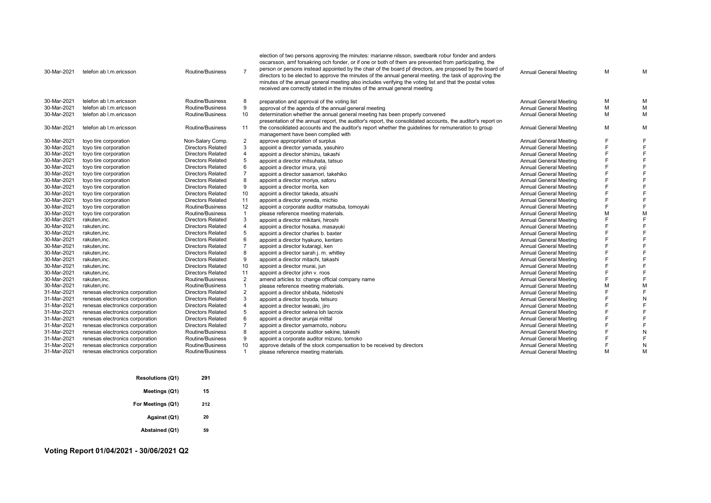| 30-Mar-2021 | telefon ab I.m.ericsson         | Routine/Business         | $\overline{7}$          | election of two persons approving the minutes: marianne nilsson, swedbank robur fonder and anders<br>oscarsson, amf forsakring och fonder, or if one or both of them are prevented from participating, the<br>person or persons instead appointed by the chair of the board pf directors, are proposed by the board of<br>directors to be elected to approve the minutes of the annual general meeting. the task of approving the<br>minutes of the annual general meeting also includes verifying the voting list and that the postal votes<br>received are correctly stated in the minutes of the annual general meeting | <b>Annual General Meeting</b> | M | м |
|-------------|---------------------------------|--------------------------|-------------------------|----------------------------------------------------------------------------------------------------------------------------------------------------------------------------------------------------------------------------------------------------------------------------------------------------------------------------------------------------------------------------------------------------------------------------------------------------------------------------------------------------------------------------------------------------------------------------------------------------------------------------|-------------------------------|---|---|
| 30-Mar-2021 | telefon ab I.m.ericsson         | Routine/Business         | 8                       | preparation and approval of the voting list                                                                                                                                                                                                                                                                                                                                                                                                                                                                                                                                                                                | Annual General Meeting        | M | M |
| 30-Mar-2021 | telefon ab I.m.ericsson         | Routine/Business         | 9                       | approval of the agenda of the annual general meeting                                                                                                                                                                                                                                                                                                                                                                                                                                                                                                                                                                       | <b>Annual General Meeting</b> | M | M |
| 30-Mar-2021 | telefon ab I.m.ericsson         | Routine/Business         | 10                      | determination whether the annual general meeting has been properly convened                                                                                                                                                                                                                                                                                                                                                                                                                                                                                                                                                | <b>Annual General Meeting</b> | M | м |
|             |                                 |                          |                         | presentation of the annual report, the auditor's report, the consolidated accounts, the auditor's report on                                                                                                                                                                                                                                                                                                                                                                                                                                                                                                                |                               |   |   |
| 30-Mar-2021 | telefon ab I.m.ericsson         | Routine/Business         | 11                      | the consolidated accounts and the auditor's report whether the guidelines for remuneration to group                                                                                                                                                                                                                                                                                                                                                                                                                                                                                                                        | <b>Annual General Meeting</b> | M | M |
|             |                                 |                          |                         | management have been complied with                                                                                                                                                                                                                                                                                                                                                                                                                                                                                                                                                                                         |                               |   |   |
| 30-Mar-2021 | toyo tire corporation           | Non-Salary Comp.         | 2                       | approve appropriation of surplus                                                                                                                                                                                                                                                                                                                                                                                                                                                                                                                                                                                           | <b>Annual General Meeting</b> | E |   |
| 30-Mar-2021 | toyo tire corporation           | <b>Directors Related</b> | 3                       | appoint a director yamada, yasuhiro                                                                                                                                                                                                                                                                                                                                                                                                                                                                                                                                                                                        | <b>Annual General Meeting</b> | E |   |
| 30-Mar-2021 | toyo tire corporation           | <b>Directors Related</b> |                         | appoint a director shimizu, takashi                                                                                                                                                                                                                                                                                                                                                                                                                                                                                                                                                                                        | Annual General Meeting        | E |   |
| 30-Mar-2021 | toyo tire corporation           | <b>Directors Related</b> | 5                       | appoint a director mitsuhata, tatsuo                                                                                                                                                                                                                                                                                                                                                                                                                                                                                                                                                                                       | <b>Annual General Meeting</b> | E |   |
| 30-Mar-2021 | toyo tire corporation           | <b>Directors Related</b> |                         | appoint a director imura, yoji                                                                                                                                                                                                                                                                                                                                                                                                                                                                                                                                                                                             | <b>Annual General Meeting</b> | Е |   |
| 30-Mar-2021 | toyo tire corporation           | <b>Directors Related</b> |                         | appoint a director sasamori, takehiko                                                                                                                                                                                                                                                                                                                                                                                                                                                                                                                                                                                      | <b>Annual General Meeting</b> | F |   |
| 30-Mar-2021 | toyo tire corporation           | <b>Directors Related</b> | 8                       | appoint a director moriya, satoru                                                                                                                                                                                                                                                                                                                                                                                                                                                                                                                                                                                          | <b>Annual General Meeting</b> | F |   |
| 30-Mar-2021 | toyo tire corporation           | <b>Directors Related</b> | 9                       | appoint a director morita, ken                                                                                                                                                                                                                                                                                                                                                                                                                                                                                                                                                                                             | <b>Annual General Meeting</b> | E |   |
| 30-Mar-2021 | toyo tire corporation           | <b>Directors Related</b> | 10                      | appoint a director takeda, atsushi                                                                                                                                                                                                                                                                                                                                                                                                                                                                                                                                                                                         | Annual General Meeting        |   |   |
| 30-Mar-2021 | toyo tire corporation           | <b>Directors Related</b> | 11                      | appoint a director yoneda, michio                                                                                                                                                                                                                                                                                                                                                                                                                                                                                                                                                                                          | Annual General Meeting        | E |   |
| 30-Mar-2021 | toyo tire corporation           | Routine/Business         | 12                      | appoint a corporate auditor matsuba, tomoyuki                                                                                                                                                                                                                                                                                                                                                                                                                                                                                                                                                                              | <b>Annual General Meeting</b> | E |   |
| 30-Mar-2021 | toyo tire corporation           | Routine/Business         | $\mathbf{1}$            | please reference meeting materials.                                                                                                                                                                                                                                                                                                                                                                                                                                                                                                                                                                                        | <b>Annual General Meeting</b> | M |   |
| 30-Mar-2021 | rakuten, inc.                   | <b>Directors Related</b> | 3                       | appoint a director mikitani, hiroshi                                                                                                                                                                                                                                                                                                                                                                                                                                                                                                                                                                                       | <b>Annual General Meeting</b> | E |   |
| 30-Mar-2021 | rakuten, inc.                   | <b>Directors Related</b> | $\overline{\mathbf{A}}$ | appoint a director hosaka, masayuki                                                                                                                                                                                                                                                                                                                                                                                                                                                                                                                                                                                        | <b>Annual General Meeting</b> | F |   |
| 30-Mar-2021 | rakuten, inc.                   | <b>Directors Related</b> | 5                       | appoint a director charles b. baxter                                                                                                                                                                                                                                                                                                                                                                                                                                                                                                                                                                                       | <b>Annual General Meeting</b> | E |   |
| 30-Mar-2021 | rakuten, inc.                   | <b>Directors Related</b> |                         | appoint a director hyakuno, kentaro                                                                                                                                                                                                                                                                                                                                                                                                                                                                                                                                                                                        | Annual General Meeting        | E |   |
| 30-Mar-2021 | rakuten, inc.                   | <b>Directors Related</b> | $\overline{7}$          | appoint a director kutaragi, ken                                                                                                                                                                                                                                                                                                                                                                                                                                                                                                                                                                                           | Annual General Meeting        | E |   |
| 30-Mar-2021 | rakuten.inc.                    | Directors Related        | 8                       | appoint a director sarah j. m. whitley                                                                                                                                                                                                                                                                                                                                                                                                                                                                                                                                                                                     | <b>Annual General Meeting</b> | E |   |
| 30-Mar-2021 | rakuten, inc.                   | <b>Directors Related</b> | 9                       | appoint a director mitachi, takashi                                                                                                                                                                                                                                                                                                                                                                                                                                                                                                                                                                                        | <b>Annual General Meeting</b> |   |   |
| 30-Mar-2021 | rakuten, inc.                   | <b>Directors Related</b> | 10                      | appoint a director murai, jun                                                                                                                                                                                                                                                                                                                                                                                                                                                                                                                                                                                              | <b>Annual General Meeting</b> | E |   |
| 30-Mar-2021 | rakuten, inc.                   | <b>Directors Related</b> | 11                      | appoint a director john v. roos                                                                                                                                                                                                                                                                                                                                                                                                                                                                                                                                                                                            | <b>Annual General Meeting</b> | Е |   |
| 30-Mar-2021 | rakuten, inc.                   | Routine/Business         | $\overline{2}$          | amend articles to: change official company name                                                                                                                                                                                                                                                                                                                                                                                                                                                                                                                                                                            | <b>Annual General Meeting</b> | E |   |
| 30-Mar-2021 | rakuten.inc.                    | Routine/Business         | $\mathbf{1}$            | please reference meeting materials.                                                                                                                                                                                                                                                                                                                                                                                                                                                                                                                                                                                        | Annual General Meeting        | M |   |
| 31-Mar-2021 | renesas electronics corporation | <b>Directors Related</b> |                         | appoint a director shibata, hidetoshi                                                                                                                                                                                                                                                                                                                                                                                                                                                                                                                                                                                      | <b>Annual General Meeting</b> | E |   |
| 31-Mar-2021 | renesas electronics corporation | <b>Directors Related</b> | 3                       | appoint a director toyoda, tetsuro                                                                                                                                                                                                                                                                                                                                                                                                                                                                                                                                                                                         | <b>Annual General Meeting</b> |   |   |
| 31-Mar-2021 | renesas electronics corporation | <b>Directors Related</b> | $\overline{4}$          | appoint a director iwasaki, jiro                                                                                                                                                                                                                                                                                                                                                                                                                                                                                                                                                                                           | Annual General Meeting        |   |   |
| 31-Mar-2021 | renesas electronics corporation | <b>Directors Related</b> | 5                       | appoint a director selena loh lacroix                                                                                                                                                                                                                                                                                                                                                                                                                                                                                                                                                                                      | <b>Annual General Meeting</b> | E |   |
| 31-Mar-2021 | renesas electronics corporation | <b>Directors Related</b> | 6                       | appoint a director arunjai mittal                                                                                                                                                                                                                                                                                                                                                                                                                                                                                                                                                                                          | Annual General Meeting        | E |   |
| 31-Mar-2021 | renesas electronics corporation | <b>Directors Related</b> |                         | appoint a director yamamoto, noboru                                                                                                                                                                                                                                                                                                                                                                                                                                                                                                                                                                                        | <b>Annual General Meeting</b> | E |   |
| 31-Mar-2021 | renesas electronics corporation | Routine/Business         | 8                       | appoint a corporate auditor sekine, takeshi                                                                                                                                                                                                                                                                                                                                                                                                                                                                                                                                                                                | Annual General Meeting        | E |   |
| 31-Mar-2021 | renesas electronics corporation | Routine/Business         | 9                       | appoint a corporate auditor mizuno, tomoko                                                                                                                                                                                                                                                                                                                                                                                                                                                                                                                                                                                 | <b>Annual General Meeting</b> |   |   |
| 31-Mar-2021 | renesas electronics corporation | Routine/Business         | 10                      | approve details of the stock compensation to be received by directors                                                                                                                                                                                                                                                                                                                                                                                                                                                                                                                                                      | <b>Annual General Meeting</b> | E |   |
| 31-Mar-2021 | renesas electronics corporation | Routine/Business         | $\mathbf{1}$            | please reference meeting materials.                                                                                                                                                                                                                                                                                                                                                                                                                                                                                                                                                                                        | <b>Annual General Meeting</b> | M | M |
|             |                                 |                          |                         |                                                                                                                                                                                                                                                                                                                                                                                                                                                                                                                                                                                                                            |                               |   |   |

| <b>Resolutions (Q1)</b> | 291 |
|-------------------------|-----|
| Meetings (Q1)           | 15  |
| For Meetings (Q1)       | 212 |
| Against (Q1)            | 20  |
| Abstained (Q1)          | 59  |

## **Voting Report 01/04/2021 - 30/06/2021 Q2**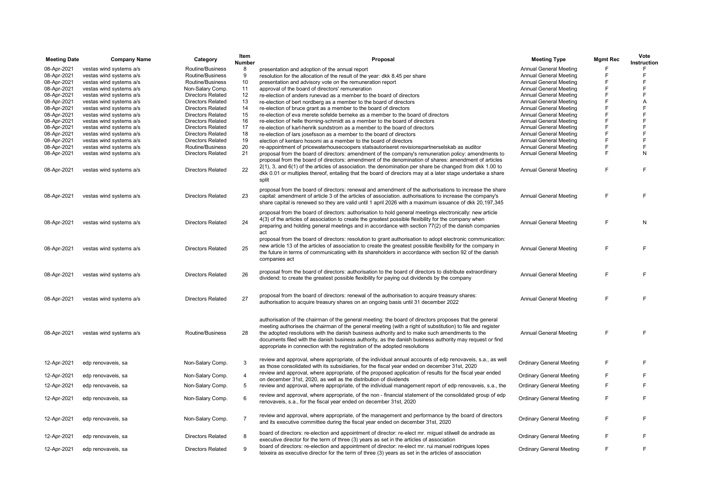| <b>Meeting Date</b> | <b>Company Name</b>     | Category                 | Item<br><b>Number</b> | Proposal                                                                                                                                                                                                                              | <b>Meeting Type</b>             | <b>Mgmt Rec</b> | Vote<br>Instruction |
|---------------------|-------------------------|--------------------------|-----------------------|---------------------------------------------------------------------------------------------------------------------------------------------------------------------------------------------------------------------------------------|---------------------------------|-----------------|---------------------|
| 08-Apr-2021         | vestas wind systems a/s | Routine/Business         | 8                     | presentation and adoption of the annual report                                                                                                                                                                                        | Annual General Meeting          |                 | F                   |
| 08-Apr-2021         | vestas wind systems a/s | Routine/Business         | 9                     | resolution for the allocation of the result of the year: dkk 8.45 per share                                                                                                                                                           | <b>Annual General Meeting</b>   | F               | F                   |
| 08-Apr-2021         | vestas wind systems a/s | Routine/Business         | 10                    | presentation and advisory vote on the remuneration report                                                                                                                                                                             | <b>Annual General Meeting</b>   | F               | F                   |
| 08-Apr-2021         | vestas wind systems a/s | Non-Salary Comp.         | 11                    | approval of the board of directors' remuneration                                                                                                                                                                                      | <b>Annual General Meeting</b>   | F               | F                   |
| 08-Apr-2021         | vestas wind systems a/s | <b>Directors Related</b> | 12                    | re-election of anders runevad as a member to the board of directors                                                                                                                                                                   | <b>Annual General Meeting</b>   | F               | F                   |
| 08-Apr-2021         | vestas wind systems a/s | <b>Directors Related</b> | 13                    | re-election of bert nordberg as a member to the board of directors                                                                                                                                                                    | <b>Annual General Meeting</b>   | F               | Α                   |
| 08-Apr-2021         | vestas wind systems a/s | <b>Directors Related</b> | 14                    | re-election of bruce grant as a member to the board of directors                                                                                                                                                                      | <b>Annual General Meeting</b>   | F               | F                   |
| 08-Apr-2021         | vestas wind systems a/s | <b>Directors Related</b> | 15                    | re-election of eva merete sofelde berneke as a member to the board of directors                                                                                                                                                       | <b>Annual General Meeting</b>   | F               | F                   |
| 08-Apr-2021         | vestas wind systems a/s | <b>Directors Related</b> | 16                    | re-election of helle thorning-schmidt as a member to the board of directors                                                                                                                                                           | <b>Annual General Meeting</b>   | F               | F                   |
| 08-Apr-2021         | vestas wind systems a/s | <b>Directors Related</b> | 17                    | re-election of karl-henrik sundstrom as a member to the board of directors                                                                                                                                                            | <b>Annual General Meeting</b>   | F               | F                   |
| 08-Apr-2021         | vestas wind systems a/s | <b>Directors Related</b> | 18                    | re-election of lars josefsson as a member to the board of directors                                                                                                                                                                   | <b>Annual General Meeting</b>   | F               | F                   |
| 08-Apr-2021         | vestas wind systems a/s | <b>Directors Related</b> | 19                    | election of kentaro hosomi as a member to the board of directors                                                                                                                                                                      | <b>Annual General Meeting</b>   | F               | F                   |
| 08-Apr-2021         | vestas wind systems a/s | Routine/Business         | 20                    | re-appointment of pricewaterhousecoopers statsautoriseret revisionspartnerselskab as auditor                                                                                                                                          | <b>Annual General Meeting</b>   | F               | F                   |
| 08-Apr-2021         | vestas wind systems a/s | <b>Directors Related</b> | 21                    | proposal from the board of directors: amendment of the company's remuneration policy: amendments to<br>proposal from the board of directors: amendment of the denomination of shares: amendment of articles                           | <b>Annual General Meeting</b>   | F               | N                   |
| 08-Apr-2021         | vestas wind systems a/s | <b>Directors Related</b> | 22                    | $2(1)$ , 3, and $6(1)$ of the articles of association. the denomination per share be changed from dkk 1.00 to<br>dkk 0.01 or multiples thereof, entailing that the board of directors may at a later stage undertake a share<br>split | <b>Annual General Meeting</b>   | F               | F                   |
|                     | vestas wind systems a/s | <b>Directors Related</b> | 23                    | proposal from the board of directors: renewal and amendment of the authorisations to increase the share                                                                                                                               | <b>Annual General Meeting</b>   | F               | F                   |
| 08-Apr-2021         |                         |                          |                       | capital: amendment of article 3 of the articles of association. authorisations to increase the company's<br>share capital is renewed so they are valid until 1 april 2026 with a maximum issuance of dkk 20,197,345                   |                                 |                 |                     |
|                     |                         |                          |                       | proposal from the board of directors: authorisation to hold general meetings electronically: new article<br>4(3) of the articles of association to create the greatest possible flexibility for the company when                      |                                 |                 |                     |
| 08-Apr-2021         | vestas wind systems a/s | <b>Directors Related</b> | 24                    | preparing and holding general meetings and in accordance with section 77(2) of the danish companies<br>act                                                                                                                            | <b>Annual General Meeting</b>   | F               | N                   |
|                     |                         |                          |                       | proposal from the board of directors: resolution to grant authorisation to adopt electronic communication:                                                                                                                            |                                 |                 |                     |
| 08-Apr-2021         | vestas wind systems a/s | <b>Directors Related</b> | 25                    | new article 13 of the articles of association to create the greatest possible flexibility for the company in                                                                                                                          | <b>Annual General Meeting</b>   | F               | F                   |
|                     |                         |                          |                       | the future in terms of communicating with its shareholders in accordance with section 92 of the danish<br>companies act                                                                                                               |                                 |                 |                     |
| 08-Apr-2021         | vestas wind systems a/s | <b>Directors Related</b> | 26                    | proposal from the board of directors: authorisation to the board of directors to distribute extraordinary<br>dividend: to create the greatest possible flexibility for paying out dividends by the company                            | <b>Annual General Meeting</b>   | F               | F                   |
|                     |                         |                          |                       |                                                                                                                                                                                                                                       |                                 |                 |                     |
| 08-Apr-2021         | vestas wind systems a/s | <b>Directors Related</b> | 27                    | proposal from the board of directors: renewal of the authorisation to acquire treasury shares:<br>authorisation to acquire treasury shares on an ongoing basis until 31 december 2022                                                 | <b>Annual General Meeting</b>   | F               | F                   |
|                     |                         |                          |                       | authorisation of the chairman of the general meeting: the board of directors proposes that the general                                                                                                                                |                                 |                 |                     |
|                     |                         |                          |                       | meeting authorises the chairman of the general meeting (with a right of substitution) to file and register                                                                                                                            |                                 |                 |                     |
| 08-Apr-2021         | vestas wind systems a/s | Routine/Business         | 28                    | the adopted resolutions with the danish business authority and to make such amendments to the                                                                                                                                         | <b>Annual General Meeting</b>   | F               | F                   |
|                     |                         |                          |                       | documents filed with the danish business authority, as the danish business authority may request or find<br>appropriate in connection with the registration of the adopted resolutions                                                |                                 |                 |                     |
| 12-Apr-2021         | edp renovaveis, sa      | Non-Salary Comp.         | 3                     | review and approval, where appropriate, of the individual annual accounts of edp renovaveis, s.a., as well                                                                                                                            | <b>Ordinary General Meeting</b> | F               | F                   |
|                     |                         |                          | $\overline{4}$        | as those consolidated with its subsidiaries, for the fiscal year ended on december 31st, 2020<br>review and approval, where appropriate, of the proposed application of results for the fiscal year ended                             |                                 | F               | F                   |
| 12-Apr-2021         | edp renovaveis, sa      | Non-Salary Comp.         |                       | on december 31st, 2020, as well as the distribution of dividends                                                                                                                                                                      | <b>Ordinary General Meeting</b> | F               | F                   |
| 12-Apr-2021         | edp renovaveis, sa      | Non-Salary Comp.         | 5                     | review and approval, where appropriate, of the individual management report of edp renovaveis, s.a., the<br>review and approval, where appropriate, of the non - financial statement of the consolidated group of edp                 | <b>Ordinary General Meeting</b> |                 |                     |
| 12-Apr-2021         | edp renovaveis, sa      | Non-Salary Comp.         | 6                     | renovaveis, s.a., for the fiscal year ended on december 31st, 2020                                                                                                                                                                    | <b>Ordinary General Meeting</b> | F               | F                   |
| 12-Apr-2021         | edp renovaveis, sa      | Non-Salary Comp.         | $\overline{7}$        | review and approval, where appropriate, of the management and performance by the board of directors                                                                                                                                   | <b>Ordinary General Meeting</b> | F               | F                   |
|                     |                         |                          |                       | and its executive committee during the fiscal year ended on december 31st, 2020                                                                                                                                                       |                                 |                 |                     |
| 12-Apr-2021         | edp renovaveis, sa      | <b>Directors Related</b> | 8                     | board of directors: re-election and appointment of director: re-elect mr. miguel stilwell de andrade as<br>executive director for the term of three (3) years as set in the articles of association                                   | <b>Ordinary General Meeting</b> | F               | F                   |
| 12-Apr-2021         | edp renovaveis, sa      | <b>Directors Related</b> | 9                     | board of directors: re-election and appointment of director: re-elect mr. rui manuel rodrigues lopes<br>teixeira as executive director for the term of three (3) years as set in the articles of association                          | <b>Ordinary General Meeting</b> | F               | F                   |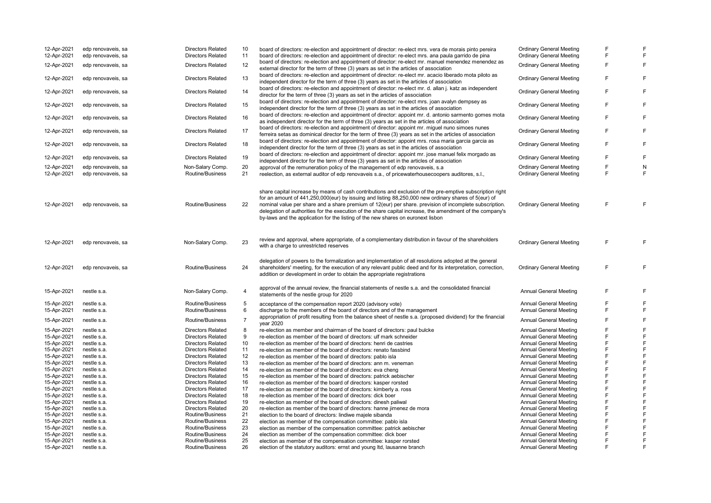| 12-Apr-2021<br>12-Apr-2021 | edp renovaveis, sa<br>edp renovaveis, sa | <b>Directors Related</b><br><b>Directors Related</b> | 10<br>11       | board of directors: re-election and appointment of director: re-elect mrs. vera de morais pinto pereira<br>board of directors: re-election and appointment of director: re-elect mrs. ana paula garrido de pina                                                                                                                                                                                                                                                                                                               | <b>Ordinary General Meeting</b><br><b>Ordinary General Meeting</b> | F<br>F | F<br>F         |
|----------------------------|------------------------------------------|------------------------------------------------------|----------------|-------------------------------------------------------------------------------------------------------------------------------------------------------------------------------------------------------------------------------------------------------------------------------------------------------------------------------------------------------------------------------------------------------------------------------------------------------------------------------------------------------------------------------|--------------------------------------------------------------------|--------|----------------|
| 12-Apr-2021                | edp renovaveis, sa                       | <b>Directors Related</b>                             | 12             | board of directors: re-election and appointment of director: re-elect mr. manuel menendez menendez as<br>external director for the term of three (3) years as set in the articles of association                                                                                                                                                                                                                                                                                                                              | <b>Ordinary General Meeting</b>                                    | F      | F              |
| 12-Apr-2021                | edp renovaveis, sa                       | <b>Directors Related</b>                             | 13             | board of directors: re-election and appointment of director: re-elect mr. acacio liberado mota piloto as<br>independent director for the term of three (3) years as set in the articles of association                                                                                                                                                                                                                                                                                                                        | <b>Ordinary General Meeting</b>                                    | F      | F              |
| 12-Apr-2021                | edp renovaveis, sa                       | <b>Directors Related</b>                             | 14             | board of directors: re-election and appointment of director: re-elect mr. d. allan j. katz as independent<br>director for the term of three (3) years as set in the articles of association                                                                                                                                                                                                                                                                                                                                   | <b>Ordinary General Meeting</b>                                    | F      | F              |
| 12-Apr-2021                | edp renovaveis, sa                       | <b>Directors Related</b>                             | 15             | board of directors: re-election and appointment of director: re-elect mrs. joan avalyn dempsey as<br>independent director for the term of three (3) years as set in the articles of association                                                                                                                                                                                                                                                                                                                               | <b>Ordinary General Meeting</b>                                    | F      | $\mathsf F$    |
| 12-Apr-2021                | edp renovaveis, sa                       | <b>Directors Related</b>                             | 16             | board of directors: re-election and appointment of director: appoint mr. d. antonio sarmento gomes mota<br>as independent director for the term of three (3) years as set in the articles of association                                                                                                                                                                                                                                                                                                                      | <b>Ordinary General Meeting</b>                                    | F      | F              |
| 12-Apr-2021                | edp renovaveis, sa                       | <b>Directors Related</b>                             | 17             | board of directors: re-election and appointment of director: appoint mr. miguel nuno simoes nunes<br>ferreira setas as dominical director for the term of three (3) years as set in the articles of association                                                                                                                                                                                                                                                                                                               | <b>Ordinary General Meeting</b>                                    | F      | F              |
| 12-Apr-2021                | edp renovaveis, sa                       | <b>Directors Related</b>                             | 18             | board of directors: re-election and appointment of director: appoint mrs. rosa maria garcia garcia as<br>independent director for the term of three (3) years as set in the articles of association                                                                                                                                                                                                                                                                                                                           | <b>Ordinary General Meeting</b>                                    | F      | F              |
| 12-Apr-2021                | edp renovaveis, sa                       | <b>Directors Related</b>                             | 19             | board of directors: re-election and appointment of director: appoint mr. jose manuel felix morgado as<br>independent director for the term of three (3) years as set in the articles of association                                                                                                                                                                                                                                                                                                                           | <b>Ordinary General Meeting</b>                                    | F      | $\mathsf F$    |
| 12-Apr-2021                | edp renovaveis, sa                       | Non-Salary Comp.                                     | 20             | approval of the remuneration policy of the management of edp renovaveis, s.a.                                                                                                                                                                                                                                                                                                                                                                                                                                                 | <b>Ordinary General Meeting</b>                                    | F      | N              |
| 12-Apr-2021                | edp renovaveis, sa                       | Routine/Business                                     | 21             | reelection, as external auditor of edp renovaveis s.a., of pricewaterhousecoopers auditores, s.l.,                                                                                                                                                                                                                                                                                                                                                                                                                            | <b>Ordinary General Meeting</b>                                    | F      | $\mathsf F$    |
| 12-Apr-2021                | edp renovaveis, sa                       | Routine/Business                                     | 22             | share capital increase by means of cash contributions and exclusion of the pre-emptive subscription right<br>for an amount of 441,250,000(eur) by issuing and listing 88,250,000 new ordinary shares of 5(eur) of<br>nominal value per share and a share premium of 12(eur) per share, prevision of incomplete subscription.<br>delegation of authorities for the execution of the share capital increase, the amendment of the company's<br>by-laws and the application for the listing of the new shares on euronext lisbon | <b>Ordinary General Meeting</b>                                    | F      | E              |
| 12-Apr-2021                | edp renovaveis, sa                       | Non-Salary Comp.                                     | 23             | review and approval, where appropriate, of a complementary distribution in favour of the shareholders<br>with a charge to unrestricted reserves                                                                                                                                                                                                                                                                                                                                                                               | <b>Ordinary General Meeting</b>                                    | F      | F              |
| 12-Apr-2021                | edp renovaveis, sa                       | Routine/Business                                     | 24             | delegation of powers to the formalization and implementation of all resolutions adopted at the general<br>shareholders' meeting, for the execution of any relevant public deed and for its interpretation, correction,<br>addition or development in order to obtain the appropriate registrations                                                                                                                                                                                                                            | <b>Ordinary General Meeting</b>                                    | F      | F              |
| 15-Apr-2021                | nestle s.a.                              | Non-Salary Comp.                                     | 4              | approval of the annual review, the financial statements of nestle s.a. and the consolidated financial<br>statements of the nestle group for 2020                                                                                                                                                                                                                                                                                                                                                                              | <b>Annual General Meeting</b>                                      | F      | F              |
| 15-Apr-2021                | nestle s.a.                              | Routine/Business                                     | 5              | acceptance of the compensation report 2020 (advisory vote)                                                                                                                                                                                                                                                                                                                                                                                                                                                                    | <b>Annual General Meeting</b>                                      | F      | F              |
| 15-Apr-2021                | nestle s.a.                              | Routine/Business                                     | 6              | discharge to the members of the board of directors and of the management                                                                                                                                                                                                                                                                                                                                                                                                                                                      | Annual General Meeting                                             | F      | F              |
| 15-Apr-2021                | nestle s.a.                              | Routine/Business                                     | $\overline{7}$ | appropriation of profit resulting from the balance sheet of nestle s.a. (proposed dividend) for the financial<br>year 2020                                                                                                                                                                                                                                                                                                                                                                                                    | <b>Annual General Meeting</b>                                      | F      | F              |
| 15-Apr-2021                | nestle s.a.                              | <b>Directors Related</b>                             | 8              | re-election as member and chairman of the board of directors: paul bulcke                                                                                                                                                                                                                                                                                                                                                                                                                                                     | <b>Annual General Meeting</b>                                      | F      | F              |
| 15-Apr-2021                | nestle s.a.                              | <b>Directors Related</b>                             | 9              | re-election as member of the board of directors: ulf mark schneider                                                                                                                                                                                                                                                                                                                                                                                                                                                           | <b>Annual General Meeting</b>                                      | F      | F              |
| 15-Apr-2021                | nestle s.a.                              | <b>Directors Related</b>                             | 10             | re-election as member of the board of directors: henri de castries                                                                                                                                                                                                                                                                                                                                                                                                                                                            | <b>Annual General Meeting</b>                                      | F      | $\overline{F}$ |
| 15-Apr-2021                | nestle s.a.                              | <b>Directors Related</b>                             | 11             | re-election as member of the board of directors: renato fassbind                                                                                                                                                                                                                                                                                                                                                                                                                                                              | <b>Annual General Meeting</b>                                      | F      | $\mathsf{F}$   |
| 15-Apr-2021                | nestle s.a.                              | <b>Directors Related</b>                             | 12             | re-election as member of the board of directors: pablo isla                                                                                                                                                                                                                                                                                                                                                                                                                                                                   | <b>Annual General Meeting</b>                                      | F      | F              |
| 15-Apr-2021                | nestle s.a.                              | <b>Directors Related</b>                             | 13             | re-election as member of the board of directors: ann m. veneman                                                                                                                                                                                                                                                                                                                                                                                                                                                               | <b>Annual General Meeting</b>                                      | F      | $\overline{F}$ |
| 15-Apr-2021                | nestle s.a.                              | <b>Directors Related</b>                             | 14             | re-election as member of the board of directors: eva cheng                                                                                                                                                                                                                                                                                                                                                                                                                                                                    | <b>Annual General Meeting</b>                                      | F      | F              |
| 15-Apr-2021                | nestle s.a.                              | <b>Directors Related</b>                             | 15             | re-election as member of the board of directors: patrick aebischer                                                                                                                                                                                                                                                                                                                                                                                                                                                            | <b>Annual General Meeting</b>                                      | F      | F              |
| 15-Apr-2021                | nestle s.a.                              | <b>Directors Related</b>                             | 16             | re-election as member of the board of directors: kasper rorsted                                                                                                                                                                                                                                                                                                                                                                                                                                                               | <b>Annual General Meeting</b>                                      | F      | F              |
| 15-Apr-2021                | nestle s.a.                              | <b>Directors Related</b>                             | 17             | re-election as member of the board of directors: kimberly a. ross                                                                                                                                                                                                                                                                                                                                                                                                                                                             | <b>Annual General Meeting</b>                                      | F      | F              |
| 15-Apr-2021                | nestle s.a.                              | <b>Directors Related</b>                             | 18             | re-election as member of the board of directors: dick boer                                                                                                                                                                                                                                                                                                                                                                                                                                                                    | <b>Annual General Meeting</b>                                      | F      | F              |
| 15-Apr-2021                | nestle s.a.                              | <b>Directors Related</b>                             | 19             | re-election as member of the board of directors: dinesh paliwal                                                                                                                                                                                                                                                                                                                                                                                                                                                               | Annual General Meeting                                             | F      | F              |
| 15-Apr-2021                | nestle s.a.                              | <b>Directors Related</b>                             | 20             | re-election as member of the board of directors: hanne jimenez de mora                                                                                                                                                                                                                                                                                                                                                                                                                                                        | Annual General Meeting                                             | F      | F              |
| 15-Apr-2021                | nestle s.a.                              | Routine/Business                                     | 21             | election to the board of directors: lindiwe majele sibanda                                                                                                                                                                                                                                                                                                                                                                                                                                                                    | Annual General Meeting                                             | F      | F              |
| 15-Apr-2021                | nestle s.a.                              | Routine/Business                                     | 22             | election as member of the compensation committee: pablo isla                                                                                                                                                                                                                                                                                                                                                                                                                                                                  | <b>Annual General Meeting</b>                                      | F      | F              |
| 15-Apr-2021                | nestle s.a.                              | Routine/Business                                     | 23             | election as member of the compensation committee: patrick aebischer                                                                                                                                                                                                                                                                                                                                                                                                                                                           | <b>Annual General Meeting</b>                                      | F      | F              |
| 15-Apr-2021                | nestle s.a.                              | Routine/Business                                     | 24             | election as member of the compensation committee: dick boer                                                                                                                                                                                                                                                                                                                                                                                                                                                                   | Annual General Meeting                                             | F      | F              |
| 15-Apr-2021                | nestle s.a.                              | Routine/Business                                     | 25             | election as member of the compensation committee: kasper rorsted                                                                                                                                                                                                                                                                                                                                                                                                                                                              | <b>Annual General Meeting</b>                                      | F      | F              |
| 15-Apr-2021                | nestle s.a.                              | Routine/Business                                     | 26             | election of the statutory auditors: ernst and young ltd, lausanne branch                                                                                                                                                                                                                                                                                                                                                                                                                                                      | <b>Annual General Meeting</b>                                      | F      | F              |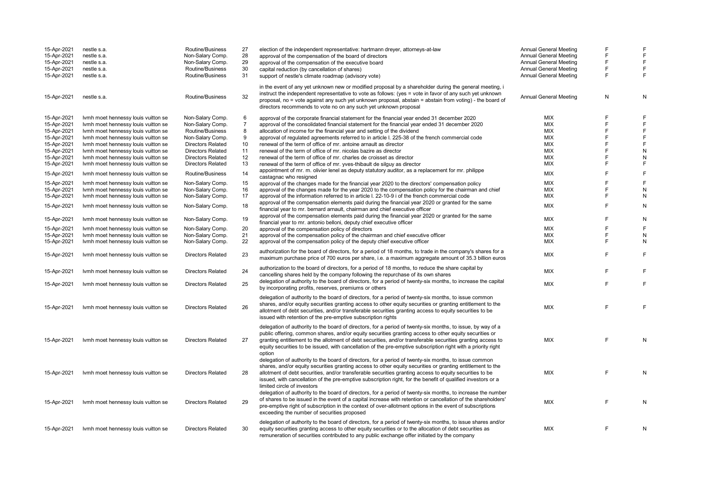| 15-Apr-2021<br>15-Apr-2021 | nestle s.a.<br>nestle s.a.          | Routine/Business<br>Non-Salary Comp. | 27<br>28 | election of the independent representative: hartmann dreyer, attorneys-at-law<br>approval of the compensation of the board of directors                                                                                                                                                                                                                                                                                                                                       | <b>Annual General Meeting</b><br>Annual General Meeting | F<br>F | F<br>F    |
|----------------------------|-------------------------------------|--------------------------------------|----------|-------------------------------------------------------------------------------------------------------------------------------------------------------------------------------------------------------------------------------------------------------------------------------------------------------------------------------------------------------------------------------------------------------------------------------------------------------------------------------|---------------------------------------------------------|--------|-----------|
| 15-Apr-2021                | nestle s.a.                         | Non-Salary Comp.                     | 29       | approval of the compensation of the executive board                                                                                                                                                                                                                                                                                                                                                                                                                           | <b>Annual General Meeting</b>                           | F      | F         |
| 15-Apr-2021                | nestle s.a.                         | Routine/Business                     | 30       |                                                                                                                                                                                                                                                                                                                                                                                                                                                                               | Annual General Meeting                                  | E      | F         |
|                            |                                     |                                      |          | capital reduction (by cancellation of shares)                                                                                                                                                                                                                                                                                                                                                                                                                                 |                                                         | F      | F         |
| 15-Apr-2021                | nestle s.a.                         | Routine/Business                     | 31       | support of nestle's climate roadmap (advisory vote)                                                                                                                                                                                                                                                                                                                                                                                                                           | <b>Annual General Meeting</b>                           |        |           |
| 15-Apr-2021                | nestle s.a.                         | Routine/Business                     | 32       | in the event of any yet unknown new or modified proposal by a shareholder during the general meeting, i<br>instruct the independent representative to vote as follows: (yes = vote in favor of any such yet unknown<br>proposal, no = vote against any such yet unknown proposal, abstain = abstain from voting) - the board of<br>directors recommends to vote no on any such yet unknown proposal                                                                           | <b>Annual General Meeting</b>                           | N      | N         |
| 15-Apr-2021                | Ivmh moet hennessy louis vuitton se | Non-Salary Comp.                     | 6        | approval of the corporate financial statement for the financial year ended 31 december 2020                                                                                                                                                                                                                                                                                                                                                                                   | <b>MIX</b>                                              | F      | F         |
| 15-Apr-2021                | Ivmh moet hennessy louis vuitton se | Non-Salary Comp.                     |          | approval of the consolidated financial statement for the financial year ended 31 december 2020                                                                                                                                                                                                                                                                                                                                                                                | <b>MIX</b>                                              | E      | F         |
| 15-Apr-2021                | Ivmh moet hennessy louis vuitton se | Routine/Business                     | 8        | allocation of income for the financial year and setting of the dividend                                                                                                                                                                                                                                                                                                                                                                                                       | <b>MIX</b>                                              | E      | F         |
| 15-Apr-2021                | Ivmh moet hennessy louis vuitton se | Non-Salary Comp.                     | 9        | approval of regulated agreements referred to in article I. 225-38 of the french commercial code                                                                                                                                                                                                                                                                                                                                                                               | <b>MIX</b>                                              | E      | F         |
| 15-Apr-2021                | Ivmh moet hennessy louis vuitton se | <b>Directors Related</b>             | 10       | renewal of the term of office of mr. antoine arnault as director                                                                                                                                                                                                                                                                                                                                                                                                              | <b>MIX</b>                                              | F      | F         |
| 15-Apr-2021                | Ivmh moet hennessy louis vuitton se | <b>Directors Related</b>             | 11       | renewal of the term of office of mr. nicolas bazire as director                                                                                                                                                                                                                                                                                                                                                                                                               | <b>MIX</b>                                              | E      | N         |
| 15-Apr-2021                | Ivmh moet hennessy louis vuitton se | <b>Directors Related</b>             | 12       | renewal of the term of office of mr. charles de croisset as director                                                                                                                                                                                                                                                                                                                                                                                                          | <b>MIX</b>                                              | E      | N         |
| 15-Apr-2021                | Ivmh moet hennessy louis vuitton se | <b>Directors Related</b>             | 13       | renewal of the term of office of mr. yves-thibault de silguy as director                                                                                                                                                                                                                                                                                                                                                                                                      | <b>MIX</b>                                              | F      | F         |
|                            |                                     |                                      |          | appointment of mr. m. olivier lenel as deputy statutory auditor, as a replacement for mr. philippe                                                                                                                                                                                                                                                                                                                                                                            |                                                         |        |           |
| 15-Apr-2021                | Ivmh moet hennessy louis vuitton se | Routine/Business                     | 14       | castagnac who resigned                                                                                                                                                                                                                                                                                                                                                                                                                                                        | <b>MIX</b>                                              | E      | F         |
| 15-Apr-2021                | Ivmh moet hennessy louis vuitton se | Non-Salary Comp.                     | 15       | approval of the changes made for the financial year 2020 to the directors' compensation policy                                                                                                                                                                                                                                                                                                                                                                                | <b>MIX</b>                                              | E      | F         |
| 15-Apr-2021                | Ivmh moet hennessy louis vuitton se | Non-Salary Comp.                     | 16       | approval of the changes made for the year 2020 to the compensation policy for the chairman and chief                                                                                                                                                                                                                                                                                                                                                                          | <b>MIX</b>                                              | E      | ${\sf N}$ |
| 15-Apr-2021                | Ivmh moet hennessy louis vuitton se | Non-Salary Comp.                     | 17       | approval of the information referred to in article I. 22-10-9 i of the french commercial code                                                                                                                                                                                                                                                                                                                                                                                 | MIX                                                     | E      | ${\sf N}$ |
| 15-Apr-2021                | Ivmh moet hennessy louis vuitton se | Non-Salary Comp.                     | 18       | approval of the compensation elements paid during the financial year 2020 or granted for the same<br>financial year to mr. bernard arnault, chairman and chief executive officer                                                                                                                                                                                                                                                                                              | <b>MIX</b>                                              | E      | ${\sf N}$ |
| 15-Apr-2021                | Ivmh moet hennessy louis vuitton se | Non-Salary Comp.                     | 19       | approval of the compensation elements paid during the financial year 2020 or granted for the same<br>financial year to mr. antonio belloni, deputy chief executive officer                                                                                                                                                                                                                                                                                                    | <b>MIX</b>                                              | F      | N         |
| 15-Apr-2021                | Ivmh moet hennessy louis vuitton se | Non-Salary Comp.                     | 20       | approval of the compensation policy of directors                                                                                                                                                                                                                                                                                                                                                                                                                              | <b>MIX</b>                                              | E      | F         |
| 15-Apr-2021                | Ivmh moet hennessy louis vuitton se | Non-Salary Comp.                     | 21       | approval of the compensation policy of the chairman and chief executive officer                                                                                                                                                                                                                                                                                                                                                                                               | <b>MIX</b>                                              | F      | ${\sf N}$ |
| 15-Apr-2021                | Ivmh moet hennessy louis vuitton se | Non-Salary Comp.                     | 22       | approval of the compensation policy of the deputy chief executive officer                                                                                                                                                                                                                                                                                                                                                                                                     | <b>MIX</b>                                              | E      | N         |
| 15-Apr-2021                | Ivmh moet hennessy louis vuitton se | <b>Directors Related</b>             | 23       | authorization for the board of directors, for a period of 18 months, to trade in the company's shares for a                                                                                                                                                                                                                                                                                                                                                                   | <b>MIX</b>                                              | E      | F         |
|                            |                                     |                                      |          | maximum purchase price of 700 euros per share, i.e. a maximum aggregate amount of 35.3 billion euros                                                                                                                                                                                                                                                                                                                                                                          |                                                         |        |           |
| 15-Apr-2021                | Ivmh moet hennessy louis vuitton se | <b>Directors Related</b>             | 24       | authorization to the board of directors, for a period of 18 months, to reduce the share capital by<br>cancelling shares held by the company following the repurchase of its own shares                                                                                                                                                                                                                                                                                        | MIX                                                     | E      | F         |
| 15-Apr-2021                | Ivmh moet hennessy louis vuitton se | <b>Directors Related</b>             | 25       | delegation of authority to the board of directors, for a period of twenty-six months, to increase the capital<br>by incorporating profits, reserves, premiums or others                                                                                                                                                                                                                                                                                                       | <b>MIX</b>                                              | E      | F         |
| 15-Apr-2021                | Ivmh moet hennessy louis vuitton se | <b>Directors Related</b>             | 26       | delegation of authority to the board of directors, for a period of twenty-six months, to issue common<br>shares, and/or equity securities granting access to other equity securities or granting entitlement to the<br>allotment of debt securities, and/or transferable securities granting access to equity securities to be<br>issued with retention of the pre-emptive subscription rights                                                                                | <b>MIX</b>                                              | F      | F         |
| 15-Apr-2021                | Ivmh moet hennessy louis vuitton se | <b>Directors Related</b>             | 27       | delegation of authority to the board of directors, for a period of twenty-six months, to issue, by way of a<br>public offering, common shares, and/or equity securities granting access to other equity securities or<br>granting entitlement to the allotment of debt securities, and/or transferable securities granting access to<br>equity securities to be issued, with cancellation of the pre-emptive subscription right with a priority right<br>option               | <b>MIX</b>                                              | E      | N         |
| 15-Apr-2021                | Ivmh moet hennessy louis vuitton se | <b>Directors Related</b>             | 28       | delegation of authority to the board of directors, for a period of twenty-six months, to issue common<br>shares, and/or equity securities granting access to other equity securities or granting entitlement to the<br>allotment of debt securities, and/or transferable securities granting access to equity securities to be<br>issued, with cancellation of the pre-emptive subscription right, for the benefit of qualified investors or a<br>limited circle of investors | <b>MIX</b>                                              | F      | N         |
| 15-Apr-2021                | Ivmh moet hennessy louis vuitton se | <b>Directors Related</b>             | 29       | delegation of authority to the board of directors, for a period of twenty-six months, to increase the number<br>of shares to be issued in the event of a capital increase with retention or cancellation of the shareholders'<br>pre-emptive right of subscription in the context of over-allotment options in the event of subscriptions<br>exceeding the number of securities proposed                                                                                      | <b>MIX</b>                                              | E      | N         |
| 15-Apr-2021                | Ivmh moet hennessy louis vuitton se | <b>Directors Related</b>             | 30       | delegation of authority to the board of directors, for a period of twenty-six months, to issue shares and/or<br>equity securities granting access to other equity securities or to the allocation of debt securities as<br>remuneration of securities contributed to any public exchange offer initiated by the company                                                                                                                                                       | <b>MIX</b>                                              | F      | N         |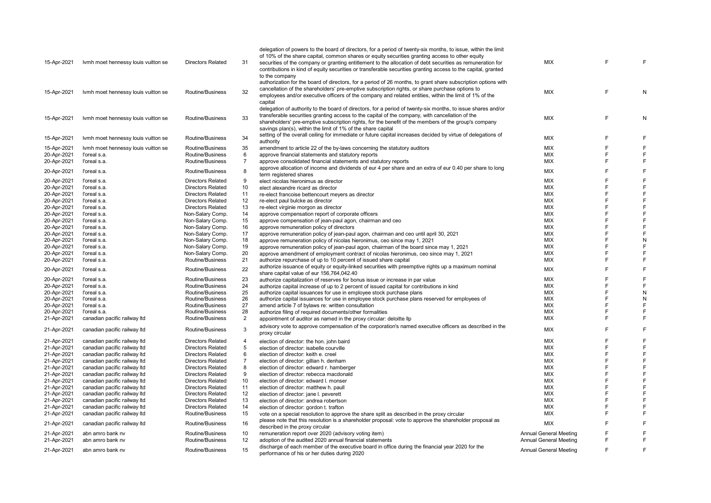|             |                                     |                                      |                | delegation of powers to the board of directors, for a period of twenty-six months, to issue, within the limit                      |                               |   |                |
|-------------|-------------------------------------|--------------------------------------|----------------|------------------------------------------------------------------------------------------------------------------------------------|-------------------------------|---|----------------|
|             |                                     |                                      |                | of 10% of the share capital, common shares or equity securities granting access to other equity                                    |                               |   |                |
| 15-Apr-2021 | Ivmh moet hennessy louis vuitton se | <b>Directors Related</b>             | 31             | securities of the company or granting entitlement to the allocation of debt securities as remuneration for                         | MIX                           | F | F              |
|             |                                     |                                      |                | contributions in kind of equity securities or transferable securities granting access to the capital, granted                      |                               |   |                |
|             |                                     |                                      |                | to the company                                                                                                                     |                               |   |                |
|             |                                     |                                      |                | authorization for the board of directors, for a period of 26 months, to grant share subscription options with                      |                               |   |                |
| 15-Apr-2021 | Ivmh moet hennessy louis vuitton se | Routine/Business                     | 32             | cancellation of the shareholders' pre-emptive subscription rights, or share purchase options to                                    | <b>MIX</b>                    | F | N              |
|             |                                     |                                      |                | employees and/or executive officers of the company and related entities, within the limit of 1% of the                             |                               |   |                |
|             |                                     |                                      |                | capital                                                                                                                            |                               |   |                |
|             |                                     |                                      |                | delegation of authority to the board of directors, for a period of twenty-six months, to issue shares and/or                       |                               |   |                |
| 15-Apr-2021 | Ivmh moet hennessy louis vuitton se | Routine/Business                     | 33             | transferable securities granting access to the capital of the company, with cancellation of the                                    | <b>MIX</b>                    | F | N              |
|             |                                     |                                      |                | shareholders' pre-emptive subscription rights, for the benefit of the members of the group's company                               |                               |   |                |
|             |                                     |                                      |                | savings plan(s), within the limit of 1% of the share capital                                                                       |                               |   |                |
| 15-Apr-2021 | Ivmh moet hennessy louis vuitton se | Routine/Business                     | 34             | setting of the overall ceiling for immediate or future capital increases decided by virtue of delegations of                       | <b>MIX</b>                    | F | F              |
|             |                                     |                                      |                | authority                                                                                                                          | <b>MIX</b>                    | F | F              |
| 15-Apr-2021 | Ivmh moet hennessy louis vuitton se | Routine/Business                     | 35<br>6        | amendment to article 22 of the by-laws concerning the statutory auditors                                                           |                               | F | F              |
| 20-Apr-2021 | l'oreal s.a.<br>l'oreal s.a.        | Routine/Business<br>Routine/Business | $\overline{7}$ | approve financial statements and statutory reports                                                                                 | МIХ<br><b>MIX</b>             | F | F              |
| 20-Apr-2021 |                                     |                                      |                | approve consolidated financial statements and statutory reports                                                                    |                               |   |                |
| 20-Apr-2021 | l'oreal s.a.                        | Routine/Business                     | 8              | approve allocation of income and dividends of eur 4 per share and an extra of eur 0.40 per share to long<br>term registered shares | <b>MIX</b>                    | F | F              |
| 20-Apr-2021 | l'oreal s.a.                        | <b>Directors Related</b>             | 9              | elect nicolas hieronimus as director                                                                                               | <b>MIX</b>                    | F | F              |
| 20-Apr-2021 | l'oreal s.a.                        | <b>Directors Related</b>             | 10             | elect alexandre ricard as director                                                                                                 | <b>MIX</b>                    | F | F              |
| 20-Apr-2021 | l'oreal s.a.                        | <b>Directors Related</b>             | 11             | re-elect francoise bettencourt meyers as director                                                                                  | <b>MIX</b>                    | F | F              |
| 20-Apr-2021 | l'oreal s.a.                        | <b>Directors Related</b>             | 12             | re-elect paul bulcke as director                                                                                                   | <b>MIX</b>                    | F | F              |
| 20-Apr-2021 | l'oreal s.a.                        | <b>Directors Related</b>             | 13             | re-elect virginie morgon as director                                                                                               | <b>MIX</b>                    | F | $\overline{F}$ |
| 20-Apr-2021 | l'oreal s.a.                        | Non-Salary Comp.                     | 14             | approve compensation report of corporate officers                                                                                  | MIX                           | F | F              |
| 20-Apr-2021 | l'oreal s.a.                        | Non-Salary Comp.                     | 15             | approve compensation of jean-paul agon, chairman and ceo                                                                           | MIX                           | F | F              |
| 20-Apr-2021 | l'oreal s.a.                        | Non-Salary Comp.                     | 16             | approve remuneration policy of directors                                                                                           | <b>MIX</b>                    | F | $\mathsf{F}$   |
| 20-Apr-2021 | l'oreal s.a.                        | Non-Salary Comp.                     | 17             | approve remuneration policy of jean-paul agon, chairman and ceo until april 30, 2021                                               | <b>MIX</b>                    | F | F              |
| 20-Apr-2021 | l'oreal s.a.                        | Non-Salary Comp.                     | 18             | approve remuneration policy of nicolas hieronimus, ceo since may 1, 2021                                                           | MIX                           | F | N              |
| 20-Apr-2021 | l'oreal s.a.                        | Non-Salary Comp.                     | 19             | approve remuneration policy of jean-paul agon, chairman of the board since may 1, 2021                                             | <b>MIX</b>                    | E | E              |
| 20-Apr-2021 | l'oreal s.a.                        | Non-Salary Comp.                     | 20             | approve amendment of employment contract of nicolas hieronimus, ceo since may 1, 2021                                              | <b>MIX</b>                    | F | F              |
| 20-Apr-2021 | l'oreal s.a.                        | Routine/Business                     | 21             | authorize repurchase of up to 10 percent of issued share capital                                                                   | <b>MIX</b>                    | F | F              |
|             |                                     |                                      |                | authorize issuance of equity or equity-linked securities with preemptive rights up a maximum nominal                               |                               |   | F              |
| 20-Apr-2021 | l'oreal s.a.                        | Routine/Business                     | 22             | share capital value of eur 156,764,042.40                                                                                          | <b>MIX</b>                    | F |                |
| 20-Apr-2021 | l'oreal s.a.                        | Routine/Business                     | 23             | authorize capitalization of reserves for bonus issue or increase in par value                                                      | <b>MIX</b>                    | F | F              |
| 20-Apr-2021 | l'oreal s.a.                        | Routine/Business                     | 24             | authorize capital increase of up to 2 percent of issued capital for contributions in kind                                          | <b>MIX</b>                    | F | F              |
| 20-Apr-2021 | l'oreal s.a.                        | Routine/Business                     | 25             | authorize capital issuances for use in employee stock purchase plans                                                               | <b>MIX</b>                    | F | N              |
| 20-Apr-2021 | l'oreal s.a.                        | Routine/Business                     | 26             | authorize capital issuances for use in employee stock purchase plans reserved for employees of                                     | <b>MIX</b>                    | F | N              |
| 20-Apr-2021 | l'oreal s.a.                        | Routine/Business                     | 27             | amend article 7 of bylaws re: written consultation                                                                                 | <b>MIX</b>                    | F | F              |
| 20-Apr-2021 | l'oreal s.a.                        | Routine/Business                     | 28             | authorize filing of required documents/other formalities                                                                           | <b>MIX</b>                    | F | F              |
| 21-Apr-2021 | canadian pacific railway Itd        | Routine/Business                     | $\overline{2}$ | appointment of auditor as named in the proxy circular: deloitte llp                                                                | MIX                           | F | $\mathsf{F}$   |
| 21-Apr-2021 | canadian pacific railway Itd        | Routine/Business                     | 3              | advisory vote to approve compensation of the corporation's named executive officers as described in the                            | <b>MIX</b>                    | F | F              |
|             |                                     |                                      |                | proxy circular                                                                                                                     |                               |   |                |
| 21-Apr-2021 | canadian pacific railway Itd        | <b>Directors Related</b>             | $\overline{4}$ | election of director: the hon. john baird                                                                                          | <b>MIX</b>                    | F | F              |
| 21-Apr-2021 | canadian pacific railway Itd        | <b>Directors Related</b>             | 5              | election of director: isabelle courville                                                                                           | MIX                           | F | F              |
| 21-Apr-2021 | canadian pacific railway Itd        | <b>Directors Related</b>             | 6              | election of director: keith e. creel                                                                                               | <b>MIX</b>                    | F | $\overline{F}$ |
| 21-Apr-2021 | canadian pacific railway Itd        | <b>Directors Related</b>             | $\overline{7}$ | election of director: gillian h. denham                                                                                            | <b>MIX</b>                    | F | F              |
| 21-Apr-2021 | canadian pacific railway Itd        | <b>Directors Related</b>             | 8              | election of director: edward r. hamberger                                                                                          | <b>MIX</b>                    | F | F              |
| 21-Apr-2021 | canadian pacific railway Itd        | <b>Directors Related</b>             | 9              | election of director: rebecca macdonald                                                                                            | <b>MIX</b>                    | F | F              |
| 21-Apr-2021 | canadian pacific railway Itd        | <b>Directors Related</b>             | 10             | election of director: edward I. monser                                                                                             | <b>MIX</b>                    | E | E              |
| 21-Apr-2021 | canadian pacific railway Itd        | <b>Directors Related</b>             | 11             | election of director: matthew h. paull                                                                                             | <b>MIX</b>                    | F | F              |
| 21-Apr-2021 | canadian pacific railway Itd        | <b>Directors Related</b>             | 12             | election of director: jane I. peverett                                                                                             | <b>MIX</b>                    | F | E              |
| 21-Apr-2021 | canadian pacific railway Itd        | <b>Directors Related</b>             | 13             | election of director: andrea robertson                                                                                             | <b>MIX</b>                    | F | F              |
| 21-Apr-2021 | canadian pacific railway Itd        | <b>Directors Related</b>             | 14             | election of director: gordon t. trafton                                                                                            | MIX                           | F | F              |
| 21-Apr-2021 | canadian pacific railway Itd        | Routine/Business                     | 15             | vote on a special resolution to approve the share split as described in the proxy circular                                         | <b>MIX</b>                    | F | E              |
| 21-Apr-2021 | canadian pacific railway Itd        | Routine/Business                     | 16             | please note that this resolution is a shareholder proposal: vote to approve the shareholder proposal as                            | <b>MIX</b>                    | F | F              |
|             |                                     |                                      |                | described in the proxy circular                                                                                                    |                               |   |                |
| 21-Apr-2021 | abn amro bank nv                    | Routine/Business                     | 10             | remuneration report over 2020 (advisory voting item)                                                                               | <b>Annual General Meeting</b> | F | $\overline{F}$ |
| 21-Apr-2021 | abn amro bank nv                    | Routine/Business                     | 12             | adoption of the audited 2020 annual financial statements                                                                           | <b>Annual General Meeting</b> | F | F              |
| 21-Apr-2021 | abn amro bank ny                    | Routine/Business                     | 15             | discharge of each member of the executive board in office during the financial year 2020 for the                                   | <b>Annual General Meeting</b> | F | F              |
|             |                                     |                                      |                | performance of his or her duties during 2020                                                                                       |                               |   |                |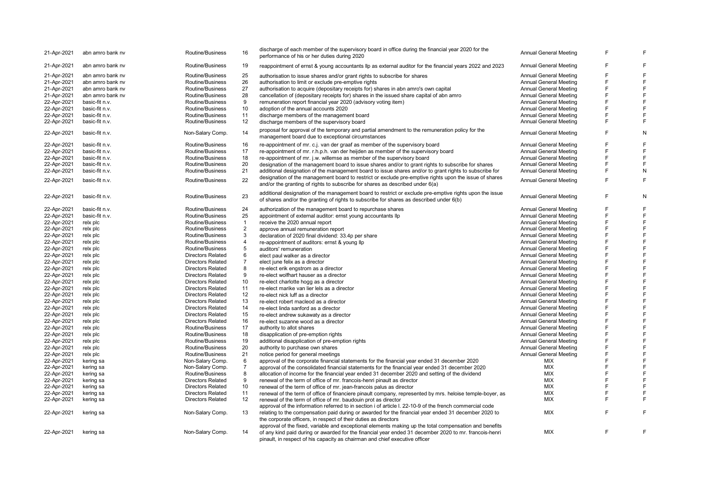| 21-Apr-2021 | abn amro bank nv | Routine/Business         | 16                | discharge of each member of the supervisory board in office during the financial year 2020 for the<br>performance of his or her duties during 2020                                                 | <b>Annual General Meeting</b> | E | F |
|-------------|------------------|--------------------------|-------------------|----------------------------------------------------------------------------------------------------------------------------------------------------------------------------------------------------|-------------------------------|---|---|
| 21-Apr-2021 | abn amro bank nv | Routine/Business         | 19                | reappointment of ernst & young accountants llp as external auditor for the financial years 2022 and 2023                                                                                           | <b>Annual General Meeting</b> | E | F |
| 21-Apr-2021 | abn amro bank ny | Routine/Business         | 25                | authorisation to issue shares and/or grant rights to subscribe for shares                                                                                                                          | <b>Annual General Meeting</b> | E | F |
| 21-Apr-2021 | abn amro bank ny | Routine/Business         | 26                | authorisation to limit or exclude pre-emptive rights                                                                                                                                               | <b>Annual General Meeting</b> | E | F |
| 21-Apr-2021 | abn amro bank ny | Routine/Business         | 27                | authorisation to acquire (depositary receipts for) shares in abn amro's own capital                                                                                                                | Annual General Meeting        | E | F |
| 21-Apr-2021 | abn amro bank nv | Routine/Business         | 28                | cancellation of (depositary receipts for) shares in the issued share capital of abn amro                                                                                                           | Annual General Meeting        | E | F |
|             | basic-fit n.v.   | Routine/Business         | 9                 |                                                                                                                                                                                                    |                               |   | F |
| 22-Apr-2021 |                  |                          |                   | remuneration report financial year 2020 (advisory voting item)                                                                                                                                     | <b>Annual General Meeting</b> | E | E |
| 22-Apr-2021 | basic-fit n.v.   | Routine/Business         | 10                | adoption of the annual accounts 2020                                                                                                                                                               | Annual General Meeting        |   |   |
| 22-Apr-2021 | basic-fit n.v.   | Routine/Business         | 11                | discharge members of the management board                                                                                                                                                          | Annual General Meeting        | E | E |
| 22-Apr-2021 | basic-fit n.v.   | Routine/Business         | 12                | discharge members of the supervisory board                                                                                                                                                         | <b>Annual General Meeting</b> | F | F |
| 22-Apr-2021 | basic-fit n.v.   | Non-Salary Comp.         | 14                | proposal for approval of the temporary and partial amendment to the remuneration policy for the<br>management board due to exceptional circumstances                                               | Annual General Meeting        | F | N |
| 22-Apr-2021 | basic-fit n.v.   | Routine/Business         | 16                | re-appointment of mr. c.j. van der graaf as member of the supervisory board                                                                                                                        | <b>Annual General Meeting</b> | E | F |
| 22-Apr-2021 | basic-fit n.v.   | Routine/Business         | 17                | re-appointment of mr. r.h.p.h. van der heijden as member of the supervisory board                                                                                                                  | <b>Annual General Meeting</b> | E | F |
| 22-Apr-2021 | basic-fit n.v.   | Routine/Business         | 18                | re-appointment of mr. j.w. willemse as member of the supervisory board                                                                                                                             | Annual General Meeting        | E | F |
| 22-Apr-2021 | basic-fit n.v.   | Routine/Business         | 20                |                                                                                                                                                                                                    | Annual General Meeting        | E | E |
|             |                  |                          | 21                | designation of the management board to issue shares and/or to grant rights to subscribe for shares                                                                                                 |                               | F | N |
| 22-Apr-2021 | basic-fit n.v.   | Routine/Business         |                   | additional designation of the management board to issue shares and/or to grant rights to subscribe for                                                                                             | <b>Annual General Meeting</b> |   |   |
| 22-Apr-2021 | basic-fit n.v.   | Routine/Business         | 22                | designation of the management board to restrict or exclude pre-emptive rights upon the issue of shares<br>and/or the granting of rights to subscribe for shares as described under $6(a)$          | <b>Annual General Meeting</b> | E | F |
| 22-Apr-2021 | basic-fit n.v.   | Routine/Business         | 23                | additional designation of the management board to restrict or exclude pre-emptive rights upon the issue<br>of shares and/or the granting of rights to subscribe for shares as described under 6(b) | <b>Annual General Meeting</b> | E | N |
| 22-Apr-2021 | basic-fit n.v.   | Routine/Business         | 24                | authorization of the management board to repurchase shares                                                                                                                                         | Annual General Meeting        | E | F |
| 22-Apr-2021 | basic-fit n.v.   | Routine/Business         | 25                | appointment of external auditor: ernst young accountants llp                                                                                                                                       | Annual General Meeting        | F | F |
| 22-Apr-2021 | relx plc         | Routine/Business         | $\mathbf{1}$      | receive the 2020 annual report                                                                                                                                                                     | Annual General Meeting        | E | F |
| 22-Apr-2021 | relx plc         | Routine/Business         | $\overline{2}$    | approve annual remuneration report                                                                                                                                                                 | Annual General Meeting        | F | F |
| 22-Apr-2021 | relx plc         | Routine/Business         | 3                 | declaration of 2020 final dividend: 33.4p per share                                                                                                                                                | Annual General Meeting        | E | F |
| 22-Apr-2021 | relx plc         | Routine/Business         | $\overline{4}$    | re-appointment of auditors: ernst & young llp                                                                                                                                                      | Annual General Meeting        | F | F |
|             |                  | Routine/Business         | 5                 |                                                                                                                                                                                                    |                               | F | F |
| 22-Apr-2021 | relx plc         |                          |                   | auditors' remuneration                                                                                                                                                                             | <b>Annual General Meeting</b> |   |   |
| 22-Apr-2021 | relx plc         | <b>Directors Related</b> | 6                 | elect paul walker as a director                                                                                                                                                                    | <b>Annual General Meeting</b> | F | F |
| 22-Apr-2021 | relx plc         | <b>Directors Related</b> | $\overline{7}$    | elect june felix as a director                                                                                                                                                                     | <b>Annual General Meeting</b> | F | F |
| 22-Apr-2021 | relx plc         | <b>Directors Related</b> | 8                 | re-elect erik engstrom as a director                                                                                                                                                               | <b>Annual General Meeting</b> | F | F |
| 22-Apr-2021 | relx plc         | <b>Directors Related</b> | 9                 | re-elect wolfhart hauser as a director                                                                                                                                                             | <b>Annual General Meeting</b> | E | F |
| 22-Apr-2021 | relx plc         | <b>Directors Related</b> | 10                | re-elect charlotte hogg as a director                                                                                                                                                              | <b>Annual General Meeting</b> | F | F |
| 22-Apr-2021 | relx plc         | <b>Directors Related</b> | 11                | re-elect marike van lier lels as a director                                                                                                                                                        | Annual General Meeting        | E | F |
| 22-Apr-2021 | relx plc         | <b>Directors Related</b> | 12                | re-elect nick luff as a director                                                                                                                                                                   | Annual General Meeting        | E | F |
| 22-Apr-2021 | relx plc         | <b>Directors Related</b> | 13                | re-elect robert macleod as a director                                                                                                                                                              | Annual General Meeting        | E | F |
| 22-Apr-2021 | relx plc         | <b>Directors Related</b> | 14                | re-elect linda sanford as a director                                                                                                                                                               | Annual General Meeting        | E | F |
| 22-Apr-2021 | relx plc         | <b>Directors Related</b> | 15                | re-elect andrew sukawaty as a director                                                                                                                                                             | Annual General Meeting        | E | F |
| 22-Apr-2021 | relx plc         | <b>Directors Related</b> | 16                | re-elect suzanne wood as a director                                                                                                                                                                | Annual General Meeting        | E | F |
| 22-Apr-2021 | relx plc         | Routine/Business         | 17                | authority to allot shares                                                                                                                                                                          | Annual General Meeting        | E | F |
| 22-Apr-2021 | relx plc         | Routine/Business         | 18                |                                                                                                                                                                                                    | Annual General Meeting        | E | F |
|             |                  |                          | 19                | disapplication of pre-emption rights                                                                                                                                                               |                               | E | F |
| 22-Apr-2021 | relx plc         | Routine/Business         |                   | additional disapplication of pre-emption rights                                                                                                                                                    | Annual General Meeting        |   |   |
| 22-Apr-2021 | relx plc         | Routine/Business         | 20                | authority to purchase own shares                                                                                                                                                                   | <b>Annual General Meeting</b> | F | F |
| 22-Apr-2021 | relx plc         | Routine/Business         | 21                | notice period for general meetings                                                                                                                                                                 | <b>Annual General Meeting</b> | E | F |
| 22-Apr-2021 | kering sa        | Non-Salary Comp.         | 6                 | approval of the corporate financial statements for the financial year ended 31 december 2020                                                                                                       | <b>MIX</b>                    | E | F |
| 22-Apr-2021 | kering sa        | Non-Salary Comp.         | $\overline{7}$    | approval of the consolidated financial statements for the financial year ended 31 december 2020                                                                                                    | MIX                           | E | F |
| 22-Apr-2021 | kering sa        | Routine/Business         | 8                 | allocation of income for the financial year ended 31 december 2020 and setting of the dividend                                                                                                     | <b>MIX</b>                    | E | F |
| 22-Apr-2021 | kering sa        | <b>Directors Related</b> | 9                 | renewal of the term of office of mr. francois-henri pinault as director                                                                                                                            | MIX                           | E | E |
| 22-Apr-2021 | kering sa        | <b>Directors Related</b> | 10                | renewal of the term of office of mr. jean-francois palus as director                                                                                                                               | <b>MIX</b>                    | E | E |
| 22-Apr-2021 | kering sa        | Directors Related        | 11                | renewal of the term of office of financiere pinault company, represented by mrs. heloise temple-boyer, as                                                                                          | <b>MIX</b>                    | F |   |
| 22-Apr-2021 | kering sa        | <b>Directors Related</b> | $12 \overline{ }$ | renewal of the term of office of mr. baudouin prot as director                                                                                                                                     | <b>MIX</b>                    | E | F |
|             |                  |                          |                   | approval of the information referred to in section i of article I. 22-10-9 of the french commercial code                                                                                           |                               |   |   |
| 22-Apr-2021 | kering sa        | Non-Salary Comp.         | 13                | relating to the compensation paid during or awarded for the financial year ended 31 december 2020 to<br>the corporate officers, in respect of their duties as directors                            | <b>MIX</b>                    | E | E |
|             |                  |                          |                   | approval of the fixed, variable and exceptional elements making up the total compensation and benefits                                                                                             |                               |   |   |
| 22-Apr-2021 | kering sa        | Non-Salary Comp.         | 14                | of any kind paid during or awarded for the financial year ended 31 december 2020 to mr. francois-henri                                                                                             | <b>MIX</b>                    | E | E |
|             |                  |                          |                   | pinault, in respect of his capacity as chairman and chief executive officer                                                                                                                        |                               |   |   |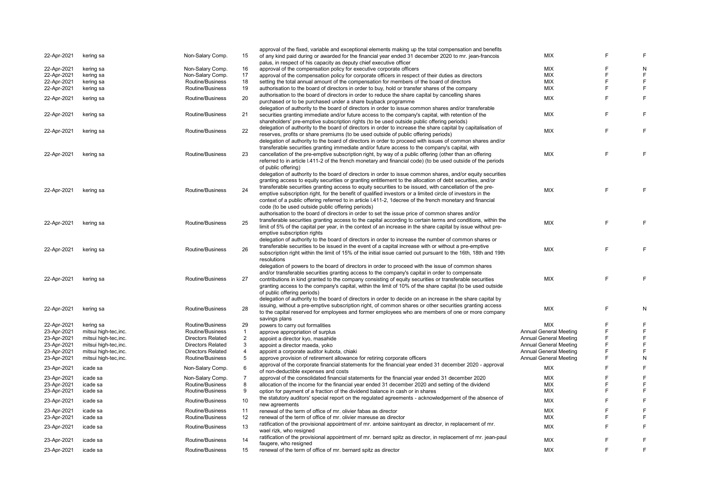|             |                       |                          |                | approval of the fixed, variable and exceptional elements making up the total compensation and benefits          |                               |   |             |
|-------------|-----------------------|--------------------------|----------------|-----------------------------------------------------------------------------------------------------------------|-------------------------------|---|-------------|
| 22-Apr-2021 | kering sa             | Non-Salary Comp.         | 15             | of any kind paid during or awarded for the financial year ended 31 december 2020 to mr. jean-francois           | <b>MIX</b>                    |   | F           |
|             |                       |                          |                | palus, in respect of his capacity as deputy chief executive officer                                             |                               |   |             |
| 22-Apr-2021 | kering sa             | Non-Salary Comp.         | 16             |                                                                                                                 | <b>MIX</b>                    | F | N           |
|             |                       |                          |                | approval of the compensation policy for executive corporate officers                                            |                               | F |             |
| 22-Apr-2021 | kering sa             | Non-Salary Comp.         | 17             | approval of the compensation policy for corporate officers in respect of their duties as directors              | <b>MIX</b>                    |   | F           |
| 22-Apr-2021 | kering sa             | Routine/Business         | 18             | setting the total annual amount of the compensation for members of the board of directors                       | MIX                           | F | F           |
| 22-Apr-2021 | kering sa             | Routine/Business         | 19             | authorisation to the board of directors in order to buy, hold or transfer shares of the company                 | <b>MIX</b>                    | F | F           |
|             |                       |                          |                | authorisation to the board of directors in order to reduce the share capital by cancelling shares               |                               | E |             |
| 22-Apr-2021 | kering sa             | Routine/Business         | 20             | purchased or to be purchased under a share buyback programme                                                    | <b>MIX</b>                    |   | F           |
|             |                       |                          |                | delegation of authority to the board of directors in order to issue common shares and/or transferable           |                               |   |             |
|             |                       | Routine/Business         |                |                                                                                                                 |                               | E | F           |
| 22-Apr-2021 | kering sa             |                          | 21             | securities granting immediate and/or future access to the company's capital, with retention of the              | MIX                           |   |             |
|             |                       |                          |                | shareholders' pre-emptive subscription rights (to be used outside public offering periods)                      |                               |   |             |
| 22-Apr-2021 |                       | Routine/Business         | 22             | delegation of authority to the board of directors in order to increase the share capital by capitalisation of   | <b>MIX</b>                    | E | F           |
|             | kering sa             |                          |                | reserves, profits or share premiums (to be used outside of public offering periods)                             |                               |   |             |
|             |                       |                          |                | delegation of authority to the board of directors in order to proceed with issues of common shares and/or       |                               |   |             |
|             |                       |                          |                | transferable securities granting immediate and/or future access to the company's capital, with                  |                               |   |             |
|             |                       |                          |                |                                                                                                                 |                               | E | F           |
| 22-Apr-2021 | kering sa             | Routine/Business         | 23             | cancellation of the pre-emptive subscription right, by way of a public offering (other than an offering         | <b>MIX</b>                    |   |             |
|             |                       |                          |                | referred to in article I.411-2 of the french monetary and financial code) (to be used outside of the periods    |                               |   |             |
|             |                       |                          |                | of public offering)                                                                                             |                               |   |             |
|             |                       |                          |                | delegation of authority to the board of directors in order to issue common shares, and/or equity securities     |                               |   |             |
|             |                       |                          |                | granting access to equity securities or granting entitlement to the allocation of debt securities, and/or       |                               |   |             |
|             |                       |                          |                |                                                                                                                 |                               |   |             |
| 22-Apr-2021 | kering sa             | Routine/Business         | 24             | transferable securities granting access to equity securities to be issued, with cancellation of the pre-        | <b>MIX</b>                    | E | F           |
|             |                       |                          |                | emptive subscription right, for the benefit of qualified investors or a limited circle of investors in the      |                               |   |             |
|             |                       |                          |                | context of a public offering referred to in article I.411-2, 1decree of the french monetary and financial       |                               |   |             |
|             |                       |                          |                | code (to be used outside public offering periods)                                                               |                               |   |             |
|             |                       |                          |                | authorisation to the board of directors in order to set the issue price of common shares and/or                 |                               |   |             |
|             |                       |                          |                |                                                                                                                 |                               |   |             |
| 22-Apr-2021 | kering sa             | Routine/Business         | 25             | transferable securities granting access to the capital according to certain terms and conditions, within the    | <b>MIX</b>                    | E | E           |
|             |                       |                          |                | limit of 5% of the capital per year, in the context of an increase in the share capital by issue without pre-   |                               |   |             |
|             |                       |                          |                | emptive subscription rights                                                                                     |                               |   |             |
|             |                       |                          |                | delegation of authority to the board of directors in order to increase the number of common shares or           |                               |   |             |
|             |                       |                          |                | transferable securities to be issued in the event of a capital increase with or without a pre-emptive           |                               |   |             |
| 22-Apr-2021 | kering sa             | Routine/Business         | 26             | subscription right within the limit of 15% of the initial issue carried out pursuant to the 16th, 18th and 19th | <b>MIX</b>                    | E | E           |
|             |                       |                          |                |                                                                                                                 |                               |   |             |
|             |                       |                          |                | resolutions                                                                                                     |                               |   |             |
|             |                       |                          |                | delegation of powers to the board of directors in order to proceed with the issue of common shares              |                               |   |             |
|             |                       |                          |                | and/or transferable securities granting access to the company's capital in order to compensate                  |                               |   |             |
| 22-Apr-2021 | kering sa             | Routine/Business         | 27             | contributions in kind granted to the company consisting of equity securities or transferable securities         | MIX                           | E | F           |
|             |                       |                          |                | granting access to the company's capital, within the limit of 10% of the share capital (to be used outside      |                               |   |             |
|             |                       |                          |                |                                                                                                                 |                               |   |             |
|             |                       |                          |                | of public offering periods)                                                                                     |                               |   |             |
|             |                       |                          |                | delegation of authority to the board of directors in order to decide on an increase in the share capital by     |                               |   |             |
|             |                       | Routine/Business         | 28             | issuing, without a pre-emptive subscription right, of common shares or other securities granting access         | <b>MIX</b>                    | F | N           |
| 22-Apr-2021 | kering sa             |                          |                | to the capital reserved for employees and former employees who are members of one or more company               |                               |   |             |
|             |                       |                          |                | savings plans                                                                                                   |                               |   |             |
| 22-Apr-2021 | kering sa             | Routine/Business         | 29             |                                                                                                                 | <b>MIX</b>                    | F | F           |
|             |                       |                          |                | powers to carry out formalities                                                                                 |                               | E |             |
| 23-Apr-2021 | mitsui high-tec, inc. | Routine/Business         | $\mathbf{1}$   | approve appropriation of surplus                                                                                | Annual General Meeting        |   | F           |
| 23-Apr-2021 | mitsui high-tec, inc. | <b>Directors Related</b> | $\overline{2}$ | appoint a director kyo, masahide                                                                                | <b>Annual General Meeting</b> | E | F           |
| 23-Apr-2021 | mitsui high-tec,inc.  | <b>Directors Related</b> | 3              | appoint a director maeda, yoko                                                                                  | <b>Annual General Meeting</b> | F | F           |
| 23-Apr-2021 | mitsui high-tec, inc. | <b>Directors Related</b> | 4              | appoint a corporate auditor kubota, chiaki                                                                      | <b>Annual General Meeting</b> | E | F           |
| 23-Apr-2021 | mitsui high-tec, inc. | Routine/Business         | 5              | approve provision of retirement allowance for retiring corporate officers                                       | <b>Annual General Meeting</b> | F | N           |
|             |                       |                          |                |                                                                                                                 |                               |   |             |
| 23-Apr-2021 | icade sa              | Non-Salary Comp.         | 6              | approval of the corporate financial statements for the financial year ended 31 december 2020 - approval         | MIX                           | E | $\mathsf F$ |
|             |                       |                          |                | of non-deductible expenses and costs                                                                            |                               |   |             |
| 23-Apr-2021 | icade sa              | Non-Salary Comp.         | 7              | approval of the consolidated financial statements for the financial year ended 31 december 2020                 | <b>MIX</b>                    | E | F           |
| 23-Apr-2021 | icade sa              | Routine/Business         | 8              | allocation of the income for the financial year ended 31 december 2020 and setting of the dividend              | MIX                           | F | F           |
| 23-Apr-2021 | icade sa              | Routine/Business         | 9              | option for payment of a fraction of the dividend balance in cash or in shares                                   | <b>MIX</b>                    | E | F           |
|             |                       |                          |                | the statutory auditors' special report on the regulated agreements - acknowledgement of the absence of          |                               |   |             |
| 23-Apr-2021 | icade sa              | Routine/Business         | 10             |                                                                                                                 | MIX                           | E | $\mathsf F$ |
|             |                       |                          |                | new agreements                                                                                                  |                               |   |             |
| 23-Apr-2021 | icade sa              | Routine/Business         | 11             | renewal of the term of office of mr. olivier fabas as director                                                  | <b>MIX</b>                    | F | F           |
| 23-Apr-2021 | icade sa              | Routine/Business         | 12             | renewal of the term of office of mr. olivier mareuse as director                                                | MIX                           | E | F           |
|             |                       |                          |                | ratification of the provisional appointment of mr. antoine saintoyant as director, in replacement of mr.        |                               | E | F           |
| 23-Apr-2021 | icade sa              | Routine/Business         | 13             | wael rizk, who resigned                                                                                         | <b>MIX</b>                    |   |             |
|             |                       |                          |                | ratification of the provisional appointment of mr. bernard spitz as director, in replacement of mr. jean-paul   |                               |   |             |
| 23-Apr-2021 | icade sa              | Routine/Business         | 14             |                                                                                                                 | <b>MIX</b>                    |   | F           |
|             |                       |                          |                | faugere, who resigned                                                                                           |                               | F |             |
| 23-Apr-2021 | icade sa              | Routine/Business         | 15             | renewal of the term of office of mr. bernard spitz as director                                                  | MIX                           |   | $\mathsf F$ |
|             |                       |                          |                |                                                                                                                 |                               |   |             |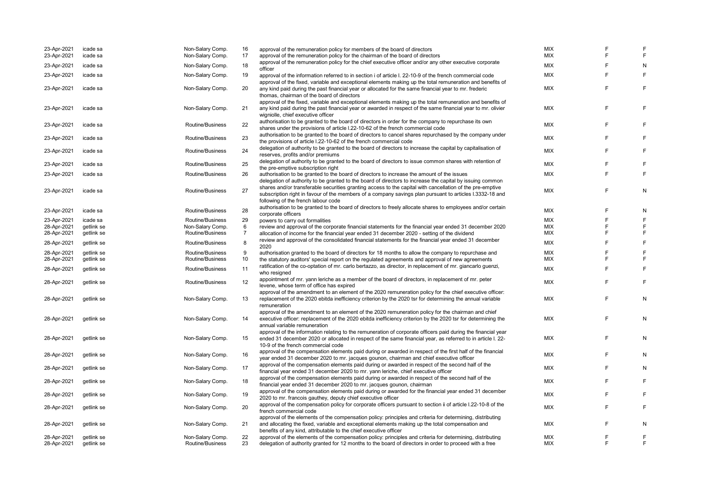| 23-Apr-2021<br>23-Apr-2021 | icade sa<br>icade sa     | Non-Salary Comp.<br>Non-Salary Comp. | 16<br>17 | approval of the remuneration policy for members of the board of directors<br>approval of the remuneration policy for the chairman of the board of directors                                                                                                                         | <b>MIX</b><br><b>MIX</b> | F<br>F. | E      |
|----------------------------|--------------------------|--------------------------------------|----------|-------------------------------------------------------------------------------------------------------------------------------------------------------------------------------------------------------------------------------------------------------------------------------------|--------------------------|---------|--------|
| 23-Apr-2021                | icade sa                 | Non-Salary Comp.                     | 18       | approval of the remuneration policy for the chief executive officer and/or any other executive corporate<br>officer                                                                                                                                                                 | <b>MIX</b>               | F       | N      |
| 23-Apr-2021                | icade sa                 | Non-Salary Comp.                     | 19       | approval of the information referred to in section i of article I. 22-10-9 of the french commercial code                                                                                                                                                                            | MIX                      | E       | F      |
| 23-Apr-2021                | icade sa                 | Non-Salary Comp.                     | 20       | approval of the fixed, variable and exceptional elements making up the total remuneration and benefits of<br>any kind paid during the past financial year or allocated for the same financial year to mr. frederic<br>thomas, chairman of the board of directors                    | <b>MIX</b>               | F       | F      |
| 23-Apr-2021                | icade sa                 | Non-Salary Comp.                     | 21       | approval of the fixed, variable and exceptional elements making up the total remuneration and benefits of<br>any kind paid during the past financial year or awarded in respect of the same financial year to mr. olivier<br>wigniolle, chief executive officer                     | <b>MIX</b>               | F       | F      |
| 23-Apr-2021                | icade sa                 | Routine/Business                     | 22       | authorisation to be granted to the board of directors in order for the company to repurchase its own<br>shares under the provisions of article I.22-10-62 of the french commercial code                                                                                             | <b>MIX</b>               | F       | F      |
| 23-Apr-2021                | icade sa                 | Routine/Business                     | 23       | authorisation to be granted to the board of directors to cancel shares repurchased by the company under<br>the provisions of article I.22-10-62 of the french commercial code                                                                                                       | <b>MIX</b>               | F       | E      |
| 23-Apr-2021                | icade sa                 | Routine/Business                     | 24       | delegation of authority to be granted to the board of directors to increase the capital by capitalisation of<br>reserves, profits and/or premiums                                                                                                                                   | MIX                      | F       | F      |
| 23-Apr-2021                | icade sa                 | Routine/Business                     | 25       | delegation of authority to be granted to the board of directors to issue common shares with retention of<br>the pre-emptive subscription right                                                                                                                                      | <b>MIX</b>               | F       | E      |
| 23-Apr-2021                | icade sa                 | Routine/Business                     | 26       | authorisation to be granted to the board of directors to increase the amount of the issues<br>delegation of authority to be granted to the board of directors to increase the capital by issuing common                                                                             | <b>MIX</b>               | E       | E      |
| 23-Apr-2021                | icade sa                 | Routine/Business                     | 27       | shares and/or transferable securities granting access to the capital with cancellation of the pre-emptive<br>subscription right in favour of the members of a company savings plan pursuant to articles I.3332-18 and<br>following of the french labour code                        | <b>MIX</b>               | E       | N      |
| 23-Apr-2021                | icade sa                 | Routine/Business                     | 28       | authorisation to be granted to the board of directors to freely allocate shares to employees and/or certain<br>corporate officers                                                                                                                                                   | <b>MIX</b>               | F       | N      |
| 23-Apr-2021                | icade sa                 | Routine/Business                     | 29       | powers to carry out formalities                                                                                                                                                                                                                                                     | <b>MIX</b>               | F       | F      |
| 28-Apr-2021                | getlink se               | Non-Salary Comp.                     | 6        | review and approval of the corporate financial statements for the financial year ended 31 december 2020                                                                                                                                                                             | <b>MIX</b>               | E       | F      |
| 28-Apr-2021                | getlink se               | Routine/Business                     | 7        | allocation of income for the financial year ended 31 december 2020 - setting of the dividend                                                                                                                                                                                        | <b>MIX</b>               | F       | E      |
| 28-Apr-2021                | getlink se               | Routine/Business                     | 8        | review and approval of the consolidated financial statements for the financial year ended 31 december<br>2020                                                                                                                                                                       | <b>MIX</b>               | F       | E      |
| 28-Apr-2021                | getlink se               | Routine/Business                     | 9        | authorisation granted to the board of directors for 18 months to allow the company to repurchase and                                                                                                                                                                                | <b>MIX</b>               | F       | E      |
| 28-Apr-2021                | getlink se               | Routine/Business                     | 10       | the statutory auditors' special report on the regulated agreements and approval of new agreements                                                                                                                                                                                   | <b>MIX</b>               | F       | E      |
|                            |                          |                                      |          | ratification of the co-optation of mr. carlo bertazzo, as director, in replacement of mr. giancarlo guenzi,                                                                                                                                                                         |                          |         |        |
| 28-Apr-2021                | getlink se               | Routine/Business                     | 11       | who resigned                                                                                                                                                                                                                                                                        | <b>MIX</b>               | F       | F      |
| 28-Apr-2021                | getlink se               | Routine/Business                     | 12       | appointment of mr. yann leriche as a member of the board of directors, in replacement of mr. peter<br>levene, whose term of office has expired                                                                                                                                      | <b>MIX</b>               | F       | F      |
| 28-Apr-2021                | getlink se               | Non-Salary Comp.                     | 13       | approval of the amendment to an element of the 2020 remuneration policy for the chief executive officer:<br>replacement of the 2020 ebitda inefficiency criterion by the 2020 tsr for determining the annual variable                                                               | <b>MIX</b>               | F       | N      |
|                            |                          |                                      |          | remuneration<br>approval of the amendment to an element of the 2020 remuneration policy for the chairman and chief                                                                                                                                                                  |                          |         |        |
| 28-Apr-2021                | getlink se               | Non-Salary Comp.                     | 14       | executive officer: replacement of the 2020 ebitda inefficiency criterion by the 2020 tsr for determining the<br>annual variable remuneration                                                                                                                                        | <b>MIX</b>               | F       | N      |
| 28-Apr-2021                | getlink se               | Non-Salary Comp.                     | 15       | approval of the information relating to the remuneration of corporate officers paid during the financial year<br>ended 31 december 2020 or allocated in respect of the same financial year, as referred to in article I. 22-<br>10-9 of the french commercial code                  | <b>MIX</b>               | F       | N      |
| 28-Apr-2021                | getlink se               | Non-Salary Comp.                     | 16       | approval of the compensation elements paid during or awarded in respect of the first half of the financial<br>year ended 31 december 2020 to mr. jacques gounon, chairman and chief executive officer                                                                               | <b>MIX</b>               | F       | N      |
| 28-Apr-2021                | getlink se               | Non-Salary Comp.                     | 17       | approval of the compensation elements paid during or awarded in respect of the second half of the<br>financial year ended 31 december 2020 to mr. yann leriche, chief executive officer                                                                                             | <b>MIX</b>               | E       | N      |
| 28-Apr-2021                | getlink se               | Non-Salary Comp.                     | 18       | approval of the compensation elements paid during or awarded in respect of the second half of the<br>financial year ended 31 december 2020 to mr. jacques gounon, chairman                                                                                                          | <b>MIX</b>               | E       | E      |
| 28-Apr-2021                | getlink se               | Non-Salary Comp.                     | 19       | approval of the compensation elements paid during or awarded for the financial year ended 31 december<br>2020 to mr. francois gauthey, deputy chief executive officer                                                                                                               | <b>MIX</b>               | E       |        |
| 28-Apr-2021                | getlink se               | Non-Salary Comp.                     | 20       | approval of the compensation policy for corporate officers pursuant to section ii of article I.22-10-8 of the<br>french commercial code                                                                                                                                             | <b>MIX</b>               | E       | F      |
| 28-Apr-2021                | getlink se               | Non-Salary Comp.                     | 21       | approval of the elements of the compensation policy: principles and criteria for determining, distributing<br>and allocating the fixed, variable and exceptional elements making up the total compensation and<br>benefits of any kind, attributable to the chief executive officer | <b>MIX</b>               | F       | N      |
| 28-Apr-2021<br>28-Apr-2021 | getlink se<br>getlink se | Non-Salary Comp.<br>Routine/Business | 22<br>23 | approval of the elements of the compensation policy: principles and criteria for determining, distributing<br>delegation of authority granted for 12 months to the board of directors in order to proceed with a free                                                               | <b>MIX</b><br><b>MIX</b> | F<br>E  | E<br>F |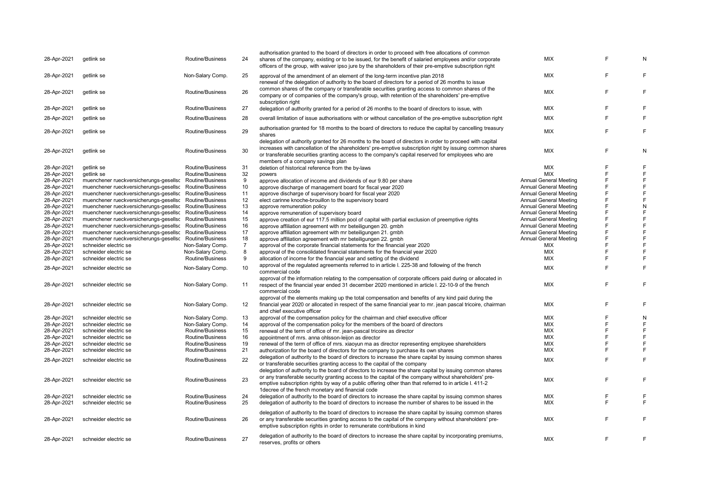| 28-Apr-2021 | getlink se                             | Routine/Business | 24             | authorisation granted to the board of directors in order to proceed with free allocations of common<br>shares of the company, existing or to be issued, for the benefit of salaried employees and/or corporate<br>officers of the group, with waiver ipso jure by the shareholders of their pre-emptive subscription right                                      | <b>MIX</b>                    |   | N |
|-------------|----------------------------------------|------------------|----------------|-----------------------------------------------------------------------------------------------------------------------------------------------------------------------------------------------------------------------------------------------------------------------------------------------------------------------------------------------------------------|-------------------------------|---|---|
| 28-Apr-2021 | getlink se                             | Non-Salary Comp. | 25             | approval of the amendment of an element of the long-term incentive plan 2018<br>renewal of the delegation of authority to the board of directors for a period of 26 months to issue                                                                                                                                                                             | MIX                           | F | F |
| 28-Apr-2021 | getlink se                             | Routine/Business | 26             | common shares of the company or transferable securities granting access to common shares of the<br>company or of companies of the company's group, with retention of the shareholders' pre-emptive<br>subscription right                                                                                                                                        | MIX                           | E | E |
| 28-Apr-2021 | getlink se                             | Routine/Business | 27             | delegation of authority granted for a period of 26 months to the board of directors to issue, with                                                                                                                                                                                                                                                              | MIX                           | F | E |
| 28-Apr-2021 | getlink se                             | Routine/Business | 28             | overall limitation of issue authorisations with or without cancellation of the pre-emptive subscription right                                                                                                                                                                                                                                                   | MIX                           | F | F |
| 28-Apr-2021 | getlink se                             | Routine/Business | 29             | authorisation granted for 18 months to the board of directors to reduce the capital by cancelling treasury<br>shares                                                                                                                                                                                                                                            | <b>MIX</b>                    | E | F |
| 28-Apr-2021 | getlink se                             | Routine/Business | 30             | delegation of authority granted for 26 months to the board of directors in order to proceed with capital<br>increases with cancellation of the shareholders' pre-emptive subscription right by issuing common shares<br>or transferable securities granting access to the company's capital reserved for employees who are<br>members of a company savings plan | MIX                           | F | N |
| 28-Apr-2021 | getlink se                             | Routine/Business | 31             | deletion of historical reference from the by-laws                                                                                                                                                                                                                                                                                                               | <b>MIX</b>                    | F | F |
| 28-Apr-2021 | getlink se                             | Routine/Business | 32             | powers                                                                                                                                                                                                                                                                                                                                                          | <b>MIX</b>                    | E | F |
| 28-Apr-2021 | muenchener rueckversicherungs-gesellsc | Routine/Business | 9              | approve allocation of income and dividends of eur 9.80 per share                                                                                                                                                                                                                                                                                                | <b>Annual General Meeting</b> | F | F |
| 28-Apr-2021 | muenchener rueckversicherungs-gesellsc | Routine/Business | 10             | approve discharge of management board for fiscal year 2020                                                                                                                                                                                                                                                                                                      | <b>Annual General Meeting</b> | F | F |
| 28-Apr-2021 | muenchener rueckversicherungs-gesellsc | Routine/Business | 11             | approve discharge of supervisory board for fiscal year 2020                                                                                                                                                                                                                                                                                                     | <b>Annual General Meeting</b> | F | F |
| 28-Apr-2021 | muenchener rueckversicherungs-gesellsc | Routine/Business | 12             | elect carinne knoche-brouillon to the supervisory board                                                                                                                                                                                                                                                                                                         | <b>Annual General Meeting</b> | F | F |
| 28-Apr-2021 | muenchener rueckversicherungs-gesellsc | Routine/Business | 13             | approve remuneration policy                                                                                                                                                                                                                                                                                                                                     | <b>Annual General Meeting</b> | F | N |
| 28-Apr-2021 | muenchener rueckversicherungs-gesellsc | Routine/Business | 14             | approve remuneration of supervisory board                                                                                                                                                                                                                                                                                                                       | <b>Annual General Meeting</b> | F | F |
| 28-Apr-2021 | muenchener rueckversicherungs-gesellsc | Routine/Business | 15             | approve creation of eur 117.5 million pool of capital with partial exclusion of preemptive rights                                                                                                                                                                                                                                                               | <b>Annual General Meeting</b> | F | F |
| 28-Apr-2021 | muenchener rueckversicherungs-gesellsc | Routine/Business | 16             | approve affiliation agreement with mr beteiligungen 20. gmbh                                                                                                                                                                                                                                                                                                    | <b>Annual General Meeting</b> | F | F |
| 28-Apr-2021 | muenchener rueckversicherungs-gesellsc | Routine/Business | 17             | approve affiliation agreement with mr beteiligungen 21. gmbh                                                                                                                                                                                                                                                                                                    | <b>Annual General Meeting</b> | F | E |
| 28-Apr-2021 | muenchener rueckversicherungs-gesellsc | Routine/Business | 18             | approve affiliation agreement with mr beteiligungen 22. gmbh                                                                                                                                                                                                                                                                                                    | <b>Annual General Meeting</b> | F | F |
| 28-Apr-2021 | schneider electric se                  | Non-Salary Comp. | $\overline{7}$ | approval of the corporate financial statements for the financial year 2020                                                                                                                                                                                                                                                                                      | MIX                           | F | F |
|             | schneider electric se                  |                  | 8              |                                                                                                                                                                                                                                                                                                                                                                 | <b>MIX</b>                    | F | F |
| 28-Apr-2021 |                                        | Non-Salary Comp. |                | approval of the consolidated financial statements for the financial year 2020                                                                                                                                                                                                                                                                                   |                               | F | F |
| 28-Apr-2021 | schneider electric se                  | Routine/Business | 9              | allocation of income for the financial year and setting of the dividend                                                                                                                                                                                                                                                                                         | MIX                           |   |   |
| 28-Apr-2021 | schneider electric se                  | Non-Salary Comp. | 10             | approval of the regulated agreements referred to in article I. 225-38 and following of the french<br>commercial code                                                                                                                                                                                                                                            | MIX                           | F | F |
| 28-Apr-2021 | schneider electric se                  | Non-Salary Comp. | 11             | approval of the information relating to the compensation of corporate officers paid during or allocated in<br>respect of the financial year ended 31 december 2020 mentioned in article I. 22-10-9 of the french                                                                                                                                                | MIX                           | E | F |
|             |                                        |                  |                | commercial code<br>approval of the elements making up the total compensation and benefits of any kind paid during the                                                                                                                                                                                                                                           |                               |   |   |
| 28-Apr-2021 | schneider electric se                  | Non-Salary Comp. | 12             | financial year 2020 or allocated in respect of the same financial year to mr. jean pascal tricoire, chairman<br>and chief executive officer                                                                                                                                                                                                                     | MIX                           | F | F |
| 28-Apr-2021 | schneider electric se                  | Non-Salary Comp. | 13             | approval of the compensation policy for the chairman and chief executive officer                                                                                                                                                                                                                                                                                | <b>MIX</b>                    | F | N |
| 28-Apr-2021 | schneider electric se                  | Non-Salary Comp. | 14             | approval of the compensation policy for the members of the board of directors                                                                                                                                                                                                                                                                                   | <b>MIX</b>                    | F | F |
| 28-Apr-2021 | schneider electric se                  | Routine/Business | 15             | renewal of the term of office of mr. jean-pascal tricoire as director                                                                                                                                                                                                                                                                                           | <b>MIX</b>                    | F | F |
| 28-Apr-2021 | schneider electric se                  | Routine/Business | 16             | appointment of mrs. anna ohlsson-leijon as director                                                                                                                                                                                                                                                                                                             | <b>MIX</b>                    | F | F |
| 28-Apr-2021 | schneider electric se                  | Routine/Business | 19             | renewal of the term of office of mrs. xiaoyun ma as director representing employee shareholders                                                                                                                                                                                                                                                                 | MIX                           | F | F |
| 28-Apr-2021 | schneider electric se                  | Routine/Business | 21             |                                                                                                                                                                                                                                                                                                                                                                 | <b>MIX</b>                    | F | F |
|             |                                        |                  |                | authorization for the board of directors for the company to purchase its own shares                                                                                                                                                                                                                                                                             |                               |   |   |
| 28-Apr-2021 | schneider electric se                  | Routine/Business | 22             | delegation of authority to the board of directors to increase the share capital by issuing common shares<br>or transferable securities granting access to the capital of the company<br>delegation of authority to the board of directors to increase the share capital by issuing common shares                                                                | MIX                           | E | F |
| 28-Apr-2021 | schneider electric se                  | Routine/Business | 23             | or any transferable security granting access to the capital of the company without shareholders' pre-<br>emptive subscription rights by way of a public offering other than that referred to in article I. 411-2<br>1 decree of the french monetary and financial code                                                                                          | MIX                           | E | E |
| 28-Apr-2021 | schneider electric se                  | Routine/Business | 24             | delegation of authority to the board of directors to increase the share capital by issuing common shares                                                                                                                                                                                                                                                        | <b>MIX</b>                    | F | F |
| 28-Apr-2021 | schneider electric se                  | Routine/Business | 25             | delegation of authority to the board of directors to increase the number of shares to be issued in the                                                                                                                                                                                                                                                          | MIX                           | E | F |
| 28-Apr-2021 | schneider electric se                  | Routine/Business | 26             | delegation of authority to the board of directors to increase the share capital by issuing common shares<br>or any transferable securities granting access to the capital of the company without shareholders' pre-<br>emptive subscription rights in order to remunerate contributions in kind                                                                 | <b>MIX</b>                    | F | F |
| 28-Apr-2021 | schneider electric se                  | Routine/Business | 27             | delegation of authority to the board of directors to increase the share capital by incorporating premiums,<br>reserves, profits or others                                                                                                                                                                                                                       | <b>MIX</b>                    | F | F |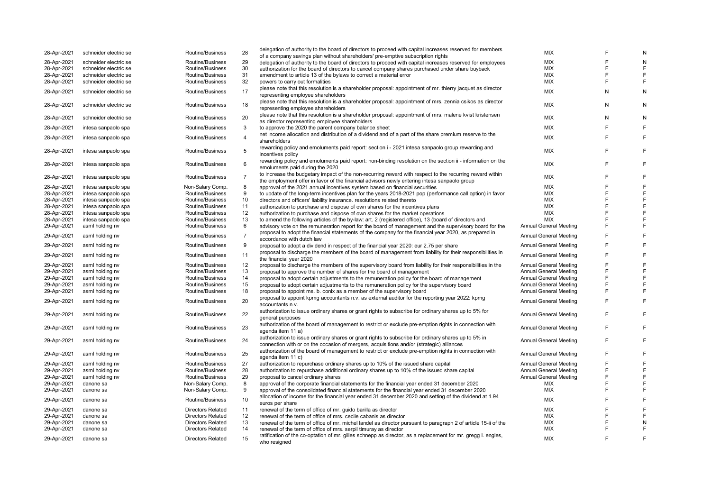| 28-Apr-2021 | schneider electric se | Routine/Business         | 28             | delegation of authority to the board of directors to proceed with capital increases reserved for members<br>of a company savings plan without shareholders' pre-emptive subscription rights | <b>MIX</b>                    |   |   |
|-------------|-----------------------|--------------------------|----------------|---------------------------------------------------------------------------------------------------------------------------------------------------------------------------------------------|-------------------------------|---|---|
| 28-Apr-2021 | schneider electric se | Routine/Business         | 29             |                                                                                                                                                                                             | <b>MIX</b>                    | F | N |
|             |                       | Routine/Business         | 30             | delegation of authority to the board of directors to proceed with capital increases reserved for employees                                                                                  | <b>MIX</b>                    | F |   |
| 28-Apr-2021 | schneider electric se |                          |                | authorization for the board of directors to cancel company shares purchased under share buyback                                                                                             |                               |   |   |
| 28-Apr-2021 | schneider electric se | Routine/Business         | 31             | amendment to article 13 of the bylaws to correct a material error                                                                                                                           | <b>MIX</b>                    | F | F |
| 28-Apr-2021 | schneider electric se | Routine/Business         | 32             | powers to carry out formalities                                                                                                                                                             | <b>MIX</b>                    | F | F |
| 28-Apr-2021 | schneider electric se | Routine/Business         | 17             | please note that this resolution is a shareholder proposal: appointment of mr. thierry jacquet as director                                                                                  | <b>MIX</b>                    | N | N |
|             |                       |                          |                | representing employee shareholders                                                                                                                                                          |                               |   |   |
|             |                       |                          |                | please note that this resolution is a shareholder proposal: appointment of mrs. zennia csikos as director                                                                                   |                               |   |   |
| 28-Apr-2021 | schneider electric se | Routine/Business         | 18             | representing employee shareholders                                                                                                                                                          | <b>MIX</b>                    | N | N |
|             |                       |                          |                | please note that this resolution is a shareholder proposal: appointment of mrs. malene kvist kristensen                                                                                     |                               |   |   |
| 28-Apr-2021 | schneider electric se | Routine/Business         | 20             |                                                                                                                                                                                             | <b>MIX</b>                    | N | N |
|             |                       |                          |                | as director representing employee shareholders                                                                                                                                              |                               |   |   |
| 28-Apr-2021 | intesa sanpaolo spa   | Routine/Business         | 3              | to approve the 2020 the parent company balance sheet                                                                                                                                        | <b>MIX</b>                    |   |   |
| 28-Apr-2021 | intesa sanpaolo spa   | Routine/Business         | $\overline{4}$ | net income allocation and distribution of a dividend and of a part of the share premium reserve to the                                                                                      | <b>MIX</b>                    | F | E |
|             |                       |                          |                | shareholders                                                                                                                                                                                |                               |   |   |
|             |                       |                          |                | rewarding policy and emoluments paid report: section i - 2021 intesa sanpaolo group rewarding and                                                                                           |                               | F |   |
| 28-Apr-2021 | intesa sanpaolo spa   | Routine/Business         | 5              | incentives policy                                                                                                                                                                           | <b>MIX</b>                    |   | F |
|             |                       |                          |                | rewarding policy and emoluments paid report: non-binding resolution on the section ii - information on the                                                                                  |                               |   |   |
| 28-Apr-2021 | intesa sanpaolo spa   | Routine/Business         | 6              |                                                                                                                                                                                             | <b>MIX</b>                    | F | F |
|             |                       |                          |                | emoluments paid during the 2020                                                                                                                                                             |                               |   |   |
| 28-Apr-2021 | intesa sanpaolo spa   | Routine/Business         | $\overline{7}$ | to increase the budgetary impact of the non-recurring reward with respect to the recurring reward within                                                                                    | <b>MIX</b>                    | F | E |
|             |                       |                          |                | the employment offer in favor of the financial advisors newly entering intesa sanpaolo group                                                                                                |                               |   |   |
| 28-Apr-2021 | intesa sanpaolo spa   | Non-Salary Comp.         | 8              | approval of the 2021 annual incentives system based on financial securities                                                                                                                 | <b>MIX</b>                    | E |   |
| 28-Apr-2021 | intesa sanpaolo spa   | Routine/Business         | 9              | to update of the long-term incentives plan for the years 2018-2021 pop (performance call option) in favor                                                                                   | <b>MIX</b>                    | E | F |
| 28-Apr-2021 | intesa sanpaolo spa   | Routine/Business         | 10             | directors and officers' liability insurance. resolutions related thereto                                                                                                                    | <b>MIX</b>                    | E | F |
| 28-Apr-2021 | intesa sanpaolo spa   | Routine/Business         | 11             | authorization to purchase and dispose of own shares for the incentives plans                                                                                                                | <b>MIX</b>                    | F | F |
|             |                       | Routine/Business         | 12             |                                                                                                                                                                                             | <b>MIX</b>                    | E | F |
| 28-Apr-2021 | intesa sanpaolo spa   |                          |                | authorization to purchase and dispose of own shares for the market operations                                                                                                               |                               |   |   |
| 28-Apr-2021 | intesa sanpaolo spa   | Routine/Business         | 13             | to amend the following articles of the by-law: art. 2 (registered office), 13 (board of directors and                                                                                       | <b>MIX</b>                    | F | E |
| 29-Apr-2021 | asml holding nv       | Routine/Business         | 6              | advisory vote on the remuneration report for the board of management and the supervisory board for the                                                                                      | <b>Annual General Meeting</b> | F | F |
| 29-Apr-2021 | asml holding nv       | Routine/Business         | $\overline{7}$ | proposal to adopt the financial statements of the company for the financial year 2020, as prepared in                                                                                       | <b>Annual General Meeting</b> |   | F |
|             |                       |                          |                | accordance with dutch law                                                                                                                                                                   |                               |   |   |
| 29-Apr-2021 | asml holding nv       | Routine/Business         | 9              | proposal to adopt a dividend in respect of the financial year 2020: eur 2.75 per share                                                                                                      | <b>Annual General Meeting</b> | F | F |
|             |                       |                          |                | proposal to discharge the members of the board of management from liability for their responsibilities in                                                                                   |                               |   |   |
| 29-Apr-2021 | asml holding nv       | Routine/Business         | 11             | the financial year 2020                                                                                                                                                                     | <b>Annual General Meeting</b> | F |   |
|             |                       |                          |                |                                                                                                                                                                                             |                               | F |   |
| 29-Apr-2021 | asml holding nv       | Routine/Business         | 12             | proposal to discharge the members of the supervisory board from liability for their responsibilities in the                                                                                 | <b>Annual General Meeting</b> |   |   |
| 29-Apr-2021 | asml holding nv       | Routine/Business         | 13             | proposal to approve the number of shares for the board of management                                                                                                                        | <b>Annual General Meeting</b> | F | F |
| 29-Apr-2021 | asml holding nv       | Routine/Business         | 14             | proposal to adopt certain adjustments to the remuneration policy for the board of management                                                                                                | <b>Annual General Meeting</b> | F | F |
| 29-Apr-2021 | asml holding nv       | Routine/Business         | 15             | proposal to adopt certain adjustments to the remuneration policy for the supervisory board                                                                                                  | <b>Annual General Meeting</b> | F | F |
| 29-Apr-2021 | asml holding nv       | Routine/Business         | 18             | proposal to appoint ms. b. conix as a member of the supervisory board                                                                                                                       | <b>Annual General Meeting</b> | F | F |
|             |                       |                          |                | proposal to appoint kpmg accountants n.v. as external auditor for the reporting year 2022: kpmg                                                                                             |                               |   |   |
| 29-Apr-2021 | asml holding nv       | Routine/Business         | 20             | accountants n.v.                                                                                                                                                                            | <b>Annual General Meeting</b> | E | F |
|             |                       |                          |                |                                                                                                                                                                                             |                               |   |   |
| 29-Apr-2021 | asml holding nv       | Routine/Business         | 22             | authorization to issue ordinary shares or grant rights to subscribe for ordinary shares up to 5% for                                                                                        | <b>Annual General Meeting</b> |   | F |
|             |                       |                          |                | general purposes                                                                                                                                                                            |                               |   |   |
| 29-Apr-2021 | asml holding nv       | Routine/Business         | 23             | authorization of the board of management to restrict or exclude pre-emption rights in connection with                                                                                       | <b>Annual General Meeting</b> | F | F |
|             |                       |                          |                | agenda item 11 a)                                                                                                                                                                           |                               |   |   |
|             |                       |                          |                | authorization to issue ordinary shares or grant rights to subscribe for ordinary shares up to 5% in                                                                                         |                               | F | F |
| 29-Apr-2021 | asml holding nv       | Routine/Business         | 24             | connection with or on the occasion of mergers, acquisitions and/or (strategic) alliances                                                                                                    | <b>Annual General Meeting</b> |   |   |
|             |                       |                          |                | authorization of the board of management to restrict or exclude pre-emption rights in connection with                                                                                       |                               |   |   |
| 29-Apr-2021 | asml holding nv       | Routine/Business         | 25             | agenda item 11 c)                                                                                                                                                                           | <b>Annual General Meeting</b> | F | F |
|             |                       |                          |                |                                                                                                                                                                                             |                               | F | F |
| 29-Apr-2021 | asml holding nv       | Routine/Business         | 27             | authorization to repurchase ordinary shares up to 10% of the issued share capital                                                                                                           | <b>Annual General Meeting</b> |   |   |
| 29-Apr-2021 | asml holding nv       | Routine/Business         | 28             | authorization to repurchase additional ordinary shares up to 10% of the issued share capital                                                                                                | <b>Annual General Meeting</b> | F | F |
| 29-Apr-2021 | asml holding nv       | Routine/Business         | 29             | proposal to cancel ordinary shares                                                                                                                                                          | <b>Annual General Meeting</b> | F | F |
| 29-Apr-2021 | danone sa             | Non-Salary Comp.         | 8              | approval of the corporate financial statements for the financial year ended 31 december 2020                                                                                                | MIX                           | F | F |
| 29-Apr-2021 | danone sa             | Non-Salary Comp.         | 9              | approval of the consolidated financial statements for the financial year ended 31 december 2020                                                                                             | MIX                           | F | F |
|             |                       |                          |                | allocation of income for the financial year ended 31 december 2020 and setting of the dividend at 1.94                                                                                      |                               |   |   |
| 29-Apr-2021 | danone sa             | Routine/Business         | 10             |                                                                                                                                                                                             | <b>MIX</b>                    | F | E |
|             |                       |                          |                | euros per share                                                                                                                                                                             | <b>MIX</b>                    |   |   |
| 29-Apr-2021 | danone sa             | <b>Directors Related</b> | 11             | renewal of the term of office of mr. guido barilla as director                                                                                                                              |                               |   |   |
| 29-Apr-2021 | danone sa             | <b>Directors Related</b> | 12             | renewal of the term of office of mrs. cecile cabanis as director                                                                                                                            | <b>MIX</b>                    |   |   |
| 29-Apr-2021 | danone sa             | <b>Directors Related</b> | 13             | renewal of the term of office of mr. michel landel as director pursuant to paragraph 2 of article 15-ii of the                                                                              | <b>MIX</b>                    | E | N |
| 29-Apr-2021 | danone sa             | <b>Directors Related</b> | 14             | renewal of the term of office of mrs. serpil timuray as director                                                                                                                            | <b>MIX</b>                    | F | F |
| 29-Apr-2021 | danone sa             | <b>Directors Related</b> | 15             | ratification of the co-optation of mr. gilles schnepp as director, as a replacement for mr. gregg I. engles,                                                                                | <b>MIX</b>                    | F | E |
|             |                       |                          |                | who resigned                                                                                                                                                                                |                               |   |   |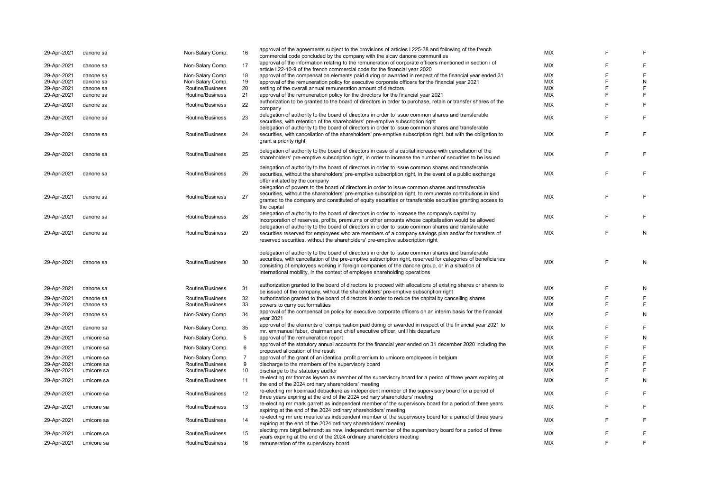| 29-Apr-2021                | danone sa  | Non-Salary Comp. | 16             | approval of the agreements subject to the provisions of articles I.225-38 and following of the french<br>commercial code concluded by the company with the sicav danone communities                                                                                                                                                                                                                 | <b>MIX</b> |   | E              |
|----------------------------|------------|------------------|----------------|-----------------------------------------------------------------------------------------------------------------------------------------------------------------------------------------------------------------------------------------------------------------------------------------------------------------------------------------------------------------------------------------------------|------------|---|----------------|
| 29-Apr-2021                | danone sa  | Non-Salary Comp. | 17             | approval of the information relating to the remuneration of corporate officers mentioned in section i of                                                                                                                                                                                                                                                                                            | <b>MIX</b> | F | F              |
|                            |            |                  |                | article I.22-10-9 of the french commercial code for the financial year 2020                                                                                                                                                                                                                                                                                                                         | <b>MIX</b> | F | E              |
| 29-Apr-2021                | danone sa  | Non-Salary Comp. | 18             | approval of the compensation elements paid during or awarded in respect of the financial year ended 31                                                                                                                                                                                                                                                                                              | <b>MIX</b> | F |                |
| 29-Apr-2021                | danone sa  | Non-Salary Comp. | 19             | approval of the remuneration policy for executive corporate officers for the financial year 2021                                                                                                                                                                                                                                                                                                    |            | F | ${\sf N}$      |
| 29-Apr-2021                | danone sa  | Routine/Business | 20             | setting of the overall annual remuneration amount of directors                                                                                                                                                                                                                                                                                                                                      | MIX        |   | E              |
| 29-Apr-2021                | danone sa  | Routine/Business | 21             | approval of the remuneration policy for the directors for the financial year 2021                                                                                                                                                                                                                                                                                                                   | <b>MIX</b> | E | E              |
| 29-Apr-2021                | danone sa  | Routine/Business | 22             | authorization to be granted to the board of directors in order to purchase, retain or transfer shares of the<br>company                                                                                                                                                                                                                                                                             | <b>MIX</b> | F | E              |
| 29-Apr-2021                | danone sa  | Routine/Business | 23             | delegation of authority to the board of directors in order to issue common shares and transferable<br>securities, with retention of the shareholders' pre-emptive subscription right<br>delegation of authority to the board of directors in order to issue common shares and transferable                                                                                                          | MIX        | F | F              |
| 29-Apr-2021                | danone sa  | Routine/Business | 24             | securities, with cancellation of the shareholders' pre-emptive subscription right, but with the obligation to<br>grant a priority right                                                                                                                                                                                                                                                             | <b>MIX</b> | E | F.             |
| 29-Apr-2021                | danone sa  | Routine/Business | 25             | delegation of authority to the board of directors in case of a capital increase with cancellation of the<br>shareholders' pre-emptive subscription right, in order to increase the number of securities to be issued                                                                                                                                                                                | <b>MIX</b> | E | F              |
| 29-Apr-2021                | danone sa  | Routine/Business | 26             | delegation of authority to the board of directors in order to issue common shares and transferable<br>securities, without the shareholders' pre-emptive subscription right, in the event of a public exchange<br>offer initiated by the company                                                                                                                                                     | <b>MIX</b> | F | F              |
| 29-Apr-2021                | danone sa  | Routine/Business | 27             | delegation of powers to the board of directors in order to issue common shares and transferable<br>securities, without the shareholders' pre-emptive subscription right, to remunerate contributions in kind<br>granted to the company and constituted of equity securities or transferable securities granting access to                                                                           | <b>MIX</b> | E | F              |
|                            |            |                  |                | the capital                                                                                                                                                                                                                                                                                                                                                                                         |            |   |                |
| 29-Apr-2021                | danone sa  | Routine/Business | 28             | delegation of authority to the board of directors in order to increase the company's capital by<br>incorporation of reserves, profits, premiums or other amounts whose capitalisation would be allowed                                                                                                                                                                                              | <b>MIX</b> | F | F              |
| 29-Apr-2021                | danone sa  | Routine/Business | 29             | delegation of authority to the board of directors in order to issue common shares and transferable<br>securities reserved for employees who are members of a company savings plan and/or for transfers of<br>reserved securities, without the shareholders' pre-emptive subscription right                                                                                                          | <b>MIX</b> | F | N              |
| 29-Apr-2021                | danone sa  | Routine/Business | 30             | delegation of authority to the board of directors in order to issue common shares and transferable<br>securities, with cancellation of the pre-emptive subscription right, reserved for categories of beneficiaries<br>consisting of employees working in foreign companies of the danone group, or in a situation of<br>international mobility, in the context of employee shareholding operations | <b>MIX</b> | F | N              |
|                            |            |                  |                |                                                                                                                                                                                                                                                                                                                                                                                                     |            |   |                |
| 29-Apr-2021                | danone sa  | Routine/Business | 31             | authorization granted to the board of directors to proceed with allocations of existing shares or shares to                                                                                                                                                                                                                                                                                         | <b>MIX</b> | F | N              |
|                            |            |                  |                | be issued of the company, without the shareholders' pre-emptive subscription right                                                                                                                                                                                                                                                                                                                  |            |   |                |
| 29-Apr-2021                | danone sa  | Routine/Business | 32             | authorization granted to the board of directors in order to reduce the capital by cancelling shares                                                                                                                                                                                                                                                                                                 | <b>MIX</b> | F | E              |
| 29-Apr-2021                | danone sa  | Routine/Business | 33             | powers to carry out formalities                                                                                                                                                                                                                                                                                                                                                                     | <b>MIX</b> | E | E              |
| 29-Apr-2021                | danone sa  | Non-Salary Comp. | 34             | approval of the compensation policy for executive corporate officers on an interim basis for the financial<br>year 2021                                                                                                                                                                                                                                                                             | <b>MIX</b> | F | N              |
| 29-Apr-2021                | danone sa  | Non-Salary Comp. | 35             | approval of the elements of compensation paid during or awarded in respect of the financial year 2021 to<br>mr. emmanuel faber, chairman and chief executive officer, until his departure                                                                                                                                                                                                           | <b>MIX</b> | E | E              |
| 29-Apr-2021                | umicore sa | Non-Salary Comp. | 5              | approval of the remuneration report                                                                                                                                                                                                                                                                                                                                                                 | MIX        | F | N              |
| 29-Apr-2021                | umicore sa | Non-Salary Comp. | 6              | approval of the statutory annual accounts for the financial year ended on 31 december 2020 including the<br>proposed allocation of the result                                                                                                                                                                                                                                                       | <b>MIX</b> | F | E              |
| 29-Apr-2021                | umicore sa | Non-Salary Comp. | $\overline{7}$ | approval of the grant of an identical profit premium to umicore employees in belgium                                                                                                                                                                                                                                                                                                                | <b>MIX</b> | E | E              |
| 29-Apr-2021                | umicore sa | Routine/Business | 9              | discharge to the members of the supervisory board                                                                                                                                                                                                                                                                                                                                                   | <b>MIX</b> | E | E              |
|                            | umicore sa | Routine/Business | 10             | discharge to the statutory auditor                                                                                                                                                                                                                                                                                                                                                                  | <b>MIX</b> | E | E              |
| 29-Apr-2021<br>29-Apr-2021 | umicore sa | Routine/Business | 11             | re-electing mr thomas leysen as member of the supervisory board for a period of three years expiring at                                                                                                                                                                                                                                                                                             | <b>MIX</b> | F | N              |
| 29-Apr-2021                | umicore sa | Routine/Business | 12             | the end of the 2024 ordinary shareholders' meeting<br>re-electing mr koenraad debackere as independent member of the supervisory board for a period of                                                                                                                                                                                                                                              | <b>MIX</b> | E | E              |
| 29-Apr-2021                | umicore sa | Routine/Business | 13             | three years expiring at the end of the 2024 ordinary shareholders' meeting<br>re-electing mr mark garrett as independent member of the supervisory board for a period of three years                                                                                                                                                                                                                | MIX        | E | E              |
| 29-Apr-2021                | umicore sa | Routine/Business | 14             | expiring at the end of the 2024 ordinary shareholders' meeting<br>re-electing mr eric meurice as independent member of the supervisory board for a period of three years                                                                                                                                                                                                                            | <b>MIX</b> | F | E              |
| 29-Apr-2021                | umicore sa | Routine/Business | 15             | expiring at the end of the 2024 ordinary shareholders' meeting<br>electing mrs birgit behrendt as new, independent member of the supervisory board for a period of three                                                                                                                                                                                                                            | <b>MIX</b> | F | E              |
| 29-Apr-2021                | umicore sa | Routine/Business | 16             | years expiring at the end of the 2024 ordinary shareholders meeting<br>remuneration of the supervisory board                                                                                                                                                                                                                                                                                        | <b>MIX</b> | F | $\overline{F}$ |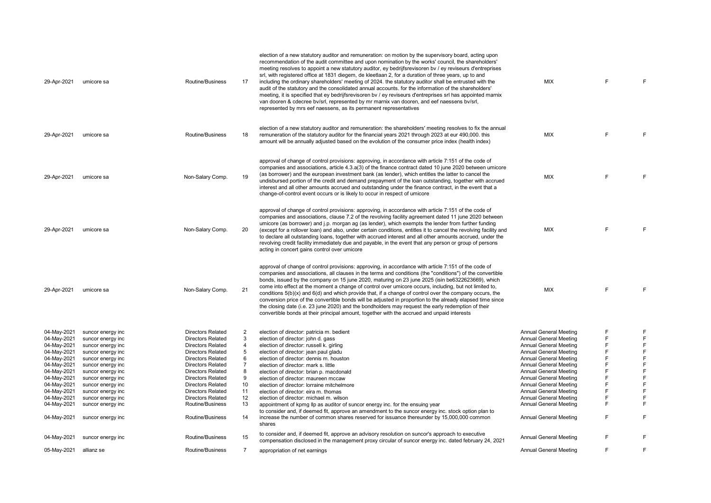| 29-Apr-2021                | umicore sa                             | Routine/Business                              | 17             | election of a new statutory auditor and remuneration: on motion by the supervisory board, acting upon<br>recommendation of the audit committee and upon nomination by the works' council, the shareholders'<br>meeting resolves to appoint a new statutory auditor, ey bedrijfsrevisoren by / ey reviseurs d'entreprises<br>srl, with registered office at 1831 diegem, de kleetlaan 2, for a duration of three years, up to and<br>including the ordinary shareholders' meeting of 2024. the statutory auditor shall be entrusted with the<br>audit of the statutory and the consolidated annual accounts. for the information of the shareholders'<br>meeting, it is specified that ey bedrijfsrevisoren by / ey reviseurs d'entreprises srl has appointed marnix<br>van dooren & cdecree bv/srl, represented by mr marnix van dooren, and eef naessens bv/srl,<br>represented by mrs eef naessens, as its permanent representatives | <b>MIX</b>                                              | F.     | E           |
|----------------------------|----------------------------------------|-----------------------------------------------|----------------|----------------------------------------------------------------------------------------------------------------------------------------------------------------------------------------------------------------------------------------------------------------------------------------------------------------------------------------------------------------------------------------------------------------------------------------------------------------------------------------------------------------------------------------------------------------------------------------------------------------------------------------------------------------------------------------------------------------------------------------------------------------------------------------------------------------------------------------------------------------------------------------------------------------------------------------|---------------------------------------------------------|--------|-------------|
| 29-Apr-2021                | umicore sa                             | Routine/Business                              | 18             | election of a new statutory auditor and remuneration: the shareholders' meeting resolves to fix the annual<br>remuneration of the statutory auditor for the financial years 2021 through 2023 at eur 490,000. this<br>amount will be annually adjusted based on the evolution of the consumer price index (health index)                                                                                                                                                                                                                                                                                                                                                                                                                                                                                                                                                                                                               | <b>MIX</b>                                              | F.     | F           |
| 29-Apr-2021                | umicore sa                             | Non-Salary Comp.                              | 19             | approval of change of control provisions: approving, in accordance with article 7:151 of the code of<br>companies and associations, article 4.3.a(3) of the finance contract dated 10 june 2020 between umicore<br>(as borrower) and the european investment bank (as lender), which entitles the latter to cancel the<br>undisbursed portion of the credit and demand prepayment of the loan outstanding, together with accrued<br>interest and all other amounts accrued and outstanding under the finance contract, in the event that a<br>change-of-control event occurs or is likely to occur in respect of umicore                                                                                                                                                                                                                                                                                                               | <b>MIX</b>                                              | F      | E           |
| 29-Apr-2021                | umicore sa                             | Non-Salary Comp.                              | 20             | approval of change of control provisions: approving, in accordance with article 7:151 of the code of<br>companies and associations, clause 7.2 of the revolving facility agreement dated 11 june 2020 between<br>umicore (as borrower) and j.p. morgan ag (as lender), which exempts the lender from further funding<br>(except for a rollover loan) and also, under certain conditions, entitles it to cancel the revolving facility and<br>to declare all outstanding loans, together with accrued interest and all other amounts accrued, under the<br>revolving credit facility immediately due and payable, in the event that any person or group of persons<br>acting in concert gains control over umicore                                                                                                                                                                                                                      | <b>MIX</b>                                              | E      | E           |
| 29-Apr-2021                | umicore sa                             | Non-Salary Comp.                              | 21             | approval of change of control provisions: approving, in accordance with article 7:151 of the code of<br>companies and associations, all clauses in the terms and conditions (the "conditions") of the convertible<br>bonds, issued by the company on 15 june 2020, maturing on 23 june 2025 (isin be6322623669), which<br>come into effect at the moment a change of control over umicore occurs, including, but not limited to,<br>conditions $5(b)(x)$ and $6(d)$ and which provide that, if a change of control over the company occurs, the<br>conversion price of the convertible bonds will be adjusted in proportion to the already elapsed time since<br>the closing date (i.e. 23 june 2020) and the bondholders may request the early redemption of their<br>convertible bonds at their principal amount, together with the accrued and unpaid interests                                                                     | MIX                                                     | F      | F           |
|                            |                                        |                                               |                |                                                                                                                                                                                                                                                                                                                                                                                                                                                                                                                                                                                                                                                                                                                                                                                                                                                                                                                                        |                                                         |        |             |
| 04-May-2021<br>04-May-2021 | suncor energy inc<br>suncor energy inc | Directors Related<br><b>Directors Related</b> | 2<br>3         | election of director: patricia m. bedient                                                                                                                                                                                                                                                                                                                                                                                                                                                                                                                                                                                                                                                                                                                                                                                                                                                                                              | Annual General Meeting<br><b>Annual General Meeting</b> | F<br>F | F<br>E      |
| 04-May-2021                | suncor energy inc                      | <b>Directors Related</b>                      | $\overline{4}$ | election of director: john d. gass<br>election of director: russell k. girling                                                                                                                                                                                                                                                                                                                                                                                                                                                                                                                                                                                                                                                                                                                                                                                                                                                         | <b>Annual General Meeting</b>                           | F      | F           |
| 04-May-2021                | suncor energy inc                      | <b>Directors Related</b>                      | 5              | election of director: jean paul gladu                                                                                                                                                                                                                                                                                                                                                                                                                                                                                                                                                                                                                                                                                                                                                                                                                                                                                                  | <b>Annual General Meeting</b>                           | F      | F           |
| 04-May-2021                | suncor energy inc                      | <b>Directors Related</b>                      | 6              | election of director: dennis m. houston                                                                                                                                                                                                                                                                                                                                                                                                                                                                                                                                                                                                                                                                                                                                                                                                                                                                                                | <b>Annual General Meeting</b>                           | F      | F           |
| 04-May-2021                | suncor energy inc                      | <b>Directors Related</b>                      | $\overline{7}$ | election of director: mark s. little                                                                                                                                                                                                                                                                                                                                                                                                                                                                                                                                                                                                                                                                                                                                                                                                                                                                                                   | Annual General Meeting                                  | F      | F           |
| 04-May-2021                | suncor energy inc                      | <b>Directors Related</b>                      | 8              | election of director: brian p. macdonald                                                                                                                                                                                                                                                                                                                                                                                                                                                                                                                                                                                                                                                                                                                                                                                                                                                                                               | <b>Annual General Meeting</b>                           | F      | F           |
| 04-May-2021                | suncor energy inc                      | Directors Related                             | 9              | election of director: maureen mccaw                                                                                                                                                                                                                                                                                                                                                                                                                                                                                                                                                                                                                                                                                                                                                                                                                                                                                                    | <b>Annual General Meeting</b>                           | F      | F           |
| 04-May-2021                | suncor energy inc                      | <b>Directors Related</b>                      | 10             | election of director: lorraine mitchelmore                                                                                                                                                                                                                                                                                                                                                                                                                                                                                                                                                                                                                                                                                                                                                                                                                                                                                             | <b>Annual General Meeting</b>                           | F      | $\mathsf F$ |
| 04-May-2021                | suncor energy inc                      | <b>Directors Related</b>                      | 11             | election of director: eira m. thomas                                                                                                                                                                                                                                                                                                                                                                                                                                                                                                                                                                                                                                                                                                                                                                                                                                                                                                   | Annual General Meeting                                  | F      | F           |
| 04-May-2021                | suncor energy inc                      | <b>Directors Related</b>                      | 12             | election of director: michael m. wilson                                                                                                                                                                                                                                                                                                                                                                                                                                                                                                                                                                                                                                                                                                                                                                                                                                                                                                | <b>Annual General Meeting</b>                           | F      | E           |
| 04-May-2021                | suncor energy inc                      | Routine/Business                              | 13             | appointment of kpmg Ilp as auditor of suncor energy inc. for the ensuing year                                                                                                                                                                                                                                                                                                                                                                                                                                                                                                                                                                                                                                                                                                                                                                                                                                                          | Annual General Meeting                                  | F      | F           |
|                            |                                        |                                               |                | to consider and, if deemed fit, approve an amendment to the suncor energy inc. stock option plan to                                                                                                                                                                                                                                                                                                                                                                                                                                                                                                                                                                                                                                                                                                                                                                                                                                    |                                                         |        |             |
| 04-May-2021                | suncor energy inc                      | Routine/Business                              | 14             | increase the number of common shares reserved for issuance thereunder by 15,000,000 common<br>shares                                                                                                                                                                                                                                                                                                                                                                                                                                                                                                                                                                                                                                                                                                                                                                                                                                   | Annual General Meeting                                  | F      | F           |
| 04-May-2021                | suncor energy inc                      | Routine/Business                              | 15             | to consider and, if deemed fit, approve an advisory resolution on suncor's approach to executive<br>compensation disclosed in the management proxy circular of suncor energy inc. dated february 24, 2021                                                                                                                                                                                                                                                                                                                                                                                                                                                                                                                                                                                                                                                                                                                              | Annual General Meeting                                  | F      | F           |
| 05-May-2021                | allianz se                             | Routine/Business                              | $\overline{7}$ | appropriation of net earnings                                                                                                                                                                                                                                                                                                                                                                                                                                                                                                                                                                                                                                                                                                                                                                                                                                                                                                          | Annual General Meeting                                  | E      | F           |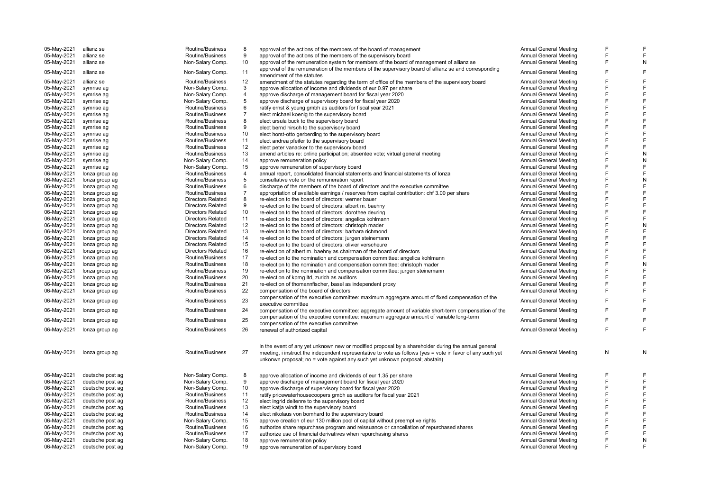| 05-May-2021 | allianz se       | Routine/Business                                     | 8              | approval of the actions of the members of the board of management                                                     | Annual General Meeting                                         | F      |        |
|-------------|------------------|------------------------------------------------------|----------------|-----------------------------------------------------------------------------------------------------------------------|----------------------------------------------------------------|--------|--------|
| 05-May-2021 | allianz se       | Routine/Business                                     | 9              | approval of the actions of the members of the supervisory board                                                       | <b>Annual General Meeting</b>                                  | F      | F      |
| 05-May-2021 | allianz se       | Non-Salary Comp.                                     | 10             | approval of the remuneration system for members of the board of management of allianz se                              | Annual General Meeting                                         | F      | N      |
| 05-May-2021 | allianz se       | Non-Salary Comp.                                     | 11             | approval of the remuneration of the members of the supervisory board of allianz se and corresponding                  | <b>Annual General Meeting</b>                                  | F      | F      |
|             |                  |                                                      |                | amendment of the statutes                                                                                             |                                                                |        | F      |
| 05-May-2021 | allianz se       | Routine/Business                                     | 12<br>3        | amendment of the statutes regarding the term of office of the members of the supervisory board                        | <b>Annual General Meeting</b>                                  |        | F      |
| 05-May-2021 | symrise ag       | Non-Salary Comp.                                     | $\overline{4}$ | approve allocation of income and dividends of eur 0.97 per share                                                      | <b>Annual General Meeting</b>                                  | F      | F      |
| 05-May-2021 | symrise ag       | Non-Salary Comp.                                     | 5              | approve discharge of management board for fiscal year 2020                                                            | Annual General Meeting                                         |        | F      |
| 05-May-2021 | symrise ag       | Non-Salary Comp.                                     | 6              | approve discharge of supervisory board for fiscal year 2020                                                           | <b>Annual General Meeting</b>                                  | F      | F      |
| 05-May-2021 | symrise ag       | Routine/Business                                     |                | ratify ernst & young gmbh as auditors for fiscal year 2021                                                            | <b>Annual General Meeting</b>                                  |        |        |
| 05-May-2021 | symrise ag       | Routine/Business                                     | $\overline{7}$ | elect michael koenig to the supervisory board                                                                         | <b>Annual General Meeting</b>                                  |        | F      |
| 05-May-2021 | symrise ag       | Routine/Business                                     | 8              | elect ursula buck to the supervisory board                                                                            | Annual General Meeting                                         | F      | F      |
| 05-May-2021 | symrise ag       | Routine/Business                                     | 9              | elect bernd hirsch to the supervisory board                                                                           | <b>Annual General Meeting</b>                                  | F      | F<br>F |
| 05-May-2021 | symrise ag       | Routine/Business                                     | 10             | elect horst-otto gerberding to the supervisory board                                                                  | <b>Annual General Meeting</b>                                  |        |        |
| 05-May-2021 | symrise ag       | Routine/Business                                     | 11             | elect andrea pfeifer to the supervisory board                                                                         | <b>Annual General Meeting</b>                                  | F      | F      |
| 05-May-2021 | symrise ag       | Routine/Business                                     | 12             | elect peter vanacker to the supervisory board                                                                         | <b>Annual General Meeting</b>                                  | F      | F      |
| 05-May-2021 | symrise ag       | Routine/Business                                     | 13             | amend articles re: online participation; absentee vote; virtual general meeting                                       | <b>Annual General Meeting</b>                                  | F      | N      |
| 05-May-2021 | symrise ag       | Non-Salary Comp.                                     | 14             | approve remuneration policy                                                                                           | <b>Annual General Meeting</b>                                  |        | N      |
| 05-May-2021 | symrise ag       | Non-Salary Comp.                                     | 15             | approve remuneration of supervisory board                                                                             | <b>Annual General Meeting</b>                                  | F      | F      |
| 06-May-2021 | lonza group ag   | Routine/Business                                     | $\overline{4}$ | annual report, consolidated financial statements and financial statements of lonza                                    | <b>Annual General Meeting</b>                                  | F      | F      |
| 06-May-2021 | lonza group ag   | Routine/Business                                     | 5              | consultative vote on the remuneration report                                                                          | <b>Annual General Meeting</b>                                  | F      | N      |
| 06-May-2021 | lonza group ag   | Routine/Business                                     | 6              | discharge of the members of the board of directors and the executive committee                                        | <b>Annual General Meeting</b>                                  | F      | F      |
| 06-May-2021 | lonza group ag   | Routine/Business                                     | $\overline{7}$ | appropriation of available earnings / reserves from capital contribution: chf 3.00 per share                          | <b>Annual General Meeting</b>                                  |        | F      |
| 06-May-2021 | lonza group ag   | <b>Directors Related</b>                             | 8              | re-election to the board of directors: werner bauer                                                                   | <b>Annual General Meeting</b>                                  | F<br>F | F      |
| 06-May-2021 | lonza group ag   | <b>Directors Related</b>                             | 9              | re-election to the board of directors: albert m. baehny                                                               | <b>Annual General Meeting</b>                                  |        | F      |
| 06-May-2021 | lonza group ag   | <b>Directors Related</b>                             | 10             | re-election to the board of directors: dorothee deuring                                                               | <b>Annual General Meeting</b>                                  | F      | F      |
| 06-May-2021 | lonza group ag   | <b>Directors Related</b>                             | 11             | re-election to the board of directors: angelica kohlmann                                                              | <b>Annual General Meeting</b>                                  | F      | F      |
| 06-May-2021 | lonza group ag   | <b>Directors Related</b>                             | 12             | re-election to the board of directors: christoph mader                                                                | <b>Annual General Meeting</b>                                  | F      | N      |
| 06-May-2021 | lonza group ag   | <b>Directors Related</b>                             | 13<br>14       | re-election to the board of directors: barbara richmond                                                               | <b>Annual General Meeting</b>                                  | F<br>F | F<br>F |
| 06-May-2021 | lonza group ag   | <b>Directors Related</b><br><b>Directors Related</b> |                | re-election to the board of directors: jurgen steinemann                                                              | <b>Annual General Meeting</b>                                  | F      | F      |
| 06-May-2021 | lonza group ag   |                                                      | 15             | re-election to the board of directors: olivier verscheure                                                             | <b>Annual General Meeting</b>                                  | F      |        |
| 06-May-2021 | lonza group ag   | <b>Directors Related</b>                             | 16             | re-election of albert m. baehny as chairman of the board of directors                                                 | <b>Annual General Meeting</b>                                  |        | F      |
| 06-May-2021 | lonza group ag   | Routine/Business                                     | 17             | re-election to the nomination and compensation committee: angelica kohlmann                                           | <b>Annual General Meeting</b>                                  |        | F      |
| 06-May-2021 | lonza group ag   | Routine/Business                                     | 18             | re-election to the nomination and compensation committee: christoph mader                                             | Annual General Meeting                                         | F      | N      |
| 06-May-2021 | lonza group ag   | Routine/Business                                     | 19             | re-election to the nomination and compensation committee: jurgen steinemann                                           | <b>Annual General Meeting</b>                                  |        | F      |
| 06-May-2021 | lonza group ag   | Routine/Business                                     | 20             | re-election of kpmg ltd, zurich as auditors                                                                           | <b>Annual General Meeting</b>                                  | F<br>F | F<br>F |
| 06-May-2021 | lonza group ag   | Routine/Business                                     | 21             | re-election of thomannfischer, basel as independent proxy                                                             | <b>Annual General Meeting</b>                                  |        |        |
| 06-May-2021 | lonza group ag   | Routine/Business                                     | 22             | compensation of the board of directors                                                                                | <b>Annual General Meeting</b>                                  |        | F      |
| 06-May-2021 | lonza group ag   | Routine/Business                                     | 23             | compensation of the executive committee: maximum aggregate amount of fixed compensation of the<br>executive committee | Annual General Meeting                                         | F      | F      |
| 06-May-2021 | lonza group ag   | Routine/Business                                     | 24             | compensation of the executive committee: aggregate amount of variable short-term compensation of the                  | Annual General Meeting                                         | F      | F      |
| 06-May-2021 | lonza group ag   | Routine/Business                                     | 25             | compensation of the executive committee: maximum aggregate amount of variable long-term                               | <b>Annual General Meeting</b>                                  | F      | F      |
|             |                  |                                                      |                | compensation of the executive committee                                                                               |                                                                |        |        |
| 06-May-2021 | lonza group ag   | Routine/Business                                     | 26             | renewal of authorized capital                                                                                         | <b>Annual General Meeting</b>                                  | F      | F      |
|             |                  |                                                      |                | in the event of any yet unknown new or modified proposal by a shareholder during the annual general                   |                                                                |        |        |
| 06-May-2021 | lonza group ag   | Routine/Business                                     | 27             | meeting, i instruct the independent representative to vote as follows (yes = vote in favor of any such yet            | <b>Annual General Meeting</b>                                  | Ν      | N      |
|             |                  |                                                      |                | unkonwn proposal; no = vote against any such yet unknown porposal; abstain)                                           |                                                                |        |        |
|             |                  |                                                      |                |                                                                                                                       |                                                                |        |        |
| 06-May-2021 | deutsche post ag | Non-Salary Comp.                                     | 8              | approve allocation of income and dividends of eur 1.35 per share                                                      | <b>Annual General Meeting</b>                                  | F<br>F | F      |
| 06-May-2021 | deutsche post ag | Non-Salary Comp.                                     | 9              | approve discharge of management board for fiscal year 2020                                                            | <b>Annual General Meeting</b>                                  |        | F      |
| 06-May-2021 | deutsche post ag | Non-Salary Comp.                                     | 10             | approve discharge of supervisory board for fiscal year 2020                                                           | <b>Annual General Meeting</b>                                  | F<br>F | F      |
| 06-May-2021 | deutsche post ag | Routine/Business                                     | 11             | ratify pricewaterhousecoopers gmbh as auditors for fiscal year 2021                                                   | <b>Annual General Meeting</b>                                  | F      | F<br>F |
| 06-May-2021 | deutsche post ag | Routine/Business                                     | 12             | elect ingrid deltenre to the supervisory board                                                                        | <b>Annual General Meeting</b>                                  | F      | F      |
| 06-May-2021 | deutsche post ag | Routine/Business                                     | 13<br>14       | elect katja windt to the supervisory board                                                                            | Annual General Meeting                                         | F      | F      |
| 06-May-2021 | deutsche post ag | Routine/Business                                     | 15             | elect nikolaus von bomhard to the supervisory board                                                                   | <b>Annual General Meeting</b>                                  |        | F      |
| 06-May-2021 | deutsche post ag | Non-Salary Comp.                                     | 16             | approve creation of eur 130 million pool of capital without preemptive rights                                         | <b>Annual General Meeting</b><br><b>Annual General Meeting</b> | F      | F      |
| 06-May-2021 | deutsche post ag | Routine/Business                                     |                | authorize share repurchase program and reissuance or cancellation of repurchased shares                               |                                                                |        | F      |
| 06-May-2021 | deutsche post ag | Routine/Business                                     | 17             | authorize use of financial derivatives when repurchasing shares                                                       | <b>Annual General Meeting</b>                                  | F      | N      |
| 06-May-2021 | deutsche post ag | Non-Salary Comp.<br>Non-Salary Comp.                 | 18<br>19       | approve remuneration policy                                                                                           | <b>Annual General Meeting</b><br><b>Annual General Meeting</b> | F      | F      |
| 06-May-2021 | deutsche post ag |                                                      |                | approve remuneration of supervisory board                                                                             |                                                                |        |        |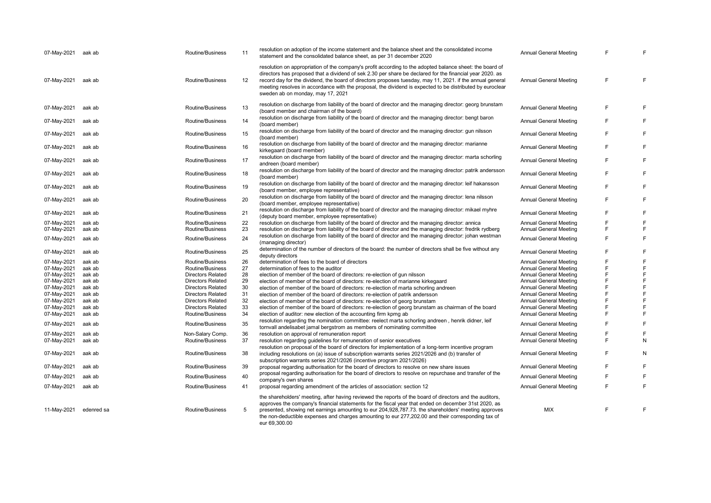| 07-May-2021                | aak ab           | Routine/Business                     | 11       | resolution on adoption of the income statement and the balance sheet and the consolidated income<br>statement and the consolidated balance sheet, as per 31 december 2020                                                                                                                                                                                                                                                                                                           | <b>Annual General Meeting</b>                                  |   |        |
|----------------------------|------------------|--------------------------------------|----------|-------------------------------------------------------------------------------------------------------------------------------------------------------------------------------------------------------------------------------------------------------------------------------------------------------------------------------------------------------------------------------------------------------------------------------------------------------------------------------------|----------------------------------------------------------------|---|--------|
| 07-May-2021                | aak ab           | Routine/Business                     | 12       | resolution on appropriation of the company's profit according to the adopted balance sheet: the board of<br>directors has proposed that a dividend of sek 2.30 per share be declared for the financial year 2020. as<br>record day for the dividend, the board of directors proposes tuesday, may 11, 2021. if the annual general<br>meeting resolves in accordance with the proposal, the dividend is expected to be distributed by euroclear<br>sweden ab on monday, may 17, 2021 | <b>Annual General Meeting</b>                                  | E | F      |
| 07-May-2021                | aak ab           | Routine/Business                     | 13       | resolution on discharge from liability of the board of director and the managing director: georg brunstam<br>(board member and chairman of the board)                                                                                                                                                                                                                                                                                                                               | Annual General Meeting                                         | F | F      |
| 07-May-2021                | aak ab           | Routine/Business                     | 14       | resolution on discharge from liability of the board of director and the managing director: bengt baron<br>(board member)                                                                                                                                                                                                                                                                                                                                                            | <b>Annual General Meeting</b>                                  | E |        |
| 07-May-2021                | aak ab           | Routine/Business                     | 15       | resolution on discharge from liability of the board of director and the managing director: gun nilsson<br>(board member)                                                                                                                                                                                                                                                                                                                                                            | Annual General Meeting                                         | F | F      |
| 07-May-2021                | aak ab           | Routine/Business                     | 16       | resolution on discharge from liability of the board of director and the managing director: marianne<br>kirkegaard (board member)                                                                                                                                                                                                                                                                                                                                                    | Annual General Meeting                                         | F | F      |
| 07-May-2021                | aak ab           | Routine/Business                     | 17       | resolution on discharge from liability of the board of director and the managing director: marta schorling<br>andreen (board member)                                                                                                                                                                                                                                                                                                                                                | <b>Annual General Meeting</b>                                  | E | F      |
| 07-May-2021                | aak ab           | Routine/Business                     | 18       | resolution on discharge from liability of the board of director and the managing director: patrik andersson<br>(board member)                                                                                                                                                                                                                                                                                                                                                       | Annual General Meeting                                         | F | F      |
| 07-May-2021                | aak ab           | Routine/Business                     | 19       | resolution on discharge from liability of the board of director and the managing director: leif hakansson<br>(board member, employee representative)                                                                                                                                                                                                                                                                                                                                | <b>Annual General Meeting</b>                                  | F | F      |
| 07-May-2021                | aak ab           | Routine/Business                     | 20       | resolution on discharge from liability of the board of director and the managing director: lena nilsson<br>(board member, employee representative)                                                                                                                                                                                                                                                                                                                                  | <b>Annual General Meeting</b>                                  | F | F      |
| 07-May-2021                | aak ab           | Routine/Business                     | 21       | resolution on discharge from liability of the board of director and the managing director: mikael myhre<br>(deputy board member, employee representative)                                                                                                                                                                                                                                                                                                                           | <b>Annual General Meeting</b>                                  | E | F      |
| 07-May-2021                | aak ab           | Routine/Business                     | 22       | resolution on discharge from liability of the board of director and the managing director: annica                                                                                                                                                                                                                                                                                                                                                                                   | Annual General Meeting                                         |   | F      |
| 07-May-2021                | aak ab           | Routine/Business                     | 23       | resolution on discharge from liability of the board of director and the managing director: fredrik rydberg                                                                                                                                                                                                                                                                                                                                                                          | Annual General Meeting                                         | F | F      |
| 07-May-2021                | aak ab           | Routine/Business                     | 24       | resolution on discharge from liability of the board of director and the managing director: johan westman<br>(managing director)                                                                                                                                                                                                                                                                                                                                                     | Annual General Meeting                                         | F | F      |
| 07-May-2021                | aak ab           | Routine/Business                     | 25       | determination of the number of directors of the board: the number of directors shall be five without any<br>deputy directors                                                                                                                                                                                                                                                                                                                                                        | <b>Annual General Meeting</b>                                  | F | F      |
| 07-May-2021                | aak ab           | Routine/Business                     | 26       | determination of fees to the board of directors                                                                                                                                                                                                                                                                                                                                                                                                                                     | <b>Annual General Meeting</b>                                  | F | F      |
| 07-May-2021                | aak ab           | Routine/Business                     | 27       | determination of fees to the auditor                                                                                                                                                                                                                                                                                                                                                                                                                                                | Annual General Meeting                                         | E | F      |
| 07-May-2021                | aak ab           | <b>Directors Related</b>             | 28       | election of member of the board of directors: re-election of gun nilsson                                                                                                                                                                                                                                                                                                                                                                                                            | <b>Annual General Meeting</b>                                  | F | F      |
| 07-May-2021                | aak ab           | <b>Directors Related</b>             | 29       | election of member of the board of directors: re-election of marianne kirkegaard                                                                                                                                                                                                                                                                                                                                                                                                    | Annual General Meeting                                         |   | F      |
| 07-May-2021                | aak ab           | <b>Directors Related</b>             | 30       | election of member of the board of directors: re-election of marta schorling andreen                                                                                                                                                                                                                                                                                                                                                                                                | <b>Annual General Meeting</b>                                  | E | F      |
| 07-May-2021                | aak ab           | <b>Directors Related</b>             | 31       | election of member of the board of directors: re-election of patrik andersson                                                                                                                                                                                                                                                                                                                                                                                                       | Annual General Meeting                                         | F | F      |
| 07-May-2021                | aak ab           | <b>Directors Related</b>             | 32       | election of member of the board of directors: re-election of georg brunstam                                                                                                                                                                                                                                                                                                                                                                                                         | <b>Annual General Meeting</b>                                  | F | F      |
|                            |                  |                                      |          |                                                                                                                                                                                                                                                                                                                                                                                                                                                                                     |                                                                |   | F      |
| 07-May-2021                | aak ab           | <b>Directors Related</b>             | 33       | election of member of the board of directors: re-election of georg brunstam as chairman of the board                                                                                                                                                                                                                                                                                                                                                                                | Annual General Meeting                                         | F |        |
| 07-May-2021<br>07-May-2021 | aak ab<br>aak ab | Routine/Business<br>Routine/Business | 34<br>35 | election of auditor: new election of the accounting firm kpmg ab<br>resolution regarding the nomination committee: reelect marta schorling andreen, henrik didner, leif                                                                                                                                                                                                                                                                                                             | <b>Annual General Meeting</b><br><b>Annual General Meeting</b> | F | F<br>F |
|                            |                  |                                      |          | tornvall andelisabet jamal bergstrom as members of nominating committee                                                                                                                                                                                                                                                                                                                                                                                                             |                                                                |   |        |
| 07-May-2021                | aak ab           | Non-Salary Comp.                     | 36       | resolution on approval of remuneration report                                                                                                                                                                                                                                                                                                                                                                                                                                       | <b>Annual General Meeting</b>                                  |   | F      |
| 07-May-2021                | aak ab           | Routine/Business                     | 37       | resolution regarding guidelines for remuneration of senior executives<br>resolution on proposal of the board of directors for implementation of a long-term incentive program                                                                                                                                                                                                                                                                                                       | <b>Annual General Meeting</b>                                  | F | N      |
| 07-May-2021                | aak ab           | Routine/Business                     | 38       | including resolutions on (a) issue of subscription warrants series 2021/2026 and (b) transfer of<br>subscription warrants series 2021/2026 (incentive program 2021/2026)                                                                                                                                                                                                                                                                                                            | <b>Annual General Meeting</b>                                  | F | Ν      |
| 07-May-2021                | aak ab           | Routine/Business                     | 39       | proposal regarding authorisation for the board of directors to resolve on new share issues<br>proposal regarding authorisation for the board of directors to resolve on repurchase and transfer of the                                                                                                                                                                                                                                                                              | Annual General Meeting                                         | F |        |
| 07-May-2021                | aak ab           | Routine/Business                     | 40       | company's own shares                                                                                                                                                                                                                                                                                                                                                                                                                                                                | <b>Annual General Meeting</b>                                  | F | F      |
| 07-May-2021                | aak ab           | Routine/Business                     | 41       | proposal regarding amendment of the articles of association: section 12                                                                                                                                                                                                                                                                                                                                                                                                             | <b>Annual General Meeting</b>                                  | E | F      |
| 11-May-2021                | edenred sa       | Routine/Business                     | 5        | the shareholders' meeting, after having reviewed the reports of the board of directors and the auditors,<br>approves the company's financial statements for the fiscal year that ended on december 31st 2020, as<br>presented, showing net earnings amounting to eur 204,928,787.73. the shareholders' meeting approves<br>the non-deductible expenses and charges amounting to eur 277,202.00 and their corresponding tax of<br>eur 69,300.00                                      | <b>MIX</b>                                                     | E | F      |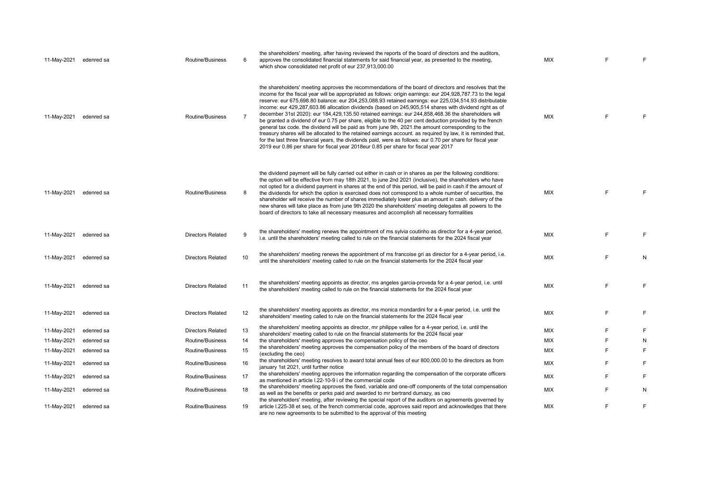| 11-May-2021 | edenred sa | <b>Routine/Business</b>  | 6  | the shareholders' meeting, after having reviewed the reports of the board of directors and the auditors,<br>approves the consolidated financial statements for said financial year, as presented to the meeting,<br>which show consolidated net profit of eur 237,913,000.00                                                                                                                                                                                                                                                                                                                                                                                                                                                                                                                                                                                                                                                                                                                                                                                                                | <b>MIX</b> |   |    |
|-------------|------------|--------------------------|----|---------------------------------------------------------------------------------------------------------------------------------------------------------------------------------------------------------------------------------------------------------------------------------------------------------------------------------------------------------------------------------------------------------------------------------------------------------------------------------------------------------------------------------------------------------------------------------------------------------------------------------------------------------------------------------------------------------------------------------------------------------------------------------------------------------------------------------------------------------------------------------------------------------------------------------------------------------------------------------------------------------------------------------------------------------------------------------------------|------------|---|----|
| 11-May-2021 | edenred sa | Routine/Business         |    | the shareholders' meeting approves the recommendations of the board of directors and resolves that the<br>income for the fiscal year will be appropriated as follows: origin earnings: eur 204,928,787.73 to the legal<br>reserve: eur 675,698.80 balance: eur 204,253,088.93 retained earnings: eur 225,034,514.93 distributable<br>income: eur 429,287,603.86 allocation dividends (based on 245,905,514 shares with dividend right as of<br>december 31st 2020): eur 184,429,135.50 retained earnings: eur 244,858,468.36 the shareholders will<br>be granted a dividend of eur 0.75 per share, eligible to the 40 per cent deduction provided by the french<br>general tax code. the dividend will be paid as from june 9th, 2021 the amount corresponding to the<br>treasury shares will be allocated to the retained earnings account. as required by law, it is reminded that,<br>for the last three financial years, the dividends paid, were as follows: eur 0.70 per share for fiscal year<br>2019 eur 0.86 per share for fiscal year 2018eur 0.85 per share for fiscal year 2017 | <b>MIX</b> | F | F. |
| 11-May-2021 | edenred sa | Routine/Business         | 8  | the dividend payment will be fully carried out either in cash or in shares as per the following conditions:<br>the option will be effective from may 18th 2021, to june 2nd 2021 (inclusive), the shareholders who have<br>not opted for a dividend payment in shares at the end of this period, will be paid in cash if the amount of<br>the dividends for which the option is exercised does not correspond to a whole number of securities, the<br>shareholder will receive the number of shares immediately lower plus an amount in cash. delivery of the<br>new shares will take place as from june 9th 2020 the shareholders' meeting delegates all powers to the<br>board of directors to take all necessary measures and accomplish all necessary formalities                                                                                                                                                                                                                                                                                                                       | <b>MIX</b> | F | F  |
| 11-May-2021 | edenred sa | <b>Directors Related</b> | 9  | the shareholders' meeting renews the appointment of ms sylvia coutinho as director for a 4-year period,<br>i.e. until the shareholders' meeting called to rule on the financial statements for the 2024 fiscal year                                                                                                                                                                                                                                                                                                                                                                                                                                                                                                                                                                                                                                                                                                                                                                                                                                                                         | <b>MIX</b> | F | F  |
| 11-May-2021 | edenred sa | <b>Directors Related</b> | 10 | the shareholders' meeting renews the appointment of ms francoise gri as director for a 4-year period, i.e.<br>until the shareholders' meeting called to rule on the financial statements for the 2024 fiscal year                                                                                                                                                                                                                                                                                                                                                                                                                                                                                                                                                                                                                                                                                                                                                                                                                                                                           | <b>MIX</b> | E | N  |
| 11-May-2021 | edenred sa | <b>Directors Related</b> | 11 | the shareholders' meeting appoints as director, ms angeles garcia-proveda for a 4-year period, i.e. until<br>the shareholders' meeting called to rule on the financial statements for the 2024 fiscal year                                                                                                                                                                                                                                                                                                                                                                                                                                                                                                                                                                                                                                                                                                                                                                                                                                                                                  | <b>MIX</b> | F | F  |
| 11-May-2021 | edenred sa | <b>Directors Related</b> | 12 | the shareholders' meeting appoints as director, ms monica mondardini for a 4-year period, i.e. until the<br>shareholders' meeting called to rule on the financial statements for the 2024 fiscal year                                                                                                                                                                                                                                                                                                                                                                                                                                                                                                                                                                                                                                                                                                                                                                                                                                                                                       | MIX        | F | F  |
| 11-May-2021 | edenred sa | <b>Directors Related</b> | 13 | the shareholders' meeting appoints as director, mr philippe vallee for a 4-year period, i.e. until the<br>shareholders' meeting called to rule on the financial statements for the 2024 fiscal year                                                                                                                                                                                                                                                                                                                                                                                                                                                                                                                                                                                                                                                                                                                                                                                                                                                                                         | MIX        | F | F  |
| 11-May-2021 | edenred sa | Routine/Business         | 14 | the shareholders' meeting approves the compensation policy of the ceo                                                                                                                                                                                                                                                                                                                                                                                                                                                                                                                                                                                                                                                                                                                                                                                                                                                                                                                                                                                                                       | MIX        | F | N  |
| 11-May-2021 | edenred sa | Routine/Business         | 15 | the shareholders' meeting approves the compensation policy of the members of the board of directors<br>(excluding the ceo)                                                                                                                                                                                                                                                                                                                                                                                                                                                                                                                                                                                                                                                                                                                                                                                                                                                                                                                                                                  | MIX        | F | F  |
| 11-May-2021 | edenred sa | Routine/Business         | 16 | the shareholders' meeting resolves to award total annual fees of eur 800,000.00 to the directors as from<br>january 1st 2021, until further notice                                                                                                                                                                                                                                                                                                                                                                                                                                                                                                                                                                                                                                                                                                                                                                                                                                                                                                                                          | <b>MIX</b> | E | F  |
| 11-May-2021 | edenred sa | Routine/Business         | 17 | the shareholders' meeting approves the information regarding the compensation of the corporate officers<br>as mentioned in article I.22-10-9 i of the commercial code                                                                                                                                                                                                                                                                                                                                                                                                                                                                                                                                                                                                                                                                                                                                                                                                                                                                                                                       | MIX        | F | F  |
| 11-May-2021 | edenred sa | <b>Routine/Business</b>  | 18 | the shareholders' meeting approves the fixed, variable and one-off components of the total compensation<br>as well as the benefits or perks paid and awarded to mr bertrand dumazy, as ceo                                                                                                                                                                                                                                                                                                                                                                                                                                                                                                                                                                                                                                                                                                                                                                                                                                                                                                  | <b>MIX</b> | E | N  |
| 11-May-2021 | edenred sa | Routine/Business         | 19 | the shareholders' meeting, after reviewing the special report of the auditors on agreements governed by<br>article I.225-38 et seq. of the french commercial code, approves said report and acknowledges that there<br>are no new agreements to be submitted to the approval of this meeting                                                                                                                                                                                                                                                                                                                                                                                                                                                                                                                                                                                                                                                                                                                                                                                                | <b>MIX</b> | F | F  |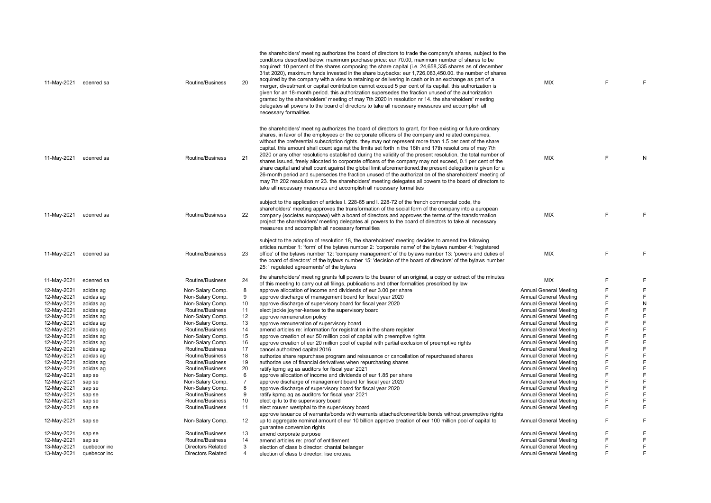| 11-May-2021 edenred sa     |                  | Routine/Business         | 20              | the shareholders' meeting authorizes the board of directors to trade the company's shares, subject to the<br>conditions described below: maximum purchase price: eur 70.00, maximum number of shares to be<br>acquired: 10 percent of the shares composing the share capital (i.e. 24,658,335 shares as of december<br>31st 2020), maximum funds invested in the share buybacks: eur 1,726,083,450.00. the number of shares<br>acquired by the company with a view to retaining or delivering in cash or in an exchange as part of a<br>merger, divestment or capital contribution cannot exceed 5 per cent of its capital. this authorization is<br>given for an 18-month period. this authorization supersedes the fraction unused of the authorization<br>granted by the shareholders' meeting of may 7th 2020 in resolution nr 14. the shareholders' meeting<br>delegates all powers to the board of directors to take all necessary measures and accomplish all<br>necessary formalities                                                                                       | <b>MIX</b>                    | E | F           |
|----------------------------|------------------|--------------------------|-----------------|-------------------------------------------------------------------------------------------------------------------------------------------------------------------------------------------------------------------------------------------------------------------------------------------------------------------------------------------------------------------------------------------------------------------------------------------------------------------------------------------------------------------------------------------------------------------------------------------------------------------------------------------------------------------------------------------------------------------------------------------------------------------------------------------------------------------------------------------------------------------------------------------------------------------------------------------------------------------------------------------------------------------------------------------------------------------------------------|-------------------------------|---|-------------|
| 11-May-2021                | edenred sa       | Routine/Business         | 21              | the shareholders' meeting authorizes the board of directors to grant, for free existing or future ordinary<br>shares, in favor of the employees or the corporate officers of the company and related companies,<br>without the preferential subscription rights, they may not represent more than 1.5 per cent of the share<br>capital. this amount shall count against the limits set forth in the 16th and 17th resolutions of may 7th<br>2020 or any other resolutions established during the validity of the present resolution. the total number of<br>shares issued, freely allocated to corporate officers of the company may not exceed, 0.1 per cent of the<br>share capital and shall count against the global limit aforementioned the present delegation is given for a<br>26-month period and supersedes the fraction unused of the authorization of the shareholders' meeting of<br>may 7th 202 resolution nr 23. the shareholders' meeting delegates all powers to the board of directors to<br>take all necessary measures and accomplish all necessary formalities | <b>MIX</b>                    | F | N           |
| 11-May-2021                | edenred sa       | Routine/Business         | 22              | subject to the application of articles I. 228-65 and I. 228-72 of the french commercial code, the<br>shareholders' meeting approves the transformation of the social form of the company into a european<br>company (societas europaea) with a board of directors and approves the terms of the transformation<br>project the shareholders' meeting delegates all powers to the board of directors to take all necessary<br>measures and accomplish all necessary formalities                                                                                                                                                                                                                                                                                                                                                                                                                                                                                                                                                                                                       | <b>MIX</b>                    | F | F           |
| 11-May-2021                | edenred sa       | Routine/Business         | 23              | subject to the adoption of resolution 18, the shareholders' meeting decides to amend the following<br>articles number 1: 'form' of the bylaws number 2: 'corporate name' of the bylaws number 4: 'registered<br>office' of the bylaws number 12: 'company management' of the bylaws number 13: 'powers and duties of<br>the board of directors' of the bylaws number 15: 'decision of the board of directors' of the bylaws number<br>25: ' regulated agreements' of the bylaws                                                                                                                                                                                                                                                                                                                                                                                                                                                                                                                                                                                                     | <b>MIX</b>                    | F | E           |
| 11-May-2021                | edenred sa       | Routine/Business         | 24              | the shareholders' meeting grants full powers to the bearer of an original, a copy or extract of the minutes                                                                                                                                                                                                                                                                                                                                                                                                                                                                                                                                                                                                                                                                                                                                                                                                                                                                                                                                                                         | <b>MIX</b>                    | F | E           |
| 12-May-2021                | adidas ag        | Non-Salary Comp.         | 8               | of this meeting to carry out all filings, publications and other formalities prescribed by law<br>approve allocation of income and dividends of eur 3.00 per share                                                                                                                                                                                                                                                                                                                                                                                                                                                                                                                                                                                                                                                                                                                                                                                                                                                                                                                  | Annual General Meeting        | F | F           |
| 12-May-2021                | adidas ag        | Non-Salary Comp.         | 9               | approve discharge of management board for fiscal year 2020                                                                                                                                                                                                                                                                                                                                                                                                                                                                                                                                                                                                                                                                                                                                                                                                                                                                                                                                                                                                                          | Annual General Meeting        | F | F           |
| 12-May-2021                | adidas ag        | Non-Salary Comp.         | 10              | approve discharge of supervisory board for fiscal year 2020                                                                                                                                                                                                                                                                                                                                                                                                                                                                                                                                                                                                                                                                                                                                                                                                                                                                                                                                                                                                                         | Annual General Meeting        | E | ${\sf N}$   |
| 12-May-2021                | adidas ag        | Routine/Business         | 11              | elect jackie joyner-kersee to the supervisory board                                                                                                                                                                                                                                                                                                                                                                                                                                                                                                                                                                                                                                                                                                                                                                                                                                                                                                                                                                                                                                 | Annual General Meeting        | F | F           |
| 12-May-2021                | adidas ag        | Non-Salary Comp.         | 12              | approve remuneration policy                                                                                                                                                                                                                                                                                                                                                                                                                                                                                                                                                                                                                                                                                                                                                                                                                                                                                                                                                                                                                                                         | Annual General Meeting        | E | F           |
| 12-May-2021                | adidas ag        | Non-Salary Comp.         | 13              | approve remuneration of supervisory board                                                                                                                                                                                                                                                                                                                                                                                                                                                                                                                                                                                                                                                                                                                                                                                                                                                                                                                                                                                                                                           | <b>Annual General Meeting</b> | F | $\mathsf F$ |
| 12-May-2021                | adidas ag        | Routine/Business         | 14              | amend articles re: information for registration in the share register                                                                                                                                                                                                                                                                                                                                                                                                                                                                                                                                                                                                                                                                                                                                                                                                                                                                                                                                                                                                               | Annual General Meeting        | F | F           |
| 12-May-2021                | adidas ag        | Non-Salary Comp.         | 15              | approve creation of eur 50 million pool of capital with preemptive rights                                                                                                                                                                                                                                                                                                                                                                                                                                                                                                                                                                                                                                                                                                                                                                                                                                                                                                                                                                                                           | <b>Annual General Meeting</b> | F | F           |
| 12-May-2021                | adidas ag        | Non-Salary Comp.         | 16              | approve creation of eur 20 million pool of capital with partial exclusion of preemptive rights                                                                                                                                                                                                                                                                                                                                                                                                                                                                                                                                                                                                                                                                                                                                                                                                                                                                                                                                                                                      | Annual General Meeting        | F | F           |
| 12-May-2021                | adidas ag        | Routine/Business         | 17              | cancel authorized capital 2016                                                                                                                                                                                                                                                                                                                                                                                                                                                                                                                                                                                                                                                                                                                                                                                                                                                                                                                                                                                                                                                      | Annual General Meeting        | E | F           |
| 12-May-2021                | adidas ag        | Routine/Business         | 18              | authorize share repurchase program and reissuance or cancellation of repurchased shares                                                                                                                                                                                                                                                                                                                                                                                                                                                                                                                                                                                                                                                                                                                                                                                                                                                                                                                                                                                             | Annual General Meeting        | F | $\mathsf F$ |
| 12-May-2021                | adidas ag        | Routine/Business         | 19              | authorize use of financial derivatives when repurchasing shares                                                                                                                                                                                                                                                                                                                                                                                                                                                                                                                                                                                                                                                                                                                                                                                                                                                                                                                                                                                                                     | Annual General Meeting        | F | F           |
| 12-May-2021                | adidas ag        | Routine/Business         | 20              | ratify kpmg ag as auditors for fiscal year 2021                                                                                                                                                                                                                                                                                                                                                                                                                                                                                                                                                                                                                                                                                                                                                                                                                                                                                                                                                                                                                                     | <b>Annual General Meeting</b> | F | $\mathsf F$ |
| 12-May-2021                | sap se           | Non-Salary Comp.         | 6               | approve allocation of income and dividends of eur 1.85 per share                                                                                                                                                                                                                                                                                                                                                                                                                                                                                                                                                                                                                                                                                                                                                                                                                                                                                                                                                                                                                    | <b>Annual General Meeting</b> | F | $\mathsf F$ |
| 12-May-2021                | sap se           | Non-Salary Comp.         | $\overline{7}$  | approve discharge of management board for fiscal year 2020                                                                                                                                                                                                                                                                                                                                                                                                                                                                                                                                                                                                                                                                                                                                                                                                                                                                                                                                                                                                                          | Annual General Meeting        | E | F           |
| 12-May-2021                | sap se           | Non-Salary Comp.         | 8               | approve discharge of supervisory board for fiscal year 2020                                                                                                                                                                                                                                                                                                                                                                                                                                                                                                                                                                                                                                                                                                                                                                                                                                                                                                                                                                                                                         | Annual General Meeting        | F | F           |
| 12-May-2021                | sap se           | Routine/Business         | 9               | ratify kpmg ag as auditors for fiscal year 2021                                                                                                                                                                                                                                                                                                                                                                                                                                                                                                                                                                                                                                                                                                                                                                                                                                                                                                                                                                                                                                     | Annual General Meeting        | F | E           |
| 12-May-2021                | sap se           | Routine/Business         | 10              | elect qi lu to the supervisory board                                                                                                                                                                                                                                                                                                                                                                                                                                                                                                                                                                                                                                                                                                                                                                                                                                                                                                                                                                                                                                                | <b>Annual General Meeting</b> | F | E           |
| 12-May-2021                | sap se           | Routine/Business         | 11              | elect rouven westphal to the supervisory board                                                                                                                                                                                                                                                                                                                                                                                                                                                                                                                                                                                                                                                                                                                                                                                                                                                                                                                                                                                                                                      | Annual General Meeting        | F | $\mathsf F$ |
| 12-May-2021                | sap se           | Non-Salary Comp.         | 12 <sup>2</sup> | approve issuance of warrants/bonds with warrants attached/convertible bonds without preemptive rights<br>up to aggregate nominal amount of eur 10 billion approve creation of eur 100 million pool of capital to                                                                                                                                                                                                                                                                                                                                                                                                                                                                                                                                                                                                                                                                                                                                                                                                                                                                    | Annual General Meeting        | F | E           |
|                            |                  | Routine/Business         | 13              | quarantee conversion rights                                                                                                                                                                                                                                                                                                                                                                                                                                                                                                                                                                                                                                                                                                                                                                                                                                                                                                                                                                                                                                                         | Annual General Meeting        | F | F           |
| 12-May-2021<br>12-May-2021 | sap se<br>sap se | Routine/Business         | 14              | amend corporate purpose<br>amend articles re: proof of entitlement                                                                                                                                                                                                                                                                                                                                                                                                                                                                                                                                                                                                                                                                                                                                                                                                                                                                                                                                                                                                                  | Annual General Meeting        | E | F           |
| 13-May-2021                | quebecor inc     | <b>Directors Related</b> | 3               | election of class b director: chantal belanger                                                                                                                                                                                                                                                                                                                                                                                                                                                                                                                                                                                                                                                                                                                                                                                                                                                                                                                                                                                                                                      | Annual General Meeting        | F | E           |
| 13-May-2021                | quebecor inc     | <b>Directors Related</b> | 4               |                                                                                                                                                                                                                                                                                                                                                                                                                                                                                                                                                                                                                                                                                                                                                                                                                                                                                                                                                                                                                                                                                     | Annual General Meeting        | E | E           |
|                            |                  |                          |                 | election of class b director: lise croteau                                                                                                                                                                                                                                                                                                                                                                                                                                                                                                                                                                                                                                                                                                                                                                                                                                                                                                                                                                                                                                          |                               |   |             |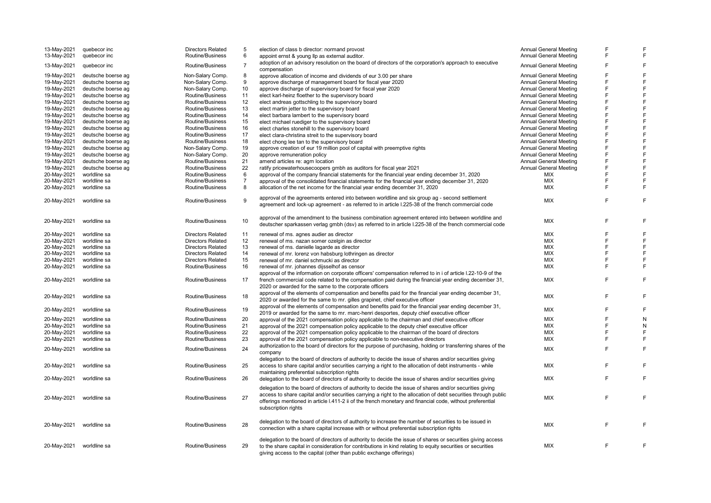| 13-May-2021 | quebecor inc       | <b>Directors Related</b> | 5              | election of class b director: normand provost                                                                  | <b>Annual General Meeting</b> | F      |   |
|-------------|--------------------|--------------------------|----------------|----------------------------------------------------------------------------------------------------------------|-------------------------------|--------|---|
| 13-May-2021 | quebecor inc       | Routine/Business         | 6              | appoint ernst & young llp as external auditor.                                                                 | <b>Annual General Meeting</b> | E      |   |
|             |                    |                          |                | adoption of an advisory resolution on the board of directors of the corporation's approach to executive        |                               | F      | E |
| 13-May-2021 | quebecor inc       | Routine/Business         | $\overline{7}$ | compensation                                                                                                   | <b>Annual General Meeting</b> |        |   |
| 19-May-2021 | deutsche boerse ag | Non-Salary Comp.         | 8              | approve allocation of income and dividends of eur 3.00 per share                                               | <b>Annual General Meeting</b> | F      |   |
| 19-May-2021 | deutsche boerse ag | Non-Salary Comp.         | 9              | approve discharge of management board for fiscal year 2020                                                     | <b>Annual General Meeting</b> | E      | E |
| 19-May-2021 | deutsche boerse ag | Non-Salary Comp.         | 10             | approve discharge of supervisory board for fiscal year 2020                                                    | <b>Annual General Meeting</b> | F      |   |
| 19-May-2021 | deutsche boerse ag | Routine/Business         | 11             | elect karl-heinz floether to the supervisory board                                                             | <b>Annual General Meeting</b> | E      |   |
| 19-May-2021 | deutsche boerse ag | Routine/Business         | 12             | elect andreas gottschling to the supervisory board                                                             | <b>Annual General Meeting</b> | F      |   |
| 19-May-2021 | deutsche boerse ag | Routine/Business         | 13             | elect martin jetter to the supervisory board                                                                   | <b>Annual General Meeting</b> | E      |   |
| 19-May-2021 | deutsche boerse ag | Routine/Business         | 14             | elect barbara lambert to the supervisory board                                                                 | <b>Annual General Meeting</b> | E      |   |
| 19-May-2021 | deutsche boerse ag | Routine/Business         | 15             | elect michael ruediger to the supervisory board                                                                | <b>Annual General Meeting</b> | F      |   |
| 19-May-2021 | deutsche boerse ag | Routine/Business         | 16             | elect charles stonehill to the supervisory board                                                               | <b>Annual General Meeting</b> | E      |   |
| 19-May-2021 | deutsche boerse ag | Routine/Business         | 17             | elect clara-christina streit to the supervisory board                                                          | <b>Annual General Meeting</b> | F      |   |
|             | deutsche boerse ag | Routine/Business         | 18             |                                                                                                                | <b>Annual General Meeting</b> | E      |   |
| 19-May-2021 |                    |                          | 19             | elect chong lee tan to the supervisory board                                                                   |                               | E      |   |
| 19-May-2021 | deutsche boerse ag | Non-Salary Comp.         |                | approve creation of eur 19 million pool of capital with preemptive rights                                      | <b>Annual General Meeting</b> |        |   |
| 19-May-2021 | deutsche boerse ag | Non-Salary Comp.         | 20             | approve remuneration policy                                                                                    | <b>Annual General Meeting</b> | F      |   |
| 19-May-2021 | deutsche boerse ag | Routine/Business         | 21             | amend articles re: agm location                                                                                | <b>Annual General Meeting</b> | F<br>F |   |
| 19-May-2021 | deutsche boerse ag | Routine/Business         | 22             | ratify pricewaterhousecoopers gmbh as auditors for fiscal year 2021                                            | <b>Annual General Meeting</b> |        |   |
| 20-May-2021 | worldline sa       | Routine/Business         | 6              | approval of the company financial statements for the financial year ending december 31, 2020                   | MIX                           | E      |   |
| 20-May-2021 | worldline sa       | Routine/Business         | $\overline{7}$ | approval of the consolidated financial statements for the financial year ending december 31, 2020              | MIX                           | F      |   |
| 20-May-2021 | worldline sa       | Routine/Business         | 8              | allocation of the net income for the financial year ending december 31, 2020                                   | MIX                           | F      | F |
| 20-May-2021 | worldline sa       | Routine/Business         | 9              | approval of the agreements entered into between worldline and six group ag - second settlement                 | <b>MIX</b>                    | F      | F |
|             |                    |                          |                | agreement and lock-up agreement - as referred to in article I.225-38 of the french commercial code             |                               |        |   |
|             | worldline sa       | Routine/Business         | 10             | approval of the amendment to the business combination agreement entered into between worldline and             | <b>MIX</b>                    | E      |   |
| 20-May-2021 |                    |                          |                | deutscher sparkassen verlag gmbh (dsv) as referred to in article I.225-38 of the french commercial code        |                               |        |   |
| 20-May-2021 | worldline sa       | <b>Directors Related</b> | 11             | renewal of ms. agnes audier as director                                                                        | <b>MIX</b>                    | F      | F |
| 20-May-2021 | worldline sa       | <b>Directors Related</b> | 12             | renewal of ms. nazan somer ozelgin as director                                                                 | <b>MIX</b>                    | F      | E |
| 20-May-2021 | worldline sa       | <b>Directors Related</b> | 13             | renewal of ms. danielle lagarde as director                                                                    | <b>MIX</b>                    | E      | F |
| 20-May-2021 | worldline sa       | <b>Directors Related</b> | 14             | renewal of mr. lorenz von habsburg lothringen as director                                                      | MIX                           | F      |   |
| 20-May-2021 | worldline sa       | <b>Directors Related</b> | 15             | renewal of mr. daniel schmucki as director                                                                     | <b>MIX</b>                    | E      |   |
| 20-May-2021 | worldline sa       | Routine/Business         | 16             | renewal of mr. johannes dijsselhof as censor                                                                   | MIX                           | F      | F |
|             |                    |                          |                | approval of the information on corporate officers' compensation referred to in i of article I.22-10-9 of the   |                               |        |   |
| 20-May-2021 | worldline sa       | Routine/Business         | 17             | french commercial code related to the compensation paid during the financial year ending december 31,          | MIX                           | F      | F |
|             |                    |                          |                | 2020 or awarded for the same to the corporate officers                                                         |                               |        |   |
|             |                    |                          |                |                                                                                                                |                               |        |   |
| 20-May-2021 | worldline sa       | Routine/Business         | 18             | approval of the elements of compensation and benefits paid for the financial year ending december 31,          | <b>MIX</b>                    | E      | F |
|             |                    |                          |                | 2020 or awarded for the same to mr. gilles grapinet, chief executive officer                                   |                               |        |   |
| 20-May-2021 | worldline sa       | Routine/Business         | 19             | approval of the elements of compensation and benefits paid for the financial year ending december 31,          | <b>MIX</b>                    | F      |   |
|             |                    |                          |                | 2019 or awarded for the same to mr. marc-henri desportes, deputy chief executive officer                       |                               |        |   |
| 20-May-2021 | worldline sa       | Routine/Business         | 20             | approval of the 2021 compensation policy applicable to the chairman and chief executive officer                | <b>MIX</b>                    | F      | N |
| 20-May-2021 | worldline sa       | Routine/Business         | 21             | approval of the 2021 compensation policy applicable to the deputy chief executive officer                      | <b>MIX</b>                    | E      | N |
| 20-May-2021 | worldline sa       | Routine/Business         | 22             | approval of the 2021 compensation policy applicable to the chairman of the board of directors                  | <b>MIX</b>                    | F      | F |
| 20-May-2021 | worldline sa       | Routine/Business         | 23             | approval of the 2021 compensation policy applicable to non-executive directors                                 | MIX                           | F      | F |
| 20-May-2021 | worldline sa       | Routine/Business         | 24             | authorization to the board of directors for the purpose of purchasing, holding or transferring shares of the   | <b>MIX</b>                    | E      | F |
|             |                    |                          |                | company                                                                                                        |                               |        |   |
|             |                    |                          |                | delegation to the board of directors of authority to decide the issue of shares and/or securities giving       |                               |        |   |
| 20-May-2021 | worldline sa       | Routine/Business         | 25             | access to share capital and/or securities carrying a right to the allocation of debt instruments - while       | <b>MIX</b>                    | F      | F |
|             |                    |                          |                | maintaining preferential subscription rights                                                                   |                               |        |   |
| 20-May-2021 | worldline sa       | Routine/Business         | 26             | delegation to the board of directors of authority to decide the issue of shares and/or securities giving       | <b>MIX</b>                    | F      | F |
|             |                    |                          |                | delegation to the board of directors of authority to decide the issue of shares and/or securities giving       |                               |        |   |
|             |                    |                          |                | access to share capital and/or securities carrying a right to the allocation of debt securities through public |                               |        |   |
| 20-May-2021 | worldline sa       | Routine/Business         | 27             | offerings mentioned in article I.411-2 ii of the french monetary and financial code, without preferential      | <b>MIX</b>                    | F      | E |
|             |                    |                          |                | subscription rights                                                                                            |                               |        |   |
|             |                    |                          |                |                                                                                                                |                               |        |   |
| 20-May-2021 | worldline sa       | Routine/Business         | 28             | delegation to the board of directors of authority to increase the number of securities to be issued in         | MIX                           | F      | F |
|             |                    |                          |                | connection with a share capital increase with or without preferential subscription rights                      |                               |        |   |
|             |                    |                          |                | delegation to the board of directors of authority to decide the issue of shares or securities giving access    |                               |        |   |
| 20-May-2021 | worldline sa       | Routine/Business         | 29             | to the share capital in consideration for contributions in kind relating to equity securities or securities    | <b>MIX</b>                    | F      | F |
|             |                    |                          |                | giving access to the capital (other than public exchange offerings)                                            |                               |        |   |
|             |                    |                          |                |                                                                                                                |                               |        |   |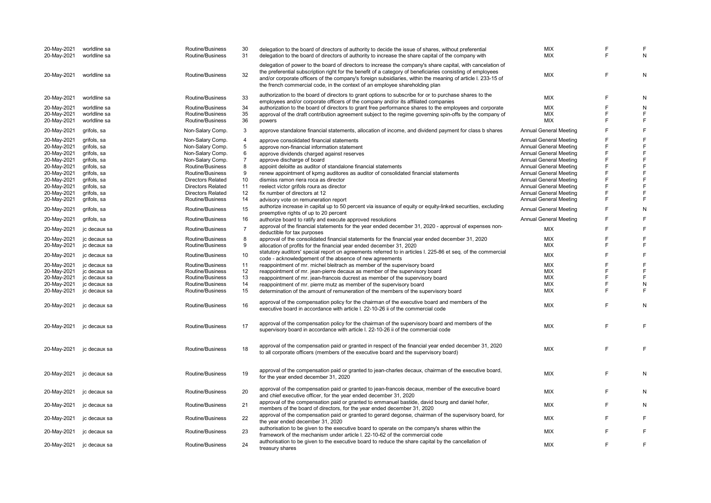| 20-May-2021<br>20-May-2021 | worldline sa<br>worldline sa | Routine/Business<br>Routine/Business | 30<br>31       | delegation to the board of directors of authority to decide the issue of shares, without preferential<br>delegation to the board of directors of authority to increase the share capital of the company with                                                                                                                                                                                                           | <b>MIX</b><br>MIX             | F<br>F | F<br>N         |
|----------------------------|------------------------------|--------------------------------------|----------------|------------------------------------------------------------------------------------------------------------------------------------------------------------------------------------------------------------------------------------------------------------------------------------------------------------------------------------------------------------------------------------------------------------------------|-------------------------------|--------|----------------|
| 20-May-2021                | worldline sa                 | Routine/Business                     | 32             | delegation of power to the board of directors to increase the company's share capital, with cancelation of<br>the preferential subscription right for the benefit of a category of beneficiaries consisting of employees<br>and/or corporate officers of the company's foreign subsidiaries, within the meaning of article I. 233-15 of<br>the french commercial code, in the context of an employee shareholding plan | MIX                           | F      | N              |
| 20-May-2021                | worldline sa                 | Routine/Business                     | 33             | authorization to the board of directors to grant options to subscribe for or to purchase shares to the<br>employees and/or corporate officers of the company and/or its affiliated companies                                                                                                                                                                                                                           | MIX                           | F      | N              |
| 20-May-2021                | worldline sa                 | Routine/Business                     | 34             | authorization to the board of directors to grant free performance shares to the employees and corporate                                                                                                                                                                                                                                                                                                                | MIX                           | F      | N              |
| 20-May-2021                | worldline sa                 | Routine/Business                     | 35             | approval of the draft contribution agreement subject to the regime governing spin-offs by the company of                                                                                                                                                                                                                                                                                                               | <b>MIX</b>                    | F      | $\mathsf F$    |
| 20-May-2021                | worldline sa                 | Routine/Business                     | 36             | powers                                                                                                                                                                                                                                                                                                                                                                                                                 | <b>MIX</b>                    | F      | F              |
| 20-May-2021                | grifols, sa                  | Non-Salary Comp.                     | 3              | approve standalone financial statements, allocation of income, and dividend payment for class b shares                                                                                                                                                                                                                                                                                                                 | <b>Annual General Meeting</b> | F      | F              |
| 20-May-2021                | grifols, sa                  | Non-Salary Comp.                     | 4              | approve consolidated financial statements                                                                                                                                                                                                                                                                                                                                                                              | <b>Annual General Meeting</b> | F      | F              |
| 20-May-2021                | grifols, sa                  | Non-Salary Comp.                     | 5              | approve non-financial information statement                                                                                                                                                                                                                                                                                                                                                                            | <b>Annual General Meeting</b> | F      | $\overline{F}$ |
| 20-May-2021                | grifols, sa                  | Non-Salary Comp.                     | 6              | approve dividends charged against reserves                                                                                                                                                                                                                                                                                                                                                                             | <b>Annual General Meeting</b> | F      | F              |
| 20-May-2021                | grifols, sa                  | Non-Salary Comp.                     | $\overline{7}$ | approve discharge of board                                                                                                                                                                                                                                                                                                                                                                                             | <b>Annual General Meeting</b> | F      | F              |
| 20-May-2021                | grifols, sa                  | Routine/Business                     | 8              | appoint deloitte as auditor of standalone financial statements                                                                                                                                                                                                                                                                                                                                                         | <b>Annual General Meeting</b> | F      | F              |
| 20-May-2021                | grifols, sa                  | Routine/Business                     | 9              | renew appointment of kpmg auditores as auditor of consolidated financial statements                                                                                                                                                                                                                                                                                                                                    | <b>Annual General Meeting</b> | F      | F              |
| 20-May-2021                | grifols, sa                  | <b>Directors Related</b>             | 10             | dismiss ramon riera roca as director                                                                                                                                                                                                                                                                                                                                                                                   | <b>Annual General Meeting</b> | F      | F              |
|                            | grifols, sa                  | <b>Directors Related</b>             |                | reelect victor grifols roura as director                                                                                                                                                                                                                                                                                                                                                                               | <b>Annual General Meeting</b> |        | F              |
| 20-May-2021                |                              |                                      | 11             |                                                                                                                                                                                                                                                                                                                                                                                                                        |                               |        |                |
| 20-May-2021                | grifols, sa                  | <b>Directors Related</b>             | 12             | fix number of directors at 12                                                                                                                                                                                                                                                                                                                                                                                          | <b>Annual General Meeting</b> | F      | $\mathsf{F}$   |
| 20-May-2021                | grifols, sa                  | Routine/Business                     | 14             | advisory vote on remuneration report                                                                                                                                                                                                                                                                                                                                                                                   | <b>Annual General Meeting</b> | F      | F              |
| 20-May-2021                | grifols, sa                  | Routine/Business                     | 15             | authorize increase in capital up to 50 percent via issuance of equity or equity-linked securities, excluding<br>preemptive rights of up to 20 percent                                                                                                                                                                                                                                                                  | <b>Annual General Meeting</b> | F      | N              |
| 20-May-2021                | grifols, sa                  | Routine/Business                     | 16             | authorize board to ratify and execute approved resolutions                                                                                                                                                                                                                                                                                                                                                             | <b>Annual General Meeting</b> | F      | F              |
| 20-May-2021                | jc decaux sa                 | Routine/Business                     | $\overline{7}$ | approval of the financial statements for the year ended december 31, 2020 - approval of expenses non-<br>deductible for tax purposes                                                                                                                                                                                                                                                                                   | MIX                           | F      | F              |
| 20-May-2021                | jc decaux sa                 | Routine/Business                     | 8              | approval of the consolidated financial statements for the financial year ended december 31, 2020                                                                                                                                                                                                                                                                                                                       | MIX                           | F      | F              |
| 20-May-2021                | jc decaux sa                 | Routine/Business                     | 9              | allocation of profits for the financial year ended december 31, 2020                                                                                                                                                                                                                                                                                                                                                   | MIX                           | F      | F              |
|                            |                              |                                      |                | statutory auditors' special report on agreements referred to in articles I. 225-86 et seq. of the commercial                                                                                                                                                                                                                                                                                                           |                               |        |                |
| 20-May-2021                | jc decaux sa                 | Routine/Business                     | 10             | code - acknowledgement of the absence of new agreements                                                                                                                                                                                                                                                                                                                                                                | <b>MIX</b>                    | F      | F              |
| 20-May-2021                | jc decaux sa                 | Routine/Business                     | 11             | reappointment of mr. michel bleitrach as member of the supervisory board                                                                                                                                                                                                                                                                                                                                               | <b>MIX</b>                    | E      | F              |
| 20-May-2021                | jc decaux sa                 | Routine/Business                     | 12             | reappointment of mr. jean-pierre decaux as member of the supervisory board                                                                                                                                                                                                                                                                                                                                             | MIX                           | F      | F              |
| 20-May-2021                | jc decaux sa                 | Routine/Business                     | 13             | reappointment of mr. jean-francois ducrest as member of the supervisory board                                                                                                                                                                                                                                                                                                                                          | MIX                           | F      | F              |
|                            |                              |                                      |                |                                                                                                                                                                                                                                                                                                                                                                                                                        |                               | F      |                |
| 20-May-2021                | jc decaux sa                 | Routine/Business                     | 14             | reappointment of mr. pierre mutz as member of the supervisory board                                                                                                                                                                                                                                                                                                                                                    | МIХ                           | F      | N              |
| 20-May-2021                | jc decaux sa                 | Routine/Business                     | 15             | determination of the amount of remuneration of the members of the supervisory board                                                                                                                                                                                                                                                                                                                                    | MIX                           |        | F              |
| 20-May-2021                | jc decaux sa                 | Routine/Business                     | 16             | approval of the compensation policy for the chairman of the executive board and members of the<br>executive board in accordance with article I. 22-10-26 ii of the commercial code                                                                                                                                                                                                                                     | MIX                           | F      | N              |
| 20-May-2021                | jc decaux sa                 | Routine/Business                     | 17             | approval of the compensation policy for the chairman of the supervisory board and members of the<br>supervisory board in accordance with article I. 22-10-26 ii of the commercial code                                                                                                                                                                                                                                 | MIX                           | F      | F              |
| 20-May-2021                | jc decaux sa                 | Routine/Business                     | 18             | approval of the compensation paid or granted in respect of the financial year ended december 31, 2020<br>to all corporate officers (members of the executive board and the supervisory board)                                                                                                                                                                                                                          | MIX                           | E      | F              |
| 20-May-2021                | jc decaux sa                 | Routine/Business                     | 19             | approval of the compensation paid or granted to jean-charles decaux, chairman of the executive board,<br>for the year ended december 31, 2020                                                                                                                                                                                                                                                                          | <b>MIX</b>                    | F      | N              |
| 20-May-2021                | jc decaux sa                 | Routine/Business                     | 20             | approval of the compensation paid or granted to jean-francois decaux, member of the executive board<br>and chief executive officer, for the year ended december 31, 2020                                                                                                                                                                                                                                               | MIX                           | E      | N              |
| 20-May-2021                | jc decaux sa                 | Routine/Business                     | 21             | approval of the compensation paid or granted to emmanuel bastide, david bourg and daniel hofer,<br>members of the board of directors, for the year ended december 31, 2020                                                                                                                                                                                                                                             | MIX                           | F      | N              |
| 20-May-2021                | jc decaux sa                 | Routine/Business                     | 22             | approval of the compensation paid or granted to gerard degonse, chairman of the supervisory board, for<br>the year ended december 31, 2020                                                                                                                                                                                                                                                                             | MIX                           | F      | F              |
|                            |                              | Routine/Business                     | 23             | authorisation to be given to the executive board to operate on the company's shares within the                                                                                                                                                                                                                                                                                                                         | <b>MIX</b>                    | F      | F              |
| 20-May-2021                | jc decaux sa                 |                                      |                | framework of the mechanism under article I. 22-10-62 of the commercial code                                                                                                                                                                                                                                                                                                                                            |                               |        |                |
| 20-May-2021                | jc decaux sa                 | Routine/Business                     | 24             | authorisation to be given to the executive board to reduce the share capital by the cancellation of<br>treasury shares                                                                                                                                                                                                                                                                                                 | MIX                           | F      | $\mathsf F$    |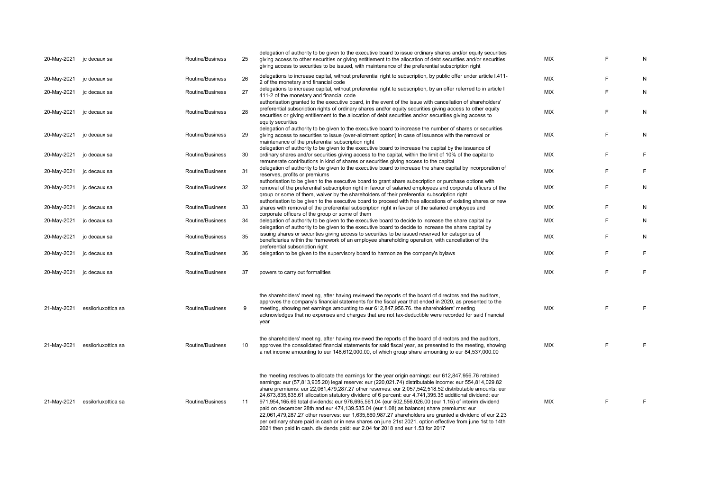| 20-May-2021 | jc decaux sa        | Routine/Business | 25 | delegation of authority to be given to the executive board to issue ordinary shares and/or equity securities<br>giving access to other securities or giving entitlement to the allocation of debt securities and/or securities<br>giving access to securities to be issued, with maintenance of the preferential subscription right                                                                                                                                                                                                                                                                                                                                                                                                                                                                                                                                                                                                                  | <b>MIX</b> | F  | N |
|-------------|---------------------|------------------|----|------------------------------------------------------------------------------------------------------------------------------------------------------------------------------------------------------------------------------------------------------------------------------------------------------------------------------------------------------------------------------------------------------------------------------------------------------------------------------------------------------------------------------------------------------------------------------------------------------------------------------------------------------------------------------------------------------------------------------------------------------------------------------------------------------------------------------------------------------------------------------------------------------------------------------------------------------|------------|----|---|
| 20-May-2021 | jc decaux sa        | Routine/Business | 26 | delegations to increase capital, without preferential right to subscription, by public offer under article I.411-<br>2 of the monetary and financial code                                                                                                                                                                                                                                                                                                                                                                                                                                                                                                                                                                                                                                                                                                                                                                                            | MIX        | F  | N |
| 20-May-2021 | jc decaux sa        | Routine/Business | 27 | delegations to increase capital, without preferential right to subscription, by an offer referred to in article I<br>411-2 of the monetary and financial code                                                                                                                                                                                                                                                                                                                                                                                                                                                                                                                                                                                                                                                                                                                                                                                        | <b>MIX</b> | F  | N |
| 20-May-2021 | jc decaux sa        | Routine/Business | 28 | authorisation granted to the executive board, in the event of the issue with cancellation of shareholders'<br>preferential subscription rights of ordinary shares and/or equity securities giving access to other equity<br>securities or giving entitlement to the allocation of debt securities and/or securities giving access to<br>equity securities                                                                                                                                                                                                                                                                                                                                                                                                                                                                                                                                                                                            | <b>MIX</b> | F  | N |
| 20-May-2021 | jc decaux sa        | Routine/Business | 29 | delegation of authority to be given to the executive board to increase the number of shares or securities<br>giving access to securities to issue (over-allotment option) in case of issuance with the removal or<br>maintenance of the preferential subscription right                                                                                                                                                                                                                                                                                                                                                                                                                                                                                                                                                                                                                                                                              | <b>MIX</b> | F  | N |
| 20-May-2021 | jc decaux sa        | Routine/Business | 30 | delegation of authority to be given to the executive board to increase the capital by the issuance of<br>ordinary shares and/or securities giving access to the capital, within the limit of 10% of the capital to<br>remunerate contributions in kind of shares or securities giving access to the capital                                                                                                                                                                                                                                                                                                                                                                                                                                                                                                                                                                                                                                          | <b>MIX</b> | F  | E |
| 20-May-2021 | jc decaux sa        | Routine/Business | 31 | delegation of authority to be given to the executive board to increase the share capital by incorporation of<br>reserves, profits or premiums                                                                                                                                                                                                                                                                                                                                                                                                                                                                                                                                                                                                                                                                                                                                                                                                        | MIX        | F  | F |
| 20-May-2021 | jc decaux sa        | Routine/Business | 32 | authorisation to be given to the executive board to grant share subscription or purchase options with<br>removal of the preferential subscription right in favour of salaried employees and corporate officers of the<br>group or some of them, waiver by the shareholders of their preferential subscription right                                                                                                                                                                                                                                                                                                                                                                                                                                                                                                                                                                                                                                  | <b>MIX</b> | F  | N |
| 20-May-2021 | jc decaux sa        | Routine/Business | 33 | authorisation to be given to the executive board to proceed with free allocations of existing shares or new<br>shares with removal of the preferential subscription right in favour of the salaried employees and                                                                                                                                                                                                                                                                                                                                                                                                                                                                                                                                                                                                                                                                                                                                    | <b>MIX</b> | F  | N |
| 20-May-2021 | jc decaux sa        | Routine/Business | 34 | corporate officers of the group or some of them<br>delegation of authority to be given to the executive board to decide to increase the share capital by<br>delegation of authority to be given to the executive board to decide to increase the share capital by                                                                                                                                                                                                                                                                                                                                                                                                                                                                                                                                                                                                                                                                                    | MIX        | F  | N |
| 20-May-2021 | jc decaux sa        | Routine/Business | 35 | issuing shares or securities giving access to securities to be issued reserved for categories of<br>beneficiaries within the framework of an employee shareholding operation, with cancellation of the<br>preferential subscription right                                                                                                                                                                                                                                                                                                                                                                                                                                                                                                                                                                                                                                                                                                            | MIX        | F  | N |
| 20-May-2021 | jc decaux sa        | Routine/Business | 36 | delegation to be given to the supervisory board to harmonize the company's bylaws                                                                                                                                                                                                                                                                                                                                                                                                                                                                                                                                                                                                                                                                                                                                                                                                                                                                    | <b>MIX</b> | F  | F |
| 20-May-2021 | jc decaux sa        | Routine/Business | 37 | powers to carry out formalities                                                                                                                                                                                                                                                                                                                                                                                                                                                                                                                                                                                                                                                                                                                                                                                                                                                                                                                      | <b>MIX</b> | F  | F |
| 21-May-2021 | essilorluxottica sa | Routine/Business | 9  | the shareholders' meeting, after having reviewed the reports of the board of directors and the auditors,<br>approves the company's financial statements for the fiscal year that ended in 2020, as presented to the<br>meeting, showing net earnings amounting to eur 612,847,956.76. the shareholders' meeting<br>acknowledges that no expenses and charges that are not tax-deductible were recorded for said financial<br>year                                                                                                                                                                                                                                                                                                                                                                                                                                                                                                                    | <b>MIX</b> | F  | E |
| 21-May-2021 | essilorluxottica sa | Routine/Business | 10 | the shareholders' meeting, after having reviewed the reports of the board of directors and the auditors,<br>approves the consolidated financial statements for said fiscal year, as presented to the meeting, showing<br>a net income amounting to eur 148,612,000.00, of which group share amounting to eur 84,537,000.00                                                                                                                                                                                                                                                                                                                                                                                                                                                                                                                                                                                                                           | <b>MIX</b> | F  | F |
| 21-May-2021 | essilorluxottica sa | Routine/Business | 11 | the meeting resolves to allocate the earnings for the year origin earnings: eur 612,847,956.76 retained<br>earnings: eur (57,813,905.20) legal reserve: eur (220,021.74) distributable income: eur 554,814,029.82<br>share premiums: eur 22,061,479,287.27 other reserves: eur 2,057,542,518.52 distributable amounts: eur<br>24,673,835,835.61 allocation statutory dividend of 6 percent: eur 4,741,395.35 additional dividend: eur<br>971,954,165.69 total dividends: eur 976,695,561.04 (eur 502,556,026.00 (eur 1.15) of interim dividend<br>paid on december 28th and eur 474,139.535.04 (eur 1.08) as balance) share premiums: eur<br>22,061,479,287.27 other reserves: eur 1,635,660,987.27 shareholders are granted a dividend of eur 2.23<br>per ordinary share paid in cash or in new shares on june 21st 2021. option effective from june 1st to 14th<br>2021 then paid in cash. dividends paid: eur 2.04 for 2018 and eur 1.53 for 2017 | MIX        | F. | F |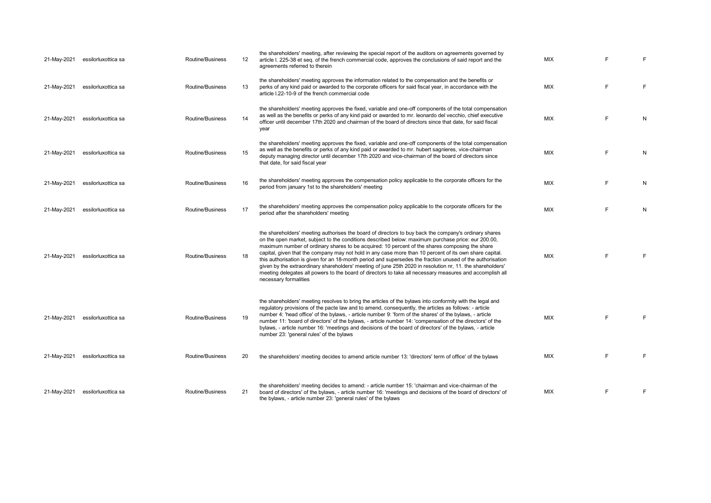| 21-May-2021 | essilorluxottica sa | Routine/Business | 12 | the shareholders' meeting, after reviewing the special report of the auditors on agreements governed by<br>article I. 225-38 et seq. of the french commercial code, approves the conclusions of said report and the<br>agreements referred to therein                                                                                                                                                                                                                                                                                                                                                                                                                                                                                                                                     | <b>MIX</b> |   | F |
|-------------|---------------------|------------------|----|-------------------------------------------------------------------------------------------------------------------------------------------------------------------------------------------------------------------------------------------------------------------------------------------------------------------------------------------------------------------------------------------------------------------------------------------------------------------------------------------------------------------------------------------------------------------------------------------------------------------------------------------------------------------------------------------------------------------------------------------------------------------------------------------|------------|---|---|
| 21-May-2021 | essilorluxottica sa | Routine/Business | 13 | the shareholders' meeting approves the information related to the compensation and the benefits or<br>perks of any kind paid or awarded to the corporate officers for said fiscal year, in accordance with the<br>article I.22-10-9 of the french commercial code                                                                                                                                                                                                                                                                                                                                                                                                                                                                                                                         | <b>MIX</b> | E | F |
| 21-May-2021 | essilorluxottica sa | Routine/Business | 14 | the shareholders' meeting approves the fixed, variable and one-off components of the total compensation<br>as well as the benefits or perks of any kind paid or awarded to mr. leonardo del vecchio, chief executive<br>officer until december 17th 2020 and chairman of the board of directors since that date, for said fiscal<br>year                                                                                                                                                                                                                                                                                                                                                                                                                                                  | <b>MIX</b> | E | N |
| 21-May-2021 | essilorluxottica sa | Routine/Business | 15 | the shareholders' meeting approves the fixed, variable and one-off components of the total compensation<br>as well as the benefits or perks of any kind paid or awarded to mr. hubert sagnieres, vice-chairman<br>deputy managing director until december 17th 2020 and vice-chairman of the board of directors since<br>that date, for said fiscal year                                                                                                                                                                                                                                                                                                                                                                                                                                  | <b>MIX</b> | E | N |
| 21-May-2021 | essilorluxottica sa | Routine/Business | 16 | the shareholders' meeting approves the compensation policy applicable to the corporate officers for the<br>period from january 1st to the shareholders' meeting                                                                                                                                                                                                                                                                                                                                                                                                                                                                                                                                                                                                                           | <b>MIX</b> | F | N |
| 21-May-2021 | essilorluxottica sa | Routine/Business | 17 | the shareholders' meeting approves the compensation policy applicable to the corporate officers for the<br>period after the shareholders' meeting                                                                                                                                                                                                                                                                                                                                                                                                                                                                                                                                                                                                                                         | <b>MIX</b> | E | N |
| 21-May-2021 | essilorluxottica sa | Routine/Business | 18 | the shareholders' meeting authorises the board of directors to buy back the company's ordinary shares<br>on the open market, subject to the conditions described below: maximum purchase price: eur 200.00,<br>maximum number of ordinary shares to be acquired: 10 percent of the shares composing the share<br>capital, given that the company may not hold in any case more than 10 percent of its own share capital.<br>this authorisation is given for an 18-month period and supersedes the fraction unused of the authorisation<br>given by the extraordinary shareholders' meeting of june 25th 2020 in resolution nr, 11. the shareholders'<br>meeting delegates all powers to the board of directors to take all necessary measures and accomplish all<br>necessary formalities | <b>MIX</b> | F | F |
| 21-May-2021 | essilorluxottica sa | Routine/Business | 19 | the shareholders' meeting resolves to bring the articles of the bylaws into conformity with the legal and<br>regulatory provisions of the pacte law and to amend, consequently, the articles as follows: - article<br>number 4: 'head office' of the bylaws, - article number 9: 'form of the shares' of the bylaws, - article<br>number 11: 'board of directors' of the bylaws, - article number 14: 'compensation of the directors' of the<br>bylaws, - article number 16: 'meetings and decisions of the board of directors' of the bylaws, - article<br>number 23: 'general rules' of the bylaws                                                                                                                                                                                      | <b>MIX</b> | E | F |
| 21-May-2021 | essilorluxottica sa | Routine/Business | 20 | the shareholders' meeting decides to amend article number 13: 'directors' term of office' of the bylaws                                                                                                                                                                                                                                                                                                                                                                                                                                                                                                                                                                                                                                                                                   | <b>MIX</b> | F | F |
| 21-May-2021 | essilorluxottica sa | Routine/Business | 21 | the shareholders' meeting decides to amend: - article number 15: 'chairman and vice-chairman of the<br>board of directors' of the bylaws, - article number 16: 'meetings and decisions of the board of directors' of<br>the bylaws, - article number 23: 'general rules' of the bylaws                                                                                                                                                                                                                                                                                                                                                                                                                                                                                                    | <b>MIX</b> | F | F |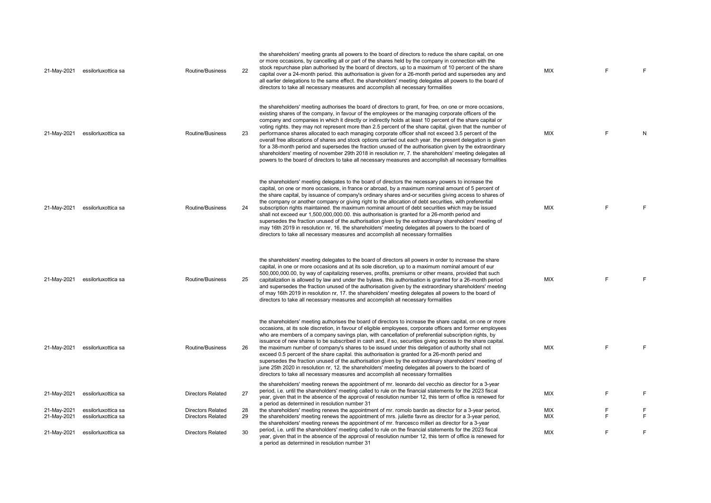| 21-May-2021 | essilorluxottica sa | Routine/Business         | 22 | the shareholders' meeting grants all powers to the board of directors to reduce the share capital, on one<br>or more occasions, by cancelling all or part of the shares held by the company in connection with the<br>stock repurchase plan authorised by the board of directors, up to a maximum of 10 percent of the share<br>capital over a 24-month period. this authorisation is given for a 26-month period and supersedes any and<br>all earlier delegations to the same effect. the shareholders' meeting delegates all powers to the board of<br>directors to take all necessary measures and accomplish all necessary formalities                                                                                                                                                                                                                                                                                                                                                             | <b>MIX</b> | F       | F      |
|-------------|---------------------|--------------------------|----|---------------------------------------------------------------------------------------------------------------------------------------------------------------------------------------------------------------------------------------------------------------------------------------------------------------------------------------------------------------------------------------------------------------------------------------------------------------------------------------------------------------------------------------------------------------------------------------------------------------------------------------------------------------------------------------------------------------------------------------------------------------------------------------------------------------------------------------------------------------------------------------------------------------------------------------------------------------------------------------------------------|------------|---------|--------|
| 21-May-2021 | essilorluxottica sa | Routine/Business         | 23 | the shareholders' meeting authorises the board of directors to grant, for free, on one or more occasions,<br>existing shares of the company, in favour of the employees or the managing corporate officers of the<br>company and companies in which it directly or indirectly holds at least 10 percent of the share capital or<br>voting rights, they may not represent more than 2.5 percent of the share capital, given that the number of<br>performance shares allocated to each managing corporate officer shall not exceed 3.5 percent of the<br>overall free allocations of shares and stock options carried out each year, the present delegation is given<br>for a 38-month period and supersedes the fraction unused of the authorisation given by the extraordinary<br>shareholders' meeting of november 29th 2018 in resolution nr, 7. the shareholders' meeting delegates all<br>powers to the board of directors to take all necessary measures and accomplish all necessary formalities | <b>MIX</b> | E       | N      |
| 21-May-2021 | essilorluxottica sa | Routine/Business         | 24 | the shareholders' meeting delegates to the board of directors the necessary powers to increase the<br>capital, on one or more occasions, in france or abroad, by a maximum nominal amount of 5 percent of<br>the share capital, by issuance of company's ordinary shares and-or securities giving access to shares of<br>the company or another company or giving right to the allocation of debt securities, with preferential<br>subscription rights maintained. the maximum nominal amount of debt securities which may be issued<br>shall not exceed eur 1,500,000,000.00. this authorisation is granted for a 26-month period and<br>supersedes the fraction unused of the authorisation given by the extraordinary shareholders' meeting of<br>may 16th 2019 in resolution nr, 16. the shareholders' meeting delegates all powers to the board of<br>directors to take all necessary measures and accomplish all necessary formalities                                                            | <b>MIX</b> | F       | E      |
| 21-May-2021 | essilorluxottica sa | Routine/Business         | 25 | the shareholders' meeting delegates to the board of directors all powers in order to increase the share<br>capital, in one or more occasions and at its sole discretion, up to a maximum nominal amount of eur<br>500,000,000.00, by way of capitalizing reserves, profits, premiums or other means, provided that such<br>capitalization is allowed by law and under the bylaws, this authorisation is granted for a 26-month period<br>and supersedes the fraction unused of the authorisation given by the extraordinary shareholders' meeting<br>of may 16th 2019 in resolution nr, 17. the shareholders' meeting delegates all powers to the board of<br>directors to take all necessary measures and accomplish all necessary formalities                                                                                                                                                                                                                                                         | <b>MIX</b> | F.      | F      |
| 21-May-2021 | essilorluxottica sa | Routine/Business         | 26 | the shareholders' meeting authorises the board of directors to increase the share capital, on one or more<br>occasions, at its sole discretion, in favour of eligible employees, corporate officers and former employees<br>who are members of a company savings plan, with cancellation of preferential subscription rights, by<br>issuance of new shares to be subscribed in cash and, if so, securities giving access to the share capital.<br>the maximum number of company's shares to be issued under this delegation of authority shall not<br>exceed 0.5 percent of the share capital. this authorisation is granted for a 26-month period and<br>supersedes the fraction unused of the authorisation given by the extraordinary shareholders' meeting of<br>june 25th 2020 in resolution nr, 12. the shareholders' meeting delegates all powers to the board of<br>directors to take all necessary measures and accomplish all necessary formalities                                           | <b>MIX</b> | F       | F      |
| 21-May-2021 | essilorluxottica sa | <b>Directors Related</b> | 27 | the shareholders' meeting renews the appointment of mr. leonardo del vecchio as director for a 3-year<br>period, i.e. until the shareholders' meeting called to rule on the financial statements for the 2023 fiscal<br>year, given that in the absence of the approval of resolution number 12, this term of office is renewed for<br>a period as determined in resolution number 31                                                                                                                                                                                                                                                                                                                                                                                                                                                                                                                                                                                                                   | <b>MIX</b> | E       | E      |
| 21-May-2021 | essilorluxottica sa | <b>Directors Related</b> | 28 | the shareholders' meeting renews the appointment of mr. romolo bardin as director for a 3-year period,                                                                                                                                                                                                                                                                                                                                                                                                                                                                                                                                                                                                                                                                                                                                                                                                                                                                                                  | MIX        | F<br>F. | E<br>E |
| 21-May-2021 | essilorluxottica sa | <b>Directors Related</b> | 29 | the shareholders' meeting renews the appointment of mrs. juliette favre as director for a 3-year period,<br>the shareholders' meeting renews the appointment of mr. francesco milleri as director for a 3-year                                                                                                                                                                                                                                                                                                                                                                                                                                                                                                                                                                                                                                                                                                                                                                                          | MIX        |         |        |
| 21-May-2021 | essilorluxottica sa | <b>Directors Related</b> | 30 | period, i.e. until the shareholders' meeting called to rule on the financial statements for the 2023 fiscal<br>year, given that in the absence of the approval of resolution number 12, this term of office is renewed for<br>a period as determined in resolution number 31                                                                                                                                                                                                                                                                                                                                                                                                                                                                                                                                                                                                                                                                                                                            | <b>MIX</b> | F       | E      |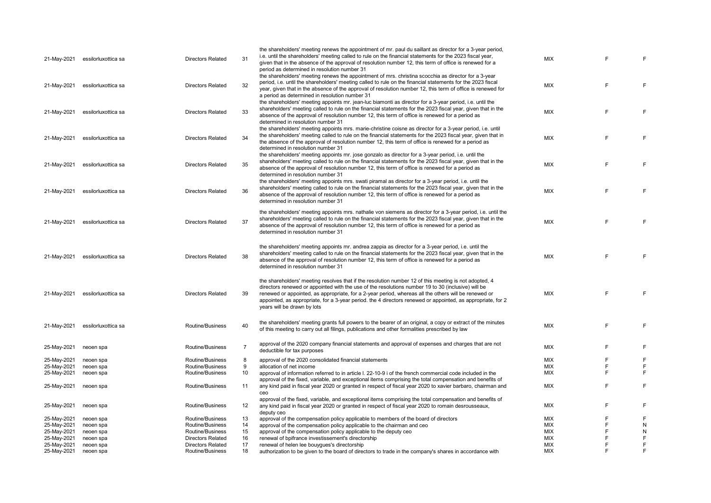|             |                     |                                      |                | the shareholders' meeting renews the appointment of mr. paul du saillant as director for a 3-year period,    |            |   |           |
|-------------|---------------------|--------------------------------------|----------------|--------------------------------------------------------------------------------------------------------------|------------|---|-----------|
| 21-May-2021 | essilorluxottica sa | <b>Directors Related</b>             | 31             | i.e. until the shareholders' meeting called to rule on the financial statements for the 2023 fiscal year,    | MIX        |   | F         |
|             |                     |                                      |                | given that in the absence of the approval of resolution number 12, this term of office is renewed for a      |            |   |           |
|             |                     |                                      |                | period as determined in resolution number 31                                                                 |            |   |           |
|             |                     |                                      |                | the shareholders' meeting renews the appointment of mrs. christina scocchia as director for a 3-year         |            |   |           |
| 21-May-2021 | essilorluxottica sa | <b>Directors Related</b>             | 32             | period, i.e. until the shareholders' meeting called to rule on the financial statements for the 2023 fiscal  | <b>MIX</b> | F | E         |
|             |                     |                                      |                | year, given that in the absence of the approval of resolution number 12, this term of office is renewed for  |            |   |           |
|             |                     |                                      |                | a period as determined in resolution number 31                                                               |            |   |           |
|             |                     |                                      |                | the shareholders' meeting appoints mr. jean-luc biamonti as director for a 3-year period, i.e. until the     |            |   |           |
| 21-May-2021 | essilorluxottica sa | <b>Directors Related</b>             | 33             | shareholders' meeting called to rule on the financial statements for the 2023 fiscal year, given that in the | <b>MIX</b> | F | F         |
|             |                     |                                      |                | absence of the approval of resolution number 12, this term of office is renewed for a period as              |            |   |           |
|             |                     |                                      |                | determined in resolution number 31                                                                           |            |   |           |
|             |                     |                                      |                | the shareholders' meeting appoints mrs. marie-christine coisne as director for a 3-year period, i.e. until   |            |   |           |
| 21-May-2021 | essilorluxottica sa | <b>Directors Related</b>             | 34             | the shareholders' meeting called to rule on the financial statements for the 2023 fiscal year, given that in | <b>MIX</b> | E | F         |
|             |                     |                                      |                | the absence of the approval of resolution number 12, this term of office is renewed for a period as          |            |   |           |
|             |                     |                                      |                | determined in resolution number 31                                                                           |            |   |           |
|             |                     |                                      |                | the shareholders' meeting appoints mr. jose gonzalo as director for a 3-year period, i.e. until the          |            |   |           |
|             |                     |                                      | 35             | shareholders' meeting called to rule on the financial statements for the 2023 fiscal year, given that in the | <b>MIX</b> | F | E         |
| 21-May-2021 | essilorluxottica sa | <b>Directors Related</b>             |                | absence of the approval of resolution number 12, this term of office is renewed for a period as              |            |   |           |
|             |                     |                                      |                | determined in resolution number 31                                                                           |            |   |           |
|             |                     |                                      |                | the shareholders' meeting appoints mrs. swati piramal as director for a 3-year period, i.e. until the        |            |   |           |
|             |                     |                                      |                | shareholders' meeting called to rule on the financial statements for the 2023 fiscal year, given that in the |            |   |           |
| 21-May-2021 | essilorluxottica sa | <b>Directors Related</b>             | 36             | absence of the approval of resolution number 12, this term of office is renewed for a period as              | <b>MIX</b> | F | F         |
|             |                     |                                      |                | determined in resolution number 31                                                                           |            |   |           |
|             |                     |                                      |                |                                                                                                              |            |   |           |
|             |                     |                                      |                | the shareholders' meeting appoints mrs. nathalie von siemens as director for a 3-year period, i.e. until the |            |   |           |
| 21-May-2021 | essilorluxottica sa | <b>Directors Related</b>             | 37             | shareholders' meeting called to rule on the financial statements for the 2023 fiscal year, given that in the | <b>MIX</b> | F | E         |
|             |                     |                                      |                | absence of the approval of resolution number 12, this term of office is renewed for a period as              |            |   |           |
|             |                     |                                      |                | determined in resolution number 31                                                                           |            |   |           |
|             |                     |                                      |                |                                                                                                              |            |   |           |
|             |                     |                                      |                | the shareholders' meeting appoints mr. andrea zappia as director for a 3-year period, i.e. until the         |            |   |           |
|             |                     |                                      |                | shareholders' meeting called to rule on the financial statements for the 2023 fiscal year, given that in the |            |   |           |
| 21-May-2021 | essilorluxottica sa | <b>Directors Related</b>             | 38             | absence of the approval of resolution number 12, this term of office is renewed for a period as              | <b>MIX</b> | F | E         |
|             |                     |                                      |                | determined in resolution number 31                                                                           |            |   |           |
|             |                     |                                      |                |                                                                                                              |            |   |           |
|             |                     |                                      |                | the shareholders' meeting resolves that if the resolution number 12 of this meeting is not adopted, 4        |            |   |           |
|             |                     |                                      |                | directors renewed or appointed with the use of the resolutions number 19 to 30 (inclusive) will be           |            |   |           |
| 21-May-2021 | essilorluxottica sa | <b>Directors Related</b>             | 39             | renewed or appointed, as appropriate, for a 2-year period, whereas all the others will be renewed or         | <b>MIX</b> | E | E         |
|             |                     |                                      |                | appointed, as appropriate, for a 3-year period, the 4 directors renewed or appointed, as appropriate, for 2  |            |   |           |
|             |                     |                                      |                | years will be drawn by lots                                                                                  |            |   |           |
|             |                     |                                      |                |                                                                                                              |            |   |           |
|             |                     |                                      |                |                                                                                                              |            |   |           |
| 21-May-2021 | essilorluxottica sa | Routine/Business                     | 40             | the shareholders' meeting grants full powers to the bearer of an original, a copy or extract of the minutes  | <b>MIX</b> | F | E         |
|             |                     |                                      |                | of this meeting to carry out all filings, publications and other formalities prescribed by law               |            |   |           |
|             |                     |                                      |                |                                                                                                              |            |   |           |
|             |                     |                                      |                | approval of the 2020 company financial statements and approval of expenses and charges that are not          |            | F | F         |
| 25-May-2021 | neoen spa           | Routine/Business                     | $\overline{7}$ | deductible for tax purposes                                                                                  | <b>MIX</b> |   |           |
|             |                     | Routine/Business                     | 8              | approval of the 2020 consolidated financial statements                                                       | MIX        | F | F         |
| 25-May-2021 | neoen spa           | Routine/Business                     | 9              |                                                                                                              | <b>MIX</b> | F | E         |
| 25-May-2021 | neoen spa           | Routine/Business                     | 10             | allocation of net income                                                                                     | MIX        | E | E         |
| 25-May-2021 | neoen spa           |                                      |                | approval of information referred to in article I. 22-10-9 i of the french commercial code included in the    |            |   |           |
|             |                     | Routine/Business                     | 11             | approval of the fixed, variable, and exceptional items comprising the total compensation and benefits of     | <b>MIX</b> | E | E         |
| 25-May-2021 | neoen spa           |                                      |                | any kind paid in fiscal year 2020 or granted in respect of fiscal year 2020 to xavier barbaro, chairman and  |            |   |           |
|             |                     |                                      |                | ceo                                                                                                          |            |   |           |
|             |                     | Routine/Business                     |                | approval of the fixed, variable, and exceptional items comprising the total compensation and benefits of     |            | F | E         |
| 25-May-2021 | neoen spa           |                                      | 12             | any kind paid in fiscal year 2020 or granted in respect of fiscal year 2020 to romain desrousseaux,          | MIX        |   |           |
|             |                     |                                      |                | deputy ceo                                                                                                   |            | E | F         |
| 25-May-2021 | neoen spa           | Routine/Business<br>Routine/Business | 13             | approval of the compensation policy applicable to members of the board of directors                          | <b>MIX</b> | F | ${\sf N}$ |
| 25-May-2021 | neoen spa           |                                      | 14<br>15       | approval of the compensation policy applicable to the chairman and ceo                                       | MIX        | F |           |
| 25-May-2021 | neoen spa           | Routine/Business                     |                | approval of the compensation policy applicable to the deputy ceo                                             | <b>MIX</b> | F | N<br>E    |
| 25-May-2021 | neoen spa           | <b>Directors Related</b>             | 16             | renewal of bpifrance investissement's directorship                                                           | <b>MIX</b> | F | F         |
| 25-May-2021 | neoen spa           | <b>Directors Related</b>             | 17             | renewal of helen lee bouygues's directorship                                                                 | <b>MIX</b> |   |           |
| 25-May-2021 | neoen spa           | Routine/Business                     | 18             | authorization to be given to the board of directors to trade in the company's shares in accordance with      | MIX        | F | E         |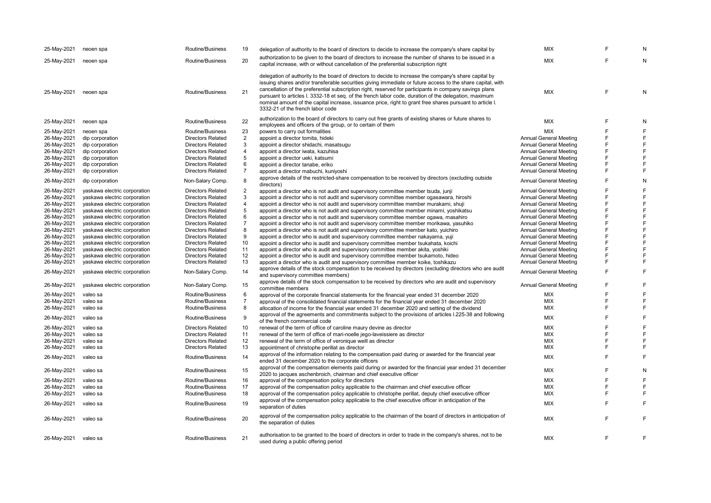| 25-May-2021 | neoen spa                    | Routine/Business         | 19             | delegation of authority to the board of directors to decide to increase the company's share capital by                                                                                                                                                                                                                                                                                                                                                                                                                                                                                    | <b>MIX</b>                    |        | N              |
|-------------|------------------------------|--------------------------|----------------|-------------------------------------------------------------------------------------------------------------------------------------------------------------------------------------------------------------------------------------------------------------------------------------------------------------------------------------------------------------------------------------------------------------------------------------------------------------------------------------------------------------------------------------------------------------------------------------------|-------------------------------|--------|----------------|
| 25-May-2021 | neoen spa                    | Routine/Business         | 20             | authorization to be given to the board of directors to increase the number of shares to be issued in a<br>capital increase, with or without cancellation of the preferential subscription right                                                                                                                                                                                                                                                                                                                                                                                           | <b>MIX</b>                    | F      | N              |
| 25-May-2021 | neoen spa                    | Routine/Business         | 21             | delegation of authority to the board of directors to decide to increase the company's share capital by<br>issuing shares and/or transferable securities giving immediate or future access to the share capital, with<br>cancellation of the preferential subscription right, reserved for participants in company savings plans<br>pursuant to articles I. 3332-18 et seq. of the french labor code, duration of the delegation, maximum<br>nominal amount of the capital increase, issuance price, right to grant free shares pursuant to article I.<br>3332-21 of the french labor code | <b>MIX</b>                    | E      | N              |
| 25-May-2021 | neoen spa                    | Routine/Business         | 22             | authorization to the board of directors to carry out free grants of existing shares or future shares to<br>employees and officers of the group, or to certain of them                                                                                                                                                                                                                                                                                                                                                                                                                     | <b>MIX</b>                    | F      | N              |
| 25-May-2021 | neoen spa                    | Routine/Business         | 23             | powers to carry out formalities                                                                                                                                                                                                                                                                                                                                                                                                                                                                                                                                                           | <b>MIX</b>                    | F      | $\overline{F}$ |
| 26-May-2021 | dip corporation              | <b>Directors Related</b> | $\overline{2}$ | appoint a director tomita, hideki                                                                                                                                                                                                                                                                                                                                                                                                                                                                                                                                                         | <b>Annual General Meeting</b> | F      | $\overline{F}$ |
| 26-May-2021 | dip corporation              | <b>Directors Related</b> | 3              | appoint a director shidachi, masatsugu                                                                                                                                                                                                                                                                                                                                                                                                                                                                                                                                                    | <b>Annual General Meeting</b> | F      | $\mathsf F$    |
| 26-May-2021 | dip corporation              | <b>Directors Related</b> | 4              | appoint a director iwata, kazuhisa                                                                                                                                                                                                                                                                                                                                                                                                                                                                                                                                                        | <b>Annual General Meeting</b> | F      | F              |
| 26-May-2021 | dip corporation              | <b>Directors Related</b> | 5              | appoint a director ueki, katsumi                                                                                                                                                                                                                                                                                                                                                                                                                                                                                                                                                          | <b>Annual General Meeting</b> | F      | F              |
|             |                              | <b>Directors Related</b> | 6              |                                                                                                                                                                                                                                                                                                                                                                                                                                                                                                                                                                                           | <b>Annual General Meeting</b> | F      | E              |
| 26-May-2021 | dip corporation              |                          |                | appoint a director tanabe, eriko                                                                                                                                                                                                                                                                                                                                                                                                                                                                                                                                                          |                               | F      | $\mathsf F$    |
| 26-May-2021 | dip corporation              | <b>Directors Related</b> | $\overline{7}$ | appoint a director mabuchi, kuniyoshi                                                                                                                                                                                                                                                                                                                                                                                                                                                                                                                                                     | <b>Annual General Meeting</b> |        |                |
| 26-May-2021 | dip corporation              | Non-Salary Comp.         | 8              | approve details of the restricted-share compensation to be received by directors (excluding outside<br>directors)                                                                                                                                                                                                                                                                                                                                                                                                                                                                         | <b>Annual General Meeting</b> | F      | N              |
| 26-May-2021 | yaskawa electric corporation | <b>Directors Related</b> | $\overline{2}$ | appoint a director who is not audit and supervisory committee member tsuda, junji                                                                                                                                                                                                                                                                                                                                                                                                                                                                                                         | <b>Annual General Meeting</b> | E      | $\overline{F}$ |
| 26-May-2021 | yaskawa electric corporation | <b>Directors Related</b> | 3              | appoint a director who is not audit and supervisory committee member ogasawara, hiroshi                                                                                                                                                                                                                                                                                                                                                                                                                                                                                                   | <b>Annual General Meeting</b> | F      | F              |
| 26-May-2021 | yaskawa electric corporation | <b>Directors Related</b> | $\overline{4}$ | appoint a director who is not audit and supervisory committee member murakami, shuji                                                                                                                                                                                                                                                                                                                                                                                                                                                                                                      | Annual General Meeting        | F      | $\mathsf F$    |
| 26-May-2021 | yaskawa electric corporation | <b>Directors Related</b> | 5              | appoint a director who is not audit and supervisory committee member minami, yoshikatsu                                                                                                                                                                                                                                                                                                                                                                                                                                                                                                   | Annual General Meeting        | F      | $\overline{F}$ |
| 26-May-2021 | yaskawa electric corporation | <b>Directors Related</b> | 6              | appoint a director who is not audit and supervisory committee member ogawa, masahiro                                                                                                                                                                                                                                                                                                                                                                                                                                                                                                      | <b>Annual General Meeting</b> | F      | F              |
| 26-May-2021 | yaskawa electric corporation | <b>Directors Related</b> | $\overline{7}$ | appoint a director who is not audit and supervisory committee member morikawa, yasuhiko                                                                                                                                                                                                                                                                                                                                                                                                                                                                                                   | <b>Annual General Meeting</b> | F      | E              |
| 26-May-2021 | yaskawa electric corporation | <b>Directors Related</b> | 8              | appoint a director who is not audit and supervisory committee member kato, yuichiro                                                                                                                                                                                                                                                                                                                                                                                                                                                                                                       | <b>Annual General Meeting</b> | F      | F              |
| 26-May-2021 |                              | <b>Directors Related</b> | 9              |                                                                                                                                                                                                                                                                                                                                                                                                                                                                                                                                                                                           | <b>Annual General Meeting</b> | F      | E              |
|             | yaskawa electric corporation |                          | 10             | appoint a director who is audit and supervisory committee member nakayama, yuji                                                                                                                                                                                                                                                                                                                                                                                                                                                                                                           |                               | F      | F              |
| 26-May-2021 | yaskawa electric corporation | <b>Directors Related</b> |                | appoint a director who is audit and supervisory committee member tsukahata, koichi                                                                                                                                                                                                                                                                                                                                                                                                                                                                                                        | <b>Annual General Meeting</b> | F      | F              |
| 26-May-2021 | yaskawa electric corporation | <b>Directors Related</b> | 11             | appoint a director who is audit and supervisory committee member akita, yoshiki                                                                                                                                                                                                                                                                                                                                                                                                                                                                                                           | Annual General Meeting        |        | E              |
| 26-May-2021 | yaskawa electric corporation | <b>Directors Related</b> | 12             | appoint a director who is audit and supervisory committee member tsukamoto, hideo                                                                                                                                                                                                                                                                                                                                                                                                                                                                                                         | Annual General Meeting        | F<br>F |                |
| 26-May-2021 | yaskawa electric corporation | <b>Directors Related</b> | 13             | appoint a director who is audit and supervisory committee member koike, toshikazu                                                                                                                                                                                                                                                                                                                                                                                                                                                                                                         | <b>Annual General Meeting</b> |        | $\mathsf F$    |
| 26-May-2021 | yaskawa electric corporation | Non-Salary Comp.         | 14             | approve details of the stock compensation to be received by directors (excluding directors who are audit                                                                                                                                                                                                                                                                                                                                                                                                                                                                                  | <b>Annual General Meeting</b> | F      | E              |
|             |                              |                          |                | and supervisory committee members)                                                                                                                                                                                                                                                                                                                                                                                                                                                                                                                                                        |                               |        |                |
| 26-May-2021 | yaskawa electric corporation | Non-Salary Comp.         | 15             | approve details of the stock compensation to be received by directors who are audit and supervisory<br>committee members                                                                                                                                                                                                                                                                                                                                                                                                                                                                  | <b>Annual General Meeting</b> | F      | E              |
| 26-May-2021 | valeo sa                     | Routine/Business         | 6              | approval of the corporate financial statements for the financial year ended 31 december 2020                                                                                                                                                                                                                                                                                                                                                                                                                                                                                              | <b>MIX</b>                    | F      | E              |
| 26-May-2021 | valeo sa                     | Routine/Business         | 7              | approval of the consolidated financial statements for the financial year ended 31 december 2020                                                                                                                                                                                                                                                                                                                                                                                                                                                                                           | <b>MIX</b>                    | F      | F              |
| 26-May-2021 | valeo sa                     | Routine/Business         | 8              | allocation of income for the financial year ended 31 december 2020 and setting of the dividend                                                                                                                                                                                                                                                                                                                                                                                                                                                                                            | <b>MIX</b>                    | F      | F              |
| 26-May-2021 | valeo sa                     | Routine/Business         | 9              | approval of the agreements and commitments subject to the provisions of articles I.225-38 and following                                                                                                                                                                                                                                                                                                                                                                                                                                                                                   | <b>MIX</b>                    | F      | E              |
|             |                              |                          |                | of the french commercial code                                                                                                                                                                                                                                                                                                                                                                                                                                                                                                                                                             |                               |        |                |
| 26-May-2021 | valeo sa                     | <b>Directors Related</b> | 10             | renewal of the term of office of caroline maury devine as director                                                                                                                                                                                                                                                                                                                                                                                                                                                                                                                        | <b>MIX</b>                    | E      | E              |
| 26-May-2021 | valeo sa                     | <b>Directors Related</b> | 11             | renewal of the term of office of mari-noelle jego-laveissiere as director                                                                                                                                                                                                                                                                                                                                                                                                                                                                                                                 | <b>MIX</b>                    | E      | E              |
| 26-May-2021 | valeo sa                     | <b>Directors Related</b> | 12             | renewal of the term of office of veronique weill as director                                                                                                                                                                                                                                                                                                                                                                                                                                                                                                                              | <b>MIX</b>                    | F      | F              |
| 26-May-2021 | valeo sa                     | <b>Directors Related</b> | 13             | appointment of christophe perillat as director                                                                                                                                                                                                                                                                                                                                                                                                                                                                                                                                            | <b>MIX</b>                    | F      | F              |
| 26-May-2021 | valeo sa                     | Routine/Business         | 14             | approval of the information relating to the compensation paid during or awarded for the financial year<br>ended 31 december 2020 to the corporate officers                                                                                                                                                                                                                                                                                                                                                                                                                                | <b>MIX</b>                    | E      | E              |
| 26-May-2021 | valeo sa                     | Routine/Business         | 15             | approval of the compensation elements paid during or awarded for the financial year ended 31 december<br>2020 to jacques aschenbroich, chairman and chief executive officer                                                                                                                                                                                                                                                                                                                                                                                                               | <b>MIX</b>                    | F      | N              |
| 26-May-2021 | valeo sa                     | Routine/Business         | 16             | approval of the compensation policy for directors                                                                                                                                                                                                                                                                                                                                                                                                                                                                                                                                         | <b>MIX</b>                    | F      | $\mathsf F$    |
|             | valeo sa                     | Routine/Business         | 17             |                                                                                                                                                                                                                                                                                                                                                                                                                                                                                                                                                                                           | <b>MIX</b>                    | F      | E              |
| 26-May-2021 |                              | Routine/Business         | 18             | approval of the compensation policy applicable to the chairman and chief executive officer                                                                                                                                                                                                                                                                                                                                                                                                                                                                                                | <b>MIX</b>                    | F      | $\mathsf F$    |
| 26-May-2021 | valeo sa                     |                          |                | approval of the compensation policy applicable to christophe perillat, deputy chief executive officer                                                                                                                                                                                                                                                                                                                                                                                                                                                                                     |                               |        |                |
| 26-May-2021 | valeo sa                     | Routine/Business         | 19             | approval of the compensation policy applicable to the chief executive officer in anticipation of the<br>separation of duties                                                                                                                                                                                                                                                                                                                                                                                                                                                              | <b>MIX</b>                    | E      | F              |
| 26-May-2021 | valeo sa                     | Routine/Business         | 20             | approval of the compensation policy applicable to the chairman of the board of directors in anticipation of<br>the separation of duties                                                                                                                                                                                                                                                                                                                                                                                                                                                   | <b>MIX</b>                    | F      | E              |
| 26-May-2021 | valeo sa                     | Routine/Business         | 21             | authorisation to be granted to the board of directors in order to trade in the company's shares, not to be<br>used during a public offering period                                                                                                                                                                                                                                                                                                                                                                                                                                        | <b>MIX</b>                    | F      | F              |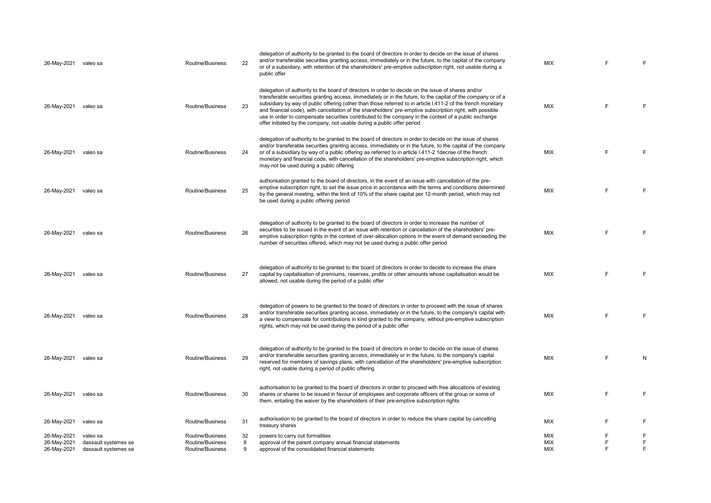| 26-May-2021 valeo sa       |                                  | <b>Routine/Business</b>              | 22      | delegation of authority to be granted to the board of directors in order to decide on the issue of shares<br>and/or transferable securities granting access, immediately or in the future, to the capital of the company<br>or of a subsidiary, with retention of the shareholders' pre-emptive subscription right, not usable during a<br>public offer                                                                                                                                                                                                                                                                            | <b>MIX</b> |        | F      |
|----------------------------|----------------------------------|--------------------------------------|---------|------------------------------------------------------------------------------------------------------------------------------------------------------------------------------------------------------------------------------------------------------------------------------------------------------------------------------------------------------------------------------------------------------------------------------------------------------------------------------------------------------------------------------------------------------------------------------------------------------------------------------------|------------|--------|--------|
| 26-May-2021                | valeo sa                         | Routine/Business                     | 23      | delegation of authority to the board of directors in order to decide on the issue of shares and/or<br>transferable securities granting access, immediately or in the future, to the capital of the company or of a<br>subsidiary by way of public offering (other than those referred to in article I.411-2 of the french monetary<br>and financial code), with cancellation of the shareholders' pre-emptive subscription right, with possible<br>use in order to compensate securities contributed to the company in the context of a public exchange<br>offer initiated by the company, not usable during a public offer period | <b>MIX</b> | E      | F      |
| 26-May-2021                | valeo sa                         | Routine/Business                     | 24      | delegation of authority to be granted to the board of directors in order to decide on the issue of shares<br>and/or transferable securities granting access, immediately or in the future, to the capital of the company<br>or of a subsidiary by way of a public offering as referred to in article 1.411-2 1 decree of the french<br>monetary and financial code, with cancellation of the shareholders' pre-emptive subscription right, which<br>may not be used during a public offering                                                                                                                                       | <b>MIX</b> | F      | F      |
| 26-May-2021 valeo sa       |                                  | Routine/Business                     | 25      | authorisation granted to the board of directors, in the event of an issue with cancellation of the pre-<br>emptive subscription right, to set the issue price in accordance with the terms and conditions determined<br>by the general meeting, within the limit of 10% of the share capital per 12-month period, which may not<br>be used during a public offering period                                                                                                                                                                                                                                                         | MIX        | F      | F      |
| 26-May-2021                | valeo sa                         | Routine/Business                     | 26      | delegation of authority to be granted to the board of directors in order to increase the number of<br>securities to be issued in the event of an issue with retention or cancellation of the shareholders' pre-<br>emptive subscription rights in the context of over-allocation options in the event of demand exceeding the<br>number of securities offered, which may not be used during a public offer period                                                                                                                                                                                                                  | <b>MIX</b> | F      | F      |
| 26-May-2021                | valeo sa                         | Routine/Business                     | 27      | delegation of authority to be granted to the board of directors in order to decide to increase the share<br>capital by capitalisation of premiums, reserves, profits or other amounts whose capitalisation would be<br>allowed, not usable during the period of a public offer                                                                                                                                                                                                                                                                                                                                                     | <b>MIX</b> | F      | F      |
| 26-May-2021                | valeo sa                         | Routine/Business                     | 28      | delegation of powers to be granted to the board of directors in order to proceed with the issue of shares<br>and/or transferable securities granting access, immediately or in the future, to the company's capital with<br>a view to compensate for contributions in kind granted to the company, without pre-emptive subscription<br>rights, which may not be used during the period of a public offer                                                                                                                                                                                                                           | <b>MIX</b> | F      | F      |
| 26-May-2021                | valeo sa                         | Routine/Business                     | 29      | delegation of authority to be granted to the board of directors in order to decide on the issue of shares<br>and/or transferable securities granting access, immediately or in the future, to the company's capital<br>reserved for members of savings plans, with cancellation of the shareholders' pre-emptive subscription<br>right, not usable during a period of public offering                                                                                                                                                                                                                                              | <b>MIX</b> | F      | N      |
| 26-May-2021                | valeo sa                         | Routine/Business                     | 30      | authorisation to be granted to the board of directors in order to proceed with free allocations of existing<br>shares or shares to be issued in favour of employees and corporate officers of the group or some of<br>them, entailing the waiver by the shareholders of their pre-emptive subscription rights                                                                                                                                                                                                                                                                                                                      | <b>MIX</b> | F      | F      |
| 26-May-2021                | valeo sa                         | Routine/Business                     | 31      | authorisation to be granted to the board of directors in order to reduce the share capital by cancelling<br>treasury shares                                                                                                                                                                                                                                                                                                                                                                                                                                                                                                        | <b>MIX</b> | E      | F      |
| 26-May-2021<br>26-May-2021 | valeo sa<br>dassault systemes se | Routine/Business<br>Routine/Business | 32<br>8 | powers to carry out formalities<br>approval of the parent company annual financial statements                                                                                                                                                                                                                                                                                                                                                                                                                                                                                                                                      | MIX<br>MIX | F<br>F | F<br>F |
| 26-May-2021                | dassault systemes se             | Routine/Business                     | 9       | approval of the consolidated financial statements                                                                                                                                                                                                                                                                                                                                                                                                                                                                                                                                                                                  | <b>MIX</b> |        | F.     |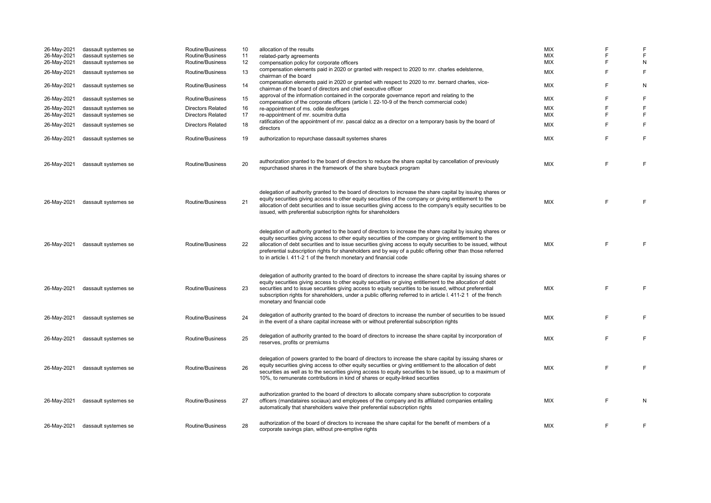| 26-May-2021<br>26-May-2021<br>26-May-2021<br>26-May-2021 | dassault systemes se<br>dassault systemes se<br>dassault systemes se<br>dassault systemes se | Routine/Business<br>Routine/Business<br>Routine/Business<br>Routine/Business | 10<br>11<br>12<br>13 | allocation of the results<br>related-party agreements<br>compensation policy for corporate officers<br>compensation elements paid in 2020 or granted with respect to 2020 to mr. charles edelstenne,                                                                                                                                                                                                                                                                                                                          | <b>MIX</b><br><b>MIX</b><br>MIX<br><b>MIX</b> | F<br>F<br>F<br>F | E<br>E<br>N<br>F |
|----------------------------------------------------------|----------------------------------------------------------------------------------------------|------------------------------------------------------------------------------|----------------------|-------------------------------------------------------------------------------------------------------------------------------------------------------------------------------------------------------------------------------------------------------------------------------------------------------------------------------------------------------------------------------------------------------------------------------------------------------------------------------------------------------------------------------|-----------------------------------------------|------------------|------------------|
| 26-May-2021                                              | dassault systemes se                                                                         | Routine/Business                                                             | 14                   | chairman of the board<br>compensation elements paid in 2020 or granted with respect to 2020 to mr. bernard charles, vice-<br>chairman of the board of directors and chief executive officer                                                                                                                                                                                                                                                                                                                                   | <b>MIX</b>                                    | F                | N                |
| 26-May-2021                                              | dassault systemes se                                                                         | Routine/Business                                                             | 15                   | approval of the information contained in the corporate governance report and relating to the<br>compensation of the corporate officers (article I. 22-10-9 of the french commercial code)                                                                                                                                                                                                                                                                                                                                     | MIX                                           | F                | F                |
| 26-May-2021<br>26-May-2021                               | dassault systemes se<br>dassault systemes se                                                 | <b>Directors Related</b><br><b>Directors Related</b>                         | 16<br>17             | re-appointment of ms. odile desforges<br>re-appointment of mr. soumitra dutta<br>ratification of the appointment of mr. pascal daloz as a director on a temporary basis by the board of                                                                                                                                                                                                                                                                                                                                       | MIX<br>MIX                                    | F<br>F           | F<br>F           |
| 26-May-2021                                              | dassault systemes se                                                                         | <b>Directors Related</b>                                                     | 18                   | directors                                                                                                                                                                                                                                                                                                                                                                                                                                                                                                                     | MIX                                           | F                | F                |
| 26-May-2021                                              | dassault systemes se                                                                         | Routine/Business                                                             | 19                   | authorization to repurchase dassault systemes shares                                                                                                                                                                                                                                                                                                                                                                                                                                                                          | MIX                                           | F                | F                |
| 26-May-2021                                              | dassault systemes se                                                                         | Routine/Business                                                             | 20                   | authorization granted to the board of directors to reduce the share capital by cancellation of previously<br>repurchased shares in the framework of the share buyback program                                                                                                                                                                                                                                                                                                                                                 | <b>MIX</b>                                    | F                | F                |
| 26-May-2021                                              | dassault systemes se                                                                         | Routine/Business                                                             | 21                   | delegation of authority granted to the board of directors to increase the share capital by issuing shares or<br>equity securities giving access to other equity securities of the company or giving entitlement to the<br>allocation of debt securities and to issue securities giving access to the company's equity securities to be<br>issued, with preferential subscription rights for shareholders                                                                                                                      | <b>MIX</b>                                    | F.               | F                |
| 26-May-2021                                              | dassault systemes se                                                                         | Routine/Business                                                             | 22                   | delegation of authority granted to the board of directors to increase the share capital by issuing shares or<br>equity securities giving access to other equity securities of the company or giving entitlement to the<br>allocation of debt securities and to issue securities giving access to equity securities to be issued, without<br>preferential subscription rights for shareholders and by way of a public offering other than those referred<br>to in article I. 411-2 1 of the french monetary and financial code | <b>MIX</b>                                    | F                | F                |
| 26-May-2021                                              | dassault systemes se                                                                         | Routine/Business                                                             | 23                   | delegation of authority granted to the board of directors to increase the share capital by issuing shares or<br>equity securities giving access to other equity securities or giving entitlement to the allocation of debt<br>securities and to issue securities giving access to equity securities to be issued, without preferential<br>subscription rights for shareholders, under a public offering referred to in article I. 411-2 1 of the french<br>monetary and financial code                                        | <b>MIX</b>                                    | F                | F                |
| 26-May-2021                                              | dassault systemes se                                                                         | Routine/Business                                                             | 24                   | delegation of authority granted to the board of directors to increase the number of securities to be issued<br>in the event of a share capital increase with or without preferential subscription rights                                                                                                                                                                                                                                                                                                                      | MIX                                           | F                | F                |
| 26-May-2021                                              | dassault systemes se                                                                         | Routine/Business                                                             | 25                   | delegation of authority granted to the board of directors to increase the share capital by incorporation of<br>reserves, profits or premiums                                                                                                                                                                                                                                                                                                                                                                                  | <b>MIX</b>                                    | F                | F                |
| 26-May-2021                                              | dassault systemes se                                                                         | Routine/Business                                                             | 26                   | delegation of powers granted to the board of directors to increase the share capital by issuing shares or<br>equity securities giving access to other equity securities or giving entitlement to the allocation of debt<br>securities as well as to the securities giving access to equity securities to be issued, up to a maximum of<br>10%, to remunerate contributions in kind of shares or equity-linked securities                                                                                                      | <b>MIX</b>                                    | F                | F                |
| 26-May-2021                                              | dassault systemes se                                                                         | Routine/Business                                                             | 27                   | authorization granted to the board of directors to allocate company share subscription to corporate<br>officers (mandataires sociaux) and employees of the company and its affiliated companies entailing<br>automatically that shareholders waive their preferential subscription rights                                                                                                                                                                                                                                     | <b>MIX</b>                                    | F                | N                |
| 26-May-2021                                              | dassault systemes se                                                                         | Routine/Business                                                             | 28                   | authorization of the board of directors to increase the share capital for the benefit of members of a<br>corporate savings plan, without pre-emptive rights                                                                                                                                                                                                                                                                                                                                                                   | <b>MIX</b>                                    | F                | F                |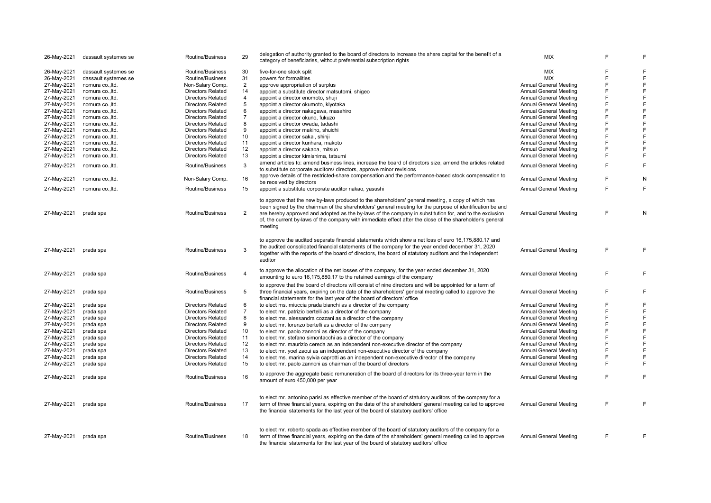| 26-May-2021 | dassault systemes se | Routine/Business         | 29             | delegation of authority granted to the board of directors to increase the share capital for the benefit of a<br>category of beneficiaries, without preferential subscription rights                                                                                                                                              | <b>MIX</b>                    | E | E           |
|-------------|----------------------|--------------------------|----------------|----------------------------------------------------------------------------------------------------------------------------------------------------------------------------------------------------------------------------------------------------------------------------------------------------------------------------------|-------------------------------|---|-------------|
| 26-May-2021 | dassault systemes se | Routine/Business         | 30             | five-for-one stock split                                                                                                                                                                                                                                                                                                         | <b>MIX</b>                    | E | F           |
| 26-May-2021 | dassault systemes se | Routine/Business         | 31             | powers for formalities                                                                                                                                                                                                                                                                                                           | <b>MIX</b>                    | E | F           |
| 27-May-2021 | nomura co., Itd.     | Non-Salary Comp.         | $\overline{2}$ | approve appropriation of surplus                                                                                                                                                                                                                                                                                                 | <b>Annual General Meeting</b> | F | $\mathsf F$ |
| 27-May-2021 | nomura co., Itd.     | <b>Directors Related</b> | 14             | appoint a substitute director matsutomi, shigeo                                                                                                                                                                                                                                                                                  | Annual General Meeting        | E | F           |
|             |                      | <b>Directors Related</b> | 4              |                                                                                                                                                                                                                                                                                                                                  | <b>Annual General Meeting</b> | F | $\mathsf F$ |
| 27-May-2021 | nomura co., Itd.     |                          |                | appoint a director enomoto, shuji                                                                                                                                                                                                                                                                                                |                               |   |             |
| 27-May-2021 | nomura co., Itd.     | <b>Directors Related</b> | 5              | appoint a director okumoto, kiyotaka                                                                                                                                                                                                                                                                                             | <b>Annual General Meeting</b> | F | $\mathsf F$ |
| 27-May-2021 | nomura co., Itd.     | <b>Directors Related</b> | 6              | appoint a director nakagawa, masahiro                                                                                                                                                                                                                                                                                            | <b>Annual General Meeting</b> | E | F           |
| 27-May-2021 | nomura co., Itd.     | <b>Directors Related</b> | $\overline{7}$ | appoint a director okuno, fukuzo                                                                                                                                                                                                                                                                                                 | <b>Annual General Meeting</b> | E | F           |
| 27-May-2021 | nomura co., Itd.     | <b>Directors Related</b> | 8              | appoint a director owada, tadashi                                                                                                                                                                                                                                                                                                | Annual General Meeting        | E | F           |
| 27-May-2021 | nomura co., Itd.     | <b>Directors Related</b> | 9              | appoint a director makino, shuichi                                                                                                                                                                                                                                                                                               | <b>Annual General Meeting</b> | F | $\mathsf F$ |
| 27-May-2021 | nomura co., Itd.     | <b>Directors Related</b> | 10             | appoint a director sakai, shinji                                                                                                                                                                                                                                                                                                 | <b>Annual General Meeting</b> | F | F           |
| 27-May-2021 | nomura co., Itd.     | <b>Directors Related</b> | 11             | appoint a director kurihara, makoto                                                                                                                                                                                                                                                                                              | <b>Annual General Meeting</b> | E | F           |
| 27-May-2021 | nomura co., Itd.     | <b>Directors Related</b> | 12             | appoint a director sakaba, mitsuo                                                                                                                                                                                                                                                                                                | <b>Annual General Meeting</b> | E | F           |
| 27-May-2021 | nomura co., Itd.     | <b>Directors Related</b> | 13             | appoint a director kimishima, tatsumi                                                                                                                                                                                                                                                                                            | <b>Annual General Meeting</b> | E | F           |
|             |                      |                          |                | amend articles to: amend business lines, increase the board of directors size, amend the articles related                                                                                                                                                                                                                        |                               |   |             |
| 27-May-2021 | nomura co., Itd.     | Routine/Business         | 3              | to substitute corporate auditors/ directors, approve minor revisions                                                                                                                                                                                                                                                             | <b>Annual General Meeting</b> | E | F           |
| 27-May-2021 | nomura co., Itd.     | Non-Salary Comp.         | 16             | approve details of the restricted-share compensation and the performance-based stock compensation to                                                                                                                                                                                                                             | <b>Annual General Meeting</b> | E | N           |
|             |                      |                          |                | be received by directors                                                                                                                                                                                                                                                                                                         |                               |   |             |
| 27-May-2021 | nomura co., Itd.     | Routine/Business         | 15             | appoint a substitute corporate auditor nakao, yasushi                                                                                                                                                                                                                                                                            | <b>Annual General Meeting</b> | E | F           |
| 27-May-2021 | prada spa            | Routine/Business         | $\overline{2}$ | to approve that the new by-laws produced to the shareholders' general meeting, a copy of which has<br>been signed by the chairman of the shareholders' general meeting for the purpose of identification be and<br>are hereby approved and adopted as the by-laws of the company in substitution for, and to the exclusion       | <b>Annual General Meeting</b> | E | N           |
|             |                      |                          |                | of, the current by-laws of the company with immediate effect after the close of the shareholder's general<br>meeting                                                                                                                                                                                                             |                               |   |             |
| 27-May-2021 | prada spa            | Routine/Business         | 3              | to approve the audited separate financial statements which show a net loss of euro 16,175,880.17 and<br>the audited consolidated financial statements of the company for the year ended december 31, 2020<br>together with the reports of the board of directors, the board of statutory auditors and the independent<br>auditor | Annual General Meeting        | E | F           |
| 27-May-2021 | prada spa            | Routine/Business         | 4              | to approve the allocation of the net losses of the company, for the year ended december 31, 2020<br>amounting to euro 16,175,880.17 to the retained earnings of the company                                                                                                                                                      | Annual General Meeting        | E | F           |
| 27-May-2021 | prada spa            | Routine/Business         | 5              | to approve that the board of directors will consist of nine directors and will be appointed for a term of<br>three financial years, expiring on the date of the shareholders' general meeting called to approve the<br>financial statements for the last year of the board of directors' office                                  | <b>Annual General Meeting</b> | F | F           |
| 27-May-2021 | prada spa            | <b>Directors Related</b> | 6              | to elect ms. miuccia prada bianchi as a director of the company                                                                                                                                                                                                                                                                  | <b>Annual General Meeting</b> | E | F           |
| 27-May-2021 | prada spa            | <b>Directors Related</b> | $\overline{7}$ | to elect mr. patrizio bertelli as a director of the company                                                                                                                                                                                                                                                                      | Annual General Meeting        | E | $\mathsf F$ |
| 27-May-2021 | prada spa            | <b>Directors Related</b> | 8              | to elect ms. alessandra cozzani as a director of the company                                                                                                                                                                                                                                                                     | Annual General Meeting        | F | F           |
| 27-May-2021 | prada spa            | <b>Directors Related</b> | 9              | to elect mr. lorenzo bertelli as a director of the company                                                                                                                                                                                                                                                                       | <b>Annual General Meeting</b> | F | $\mathsf F$ |
|             |                      |                          |                |                                                                                                                                                                                                                                                                                                                                  |                               | F | $\mathsf F$ |
| 27-May-2021 | prada spa            | <b>Directors Related</b> | 10             | to elect mr. paolo zannoni as director of the company                                                                                                                                                                                                                                                                            | <b>Annual General Meeting</b> |   |             |
| 27-May-2021 | prada spa            | <b>Directors Related</b> | 11             | to elect mr. stefano simontacchi as a director of the company                                                                                                                                                                                                                                                                    | <b>Annual General Meeting</b> | F | $\mathsf F$ |
| 27-May-2021 | prada spa            | <b>Directors Related</b> | 12             | to elect mr. maurizio cereda as an independent non-executive director of the company                                                                                                                                                                                                                                             | Annual General Meeting        | F | F           |
| 27-May-2021 | prada spa            | <b>Directors Related</b> | 13             | to elect mr. yoel zaoui as an independent non-executive director of the company                                                                                                                                                                                                                                                  | Annual General Meeting        | E | F           |
| 27-May-2021 | prada spa            | <b>Directors Related</b> | 14             | to elect ms. marina sylvia caprotti as an independent non-executive director of the company                                                                                                                                                                                                                                      | <b>Annual General Meeting</b> | F | $\mathsf F$ |
| 27-May-2021 | prada spa            | <b>Directors Related</b> | 15             | to elect mr. paolo zannoni as chairman of the board of directors                                                                                                                                                                                                                                                                 | <b>Annual General Meeting</b> | F | F           |
| 27-May-2021 | prada spa            | Routine/Business         | 16             | to approve the aggregate basic remuneration of the board of directors for its three-year term in the<br>amount of euro 450,000 per year                                                                                                                                                                                          | <b>Annual General Meeting</b> | F | F           |
| 27-May-2021 | prada spa            | Routine/Business         | 17             | to elect mr. antonino parisi as effective member of the board of statutory auditors of the company for a<br>term of three financial years, expiring on the date of the shareholders' general meeting called to approve<br>the financial statements for the last year of the board of statutory auditors' office                  | Annual General Meeting        | F | F           |
| 27-May-2021 | prada spa            | Routine/Business         | 18             | to elect mr. roberto spada as effective member of the board of statutory auditors of the company for a<br>term of three financial years, expiring on the date of the shareholders' general meeting called to approve<br>the financial statements for the last year of the board of statutory auditors' office                    | <b>Annual General Meeting</b> | F | F           |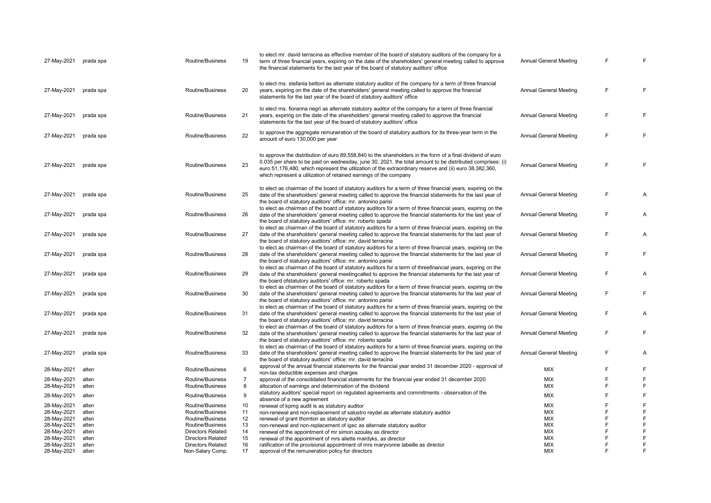| 27-May-2021 | prada spa | Routine/Business         | 19             | to elect mr. david terracina as effective member of the board of statutory auditors of the company for a<br>term of three financial years, expiring on the date of the shareholders' general meeting called to approve<br>the financial statements for the last year of the board of statutory auditors' office                                                                                         | <b>Annual General Meeting</b> | E      | F |
|-------------|-----------|--------------------------|----------------|---------------------------------------------------------------------------------------------------------------------------------------------------------------------------------------------------------------------------------------------------------------------------------------------------------------------------------------------------------------------------------------------------------|-------------------------------|--------|---|
| 27-May-2021 | prada spa | Routine/Business         | 20             | to elect ms. stefania bettoni as alternate statutory auditor of the company for a term of three financial<br>years, expiring on the date of the shareholders' general meeting called to approve the financial<br>statements for the last year of the board of statutory auditors' office                                                                                                                | Annual General Meeting        | F      | F |
| 27-May-2021 | prada spa | Routine/Business         | 21             | to elect ms. fioranna negri as alternate statutory auditor of the company for a term of three financial<br>years, expiring on the date of the shareholders' general meeting called to approve the financial<br>statements for the last year of the board of statutory auditors' office                                                                                                                  | Annual General Meeting        | E      | F |
| 27-May-2021 | prada spa | Routine/Business         | 22             | to approve the aggregate remuneration of the board of statutory auditors for its three-year term in the<br>amount of euro 130,000 per year                                                                                                                                                                                                                                                              | <b>Annual General Meeting</b> | E      | F |
| 27-May-2021 | prada spa | Routine/Business         | 23             | to approve the distribution of euro 89,558,840 to the shareholders in the form of a final dividend of euro<br>0.035 per share to be paid on wednesday, june 30, 2021. the total amount to be distributed comprises: (i)<br>euro 51,176,480, which represent the utilization of the extraordinary reserve and (ii) euro 38,382,360,<br>which represent a utilization of retained earnings of the company | <b>Annual General Meeting</b> | E      | F |
| 27-May-2021 | prada spa | Routine/Business         | 25             | to elect as chairman of the board of statutory auditors for a term of three financial years, expiring on the<br>date of the shareholders' general meeting called to approve the financial statements for the last year of<br>the board of statutory auditors' office: mr. antonino parisi                                                                                                               | <b>Annual General Meeting</b> | F      | Α |
| 27-May-2021 | prada spa | Routine/Business         | 26             | to elect as chairman of the board of statutory auditors for a term of three financial years, expiring on the<br>date of the shareholders' general meeting called to approve the financial statements for the last year of<br>the board of statutory auditors' office: mr. roberto spada                                                                                                                 | Annual General Meeting        | F      | Α |
| 27-May-2021 | prada spa | Routine/Business         | 27             | to elect as chairman of the board of statutory auditors for a term of three financial years, expiring on the<br>date of the shareholders' general meeting called to approve the financial statements for the last year of<br>the board of statutory auditors' office: mr. david terracina                                                                                                               | <b>Annual General Meeting</b> | E      | Α |
| 27-May-2021 | prada spa | Routine/Business         | 28             | to elect as chairman of the board of statutory auditors for a term of three financial years, expiring on the<br>date of the shareholders' general meeting called to approve the financial statements for the last year of<br>the board of statutory auditors' office: mr. antonino parisi                                                                                                               | <b>Annual General Meeting</b> | F      | F |
| 27-May-2021 | prada spa | Routine/Business         | 29             | to elect as chairman of the board of statutory auditors for a term of threefinancial years, expiring on the<br>date of the shareholders' general meetingcalled to approve the financial statements for the last year of<br>the board ofstatutory auditors' office: mr. roberto spada                                                                                                                    | <b>Annual General Meeting</b> | E      | Α |
| 27-May-2021 | prada spa | Routine/Business         | 30             | to elect as chairman of the board of statutory auditors for a term of three financial years, expiring on the<br>date of the shareholders' general meeting called to approve the financial statements for the last year of<br>the board of statutory auditors' office: mr. antonino parisi                                                                                                               | <b>Annual General Meeting</b> | F      | F |
| 27-May-2021 | prada spa | Routine/Business         | 31             | to elect as chairman of the board of statutory auditors for a term of three financial years, expiring on the<br>date of the shareholders' general meeting called to approve the financial statements for the last year of<br>the board of statutory auditors' office: mr. david terracina                                                                                                               | Annual General Meeting        | E      | Α |
| 27-May-2021 | prada spa | Routine/Business         | 32             | to elect as chairman of the board of statutory auditors for a term of three financial years, expiring on the<br>date of the shareholders' general meeting called to approve the financial statements for the last year of<br>the board of statutory auditors' office: mr. roberto spada                                                                                                                 | Annual General Meeting        | E      | F |
| 27-May-2021 | prada spa | Routine/Business         | 33             | to elect as chairman of the board of statutory auditors for a term of three financial years, expiring on the<br>date of the shareholders' general meeting called to approve the financial statements for the last year of<br>the board of statutory auditors' office: mr. david terracina                                                                                                               | Annual General Meeting        | E      | A |
| 28-May-2021 | alten     | Routine/Business         | 6              | approval of the annual financial statements for the financial year ended 31 december 2020 - approval of<br>non-tax deductible expenses and charges                                                                                                                                                                                                                                                      | <b>MIX</b>                    | E      | F |
| 28-May-2021 | alten     | Routine/Business         | $\overline{7}$ | approval of the consolidated financial statements for the financial year ended 31 december 2020                                                                                                                                                                                                                                                                                                         | <b>MIX</b>                    | F      | F |
| 28-May-2021 | alten     | Routine/Business         | 8              | allocation of earnings and determination of the dividend                                                                                                                                                                                                                                                                                                                                                | <b>MIX</b>                    | E      | F |
| 28-May-2021 | alten     | Routine/Business         | 9              | statutory auditors' special report on regulated agreements and commitments - observation of the<br>absence of a new agreement                                                                                                                                                                                                                                                                           | <b>MIX</b>                    | E      | F |
| 28-May-2021 | alten     | Routine/Business         | 10             | renewal of kpmg audit is as statutory auditor                                                                                                                                                                                                                                                                                                                                                           | <b>MIX</b>                    |        | F |
| 28-May-2021 | alten     | Routine/Business         | 11             | non-renewal and non-replacement of salustro reydel as alternate statutory auditor                                                                                                                                                                                                                                                                                                                       | MIX                           | F      | F |
| 28-May-2021 | alten     | Routine/Business         | 12             | renewal of grant thornton as statutory auditor                                                                                                                                                                                                                                                                                                                                                          | <b>MIX</b>                    | E      | F |
| 28-May-2021 | alten     | Routine/Business         | 13             | non-renewal and non-replacement of igec as alternate statutory auditor                                                                                                                                                                                                                                                                                                                                  | MIX                           | E      | F |
| 28-May-2021 | alten     | <b>Directors Related</b> | 14             | renewal of the appointment of mr simon azoulay as director                                                                                                                                                                                                                                                                                                                                              | <b>MIX</b>                    | F      | F |
| 28-May-2021 | alten     | <b>Directors Related</b> | 15             | renewal of the appointment of mrs aliette mardyks, as director                                                                                                                                                                                                                                                                                                                                          | <b>MIX</b>                    | F      | F |
| 28-May-2021 | alten     | <b>Directors Related</b> | 16             | ratification of the provisional appointment of mrs maryvonne labeille as director                                                                                                                                                                                                                                                                                                                       | <b>MIX</b>                    | F<br>E | F |
| 28-May-2021 | alten     | Non-Salary Comp.         | 17             | approval of the remuneration policy for directors                                                                                                                                                                                                                                                                                                                                                       | <b>MIX</b>                    |        | F |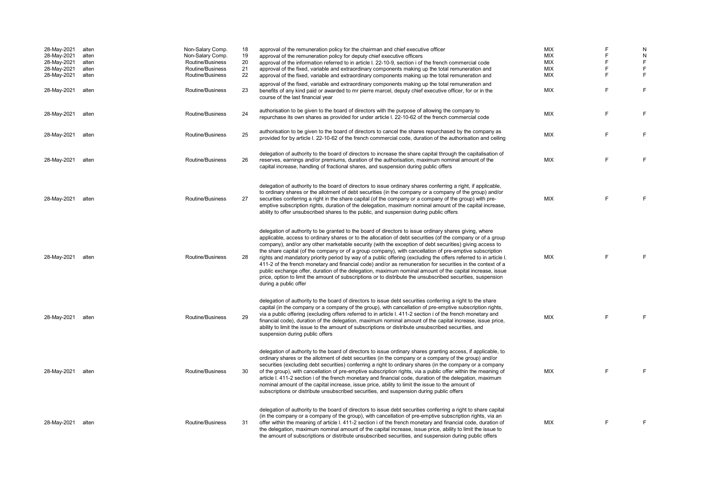| 28-May-2021<br>28-May-2021<br>28-May-2021<br>28-May-2021<br>28-May-2021 | alten<br>alten<br>alten<br>alten<br>alten | Non-Salary Comp.<br>Non-Salary Comp.<br>Routine/Business<br>Routine/Business<br>Routine/Business | 18<br>19<br>20<br>21<br>22 | approval of the remuneration policy for the chairman and chief executive officer<br>approval of the remuneration policy for deputy chief executive officers<br>approval of the information referred to in article I. 22-10-9, section i of the french commercial code<br>approval of the fixed, variable and extraordinary components making up the total remuneration and<br>approval of the fixed, variable and extraordinary components making up the total remuneration and                                                                                                                                                                                                                                                                                                                                                                                                                                                   | <b>MIX</b><br><b>MIX</b><br><b>MIX</b><br><b>MIX</b><br>MIX | F<br>F<br>F<br>F<br>F | N<br>N<br>F<br>F<br>F |
|-------------------------------------------------------------------------|-------------------------------------------|--------------------------------------------------------------------------------------------------|----------------------------|-----------------------------------------------------------------------------------------------------------------------------------------------------------------------------------------------------------------------------------------------------------------------------------------------------------------------------------------------------------------------------------------------------------------------------------------------------------------------------------------------------------------------------------------------------------------------------------------------------------------------------------------------------------------------------------------------------------------------------------------------------------------------------------------------------------------------------------------------------------------------------------------------------------------------------------|-------------------------------------------------------------|-----------------------|-----------------------|
| 28-May-2021                                                             | alten                                     | Routine/Business                                                                                 | 23                         | approval of the fixed, variable and extraordinary components making up the total remuneration and<br>benefits of any kind paid or awarded to mr pierre marcel, deputy chief executive officer, for or in the<br>course of the last financial year                                                                                                                                                                                                                                                                                                                                                                                                                                                                                                                                                                                                                                                                                 | <b>MIX</b>                                                  | F                     | F                     |
| 28-May-2021                                                             | alten                                     | Routine/Business                                                                                 | 24                         | authorisation to be given to the board of directors with the purpose of allowing the company to<br>repurchase its own shares as provided for under article I. 22-10-62 of the french commercial code                                                                                                                                                                                                                                                                                                                                                                                                                                                                                                                                                                                                                                                                                                                              | <b>MIX</b>                                                  | F                     | F                     |
| 28-May-2021                                                             | alten                                     | Routine/Business                                                                                 | 25                         | authorisation to be given to the board of directors to cancel the shares repurchased by the company as<br>provided for by article I. 22-10-62 of the french commercial code, duration of the authorisation and ceiling                                                                                                                                                                                                                                                                                                                                                                                                                                                                                                                                                                                                                                                                                                            | <b>MIX</b>                                                  | F                     | E                     |
| 28-May-2021                                                             | alten                                     | Routine/Business                                                                                 | 26                         | delegation of authority to the board of directors to increase the share capital through the capitalisation of<br>reserves, earnings and/or premiums, duration of the authorisation, maximum nominal amount of the<br>capital increase, handling of fractional shares, and suspension during public offers                                                                                                                                                                                                                                                                                                                                                                                                                                                                                                                                                                                                                         | <b>MIX</b>                                                  | F                     | E                     |
| 28-May-2021                                                             | alten                                     | Routine/Business                                                                                 | 27                         | delegation of authority to the board of directors to issue ordinary shares conferring a right, if applicable,<br>to ordinary shares or the allotment of debt securities (in the company or a company of the group) and/or<br>securities conferring a right in the share capital (of the company or a company of the group) with pre-<br>emptive subscription rights, duration of the delegation, maximum nominal amount of the capital increase,<br>ability to offer unsubscribed shares to the public, and suspension during public offers                                                                                                                                                                                                                                                                                                                                                                                       | <b>MIX</b>                                                  | F                     | F                     |
| 28-May-2021                                                             | alten                                     | Routine/Business                                                                                 | 28                         | delegation of authority to be granted to the board of directors to issue ordinary shares giving, where<br>applicable, access to ordinary shares or to the allocation of debt securities (of the company or of a group<br>company), and/or any other marketable security (with the exception of debt securities) giving access to<br>the share capital (of the company or of a group company), with cancellation of pre-emptive subscription<br>rights and mandatory priority period by way of a public offering (excluding the offers referred to in article I.<br>411-2 of the french monetary and financial code) and/or as remuneration for securities in the context of a<br>public exchange offer, duration of the delegation, maximum nominal amount of the capital increase, issue<br>price, option to limit the amount of subscriptions or to distribute the unsubscribed securities, suspension<br>during a public offer | <b>MIX</b>                                                  | F.                    | E                     |
| 28-May-2021                                                             | alten                                     | Routine/Business                                                                                 | 29                         | delegation of authority to the board of directors to issue debt securities conferring a right to the share<br>capital (in the company or a company of the group), with cancellation of pre-emptive subscription rights,<br>via a public offering (excluding offers referred to in article I. 411-2 section i of the french monetary and<br>financial code), duration of the delegation, maximum nominal amount of the capital increase, issue price,<br>ability to limit the issue to the amount of subscriptions or distribute unsubscribed securities, and<br>suspension during public offers                                                                                                                                                                                                                                                                                                                                   | <b>MIX</b>                                                  | F                     | E                     |
| 28-May-2021                                                             | alten                                     | Routine/Business                                                                                 | 30                         | delegation of authority to the board of directors to issue ordinary shares granting access, if applicable, to<br>ordinary shares or the allotment of debt securities (in the company or a company of the group) and/or<br>securities (excluding debt securities) conferring a right to ordinary shares (in the company or a company<br>of the group), with cancellation of pre-emptive subscription rights, via a public offer within the meaning of<br>article I. 411-2 section i of the french monetary and financial code, duration of the delegation, maximum<br>nominal amount of the capital increase, issue price, ability to limit the issue to the amount of<br>subscriptions or distribute unsubscribed securities, and suspension during public offers                                                                                                                                                                 | <b>MIX</b>                                                  | E                     | E                     |
| 28-May-2021                                                             | alten                                     | Routine/Business                                                                                 | 31                         | delegation of authority to the board of directors to issue debt securities conferring a right to share capital<br>(in the company or a company of the group), with cancellation of pre-emptive subscription rights, via an<br>offer within the meaning of article I. 411-2 section i of the french monetary and financial code, duration of<br>the delegation, maximum nominal amount of the capital increase, issue price, ability to limit the issue to<br>the amount of subscriptions or distribute unsubscribed securities, and suspension during public offers                                                                                                                                                                                                                                                                                                                                                               | <b>MIX</b>                                                  | F                     | F                     |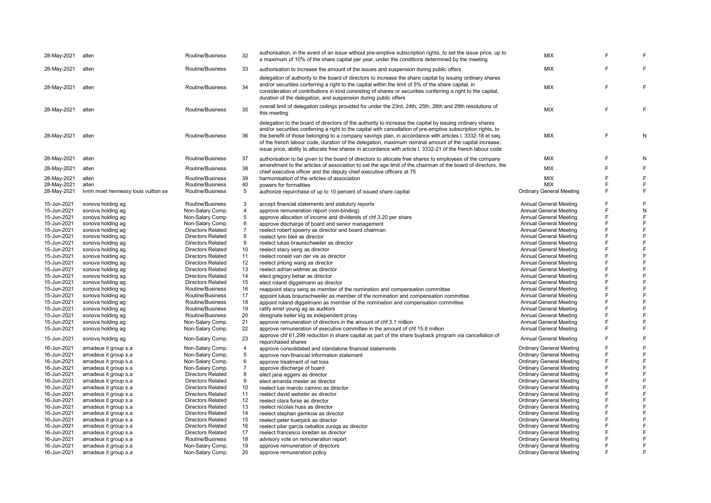| 28-May-2021 | alten                               | Routine/Business         | 32             | authorisation, in the event of an issue without pre-emptive subscription rights, to set the issue price, up to<br>a maximum of 10% of the share capital per year, under the conditions determined by the meeting                                                                                                                                                                                                                                                                                                                                               | <b>MIX</b>                      | E | E |
|-------------|-------------------------------------|--------------------------|----------------|----------------------------------------------------------------------------------------------------------------------------------------------------------------------------------------------------------------------------------------------------------------------------------------------------------------------------------------------------------------------------------------------------------------------------------------------------------------------------------------------------------------------------------------------------------------|---------------------------------|---|---|
| 28-May-2021 | alten                               | Routine/Business         | 33             | authorisation to increase the amount of the issues and suspension during public offers                                                                                                                                                                                                                                                                                                                                                                                                                                                                         | <b>MIX</b>                      | F | F |
| 28-May-2021 | alten                               | Routine/Business         | 34             | delegation of authority to the board of directors to increase the share capital by issuing ordinary shares<br>and/or securities conferring a right to the capital within the limit of 5% of the share capital, in<br>consideration of contributions in kind consisting of shares or securities conferring a right to the capital,<br>duration of the delegation, and suspension during public offers                                                                                                                                                           | <b>MIX</b>                      | F | F |
| 28-May-2021 | alten                               | Routine/Business         | 35             | overall limit of delegation ceilings provided for under the 23rd, 24th, 25th, 26th and 29th resolutions of<br>this meeting                                                                                                                                                                                                                                                                                                                                                                                                                                     | <b>MIX</b>                      | F | E |
| 28-May-2021 | alten                               | Routine/Business         | 36             | delegation to the board of directors of the authority to increase the capital by issuing ordinary shares<br>and/or securities conferring a right to the capital with cancellation of pre-emptive subscription rights, to<br>the benefit of those belonging to a company savings plan, in accordance with articles I. 3332-18 et seq.<br>of the french labour code, duration of the delegation, maximum nominal amount of the capital increase,<br>issue price, ability to allocate free shares in accordance with article I. 3332-21 of the french labour code | <b>MIX</b>                      | F | N |
| 28-May-2021 | alten                               | Routine/Business         | 37             | authorisation to be given to the board of directors to allocate free shares to employees of the company                                                                                                                                                                                                                                                                                                                                                                                                                                                        | <b>MIX</b>                      | F | N |
| 28-May-2021 | alten                               | Routine/Business         | 38             | amendment to the articles of association to set the age limit of the chairman of the board of directors, the<br>chief executive officer and the deputy chief executive officers at 75                                                                                                                                                                                                                                                                                                                                                                          | <b>MIX</b>                      | F | E |
| 28-May-2021 | alten                               | Routine/Business         | 39             | harmonisation of the articles of association                                                                                                                                                                                                                                                                                                                                                                                                                                                                                                                   | MIX                             | F | F |
| 28-May-2021 | alten                               | Routine/Business         | 40             | powers for formalities                                                                                                                                                                                                                                                                                                                                                                                                                                                                                                                                         | <b>MIX</b>                      | F | F |
| 28-May-2021 | Ivmh moet hennessy louis vuitton se | Routine/Business         | 5              | authorize repurchase of up to 10 percent of issued share capital                                                                                                                                                                                                                                                                                                                                                                                                                                                                                               | <b>Ordinary General Meeting</b> | Ë | F |
| 15-Jun-2021 | sonova holding ag                   | Routine/Business         | 3              | accept financial statements and statutory reports                                                                                                                                                                                                                                                                                                                                                                                                                                                                                                              | <b>Annual General Meeting</b>   | F | F |
| 15-Jun-2021 | sonova holding ag                   | Non-Salary Comp.         | 4              | approve remuneration report (non-binding)                                                                                                                                                                                                                                                                                                                                                                                                                                                                                                                      | <b>Annual General Meeting</b>   | F | N |
| 15-Jun-2021 | sonova holding ag                   | Non-Salary Comp.         | 5              | approve allocation of income and dividends of chf 3.20 per share                                                                                                                                                                                                                                                                                                                                                                                                                                                                                               | <b>Annual General Meeting</b>   | F | F |
| 15-Jun-2021 | sonova holding ag                   | Non-Salary Comp.         | 6              | approve discharge of board and senior management                                                                                                                                                                                                                                                                                                                                                                                                                                                                                                               | Annual General Meeting          | F | F |
| 15-Jun-2021 | sonova holding ag                   | <b>Directors Related</b> | $\overline{7}$ | reelect robert spoerry as director and board chairman                                                                                                                                                                                                                                                                                                                                                                                                                                                                                                          | Annual General Meeting          | F | F |
| 15-Jun-2021 | sonova holding ag                   | <b>Directors Related</b> | 8              | reelect lynn bleil as director                                                                                                                                                                                                                                                                                                                                                                                                                                                                                                                                 | <b>Annual General Meeting</b>   | F | F |
| 15-Jun-2021 | sonova holding ag                   | <b>Directors Related</b> | 9              | reelect lukas braunschweiler as director                                                                                                                                                                                                                                                                                                                                                                                                                                                                                                                       | <b>Annual General Meeting</b>   | F | F |
| 15-Jun-2021 | sonova holding ag                   | <b>Directors Related</b> | 10             | reelect stacy seng as director                                                                                                                                                                                                                                                                                                                                                                                                                                                                                                                                 | <b>Annual General Meeting</b>   | F | E |
| 15-Jun-2021 | sonova holding ag                   | <b>Directors Related</b> | 11             | reelect ronald van der vis as director                                                                                                                                                                                                                                                                                                                                                                                                                                                                                                                         | <b>Annual General Meeting</b>   | F | F |
| 15-Jun-2021 | sonova holding ag                   | <b>Directors Related</b> | 12             | reelect jinlong wang as director                                                                                                                                                                                                                                                                                                                                                                                                                                                                                                                               | <b>Annual General Meeting</b>   | F | F |
| 15-Jun-2021 | sonova holding ag                   | <b>Directors Related</b> | 13             | reelect adrian widmer as director                                                                                                                                                                                                                                                                                                                                                                                                                                                                                                                              | <b>Annual General Meeting</b>   | F | E |
| 15-Jun-2021 | sonova holding ag                   | <b>Directors Related</b> | 14             | elect gregory behar as director                                                                                                                                                                                                                                                                                                                                                                                                                                                                                                                                | <b>Annual General Meeting</b>   | F | F |
| 15-Jun-2021 | sonova holding ag                   | <b>Directors Related</b> | 15             | elect roland diggelmann as director                                                                                                                                                                                                                                                                                                                                                                                                                                                                                                                            | <b>Annual General Meeting</b>   | F | E |
| 15-Jun-2021 | sonova holding ag                   | Routine/Business         | 16             | reappoint stacy seng as member of the nomination and compensation committee                                                                                                                                                                                                                                                                                                                                                                                                                                                                                    | <b>Annual General Meeting</b>   | F | E |
| 15-Jun-2021 | sonova holding ag                   | Routine/Business         | 17             | appoint lukas braunschweiler as member of the nomination and compensation committee                                                                                                                                                                                                                                                                                                                                                                                                                                                                            | <b>Annual General Meeting</b>   | F | F |
| 15-Jun-2021 | sonova holding ag                   | Routine/Business         | 18             | appoint roland diggelmann as member of the nomination and compensation committee                                                                                                                                                                                                                                                                                                                                                                                                                                                                               | Annual General Meeting          | Ë | F |
| 15-Jun-2021 | sonova holding ag                   | Routine/Business         | 19             |                                                                                                                                                                                                                                                                                                                                                                                                                                                                                                                                                                | <b>Annual General Meeting</b>   | F | E |
| 15-Jun-2021 | sonova holding ag                   | Routine/Business         | 20             | ratify ernst young ag as auditors<br>designate keller klg as independent proxy                                                                                                                                                                                                                                                                                                                                                                                                                                                                                 | <b>Annual General Meeting</b>   | F | E |
| 15-Jun-2021 | sonova holding ag                   | Non-Salary Comp.         | 21             |                                                                                                                                                                                                                                                                                                                                                                                                                                                                                                                                                                | <b>Annual General Meeting</b>   | F | F |
| 15-Jun-2021 | sonova holding ag                   | Non-Salary Comp.         | 22             | approve remuneration of directors in the amount of chf 3.1 million<br>approve remuneration of executive committee in the amount of chf 15.8 million                                                                                                                                                                                                                                                                                                                                                                                                            | <b>Annual General Meeting</b>   | F | F |
|             |                                     |                          |                | approve chf 61,299 reduction in share capital as part of the share buyback program via cancellation of                                                                                                                                                                                                                                                                                                                                                                                                                                                         |                                 |   |   |
| 15-Jun-2021 | sonova holding ag                   | Non-Salary Comp.         | 23             | repurchased shares                                                                                                                                                                                                                                                                                                                                                                                                                                                                                                                                             | <b>Annual General Meeting</b>   | F | F |
| 16-Jun-2021 | amadeus it group s.a                | Non-Salary Comp.         | 4              | approve consolidated and standalone financial statements                                                                                                                                                                                                                                                                                                                                                                                                                                                                                                       | <b>Ordinary General Meeting</b> | F | F |
| 16-Jun-2021 | amadeus it group s.a                | Non-Salary Comp.         | 5              | approve non-financial information statement                                                                                                                                                                                                                                                                                                                                                                                                                                                                                                                    | <b>Ordinary General Meeting</b> | F | F |
| 16-Jun-2021 | amadeus it group s.a                | Non-Salary Comp.         | 6              | approve treatment of net loss                                                                                                                                                                                                                                                                                                                                                                                                                                                                                                                                  | <b>Ordinary General Meeting</b> | F | F |
| 16-Jun-2021 | amadeus it group s.a                | Non-Salary Comp.         | $\overline{7}$ | approve discharge of board                                                                                                                                                                                                                                                                                                                                                                                                                                                                                                                                     | <b>Ordinary General Meeting</b> | F | F |
| 16-Jun-2021 | amadeus it group s.a                | <b>Directors Related</b> | 8              | elect jana eggers as director                                                                                                                                                                                                                                                                                                                                                                                                                                                                                                                                  | <b>Ordinary General Meeting</b> | F | F |
| 16-Jun-2021 | amadeus it group s.a                | <b>Directors Related</b> | 9              | elect amanda mesler as director                                                                                                                                                                                                                                                                                                                                                                                                                                                                                                                                | <b>Ordinary General Meeting</b> | F | F |
| 16-Jun-2021 | amadeus it group s.a                | <b>Directors Related</b> | 10             | reelect luis maroto camino as director                                                                                                                                                                                                                                                                                                                                                                                                                                                                                                                         | <b>Ordinary General Meeting</b> | F | F |
| 16-Jun-2021 | amadeus it group s.a                | <b>Directors Related</b> | 11             | reelect david webster as director                                                                                                                                                                                                                                                                                                                                                                                                                                                                                                                              | <b>Ordinary General Meeting</b> | F | F |
| 16-Jun-2021 | amadeus it group s.a                | Directors Related        | 12             | reelect clara furse as director                                                                                                                                                                                                                                                                                                                                                                                                                                                                                                                                | <b>Ordinary General Meeting</b> | F | F |
| 16-Jun-2021 | amadeus it group s.a                | <b>Directors Related</b> | 13             | reelect nicolas huss as director                                                                                                                                                                                                                                                                                                                                                                                                                                                                                                                               | <b>Ordinary General Meeting</b> | F | F |
| 16-Jun-2021 | amadeus it group s.a                | <b>Directors Related</b> | 14             | reelect stephan gemkow as director                                                                                                                                                                                                                                                                                                                                                                                                                                                                                                                             | <b>Ordinary General Meeting</b> | F | F |
| 16-Jun-2021 | amadeus it group s.a                | <b>Directors Related</b> | 15             | reelect peter kuerpick as director                                                                                                                                                                                                                                                                                                                                                                                                                                                                                                                             | <b>Ordinary General Meeting</b> | F | F |
| 16-Jun-2021 | amadeus it group s.a                | <b>Directors Related</b> | 16             | reelect pilar garcia ceballos zuniga as director                                                                                                                                                                                                                                                                                                                                                                                                                                                                                                               | <b>Ordinary General Meeting</b> | F | F |
| 16-Jun-2021 | amadeus it group s.a                | <b>Directors Related</b> | 17             | reelect francesco loredan as director                                                                                                                                                                                                                                                                                                                                                                                                                                                                                                                          | <b>Ordinary General Meeting</b> | F | F |
| 16-Jun-2021 | amadeus it group s.a                | Routine/Business         | 18             | advisory vote on remuneration report                                                                                                                                                                                                                                                                                                                                                                                                                                                                                                                           | <b>Ordinary General Meeting</b> | F | E |
| 16-Jun-2021 | amadeus it group s.a                | Non-Salary Comp.         | 19             | approve remuneration of directors                                                                                                                                                                                                                                                                                                                                                                                                                                                                                                                              | <b>Ordinary General Meeting</b> | F | E |
| 16-Jun-2021 | amadeus it group s.a                | Non-Salary Comp.         | 20             | approve remuneration policy                                                                                                                                                                                                                                                                                                                                                                                                                                                                                                                                    | <b>Ordinary General Meeting</b> | F | E |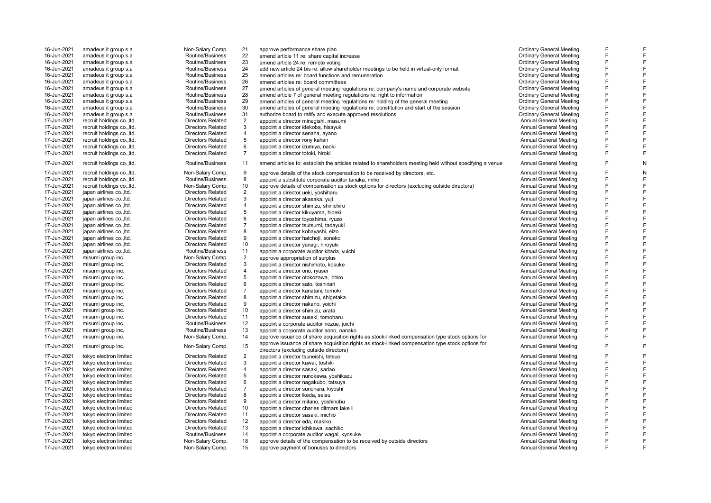| 16-Jun-2021 | amadeus it group s.a       | Non-Salary Comp.         | 21             | approve performance share plan                                                                            | <b>Ordinary General Meeting</b> | F |   |
|-------------|----------------------------|--------------------------|----------------|-----------------------------------------------------------------------------------------------------------|---------------------------------|---|---|
| 16-Jun-2021 | amadeus it group s.a       | Routine/Business         | 22             | amend article 11 re: share capital increase                                                               | <b>Ordinary General Meeting</b> | E | F |
| 16-Jun-2021 | amadeus it group s.a       | Routine/Business         | 23             | amend article 24 re: remote voting                                                                        | <b>Ordinary General Meeting</b> | E | F |
| 16-Jun-2021 | amadeus it group s.a       | Routine/Business         | 24             | add new article 24 bis re: allow shareholder meetings to be held in virtual-only format                   | <b>Ordinary General Meeting</b> | F | F |
| 16-Jun-2021 | amadeus it group s.a       | Routine/Business         | 25             | amend articles re: board functions and remuneration                                                       | <b>Ordinary General Meeting</b> | F | F |
| 16-Jun-2021 | amadeus it group s.a       | Routine/Business         | 26             | amend articles re: board committees                                                                       | <b>Ordinary General Meeting</b> | E | F |
| 16-Jun-2021 | amadeus it group s.a       | Routine/Business         | 27             | amend articles of general meeting regulations re: company's name and corporate website                    | <b>Ordinary General Meeting</b> | F | F |
| 16-Jun-2021 | amadeus it group s.a       | Routine/Business         | 28             | amend article 7 of general meeting regulations re: right to information                                   | <b>Ordinary General Meeting</b> | E | F |
| 16-Jun-2021 | amadeus it group s.a       | Routine/Business         | 29             | amend articles of general meeting regulations re: holding of the general meeting                          | <b>Ordinary General Meeting</b> | E | F |
| 16-Jun-2021 | amadeus it group s.a       | Routine/Business         | 30             | amend articles of general meeting regulations re: constitution and start of the session                   | <b>Ordinary General Meeting</b> | E | F |
| 16-Jun-2021 | amadeus it group s.a       | Routine/Business         | 31             | authorize board to ratify and execute approved resolutions                                                | <b>Ordinary General Meeting</b> | F | F |
| 17-Jun-2021 | recruit holdings co., ltd. | <b>Directors Related</b> | $\overline{2}$ | appoint a director minegishi, masumi                                                                      | <b>Annual General Meeting</b>   | F | F |
| 17-Jun-2021 | recruit holdings co., ltd. | <b>Directors Related</b> | 3              | appoint a director idekoba, hisayuki                                                                      | Annual General Meeting          | E | F |
| 17-Jun-2021 | recruit holdings co., ltd. | <b>Directors Related</b> | $\overline{4}$ | appoint a director senaha, ayano                                                                          | <b>Annual General Meeting</b>   | E | F |
| 17-Jun-2021 | recruit holdings co., ltd. | <b>Directors Related</b> | 5              | appoint a director rony kahan                                                                             | Annual General Meeting          | E | F |
| 17-Jun-2021 | recruit holdings co., Itd. | <b>Directors Related</b> | 6              | appoint a director izumiya, naoki                                                                         | Annual General Meeting          | E | F |
| 17-Jun-2021 | recruit holdings co., ltd. | <b>Directors Related</b> | $\overline{7}$ | appoint a director totoki, hiroki                                                                         | <b>Annual General Meeting</b>   | F | F |
|             |                            |                          |                |                                                                                                           |                                 | E |   |
| 17-Jun-2021 | recruit holdings co., ltd. | Routine/Business         | 11             | amend articles to: establish the articles related to shareholders meeting held without specifying a venue | Annual General Meeting          |   | N |
| 17-Jun-2021 | recruit holdings co., ltd. | Non-Salary Comp.         | 9              | approve details of the stock compensation to be received by directors, etc.                               | Annual General Meeting          | E | N |
| 17-Jun-2021 | recruit holdings co., ltd. | Routine/Business         | 8              | appoint a substitute corporate auditor tanaka, miho                                                       | Annual General Meeting          | E | F |
| 17-Jun-2021 | recruit holdings co., ltd. | Non-Salary Comp.         | 10             | approve details of compensation as stock options for directors (excluding outside directors)              | Annual General Meeting          | F | F |
| 17-Jun-2021 | japan airlines co., ltd.   | <b>Directors Related</b> | $\overline{2}$ | appoint a director ueki, yoshiharu                                                                        | <b>Annual General Meeting</b>   | E | F |
| 17-Jun-2021 | japan airlines co., ltd.   | <b>Directors Related</b> | 3              | appoint a director akasaka, yuji                                                                          | Annual General Meeting          | E | F |
| 17-Jun-2021 | japan airlines co., ltd.   | <b>Directors Related</b> | $\overline{4}$ | appoint a director shimizu, shinichiro                                                                    | Annual General Meeting          | E | F |
| 17-Jun-2021 | japan airlines co., ltd.   | <b>Directors Related</b> | 5              | appoint a director kikuyama, hideki                                                                       | <b>Annual General Meeting</b>   | E | F |
| 17-Jun-2021 | japan airlines co., ltd.   | <b>Directors Related</b> | 6              | appoint a director toyoshima, ryuzo                                                                       | Annual General Meeting          | E | F |
| 17-Jun-2021 | iapan airlines coltd.      | <b>Directors Related</b> | $\overline{7}$ | appoint a director tsutsumi, tadayuki                                                                     | Annual General Meeting          | E | F |
| 17-Jun-2021 | japan airlines co., ltd.   | <b>Directors Related</b> | 8              | appoint a director kobayashi, eizo                                                                        | <b>Annual General Meeting</b>   | F | F |
| 17-Jun-2021 | japan airlines co., ltd.   | <b>Directors Related</b> | 9              | appoint a director hatchoji, sonoko                                                                       | Annual General Meeting          | E | F |
| 17-Jun-2021 | japan airlines co., ltd.   | <b>Directors Related</b> | 10             | appoint a director yanagi, hiroyuki                                                                       | Annual General Meeting          | F | F |
| 17-Jun-2021 | japan airlines co., ltd.   | Routine/Business         | 11             | appoint a corporate auditor kitada, yuichi                                                                | <b>Annual General Meeting</b>   | F | F |
| 17-Jun-2021 | misumi group inc.          | Non-Salary Comp.         | 2              | approve appropriation of surplus                                                                          | Annual General Meeting          | F | F |
| 17-Jun-2021 | misumi group inc.          | <b>Directors Related</b> | 3              | appoint a director nishimoto, kosuke                                                                      | Annual General Meeting          | E | F |
| 17-Jun-2021 | misumi group inc.          | <b>Directors Related</b> | $\overline{4}$ | appoint a director ono, ryusei                                                                            | <b>Annual General Meeting</b>   | E | F |
| 17-Jun-2021 | misumi group inc.          | <b>Directors Related</b> | 5              | appoint a director otokozawa, ichiro                                                                      | <b>Annual General Meeting</b>   | F | F |
| 17-Jun-2021 | misumi group inc.          | <b>Directors Related</b> | 6              | appoint a director sato, toshinari                                                                        | Annual General Meeting          | E | F |
| 17-Jun-2021 | misumi group inc.          | <b>Directors Related</b> | $\overline{7}$ | appoint a director kanatani, tomoki                                                                       | <b>Annual General Meeting</b>   | F | F |
| 17-Jun-2021 | misumi group inc.          | <b>Directors Related</b> | 8              | appoint a director shimizu, shigetaka                                                                     | Annual General Meeting          | E | F |
| 17-Jun-2021 | misumi group inc.          | <b>Directors Related</b> | 9              | appoint a director nakano, yoichi                                                                         | Annual General Meeting          | E | F |
| 17-Jun-2021 | misumi group inc.          | <b>Directors Related</b> | 10             | appoint a director shimizu, arata                                                                         | Annual General Meeting          | E | F |
| 17-Jun-2021 | misumi group inc.          | <b>Directors Related</b> | 11             | appoint a director suseki, tomoharu                                                                       | <b>Annual General Meeting</b>   | F | F |
| 17-Jun-2021 | misumi group inc.          | Routine/Business         | 12             | appoint a corporate auditor nozue, juichi                                                                 | Annual General Meeting          | F | F |
| 17-Jun-2021 | misumi group inc.          | Routine/Business         | 13             | appoint a corporate auditor aono, nanako                                                                  | <b>Annual General Meeting</b>   | E | F |
| 17-Jun-2021 | misumi group inc.          | Non-Salary Comp.         | 14             | approve issuance of share acquisition rights as stock-linked compensation type stock options for          | Annual General Meeting          | F | F |
|             |                            |                          |                | approve issuance of share acquisition rights as stock-linked compensation type stock options for          |                                 | E |   |
| 17-Jun-2021 | misumi group inc.          | Non-Salary Comp.         | 15             | directors (excluding outside directors)                                                                   | <b>Annual General Meeting</b>   |   | F |
| 17-Jun-2021 | tokyo electron limited     | <b>Directors Related</b> | $\overline{2}$ | appoint a director tsuneishi, tetsuo                                                                      | Annual General Meeting          | F | F |
| 17-Jun-2021 | tokyo electron limited     | <b>Directors Related</b> | 3              | appoint a director kawai, toshiki                                                                         | Annual General Meeting          | E | F |
| 17-Jun-2021 | tokyo electron limited     | <b>Directors Related</b> | $\overline{4}$ | appoint a director sasaki, sadao                                                                          | Annual General Meeting          | E | F |
| 17-Jun-2021 | tokyo electron limited     | <b>Directors Related</b> | 5              | appoint a director nunokawa, yoshikazu                                                                    | Annual General Meeting          | E | F |
| 17-Jun-2021 | tokyo electron limited     | <b>Directors Related</b> | 6              | appoint a director nagakubo, tatsuya                                                                      | Annual General Meeting          | E | F |
| 17-Jun-2021 | tokyo electron limited     | <b>Directors Related</b> | $\overline{7}$ | appoint a director sunohara, kivoshi                                                                      | Annual General Meeting          | F | F |
| 17-Jun-2021 | tokyo electron limited     | <b>Directors Related</b> | 8              | appoint a director ikeda, seisu                                                                           | <b>Annual General Meeting</b>   | E | F |
| 17-Jun-2021 | tokyo electron limited     | <b>Directors Related</b> | 9              | appoint a director mitano, yoshinobu                                                                      | <b>Annual General Meeting</b>   | F | F |
| 17-Jun-2021 | tokyo electron limited     | <b>Directors Related</b> | 10             | appoint a director charles ditmars lake ii                                                                | Annual General Meeting          | E | F |
| 17-Jun-2021 | tokyo electron limited     | <b>Directors Related</b> | 11             | appoint a director sasaki, michio                                                                         | Annual General Meeting          | E | F |
| 17-Jun-2021 | tokyo electron limited     | <b>Directors Related</b> | 12             | appoint a director eda, makiko                                                                            | <b>Annual General Meeting</b>   | F | F |
| 17-Jun-2021 | tokyo electron limited     | <b>Directors Related</b> | 13             | appoint a director ichikawa, sachiko                                                                      | Annual General Meeting          | F | F |
| 17-Jun-2021 | tokyo electron limited     | Routine/Business         | 14             | appoint a corporate auditor wagai, kyosuke                                                                | <b>Annual General Meeting</b>   | F | F |
| 17-Jun-2021 | tokyo electron limited     | Non-Salary Comp.         | 18             | approve details of the compensation to be received by outside directors                                   | Annual General Meeting          | E | F |
| 17-Jun-2021 | tokyo electron limited     | Non-Salary Comp.         | 15             | approve payment of bonuses to directors                                                                   | Annual General Meeting          | E | F |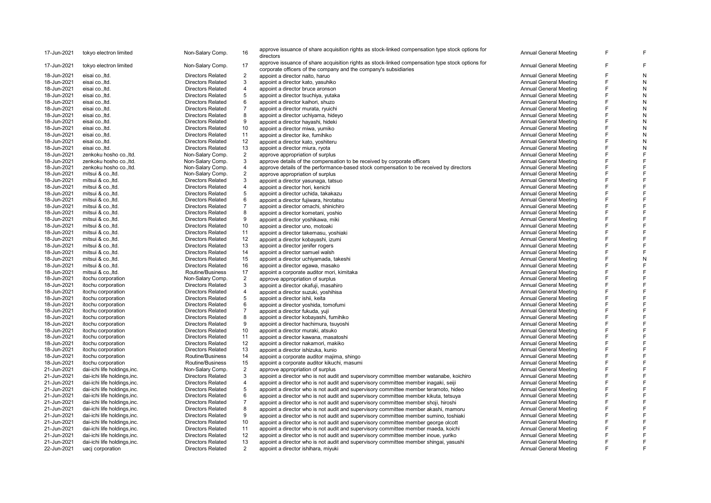| 17-Jun-2021 | tokyo electron limited       | Non-Salary Comp.         | 16             | approve issuance of share acquisition rights as stock-linked compensation type stock options for<br>directors                                                        | <b>Annual General Meeting</b> |   | F |
|-------------|------------------------------|--------------------------|----------------|----------------------------------------------------------------------------------------------------------------------------------------------------------------------|-------------------------------|---|---|
| 17-Jun-2021 | tokyo electron limited       | Non-Salary Comp.         | 17             | approve issuance of share acquisition rights as stock-linked compensation type stock options for<br>corporate officers of the company and the company's subsidiaries | <b>Annual General Meeting</b> |   | F |
| 18-Jun-2021 | eisai co., Itd.              | <b>Directors Related</b> | $\overline{2}$ | appoint a director naito, haruo                                                                                                                                      | <b>Annual General Meeting</b> |   |   |
| 18-Jun-2021 | eisai co., ltd.              | <b>Directors Related</b> | 3              | appoint a director kato, yasuhiko                                                                                                                                    | Annual General Meeting        |   | N |
| 18-Jun-2021 | eisai coltd.                 | <b>Directors Related</b> | $\overline{4}$ | appoint a director bruce aronson                                                                                                                                     | Annual General Meeting        |   | N |
| 18-Jun-2021 | eisai co., ltd.              | <b>Directors Related</b> | 5              |                                                                                                                                                                      | <b>Annual General Meeting</b> | F | N |
| 18-Jun-2021 | eisai co., Itd.              | <b>Directors Related</b> | 6              | appoint a director tsuchiya, yutaka                                                                                                                                  | <b>Annual General Meeting</b> | F | N |
|             |                              |                          | $\overline{7}$ | appoint a director kaihori, shuzo                                                                                                                                    |                               |   | N |
| 18-Jun-2021 | eisai co., Itd.              | <b>Directors Related</b> |                | appoint a director murata, ryuichi                                                                                                                                   | Annual General Meeting        | E |   |
| 18-Jun-2021 | eisai co., ltd.              | <b>Directors Related</b> | 8              | appoint a director uchiyama, hideyo                                                                                                                                  | Annual General Meeting        |   | N |
| 18-Jun-2021 | eisai co., Itd.              | <b>Directors Related</b> | 9              | appoint a director hayashi, hideki                                                                                                                                   | Annual General Meeting        |   | N |
| 18-Jun-2021 | eisai co., ltd.              | <b>Directors Related</b> | 10             | appoint a director miwa, yumiko                                                                                                                                      | <b>Annual General Meeting</b> | F | N |
| 18-Jun-2021 | eisai co., Itd.              | <b>Directors Related</b> | 11             | appoint a director ike, fumihiko                                                                                                                                     | <b>Annual General Meeting</b> | F | N |
| 18-Jun-2021 | eisai co., ltd.              | <b>Directors Related</b> | 12             | appoint a director kato, yoshiteru                                                                                                                                   | <b>Annual General Meeting</b> |   | N |
| 18-Jun-2021 | eisai co., Itd.              | <b>Directors Related</b> | 13             | appoint a director miura, ryota                                                                                                                                      | <b>Annual General Meeting</b> | E | N |
| 18-Jun-2021 | zenkoku hosho co., ltd.      | Non-Salary Comp.         | 2              | approve appropriation of surplus                                                                                                                                     | Annual General Meeting        |   |   |
| 18-Jun-2021 | zenkoku hosho co., ltd.      | Non-Salary Comp.         | 3              | approve details of the compensation to be received by corporate officers                                                                                             | <b>Annual General Meeting</b> | F |   |
| 18-Jun-2021 | zenkoku hosho co., ltd.      | Non-Salary Comp.         | $\overline{4}$ | approve details of the performance-based stock compensation to be received by directors                                                                              | <b>Annual General Meeting</b> | F |   |
| 18-Jun-2021 | mitsui & co., ltd.           | Non-Salary Comp.         | $\overline{2}$ | approve appropriation of surplus                                                                                                                                     | Annual General Meeting        |   |   |
| 18-Jun-2021 | mitsui & co., ltd.           | <b>Directors Related</b> | 3              | appoint a director yasunaga, tatsuo                                                                                                                                  | <b>Annual General Meeting</b> |   |   |
| 18-Jun-2021 | mitsui & co., ltd.           | <b>Directors Related</b> | $\overline{4}$ | appoint a director hori, kenichi                                                                                                                                     | Annual General Meeting        | E |   |
| 18-Jun-2021 | mitsui & co., ltd.           | <b>Directors Related</b> | 5              | appoint a director uchida, takakazu                                                                                                                                  | <b>Annual General Meeting</b> | E |   |
| 18-Jun-2021 | mitsui & coltd.              | <b>Directors Related</b> | 6              | appoint a director fujiwara, hirotatsu                                                                                                                               | Annual General Meeting        | E |   |
| 18-Jun-2021 | mitsui & co., ltd.           | <b>Directors Related</b> | $\overline{7}$ | appoint a director omachi, shinichiro                                                                                                                                | <b>Annual General Meeting</b> |   |   |
| 18-Jun-2021 | mitsui & co., ltd.           | <b>Directors Related</b> | 8              | appoint a director kometani, yoshio                                                                                                                                  | <b>Annual General Meeting</b> |   |   |
| 18-Jun-2021 | mitsui & co., ltd.           | <b>Directors Related</b> | 9              | appoint a director yoshikawa, miki                                                                                                                                   | <b>Annual General Meeting</b> | E |   |
| 18-Jun-2021 | mitsui & co., ltd.           | <b>Directors Related</b> | 10             | appoint a director uno, motoaki                                                                                                                                      | <b>Annual General Meeting</b> |   |   |
| 18-Jun-2021 | mitsui & co., Itd.           | <b>Directors Related</b> | 11             | appoint a director takemasu, yoshiaki                                                                                                                                | <b>Annual General Meeting</b> | E |   |
| 18-Jun-2021 | mitsui & co., ltd.           | <b>Directors Related</b> | 12             | appoint a director kobayashi, izumi                                                                                                                                  | <b>Annual General Meeting</b> |   |   |
| 18-Jun-2021 | mitsui & co., ltd.           | <b>Directors Related</b> | 13             |                                                                                                                                                                      | Annual General Meeting        |   |   |
|             |                              |                          | 14             | appoint a director jenifer rogers                                                                                                                                    |                               | F | F |
| 18-Jun-2021 | mitsui & co., ltd.           | <b>Directors Related</b> |                | appoint a director samuel walsh                                                                                                                                      | <b>Annual General Meeting</b> | E | N |
| 18-Jun-2021 | mitsui & co., ltd.           | <b>Directors Related</b> | 15             | appoint a director uchiyamada, takeshi                                                                                                                               | Annual General Meeting        | E |   |
| 18-Jun-2021 | mitsui & co., ltd.           | <b>Directors Related</b> | 16             | appoint a director egawa, masako                                                                                                                                     | <b>Annual General Meeting</b> |   |   |
| 18-Jun-2021 | mitsui & co., ltd.           | Routine/Business         | 17             | appoint a corporate auditor mori, kimitaka                                                                                                                           | <b>Annual General Meeting</b> |   | F |
| 18-Jun-2021 | itochu corporation           | Non-Salary Comp.         | $\overline{2}$ | approve appropriation of surplus                                                                                                                                     | Annual General Meeting        |   |   |
| 18-Jun-2021 | itochu corporation           | <b>Directors Related</b> | 3              | appoint a director okafuji, masahiro                                                                                                                                 | <b>Annual General Meeting</b> | E |   |
| 18-Jun-2021 | itochu corporation           | <b>Directors Related</b> | 4              | appoint a director suzuki, yoshihisa                                                                                                                                 | Annual General Meeting        | E |   |
| 18-Jun-2021 | itochu corporation           | <b>Directors Related</b> | 5              | appoint a director ishii, keita                                                                                                                                      | Annual General Meeting        | E |   |
| 18-Jun-2021 | itochu corporation           | <b>Directors Related</b> | 6              | appoint a director yoshida, tomofumi                                                                                                                                 | Annual General Meeting        | E |   |
| 18-Jun-2021 | itochu corporation           | <b>Directors Related</b> | $\overline{7}$ | appoint a director fukuda, yuji                                                                                                                                      | Annual General Meeting        |   |   |
| 18-Jun-2021 | itochu corporation           | <b>Directors Related</b> | 8              | appoint a director kobayashi, fumihiko                                                                                                                               | <b>Annual General Meeting</b> |   |   |
| 18-Jun-2021 | itochu corporation           | <b>Directors Related</b> | 9              | appoint a director hachimura, tsuyoshi                                                                                                                               | <b>Annual General Meeting</b> | Е |   |
| 18-Jun-2021 | itochu corporation           | <b>Directors Related</b> | 10             | appoint a director muraki, atsuko                                                                                                                                    | Annual General Meeting        |   |   |
| 18-Jun-2021 | itochu corporation           | <b>Directors Related</b> | 11             | appoint a director kawana, masatoshi                                                                                                                                 | Annual General Meeting        | F |   |
| 18-Jun-2021 | itochu corporation           | <b>Directors Related</b> | 12             | appoint a director nakamori, makiko                                                                                                                                  | <b>Annual General Meeting</b> | E |   |
| 18-Jun-2021 | itochu corporation           | <b>Directors Related</b> | 13             | appoint a director ishizuka, kunio                                                                                                                                   | <b>Annual General Meeting</b> |   |   |
| 18-Jun-2021 | itochu corporation           | Routine/Business         | 14             | appoint a corporate auditor majima, shingo                                                                                                                           | <b>Annual General Meeting</b> | E |   |
| 18-Jun-2021 | itochu corporation           | Routine/Business         | 15             | appoint a corporate auditor kikuchi, masumi                                                                                                                          | <b>Annual General Meeting</b> |   |   |
| 21-Jun-2021 | dai-ichi life holdings, inc. | Non-Salary Comp.         | $\overline{2}$ | approve appropriation of surplus                                                                                                                                     | <b>Annual General Meeting</b> |   |   |
| 21-Jun-2021 | dai-ichi life holdings, inc. | <b>Directors Related</b> | 3              | appoint a director who is not audit and supervisory committee member watanabe, koichiro                                                                              | <b>Annual General Meeting</b> |   |   |
| 21-Jun-2021 | dai-ichi life holdings, inc. | <b>Directors Related</b> | $\overline{4}$ | appoint a director who is not audit and supervisory committee member inagaki, seiji                                                                                  | <b>Annual General Meeting</b> |   |   |
| 21-Jun-2021 | dai-ichi life holdings, inc. | <b>Directors Related</b> | 5              | appoint a director who is not audit and supervisory committee member teramoto, hideo                                                                                 | <b>Annual General Meeting</b> | E |   |
| 21-Jun-2021 | dai-ichi life holdings, inc. | <b>Directors Related</b> | 6              | appoint a director who is not audit and supervisory committee member kikuta, tetsuya                                                                                 | Annual General Meeting        |   |   |
| 21-Jun-2021 | dai-ichi life holdings, inc. | <b>Directors Related</b> | $\overline{7}$ | appoint a director who is not audit and supervisory committee member shoji, hiroshi                                                                                  | <b>Annual General Meeting</b> |   |   |
| 21-Jun-2021 | dai-ichi life holdings, inc. | <b>Directors Related</b> | 8              | appoint a director who is not audit and supervisory committee member akashi, mamoru                                                                                  | <b>Annual General Meeting</b> |   |   |
| 21-Jun-2021 | dai-ichi life holdings, inc. | <b>Directors Related</b> | 9              |                                                                                                                                                                      | Annual General Meeting        |   |   |
| 21-Jun-2021 |                              | <b>Directors Related</b> | 10             | appoint a director who is not audit and supervisory committee member sumino, toshiaki                                                                                | <b>Annual General Meeting</b> | F |   |
|             | dai-ichi life holdings, inc. |                          |                | appoint a director who is not audit and supervisory committee member george olcott                                                                                   |                               |   |   |
| 21-Jun-2021 | dai-ichi life holdings, inc. | <b>Directors Related</b> | 11             | appoint a director who is not audit and supervisory committee member maeda, koichi                                                                                   | <b>Annual General Meeting</b> |   |   |
| 21-Jun-2021 | dai-ichi life holdings, inc. | <b>Directors Related</b> | 12             | appoint a director who is not audit and supervisory committee member inoue, yuriko                                                                                   | <b>Annual General Meeting</b> |   |   |
| 21-Jun-2021 | dai-ichi life holdings, inc. | <b>Directors Related</b> | 13             | appoint a director who is not audit and supervisory committee member shingai, yasushi                                                                                | <b>Annual General Meeting</b> |   |   |
| 22-Jun-2021 | uacj corporation             | <b>Directors Related</b> | $\overline{2}$ | appoint a director ishihara, miyuki                                                                                                                                  | <b>Annual General Meeting</b> |   |   |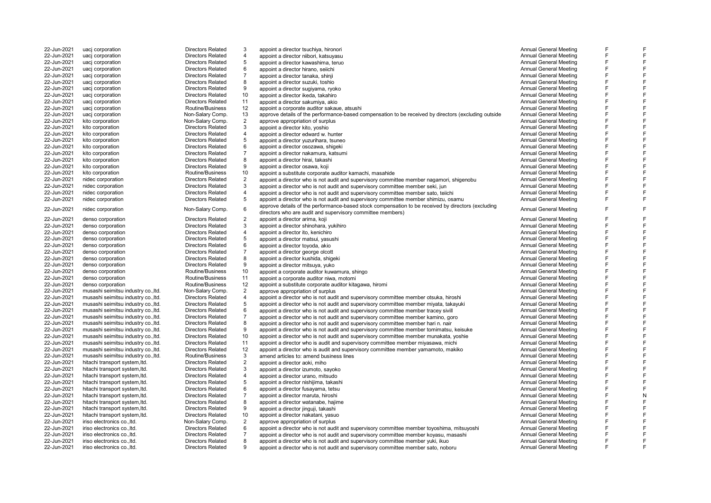| 22-Jun-2021 | uacj corporation                                              | <b>Directors Related</b>                             | 3                | appoint a director tsuchiya, hironori                                                                                                                                | <b>Annual General Meeting</b>                    | F |
|-------------|---------------------------------------------------------------|------------------------------------------------------|------------------|----------------------------------------------------------------------------------------------------------------------------------------------------------------------|--------------------------------------------------|---|
| 22-Jun-2021 | uacj corporation                                              | <b>Directors Related</b>                             | $\overline{4}$   | appoint a director niibori, katsuyasu                                                                                                                                | <b>Annual General Meeting</b>                    | F |
| 22-Jun-2021 | uacj corporation                                              | <b>Directors Related</b>                             | 5                | appoint a director kawashima, teruo                                                                                                                                  | <b>Annual General Meeting</b>                    | E |
| 22-Jun-2021 | uacj corporation                                              | <b>Directors Related</b>                             | 6                | appoint a director hirano, seiichi                                                                                                                                   | <b>Annual General Meeting</b>                    | E |
| 22-Jun-2021 | uacj corporation                                              | <b>Directors Related</b>                             | $\overline{7}$   | appoint a director tanaka, shinji                                                                                                                                    | <b>Annual General Meeting</b>                    | E |
| 22-Jun-2021 | uacj corporation                                              | <b>Directors Related</b>                             | 8                | appoint a director suzuki, toshio                                                                                                                                    | <b>Annual General Meeting</b>                    | F |
| 22-Jun-2021 | uaci corporation                                              | <b>Directors Related</b>                             | 9                | appoint a director sugiyama, ryoko                                                                                                                                   | <b>Annual General Meeting</b>                    | E |
| 22-Jun-2021 | uacj corporation                                              | <b>Directors Related</b>                             | 10               | appoint a director ikeda, takahiro                                                                                                                                   | <b>Annual General Meeting</b>                    | E |
| 22-Jun-2021 | uacj corporation                                              | <b>Directors Related</b>                             | 11               | appoint a director sakumiya, akio                                                                                                                                    | Annual General Meeting                           | E |
| 22-Jun-2021 | uacj corporation                                              | Routine/Business                                     | 12               | appoint a corporate auditor sakaue, atsushi                                                                                                                          | <b>Annual General Meeting</b>                    | E |
| 22-Jun-2021 | uacj corporation                                              | Non-Salary Comp.                                     | 13               | approve details of the performance-based compensation to be received by directors (excluding outside                                                                 | <b>Annual General Meeting</b>                    | E |
| 22-Jun-2021 | kito corporation                                              | Non-Salary Comp.                                     | 2                | approve appropriation of surplus                                                                                                                                     | <b>Annual General Meeting</b>                    | F |
| 22-Jun-2021 | kito corporation                                              | <b>Directors Related</b>                             | 3                | appoint a director kito, yoshio                                                                                                                                      | Annual General Meeting                           | E |
| 22-Jun-2021 | kito corporation                                              | <b>Directors Related</b>                             | $\overline{4}$   | appoint a director edward w. hunter                                                                                                                                  | <b>Annual General Meeting</b>                    | F |
| 22-Jun-2021 | kito corporation                                              | <b>Directors Related</b>                             | 5                | appoint a director yuzurihara, tsuneo                                                                                                                                | <b>Annual General Meeting</b>                    | F |
| 22-Jun-2021 | kito corporation                                              | <b>Directors Related</b>                             | 6                | appoint a director osozawa, shigeki                                                                                                                                  | Annual General Meeting                           | E |
| 22-Jun-2021 | kito corporation                                              | <b>Directors Related</b>                             | $\overline{7}$   | appoint a director nakamura, katsumi                                                                                                                                 | Annual General Meeting                           | F |
| 22-Jun-2021 | kito corporation                                              | <b>Directors Related</b>                             | 8                | appoint a director hirai, takashi                                                                                                                                    | <b>Annual General Meeting</b>                    | E |
| 22-Jun-2021 | kito corporation                                              | <b>Directors Related</b>                             | 9                | appoint a director osawa, koji                                                                                                                                       | Annual General Meeting                           | F |
| 22-Jun-2021 | kito corporation                                              | Routine/Business                                     | 10               | appoint a substitute corporate auditor kamachi, masahide                                                                                                             | <b>Annual General Meeting</b>                    | E |
| 22-Jun-2021 | nidec corporation                                             | <b>Directors Related</b>                             | $\overline{2}$   | appoint a director who is not audit and supervisory committee member nagamori, shigenobu                                                                             | <b>Annual General Meeting</b>                    | E |
| 22-Jun-2021 | nidec corporation                                             | <b>Directors Related</b>                             | 3                | appoint a director who is not audit and supervisory committee member seki, jun                                                                                       | <b>Annual General Meeting</b>                    | E |
| 22-Jun-2021 | nidec corporation                                             | <b>Directors Related</b>                             | $\overline{4}$   | appoint a director who is not audit and supervisory committee member sato, telichi                                                                                   | <b>Annual General Meeting</b>                    | F |
| 22-Jun-2021 | nidec corporation                                             | <b>Directors Related</b>                             | 5                | appoint a director who is not audit and supervisory committee member shimizu, osamu                                                                                  | <b>Annual General Meeting</b>                    | E |
|             |                                                               |                                                      |                  | approve details of the performance-based stock compensation to be received by directors (excluding                                                                   |                                                  |   |
| 22-Jun-2021 | nidec corporation                                             | Non-Salary Comp.                                     | 6                | directors who are audit and supervisory committee members)                                                                                                           | <b>Annual General Meeting</b>                    | F |
| 22-Jun-2021 | denso corporation                                             | <b>Directors Related</b>                             | $\overline{2}$   | appoint a director arima, koji                                                                                                                                       | <b>Annual General Meeting</b>                    | E |
| 22-Jun-2021 | denso corporation                                             | <b>Directors Related</b>                             | 3                | appoint a director shinohara, yukihiro                                                                                                                               | <b>Annual General Meeting</b>                    | E |
| 22-Jun-2021 | denso corporation                                             | <b>Directors Related</b>                             | $\overline{4}$   | appoint a director ito, kenichiro                                                                                                                                    | <b>Annual General Meeting</b>                    | E |
| 22-Jun-2021 | denso corporation                                             | <b>Directors Related</b>                             | 5                | appoint a director matsui, yasushi                                                                                                                                   | <b>Annual General Meeting</b>                    | F |
| 22-Jun-2021 | denso corporation                                             | <b>Directors Related</b>                             | 6                | appoint a director toyoda, akio                                                                                                                                      | <b>Annual General Meeting</b>                    | E |
| 22-Jun-2021 | denso corporation                                             | <b>Directors Related</b>                             | $\overline{7}$   | appoint a director george olcott                                                                                                                                     | <b>Annual General Meeting</b>                    | F |
| 22-Jun-2021 | denso corporation                                             | <b>Directors Related</b>                             | 8                | appoint a director kushida, shigeki                                                                                                                                  | <b>Annual General Meeting</b>                    | F |
| 22-Jun-2021 | denso corporation                                             | <b>Directors Related</b>                             | 9                | appoint a director mitsuya, yuko                                                                                                                                     | <b>Annual General Meeting</b>                    | E |
| 22-Jun-2021 | denso corporation                                             | Routine/Business                                     | 10               | appoint a corporate auditor kuwamura, shingo                                                                                                                         | Annual General Meeting                           | E |
| 22-Jun-2021 | denso corporation                                             | Routine/Business                                     | 11               | appoint a corporate auditor niwa, motomi                                                                                                                             | <b>Annual General Meeting</b>                    | F |
| 22-Jun-2021 | denso corporation                                             | Routine/Business                                     | 12               | appoint a substitute corporate auditor kitagawa, hiromi                                                                                                              | Annual General Meeting                           | E |
| 22-Jun-2021 | musashi seimitsu industry co., ltd.                           | Non-Salary Comp.                                     | $\overline{2}$   | approve appropriation of surplus                                                                                                                                     | <b>Annual General Meeting</b>                    | F |
| 22-Jun-2021 | musashi seimitsu industry co., Itd.                           | <b>Directors Related</b>                             | $\overline{4}$   | appoint a director who is not audit and supervisory committee member otsuka, hiroshi                                                                                 | <b>Annual General Meeting</b>                    | E |
| 22-Jun-2021 | musashi seimitsu industry co., ltd.                           | <b>Directors Related</b>                             | 5                | appoint a director who is not audit and supervisory committee member miyata, takayuki                                                                                | <b>Annual General Meeting</b>                    | F |
| 22-Jun-2021 | musashi seimitsu industry co., ltd.                           | <b>Directors Related</b>                             | 6                | appoint a director who is not audit and supervisory committee member tracey sivill                                                                                   | <b>Annual General Meeting</b>                    | E |
| 22-Jun-2021 | musashi seimitsu industry co., ltd.                           | <b>Directors Related</b>                             | $\overline{7}$   | appoint a director who is not audit and supervisory committee member kamino, goro                                                                                    | Annual General Meeting                           | E |
| 22-Jun-2021 | musashi seimitsu industry co., Itd.                           | <b>Directors Related</b>                             | 8                | appoint a director who is not audit and supervisory committee member hari n. nair                                                                                    | <b>Annual General Meeting</b>                    | F |
| 22-Jun-2021 | musashi seimitsu industry co., Itd.                           | <b>Directors Related</b>                             | 9                | appoint a director who is not audit and supervisory committee member tomimatsu, keisuke                                                                              | <b>Annual General Meeting</b>                    | E |
| 22-Jun-2021 | musashi seimitsu industry co., Itd.                           | <b>Directors Related</b>                             | 10 <sup>10</sup> | appoint a director who is not audit and supervisory committee member munakata, yoshie                                                                                | <b>Annual General Meeting</b>                    | F |
| 22-Jun-2021 | musashi seimitsu industry co., Itd.                           | <b>Directors Related</b>                             | 11               | appoint a director who is audit and supervisory committee member miyasawa, michi                                                                                     | <b>Annual General Meeting</b>                    | E |
| 22-Jun-2021 | musashi seimitsu industry co., Itd                            | <b>Directors Related</b>                             | 12               | appoint a director who is audit and supervisory committee member yamamoto, makiko                                                                                    | Annual General Meeting                           |   |
| 22-Jun-2021 | musashi seimitsu industry co., ltd.                           | Routine/Business                                     | 3                | amend articles to: amend business lines                                                                                                                              | Annual General Meeting                           | E |
| 22-Jun-2021 | hitachi transport system, Itd.                                | <b>Directors Related</b>                             | $\overline{2}$   | appoint a director aoki, miho                                                                                                                                        | <b>Annual General Meeting</b>                    | E |
| 22-Jun-2021 | hitachi transport system, Itd.                                | <b>Directors Related</b>                             | 3                | appoint a director izumoto, sayoko                                                                                                                                   | <b>Annual General Meeting</b>                    | F |
| 22-Jun-2021 | hitachi transport system, Itd.                                | <b>Directors Related</b>                             | $\overline{4}$   | appoint a director urano, mitsudo                                                                                                                                    | <b>Annual General Meeting</b>                    | E |
| 22-Jun-2021 | hitachi transport system, Itd.                                | <b>Directors Related</b>                             | 5                | appoint a director nishijima, takashi                                                                                                                                | <b>Annual General Meeting</b>                    | F |
| 22-Jun-2021 | hitachi transport system, Itd.                                | <b>Directors Related</b>                             | 6                |                                                                                                                                                                      | <b>Annual General Meeting</b>                    | E |
| 22-Jun-2021 | hitachi transport system, Itd.                                | <b>Directors Related</b>                             | $\overline{7}$   | appoint a director fusayama, tetsu                                                                                                                                   | <b>Annual General Meeting</b>                    | F |
| 22-Jun-2021 |                                                               |                                                      | 8                | appoint a director maruta, hiroshi                                                                                                                                   | Annual General Meeting                           | E |
| 22-Jun-2021 | hitachi transport system, Itd.                                | <b>Directors Related</b><br><b>Directors Related</b> | 9                | appoint a director watanabe, hajime                                                                                                                                  | Annual General Meeting                           | E |
| 22-Jun-2021 | hitachi transport system, ltd.                                | <b>Directors Related</b>                             | 10               | appoint a director jinguji, takashi                                                                                                                                  | Annual General Meeting                           | F |
| 22-Jun-2021 | hitachi transport system, Itd.<br>iriso electronics co., ltd. |                                                      | $\overline{2}$   | appoint a director nakatani, yasuo                                                                                                                                   | <b>Annual General Meeting</b>                    | E |
| 22-Jun-2021 |                                                               | Non-Salary Comp.<br><b>Directors Related</b>         | 6                | approve appropriation of surplus                                                                                                                                     | <b>Annual General Meeting</b>                    |   |
| 22-Jun-2021 | iriso electronics coltd.                                      |                                                      | $\overline{7}$   | appoint a director who is not audit and supervisory committee member toyoshima, mitsuyoshi                                                                           |                                                  | E |
| 22-Jun-2021 | iriso electronics co., ltd.                                   | <b>Directors Related</b><br><b>Directors Related</b> | 8                | appoint a director who is not audit and supervisory committee member koyasu, masashi                                                                                 | <b>Annual General Meeting</b>                    | E |
| 22-Jun-2021 | iriso electronics co., ltd.<br>iriso electronics coltd.       | <b>Directors Related</b>                             | q                | appoint a director who is not audit and supervisory committee member yuki, ikuo<br>appoint a director who is not audit and supervisory committee member sato, noboru | Annual General Meeting<br>Annual General Meeting | E |
|             |                                                               |                                                      |                  |                                                                                                                                                                      |                                                  |   |

F F F F F F F F F F F F F F F F F F F F F F F F

F

F F F F F F F F F F F F F F F F F F F F F F F F F F F N F F F F F F F F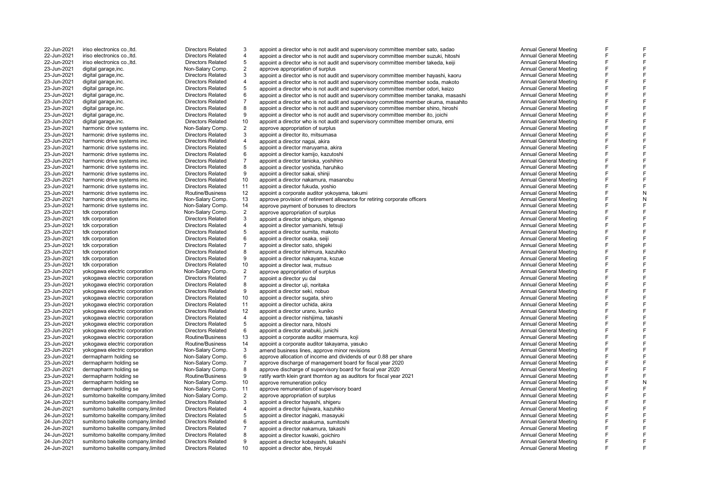22-Jun-2021 iriso electronics co., ltd. Directors Related<br>22-Jun-2021 iriso electronics co. ltd Directors Related 22-Jun-2021 iriso electronics co., ltd. Directors Related<br>22-Jun-2021 iriso electronics co. ltd Directors Related 22-Jun-2021 iriso electronics co., ltd.<br>23-Jun-2021 digital garage.inc. 23-Jun-2021 digital garage,inc.<br>23-Jun-2021 digital garage,inc. Non-Salary Comp. 23-Jun-2021 digital garage, inc.<br>23-Jun-2021 digital garage inc 23-Jun-2021 digital garage,inc. Directors Related 23-Jun-2021 digital garage,inc. Directors Related 23-Jun-2021 digital garage,inc. Directors Related 23-Jun-2021 digital garage,inc. Directors Related 23-Jun-2021 digital garage,inc. Directors Related 23-Jun-2021 digital garage,inc. Directors Related 23-Jun-2021 harmonic drive systems inc. Non-Salary Comp.<br>23-Jun-2021 harmonic drive systems inc. Directors Related 23-Jun-2021 harmonic drive systems inc. Directors Related 23-Jun-2021 harmonic drive systems inc. Directors Related<br>23-Jun-2021 harmonic drive systems inc. Directors Related 23-Jun-2021 harmonic drive systems inc. Directors Related 23-Jun-2021 harmonic drive systems inc. Directors Related 23-Jun-2021 harmonic drive systems inc. Directors Related 23-Jun-2021 harmonic drive systems inc. Directors Related 23-Jun-2021 harmonic drive systems inc. Directors Related<br>23-Jun-2021 harmonic drive systems inc. Directors Related tdk corporation and a comp. Non-Salary Comp. 23-Jun-2021 tdk corporation Directors Related 23-Jun-2021 tdk corporation Directors Related 23-Jun-2021 tdk corporation Directors Related 23-Jun-2021 tdk corporation Directors Related 23-Jun-2021 tdk corporation<br>
23-Jun-2021 tdk corporation<br>
Directors Related 23-Jun-2021 tdk corporation Directors Related 23-Jun-2021 tdk corporation<br>
23-Jun-2021 tdk corporation<br>
23-Jun-2021 tdk corporation 23-Jun-2021 yokogawa electric corporation Non-Salary Comp.<br>23-Jun-2021 vokogawa electric corporation Directors Related 23-Jun-2021 yokogawa electric corporation Directors Related 23-Jun-2021 yokogawa electric corporation Directors Related 23-Jun-2021 yokogawa electric corporation Directors Related<br>23-Jun-2021 yokogawa electric corporation Directors Related 23-Jun-2021 yokogawa electric corporation Directors Related<br>23-Jun-2021 vokogawa electric corporation Directors Related 23-Jun-2021 yokogawa electric corporation Directors Related 23-Jun-2021 yokogawa electric corporation Directors Related<br>23-Jun-2021 vokogawa electric corporation Routine/Business 23-Jun-2021 yokogawa electric corporation Non-Salary Comp.<br>23-Jun-2021 dermapharm holding se Non-Salary Comp. 23-Jun-2021 dermapharm holding se<br>23-Jun-2021 dermapharm holding se 23-Jun-2021 dermapharm holding se Non-Salary Comp.<br>23-Jun-2021 dermapharm holding se Non-Salary Comp. 23-Jun-2021 dermapharm holding se Non-Salary Comp.<br>23-Jun-2021 dermapharm holding se Routine/Business 23-Jun-2021 dermapharm holding se Routine/Business<br>23-Jun-2021 dermapharm holding se Non-Salary Comp. 24-Jun-2021 sumitomo bakelite company limited 24-Jun-2021 sumitomo bakelite company,limited Directors Related sumitomo bakelite company, limited 24-Jun-2021 sumitomo bakelite company,limited Directors Related 24-Jun-2021 sumitomo bakelite company,limited Directors Related 24-Jun-2021 sumitomo bakelite company,limited Directors Related 24-Jun-2021 sumitomo bakelite company,limited Directors Related sumitomo bakelite company limited 24-Jun-2021 sumitomo bakelite company,limited Directors Related 10 appoint a director abe, hiroyuki Annual General Meeting and Annual General Meeting

3 appoint a director who is not audit and supervisory committee member sato, sadao Annual General Meeting<br>4 appoint a director who is not audit and supervisory committee member suzuki bitoshi annual General Meeting 4 appoint a director who is not audit and supervisory committee member suzuki, hitoshi Annual General Meeting<br>5 appoint a director who is not audit and supervisory committee member takeda keiji Annual General Meeting 5 appoint a director who is not audit and supervisory committee member takeda, keiji **Annual General Meeting**<br>2 approve appropriation of surplus approve appropriation of surplus<br>2 appoint a director who is not audit and supervisory committee member hayashi, kaoru annount a director Annual General Meeting 3 appoint a director who is not audit and supervisory committee member hayashi, kaoru<br>4 appoint a director who is not audit and supervisory committee member sodal makoto 4 appoint a director who is not audit and supervisory committee member soda, makoto<br>5 appoint a director who is not audit and supervisory committee member odori, keizo Annual General Meeting 5 appoint a director who is not audit and supervisory committee member odori, keizo **Annual General Meeting**<br>6 appoint a director who is not audit and supervisory committee member tanaka masashi **Annual General Meeting** appoint a director who is not audit and supervisory committee member tanaka, masashi Annual General Meeting<br>Annual General Meeting approximation of the member of the member of the member of the Annual General Meeting appoint a director who is not audit and supervisory committee member okuma, masahito **Annual General Meeting**<br>Annual General Meeting and supervisory committee member shino hiroshi annual General Meeting 8 appoint a director who is not audit and supervisory committee member shino, hiroshi Annual General Meeting<br>8 appoint a director who is not audit and supervisory committee member its joishi Annual General Meeting 9 appoint a director who is not audit and supervisory committee member ito, joichi and annoual Ceneral Meeting<br>10 appoint a director who is not audit and supervisory committee member omura, emi annoual Ceneral Meeting 23-Jun-2021 digital garage,inc. **Directors Related** 10 appoint a director who is not audit and supervisory committee member omura, emi Annual General Meeting<br>23-Jun-2021 harmonic drive systems inc. Non-Salary Comp. 2 appro 2 approve appropriation of surplus and the second term of the second term of the second of the second of the second of the second of the second of the second of the second of the second of the second of the second of the s 3 appoint a director ito, mitsumasa Annual General Meeting 4 appoint a director nagai, akira<br>5 appoint a director magai, akira akira akira Annual General Meeting annual General Meeting 5 appoint a director maruyama, akira and a series and a series of the series of the series of the series of the series of the series of the series of the series of the series of the series of the series of the series of th 6 appoint a director kamijo, kazutoshi Annual General Meeting 7 appoint a director tanioka, yoshihiro and a magazine and a series of the control of the control of the control of the control of the control of the control of the control of the control of the control of the control of t 8 appoint a director yoshida, haruhiko Annual General Meeting (1999) and a stream of the model of the model of the model of the model of the model of the model of the model of the model of the model of the model of the mod external oriental director sakai, shinji Annual General Meeting (1999) appoint a director sakai, shinji Annual General Meeting<br>10 appoint a director nakamura masanobu 23-Jun-2021 harmonic drive systems inc. Directors Related 10 appoint a director nakamura, masanobu Annual General Meeting<br>23-Jun-2021 harmonic drive systems inc. Directors Related 11 appoint a director fukuda voshio 23-Jun-2021 harmonic drive systems inc. <br>23-Jun-2021 harmonic drive systems inc. **Directors Related** 11 appoint a corporate auditor vokovama. takumi **Annual Ceneral Meeting** Annual General Meeting 23-Jun-2021 harmonic drive systems inc. <br>23-Jun-2021 harmonic drive systems inc. The Salar Routine/Business and a approve provision of retirement allowance for retiring corporate officers and the systems of Annual General 23-Jun-2021 harmonic drive systems inc. Non-Salary Comp. 13 approve provision of retirement allowance for retiring corporate officers and the computable annual General Meeting (Annual General Meeting 23-Jun-2021 harmonic d 23-Jun-2021 harmonic drive systems inc. Non-Salary Comp. 14 approve payment of bonuses to directors and the computation of surplus and the computation of surplus and the computation of surplus and the computation of surplu 2 approve appropriation of surplus Annual General Meeting 3 appoint a director ishiguro, shigenao anno 1922 anno 2008. Annual General Meeting anno 2012 annual General Meeting<br>3 appoint a director vamanishi. tetsuii anno 2012 anno 2012 anno 2012 anno 2012 anno 2012 annual General 4 appoint a director yamanishi, tetsuji and a series and a series of the series of the series of the series of the series of the series of the series of the series of the series of the series of the series of the series of 5 appoint a director sumita, makoto and a control and a series of the control of the control of the control of the control of the control of the control of the control of the control of the control of the control of the co appoint a director osaka, seiji a basic appoint a director osaka, seiji a basic appoint a director osaka, seiji<br>Annual General Meeting 7 appoint a director sato, shigeki Annual General Meeting<br>8 appoint a director ishimura kazubiko 8 appoint a director ishimura, kazuhiko **Annual General Meeting**<br>8 appoint a director nakayama kozue **Annual General Meeting** 9 appoint a director nakayama, kozue **Annual General Meeting**<br>10 appoint a director iwai mutsuo 23-Jun-2021 tdk corporation **Directors Related** 10 appoint a director iwai, mutsuo<br>23-Jun-2021 vokogawa electric corporation Non-Salary Comp. 2 approve appropriation of surplus **Annual General Meeting** 2 approve appropriation of surplus<br>
2 approve appropriation of surplus<br>
2 appoint a director vu dai appoint a director yu dai anno 1922 and 2008. The second was appoint a director yu dai Annual General Meeting<br>Annual General Meeting appoint a director with a second was appointed was appointed was appointed was appointe 8 appoint a director uji, noritaka annual General Meeting and a studies are a more to the manual General Meeting<br>8 appoint a director seki, nobuo 9 appoint a director seki, nobuo Annual General Meeting 23-Jun-2021 yokogawa electric corporation **Directors Related** 10 appoint a director sugata, shiro and the method the method of the method of the method of the method of Annual General Meeting and Directors Related 11 appoi 23-Jun-2021 yokogawa electric corporation **Directors Related** 11 appoint a director uchida, akira annual Computer annual General Meeting Directors Related 12 appoint a director uchida, akira Annual General Meeting Annual G 23-Jun-2021 yokogawa electric corporation Directors Related 12 appoint a director urano, kuniko 23-Jun-2021 vokogawa electric corporation Directors Related 4 appoint a director nishilima. taka 4 appoint a director nishijima, takashi and a barangar a shekara ta analishin a manal General Meeting and Annual General Meeting<br>5 appoint a director nara hitoshi 5 appoint a director nara, hitoshi annual General Meeting and a shitter and a shitter and a shitter and a shitler<br>6 appoint a director anabuki. iunichi annual General Meeting and a shitter annual General Meeting annual Gen 6 appoint a director anabuki, junichi Annual General Meeting 23-Jun-2021 yokogawa electric corporation **Routine/Business** 13 appoint a corporate auditor maemura, koji annual Ceneral Meeting annual General Meeting<br>23-Jun-2021 yokogawa electric corporation Routine/Business 14 appoint 23-Jun-2021 yokogawa electric corporation **Routine/Business 14 appoint a corporate auditor takayama**, yasuko annual Chromation annual General Meeting Research Corporate auditor takayama, yasuko Annual General Meeting Annua 3 amend business lines, approve minor revisions and the state of the state of the method of the method of the m<br>3 approve allocation of income and dividends of eur 0.88 per share and the state of the method of Annual Gener approve allocation of income and dividends of eur 0.88 per share <br>
approve discharge of management board for fiscal vear 2020 7 approve discharge of management board for fiscal year 2020<br>8 approve discharge of supervisory board for fiscal year 2020 Annual General Meeting 8 approve discharge of supervisory board for fiscal year 2020<br>9 approve discharge of supervisory board for fiscal year 2021<br>Annual General Meeting 9 ratify warth klein grant thornton ag as auditors for fiscal year 2021<br>10 approve remuneration policy and interval and the state of the state of the control of Annual General Meeting 23-Jun-2021 dermapharm holding se Non-Salary Comp. 10 approve remuneration policy Annual General Meeting 23-Jun-2021 dermapharm holding se Non-Salary Comp. 11 approve remuneration of supervisory board<br>24-Jun-2021 sumitomo bakelite company limited Non-Salary Comp. 2 approve appropriation of surplus 2 approve appropriation of surplus and the surplus approve approve approve appropriation of surplus Annual General Meeting<br>3 approve appropriation bayashi shineru 3 appoint a director hayashi, shigeru Annual General Meeting and a shift and a shift and a shift and a shift a<br>3 appoint a director fujiwara, kazuhiko a shift a shift a shift and a shift a shift and a shift annual General appoint a director fujiwara, kazuhiko 5 appoint a director inagaki, masayuki a masayuki Annual General Meeting<br>6 appoint a director asakuma. sumitoshi a masayuki Annual General Meeting appoint a director asakuma, sumitoshi appoint a director nakamura, takashi <br>7 appoint a director kuwaki ngichiro 8 appoint a director kuwaki, goichiro annual General Meeting and a companion and a companion of the meeting of the meeting of the meeting of the meeting of the meeting of the meeting of the meeting of the meeting of the me 9 appoint a director kobayashi, takashi

F F  $\blacksquare$ F F F F F F F F F F F F F F F F F F F F F F F F F F F F F F F F F F F F F F F F F F N F N F F F F F F F F  $\mathbf{r}$  $\mathbf{r}$ F F F F F F F F F F F F F F F F F F F F F F F F F F F F F F F F F F F F F F F F  $\blacksquare$ F F F F N F F F F F F F F F F F F F F F F F F F F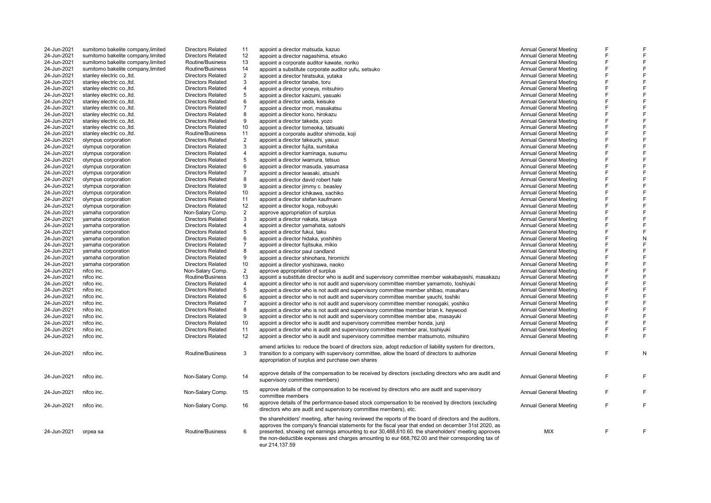| 24-Jun-2021 | sumitomo bakelite company, limited | <b>Directors Related</b> | 11             | appoint a director matsuda, kazuo                                                                                                                                                                                                                                                                                                                                                                                                              | <b>Annual General Meeting</b> | F |   |
|-------------|------------------------------------|--------------------------|----------------|------------------------------------------------------------------------------------------------------------------------------------------------------------------------------------------------------------------------------------------------------------------------------------------------------------------------------------------------------------------------------------------------------------------------------------------------|-------------------------------|---|---|
| 24-Jun-2021 | sumitomo bakelite company, limited | <b>Directors Related</b> | 12             | appoint a director nagashima, etsuko                                                                                                                                                                                                                                                                                                                                                                                                           | Annual General Meeting        | F |   |
| 24-Jun-2021 | sumitomo bakelite company, limited | Routine/Business         | 13             | appoint a corporate auditor kawate, noriko                                                                                                                                                                                                                                                                                                                                                                                                     | <b>Annual General Meeting</b> | E |   |
| 24-Jun-2021 | sumitomo bakelite company, limited | Routine/Business         | 14             | appoint a substitute corporate auditor yufu, setsuko                                                                                                                                                                                                                                                                                                                                                                                           | <b>Annual General Meeting</b> | F |   |
| 24-Jun-2021 | stanley electric co., ltd.         | <b>Directors Related</b> | $\overline{2}$ | appoint a director hiratsuka, yutaka                                                                                                                                                                                                                                                                                                                                                                                                           | <b>Annual General Meeting</b> | F |   |
| 24-Jun-2021 | stanley electric co., Itd.         | <b>Directors Related</b> | 3              | appoint a director tanabe, toru                                                                                                                                                                                                                                                                                                                                                                                                                | <b>Annual General Meeting</b> | F | E |
| 24-Jun-2021 | stanley electric co., ltd.         | <b>Directors Related</b> | 4              | appoint a director yoneya, mitsuhiro                                                                                                                                                                                                                                                                                                                                                                                                           | <b>Annual General Meeting</b> | E |   |
| 24-Jun-2021 | stanley electric co., ltd.         | <b>Directors Related</b> | 5              | appoint a director kaizumi, yasuaki                                                                                                                                                                                                                                                                                                                                                                                                            | Annual General Meeting        | F |   |
| 24-Jun-2021 | stanley electric co., ltd.         | <b>Directors Related</b> | 6              | appoint a director ueda, keisuke                                                                                                                                                                                                                                                                                                                                                                                                               | Annual General Meeting        | F |   |
| 24-Jun-2021 | stanley electric co., ltd.         | <b>Directors Related</b> | $\overline{7}$ | appoint a director mori, masakatsu                                                                                                                                                                                                                                                                                                                                                                                                             | <b>Annual General Meeting</b> | F |   |
| 24-Jun-2021 | stanley electric co., ltd.         | Directors Related        | 8              | appoint a director kono, hirokazu                                                                                                                                                                                                                                                                                                                                                                                                              | <b>Annual General Meeting</b> | F | E |
| 24-Jun-2021 | stanley electric co., ltd.         | <b>Directors Related</b> | 9              | appoint a director takeda, yozo                                                                                                                                                                                                                                                                                                                                                                                                                | Annual General Meeting        | E |   |
| 24-Jun-2021 | stanley electric co., ltd.         | <b>Directors Related</b> | 10             | appoint a director tomeoka, tatsuaki                                                                                                                                                                                                                                                                                                                                                                                                           | <b>Annual General Meeting</b> | F |   |
| 24-Jun-2021 | stanley electric co., Itd.         | Routine/Business         | 11             | appoint a corporate auditor shimoda, koji                                                                                                                                                                                                                                                                                                                                                                                                      | <b>Annual General Meeting</b> | F |   |
| 24-Jun-2021 | olympus corporation                | Directors Related        | $\overline{2}$ | appoint a director takeuchi, yasuo                                                                                                                                                                                                                                                                                                                                                                                                             | <b>Annual General Meeting</b> | F |   |
| 24-Jun-2021 | olympus corporation                | <b>Directors Related</b> | 3              |                                                                                                                                                                                                                                                                                                                                                                                                                                                | <b>Annual General Meeting</b> | F | F |
| 24-Jun-2021 |                                    | <b>Directors Related</b> | 4              | appoint a director fujita, sumitaka                                                                                                                                                                                                                                                                                                                                                                                                            | Annual General Meeting        | E |   |
|             | olympus corporation                |                          | 5              | appoint a director kaminaga, susumu                                                                                                                                                                                                                                                                                                                                                                                                            |                               | E |   |
| 24-Jun-2021 | olympus corporation                | <b>Directors Related</b> |                | appoint a director iwamura, tetsuo                                                                                                                                                                                                                                                                                                                                                                                                             | Annual General Meeting        | F |   |
| 24-Jun-2021 | olympus corporation                | <b>Directors Related</b> | 6              | appoint a director masuda, yasumasa                                                                                                                                                                                                                                                                                                                                                                                                            | <b>Annual General Meeting</b> |   |   |
| 24-Jun-2021 | olympus corporation                | <b>Directors Related</b> | $\overline{7}$ | appoint a director iwasaki, atsushi                                                                                                                                                                                                                                                                                                                                                                                                            | <b>Annual General Meeting</b> | F |   |
| 24-Jun-2021 | olympus corporation                | <b>Directors Related</b> | 8              | appoint a director david robert hale                                                                                                                                                                                                                                                                                                                                                                                                           | Annual General Meeting        | F |   |
| 24-Jun-2021 | olympus corporation                | <b>Directors Related</b> | 9              | appoint a director jimmy c. beasley                                                                                                                                                                                                                                                                                                                                                                                                            | Annual General Meeting        | F |   |
| 24-Jun-2021 | olympus corporation                | <b>Directors Related</b> | 10             | appoint a director ichikawa, sachiko                                                                                                                                                                                                                                                                                                                                                                                                           | Annual General Meeting        | F |   |
| 24-Jun-2021 | olympus corporation                | <b>Directors Related</b> | 11             | appoint a director stefan kaufmann                                                                                                                                                                                                                                                                                                                                                                                                             | Annual General Meeting        | E |   |
| 24-Jun-2021 | olympus corporation                | Directors Related        | 12             | appoint a director koga, nobuyuki                                                                                                                                                                                                                                                                                                                                                                                                              | <b>Annual General Meeting</b> | F |   |
| 24-Jun-2021 | yamaha corporation                 | Non-Salary Comp.         | $\overline{2}$ | approve appropriation of surplus                                                                                                                                                                                                                                                                                                                                                                                                               | <b>Annual General Meeting</b> | F |   |
| 24-Jun-2021 | yamaha corporation                 | <b>Directors Related</b> | 3              | appoint a director nakata, takuya                                                                                                                                                                                                                                                                                                                                                                                                              | Annual General Meeting        | F | E |
| 24-Jun-2021 | yamaha corporation                 | <b>Directors Related</b> | $\overline{4}$ | appoint a director yamahata, satoshi                                                                                                                                                                                                                                                                                                                                                                                                           | <b>Annual General Meeting</b> | F |   |
| 24-Jun-2021 | yamaha corporation                 | <b>Directors Related</b> | 5              | appoint a director fukui, taku                                                                                                                                                                                                                                                                                                                                                                                                                 | Annual General Meeting        | E | E |
| 24-Jun-2021 | yamaha corporation                 | Directors Related        | 6              | appoint a director hidaka, voshihiro                                                                                                                                                                                                                                                                                                                                                                                                           | <b>Annual General Meeting</b> | E | N |
| 24-Jun-2021 | yamaha corporation                 | <b>Directors Related</b> | 7              | appoint a director fujitsuka, mikio                                                                                                                                                                                                                                                                                                                                                                                                            | <b>Annual General Meeting</b> | E |   |
| 24-Jun-2021 | yamaha corporation                 | <b>Directors Related</b> | 8              | appoint a director paul candland                                                                                                                                                                                                                                                                                                                                                                                                               | <b>Annual General Meeting</b> | F |   |
| 24-Jun-2021 | yamaha corporation                 | <b>Directors Related</b> | 9              | appoint a director shinohara, hiromichi                                                                                                                                                                                                                                                                                                                                                                                                        | <b>Annual General Meeting</b> | F |   |
| 24-Jun-2021 | yamaha corporation                 | <b>Directors Related</b> | 10             | appoint a director yoshizawa, naoko                                                                                                                                                                                                                                                                                                                                                                                                            | Annual General Meeting        | F |   |
| 24-Jun-2021 | nifco inc.                         | Non-Salary Comp.         | $\overline{2}$ | approve appropriation of surplus                                                                                                                                                                                                                                                                                                                                                                                                               | Annual General Meeting        | F |   |
| 24-Jun-2021 | nifco inc.                         | Routine/Business         | 13             | appoint a substitute director who is audit and supervisory committee member wakabayashi, masakazu                                                                                                                                                                                                                                                                                                                                              | Annual General Meeting        | E |   |
| 24-Jun-2021 | nifco inc.                         | <b>Directors Related</b> | 4              | appoint a director who is not audit and supervisory committee member yamamoto, toshiyuki                                                                                                                                                                                                                                                                                                                                                       | <b>Annual General Meeting</b> | F |   |
| 24-Jun-2021 | nifco inc.                         | <b>Directors Related</b> | 5              | appoint a director who is not audit and supervisory committee member shibao, masaharu                                                                                                                                                                                                                                                                                                                                                          | <b>Annual General Meeting</b> | E |   |
| 24-Jun-2021 | nifco inc.                         | <b>Directors Related</b> | 6              | appoint a director who is not audit and supervisory committee member yauchi, toshiki                                                                                                                                                                                                                                                                                                                                                           | <b>Annual General Meeting</b> | F |   |
| 24-Jun-2021 | nifco inc.                         | <b>Directors Related</b> | $\overline{7}$ | appoint a director who is not audit and supervisory committee member nonogaki, yoshiko                                                                                                                                                                                                                                                                                                                                                         | <b>Annual General Meeting</b> | F |   |
| 24-Jun-2021 | nifco inc.                         | <b>Directors Related</b> | 8              | appoint a director who is not audit and supervisory committee member brian k. heywood                                                                                                                                                                                                                                                                                                                                                          | Annual General Meeting        | E |   |
| 24-Jun-2021 | nifco inc.                         | <b>Directors Related</b> | 9              |                                                                                                                                                                                                                                                                                                                                                                                                                                                | <b>Annual General Meeting</b> | F |   |
| 24-Jun-2021 | nifco inc.                         | <b>Directors Related</b> | 10             | appoint a director who is not audit and supervisory committee member abe, masayuki                                                                                                                                                                                                                                                                                                                                                             | <b>Annual General Meeting</b> | F |   |
|             |                                    |                          |                | appoint a director who is audit and supervisory committee member honda, junji                                                                                                                                                                                                                                                                                                                                                                  |                               | F | F |
| 24-Jun-2021 | nifco inc.                         | <b>Directors Related</b> | 11             | appoint a director who is audit and supervisory committee member arai, toshiyuki                                                                                                                                                                                                                                                                                                                                                               | <b>Annual General Meeting</b> | E | E |
| 24-Jun-2021 | nifco inc.                         | <b>Directors Related</b> | 12             | appoint a director who is audit and supervisory committee member matsumoto, mitsuhiro                                                                                                                                                                                                                                                                                                                                                          | <b>Annual General Meeting</b> |   |   |
| 24-Jun-2021 | nifco inc.                         | Routine/Business         | 3              | amend articles to: reduce the board of directors size, adopt reduction of liability system for directors,<br>transition to a company with supervisory committee, allow the board of directors to authorize<br>appropriation of surplus and purchase own shares                                                                                                                                                                                 | <b>Annual General Meeting</b> | F | N |
| 24-Jun-2021 | nifco inc.                         | Non-Salary Comp.         | 14             | approve details of the compensation to be received by directors (excluding directors who are audit and<br>supervisory committee members)                                                                                                                                                                                                                                                                                                       | Annual General Meeting        | F | E |
| 24-Jun-2021 | nifco inc.                         | Non-Salary Comp.         | 15             | approve details of the compensation to be received by directors who are audit and supervisory<br>committee members                                                                                                                                                                                                                                                                                                                             | <b>Annual General Meeting</b> | F | F |
| 24-Jun-2021 | nifco inc.                         | Non-Salary Comp.         | 16             | approve details of the performance-based stock compensation to be received by directors (excluding<br>directors who are audit and supervisory committee members), etc.                                                                                                                                                                                                                                                                         | Annual General Meeting        | F | E |
| 24-Jun-2021 | orpea sa                           | Routine/Business         | 6              | the shareholders' meeting, after having reviewed the reports of the board of directors and the auditors,<br>approves the company's financial statements for the fiscal year that ended on december 31st 2020, as<br>presented, showing net earnings amounting to eur 30,488,610.60. the shareholders' meeting approves<br>the non-deductible expenses and charges amounting to eur 668,762.00 and their corresponding tax of<br>eur 214,137.59 | <b>MIX</b>                    | F | F |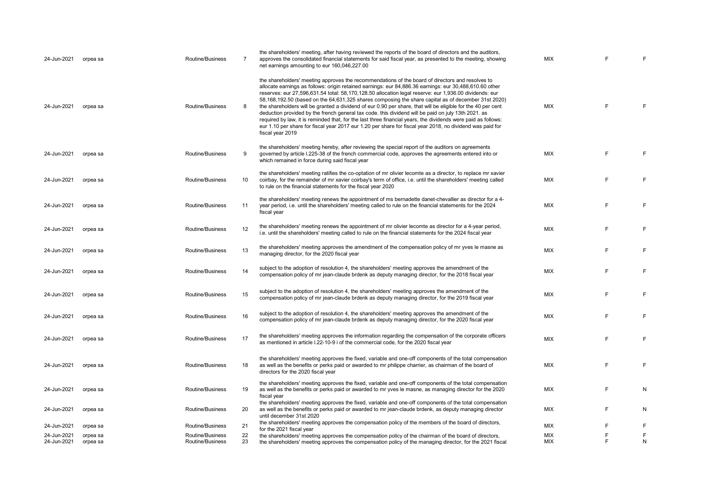| 24-Jun-2021                | orpea sa             | Routine/Business                     | 7        | the shareholders' meeting, after having reviewed the reports of the board of directors and the auditors,<br>approves the consolidated financial statements for said fiscal year, as presented to the meeting, showing<br>net earnings amounting to eur 160,046,227.00                                                                                                                                                                                                                                                                                                                                                                                                                                                                                                                                                                                                                                 | <b>MIX</b>               |        | F      |
|----------------------------|----------------------|--------------------------------------|----------|-------------------------------------------------------------------------------------------------------------------------------------------------------------------------------------------------------------------------------------------------------------------------------------------------------------------------------------------------------------------------------------------------------------------------------------------------------------------------------------------------------------------------------------------------------------------------------------------------------------------------------------------------------------------------------------------------------------------------------------------------------------------------------------------------------------------------------------------------------------------------------------------------------|--------------------------|--------|--------|
| 24-Jun-2021                | orpea sa             | Routine/Business                     | 8        | the shareholders' meeting approves the recommendations of the board of directors and resolves to<br>allocate earnings as follows: origin retained earnings: eur 84,886.36 earnings: eur 30,488,610.60 other<br>reserves: eur 27,596,631.54 total: 58,170,128.50 allocation legal reserve: eur 1,936.00 dividends: eur<br>58,168,192.50 (based on the 64,631,325 shares composing the share capital as of december 31st 2020)<br>the shareholders will be granted a dividend of eur 0.90 per share, that will be eligible for the 40 per cent<br>deduction provided by the french general tax code. this dividend will be paid on july 13th 2021. as<br>required by law, it is reminded that, for the last three financial years, the dividends were paid as follows:<br>eur 1.10 per share for fiscal year 2017 eur 1.20 per share for fiscal year 2018, no dividend was paid for<br>fiscal year 2019 | <b>MIX</b>               | F      | F      |
| 24-Jun-2021                | orpea sa             | Routine/Business                     | 9        | the shareholders' meeting hereby, after reviewing the special report of the auditors on agreements<br>governed by article I.225-38 of the french commercial code, approves the agreements entered into or<br>which remained in force during said fiscal year                                                                                                                                                                                                                                                                                                                                                                                                                                                                                                                                                                                                                                          | <b>MIX</b>               | E      | F      |
| 24-Jun-2021                | orpea sa             | Routine/Business                     | 10       | the shareholders' meeting ratifies the co-optation of mr olivier lecomte as a director, to replace mr xavier<br>coirbay, for the remainder of mr xavier coirbay's term of office, i.e. until the shareholders' meeting called<br>to rule on the financial statements for the fiscal year 2020                                                                                                                                                                                                                                                                                                                                                                                                                                                                                                                                                                                                         | <b>MIX</b>               | E      | F      |
| 24-Jun-2021                | orpea sa             | Routine/Business                     | 11       | the shareholders' meeting renews the appointment of ms bernadette danet-chevallier as director for a 4-<br>year period, i.e. until the shareholders' meeting called to rule on the financial statements for the 2024<br>fiscal year                                                                                                                                                                                                                                                                                                                                                                                                                                                                                                                                                                                                                                                                   | <b>MIX</b>               | E      | F      |
| 24-Jun-2021                | orpea sa             | Routine/Business                     | 12       | the shareholders' meeting renews the appointment of mr olivier lecomte as director for a 4-year period,<br>i.e. until the shareholders' meeting called to rule on the financial statements for the 2024 fiscal year                                                                                                                                                                                                                                                                                                                                                                                                                                                                                                                                                                                                                                                                                   | <b>MIX</b>               | E      | F      |
| 24-Jun-2021                | orpea sa             | Routine/Business                     | 13       | the shareholders' meeting approves the amendment of the compensation policy of mr yves le masne as<br>managing director, for the 2020 fiscal year                                                                                                                                                                                                                                                                                                                                                                                                                                                                                                                                                                                                                                                                                                                                                     | <b>MIX</b>               | E      | F      |
| 24-Jun-2021                | orpea sa             | Routine/Business                     | 14       | subject to the adoption of resolution 4, the shareholders' meeting approves the amendment of the<br>compensation policy of mr jean-claude brdenk as deputy managing director, for the 2018 fiscal year                                                                                                                                                                                                                                                                                                                                                                                                                                                                                                                                                                                                                                                                                                | <b>MIX</b>               | E      | F      |
| 24-Jun-2021                | orpea sa             | Routine/Business                     | 15       | subject to the adoption of resolution 4, the shareholders' meeting approves the amendment of the<br>compensation policy of mr jean-claude brdenk as deputy managing director, for the 2019 fiscal year                                                                                                                                                                                                                                                                                                                                                                                                                                                                                                                                                                                                                                                                                                | <b>MIX</b>               | E      | F      |
| 24-Jun-2021                | orpea sa             | Routine/Business                     | 16       | subject to the adoption of resolution 4, the shareholders' meeting approves the amendment of the<br>compensation policy of mr jean-claude brdenk as deputy managing director, for the 2020 fiscal year                                                                                                                                                                                                                                                                                                                                                                                                                                                                                                                                                                                                                                                                                                | <b>MIX</b>               | E      | F      |
| 24-Jun-2021                | orpea sa             | Routine/Business                     | 17       | the shareholders' meeting approves the information regarding the compensation of the corporate officers<br>as mentioned in article I.22-10-9 i of the commercial code, for the 2020 fiscal year                                                                                                                                                                                                                                                                                                                                                                                                                                                                                                                                                                                                                                                                                                       | <b>MIX</b>               | E      | F      |
| 24-Jun-2021                | orpea sa             | Routine/Business                     | 18       | the shareholders' meeting approves the fixed, variable and one-off components of the total compensation<br>as well as the benefits or perks paid or awarded to mr philippe charrier, as chairman of the board of<br>directors for the 2020 fiscal year                                                                                                                                                                                                                                                                                                                                                                                                                                                                                                                                                                                                                                                | <b>MIX</b>               | E      | F      |
| 24-Jun-2021                | orpea sa             | Routine/Business                     | 19       | the shareholders' meeting approves the fixed, variable and one-off components of the total compensation<br>as well as the benefits or perks paid or awarded to mr yves le masne, as managing director for the 2020<br>fiscal year                                                                                                                                                                                                                                                                                                                                                                                                                                                                                                                                                                                                                                                                     | <b>MIX</b>               | E      | N      |
| 24-Jun-2021                | orpea sa             | Routine/Business                     | 20       | the shareholders' meeting approves the fixed, variable and one-off components of the total compensation<br>as well as the benefits or perks paid or awarded to mr jean-claude brdenk, as deputy managing director<br>until december 31st 2020                                                                                                                                                                                                                                                                                                                                                                                                                                                                                                                                                                                                                                                         | MIX                      | E      | N      |
| 24-Jun-2021                | orpea sa             | Routine/Business                     | 21       | the shareholders' meeting approves the compensation policy of the members of the board of directors,<br>for the 2021 fiscal year                                                                                                                                                                                                                                                                                                                                                                                                                                                                                                                                                                                                                                                                                                                                                                      | <b>MIX</b>               | E      | F      |
| 24-Jun-2021<br>24-Jun-2021 | orpea sa<br>orpea sa | Routine/Business<br>Routine/Business | 22<br>23 | the shareholders' meeting approves the compensation policy of the chairman of the board of directors,<br>the shareholders' meeting approves the compensation policy of the managing director, for the 2021 fiscal                                                                                                                                                                                                                                                                                                                                                                                                                                                                                                                                                                                                                                                                                     | <b>MIX</b><br><b>MIX</b> | E<br>E | F<br>N |
|                            |                      |                                      |          |                                                                                                                                                                                                                                                                                                                                                                                                                                                                                                                                                                                                                                                                                                                                                                                                                                                                                                       |                          |        |        |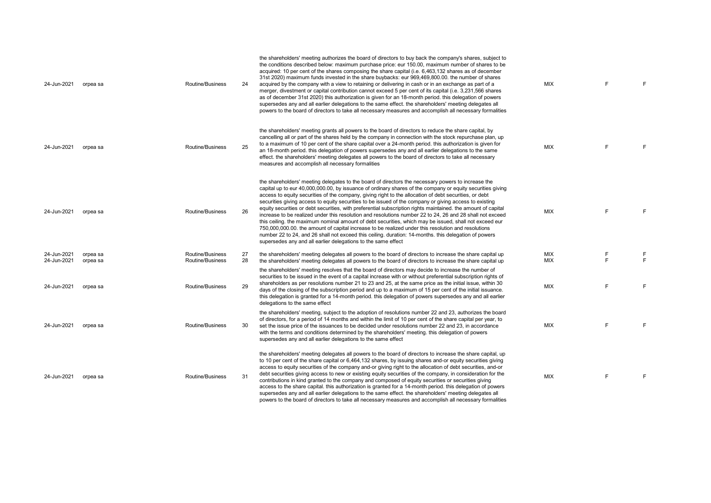| 24-Jun-2021                | orpea sa             | <b>Routine/Business</b>              | 24       | the shareholders' meeting authorizes the board of directors to buy back the company's shares, subject to<br>the conditions described below: maximum purchase price: eur 150.00, maximum number of shares to be<br>acquired: 10 per cent of the shares composing the share capital (i.e. 6,463,132 shares as of december<br>31st 2020) maximum funds invested in the share buybacks: eur 969,469,800.00. the number of shares<br>acquired by the company with a view to retaining or delivering in cash or in an exchange as part of a<br>merger, divestment or capital contribution cannot exceed 5 per cent of its capital (i.e. 3,231,566 shares<br>as of december 31st 2020) this authorization is given for an 18-month period. this delegation of powers<br>supersedes any and all earlier delegations to the same effect. the shareholders' meeting delegates all<br>powers to the board of directors to take all necessary measures and accomplish all necessary formalities                                                                           | <b>MIX</b>        | E      | F      |
|----------------------------|----------------------|--------------------------------------|----------|---------------------------------------------------------------------------------------------------------------------------------------------------------------------------------------------------------------------------------------------------------------------------------------------------------------------------------------------------------------------------------------------------------------------------------------------------------------------------------------------------------------------------------------------------------------------------------------------------------------------------------------------------------------------------------------------------------------------------------------------------------------------------------------------------------------------------------------------------------------------------------------------------------------------------------------------------------------------------------------------------------------------------------------------------------------|-------------------|--------|--------|
| 24-Jun-2021                | orpea sa             | Routine/Business                     | 25       | the shareholders' meeting grants all powers to the board of directors to reduce the share capital, by<br>cancelling all or part of the shares held by the company in connection with the stock repurchase plan, up<br>to a maximum of 10 per cent of the share capital over a 24-month period, this authorization is given for<br>an 18-month period, this delegation of powers supersedes any and all earlier delegations to the same<br>effect. the shareholders' meeting delegates all powers to the board of directors to take all necessary<br>measures and accomplish all necessary formalities                                                                                                                                                                                                                                                                                                                                                                                                                                                         | <b>MIX</b>        | E      | F      |
| 24-Jun-2021                | orpea sa             | Routine/Business                     | 26       | the shareholders' meeting delegates to the board of directors the necessary powers to increase the<br>capital up to eur 40,000,000.00, by issuance of ordinary shares of the company or equity securities giving<br>access to equity securities of the company, giving right to the allocation of debt securities, or debt<br>securities giving access to equity securities to be issued of the company or giving access to existing<br>equity securities or debt securities, with preferential subscription rights maintained, the amount of capital<br>increase to be realized under this resolution and resolutions number 22 to 24, 26 and 28 shall not exceed<br>this ceiling. the maximum nominal amount of debt securities, which may be issued, shall not exceed eur<br>750,000,000.00. the amount of capital increase to be realized under this resolution and resolutions<br>number 22 to 24, and 26 shall not exceed this ceiling. duration: 14-months. this delegation of powers<br>supersedes any and all earlier delegations to the same effect | <b>MIX</b>        | E      | F      |
| 24-Jun-2021<br>24-Jun-2021 | orpea sa<br>orpea sa | Routine/Business<br>Routine/Business | 27<br>28 | the shareholders' meeting delegates all powers to the board of directors to increase the share capital up<br>the shareholders' meeting delegates all powers to the board of directors to increase the share capital up                                                                                                                                                                                                                                                                                                                                                                                                                                                                                                                                                                                                                                                                                                                                                                                                                                        | <b>MIX</b><br>MIX | F<br>E | F<br>E |
| 24-Jun-2021                | orpea sa             | Routine/Business                     | 29       | the shareholders' meeting resolves that the board of directors may decide to increase the number of<br>securities to be issued in the event of a capital increase with or without preferential subscription rights of<br>shareholders as per resolutions number 21 to 23 and 25, at the same price as the initial issue, within 30<br>days of the closing of the subscription period and up to a maximum of 15 per cent of the initial issuance.<br>this delegation is granted for a 14-month period. this delegation of powers supersedes any and all earlier<br>delegations to the same effect                                                                                                                                                                                                                                                                                                                                                                                                                                                              | MIX               | E      | F      |
| 24-Jun-2021                | orpea sa             | Routine/Business                     | 30       | the shareholders' meeting, subject to the adoption of resolutions number 22 and 23, authorizes the board<br>of directors, for a period of 14 months and within the limit of 10 per cent of the share capital per year, to<br>set the issue price of the issuances to be decided under resolutions number 22 and 23, in accordance<br>with the terms and conditions determined by the shareholders' meeting, this delegation of powers<br>supersedes any and all earlier delegations to the same effect                                                                                                                                                                                                                                                                                                                                                                                                                                                                                                                                                        | <b>MIX</b>        | F      | F      |
| 24-Jun-2021                | orpea sa             | Routine/Business                     | 31       | the shareholders' meeting delegates all powers to the board of directors to increase the share capital, up<br>to 10 per cent of the share capital or 6,464,132 shares, by issuing shares and-or equity securities giving<br>access to equity securities of the company and-or giving right to the allocation of debt securities, and-or<br>debt securities giving access to new or existing equity securities of the company, in consideration for the<br>contributions in kind granted to the company and composed of equity securities or securities giving<br>access to the share capital. this authorization is granted for a 14-month period. this delegation of powers<br>supersedes any and all earlier delegations to the same effect. the shareholders' meeting delegates all<br>powers to the board of directors to take all necessary measures and accomplish all necessary formalities                                                                                                                                                            | <b>MIX</b>        | E      | E      |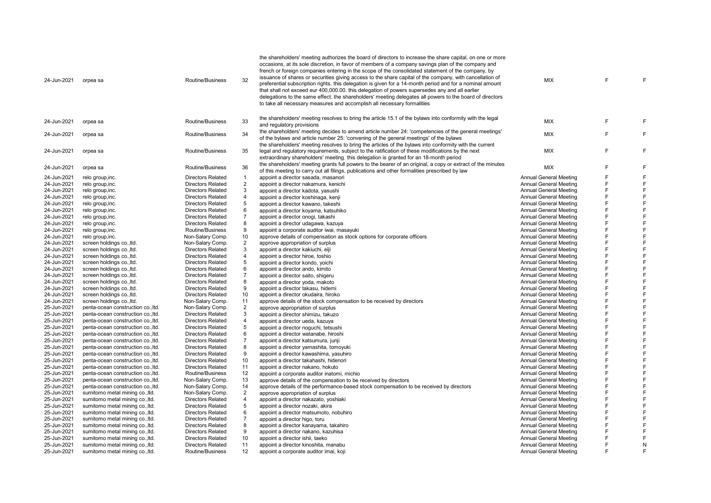| 24-Jun-2021 | orpea sa                           | Routine/Business         | 32             | the shareholders' meeting authorizes the board of directors to increase the share capital, on one or more<br>occasions, at its sole discretion, in favor of members of a company savings plan of the company and<br>french or foreign companies entering in the scope of the consolidated statement of the company, by<br>issuance of shares or securities giving access to the share capital of the company, with cancellation of<br>preferential subscription rights. this delegation is given for a 14-month period and for a nominal amount<br>that shall not exceed eur 400,000.00. this delegation of powers supersedes any and all earlier<br>delegations to the same effect, the shareholders' meeting delegates all powers to the board of directors<br>to take all necessary measures and accomplish all necessary formalities | <b>MIX</b>                    | F | F |
|-------------|------------------------------------|--------------------------|----------------|------------------------------------------------------------------------------------------------------------------------------------------------------------------------------------------------------------------------------------------------------------------------------------------------------------------------------------------------------------------------------------------------------------------------------------------------------------------------------------------------------------------------------------------------------------------------------------------------------------------------------------------------------------------------------------------------------------------------------------------------------------------------------------------------------------------------------------------|-------------------------------|---|---|
| 24-Jun-2021 | orpea sa                           | Routine/Business         | 33             | the shareholders' meeting resolves to bring the article 15.1 of the bylaws into conformity with the legal<br>and regulatory provisions                                                                                                                                                                                                                                                                                                                                                                                                                                                                                                                                                                                                                                                                                                   | MIX                           | F | F |
| 24-Jun-2021 | orpea sa                           | Routine/Business         | 34             | the shareholders' meeting decides to amend article number 24: 'competencies of the general meetings'<br>of the bylaws and article number 25: 'convening of the general meetings' of the bylaws                                                                                                                                                                                                                                                                                                                                                                                                                                                                                                                                                                                                                                           | <b>MIX</b>                    | F | F |
| 24-Jun-2021 | orpea sa                           | Routine/Business         | 35             | the shareholders' meeting resolves to bring the articles of the bylaws into conformity with the current<br>legal and regulatory reguirements, subject to the ratification of these modifications by the next<br>extraordinary shareholders' meeting. this delegation is granted for an 18-month period                                                                                                                                                                                                                                                                                                                                                                                                                                                                                                                                   | <b>MIX</b>                    | Ë | F |
| 24-Jun-2021 | orpea sa                           | Routine/Business         | 36             | the shareholders' meeting grants full powers to the bearer of an original, a copy or extract of the minutes<br>of this meeting to carry out all filings, publications and other formalities prescribed by law                                                                                                                                                                                                                                                                                                                                                                                                                                                                                                                                                                                                                            | <b>MIX</b>                    | F | F |
| 24-Jun-2021 | relo group, inc.                   | <b>Directors Related</b> | $\mathbf{1}$   | appoint a director sasada, masanori                                                                                                                                                                                                                                                                                                                                                                                                                                                                                                                                                                                                                                                                                                                                                                                                      | <b>Annual General Meeting</b> | F | E |
| 24-Jun-2021 | relo group, inc.                   | <b>Directors Related</b> | $\overline{2}$ | appoint a director nakamura, kenichi                                                                                                                                                                                                                                                                                                                                                                                                                                                                                                                                                                                                                                                                                                                                                                                                     | <b>Annual General Meeting</b> | F | F |
| 24-Jun-2021 | relo group, inc.                   | <b>Directors Related</b> | 3              | appoint a director kadota, yasushi                                                                                                                                                                                                                                                                                                                                                                                                                                                                                                                                                                                                                                                                                                                                                                                                       | <b>Annual General Meeting</b> | F | E |
| 24-Jun-2021 | relo group, inc.                   | <b>Directors Related</b> | $\overline{4}$ | appoint a director koshinaga, kenji                                                                                                                                                                                                                                                                                                                                                                                                                                                                                                                                                                                                                                                                                                                                                                                                      | Annual General Meeting        | F | F |
| 24-Jun-2021 | relo group, inc.                   | <b>Directors Related</b> | 5              | appoint a director kawano, takeshi                                                                                                                                                                                                                                                                                                                                                                                                                                                                                                                                                                                                                                                                                                                                                                                                       | <b>Annual General Meeting</b> | F | E |
| 24-Jun-2021 | relo group, inc.                   | <b>Directors Related</b> | 6              | appoint a director koyama, katsuhiko                                                                                                                                                                                                                                                                                                                                                                                                                                                                                                                                                                                                                                                                                                                                                                                                     | <b>Annual General Meeting</b> | F | F |
| 24-Jun-2021 | relo group, inc.                   | <b>Directors Related</b> | $\overline{7}$ | appoint a director onogi, takashi                                                                                                                                                                                                                                                                                                                                                                                                                                                                                                                                                                                                                                                                                                                                                                                                        | <b>Annual General Meeting</b> | F | F |
| 24-Jun-2021 | relo group, inc.                   | <b>Directors Related</b> | 8              | appoint a director udagawa, kazuya                                                                                                                                                                                                                                                                                                                                                                                                                                                                                                                                                                                                                                                                                                                                                                                                       | <b>Annual General Meeting</b> | F | E |
| 24-Jun-2021 | relo group, inc.                   | Routine/Business         | 9              | appoint a corporate auditor iwai, masayuki                                                                                                                                                                                                                                                                                                                                                                                                                                                                                                                                                                                                                                                                                                                                                                                               | <b>Annual General Meeting</b> | F | F |
| 24-Jun-2021 | relo group, inc.                   | Non-Salary Comp.         | 10             | approve details of compensation as stock options for corporate officers                                                                                                                                                                                                                                                                                                                                                                                                                                                                                                                                                                                                                                                                                                                                                                  | <b>Annual General Meeting</b> | F | E |
| 24-Jun-2021 | screen holdings co., ltd.          | Non-Salary Comp.         | $\overline{2}$ | approve appropriation of surplus                                                                                                                                                                                                                                                                                                                                                                                                                                                                                                                                                                                                                                                                                                                                                                                                         | <b>Annual General Meeting</b> | F | F |
| 24-Jun-2021 | screen holdings co., ltd.          | <b>Directors Related</b> | 3              |                                                                                                                                                                                                                                                                                                                                                                                                                                                                                                                                                                                                                                                                                                                                                                                                                                          | <b>Annual General Meeting</b> | F | E |
|             |                                    |                          |                | appoint a director kakiuchi, eiji                                                                                                                                                                                                                                                                                                                                                                                                                                                                                                                                                                                                                                                                                                                                                                                                        |                               | F | F |
| 24-Jun-2021 | screen holdings co., ltd.          | <b>Directors Related</b> | $\overline{4}$ | appoint a director hiroe, toshio                                                                                                                                                                                                                                                                                                                                                                                                                                                                                                                                                                                                                                                                                                                                                                                                         | <b>Annual General Meeting</b> |   |   |
| 24-Jun-2021 | screen holdings co., ltd.          | <b>Directors Related</b> | 5              | appoint a director kondo, yoichi                                                                                                                                                                                                                                                                                                                                                                                                                                                                                                                                                                                                                                                                                                                                                                                                         | <b>Annual General Meeting</b> | F | F |
| 24-Jun-2021 | screen holdings co., ltd.          | Directors Related        | 6              | appoint a director ando, kimito                                                                                                                                                                                                                                                                                                                                                                                                                                                                                                                                                                                                                                                                                                                                                                                                          | <b>Annual General Meeting</b> | F | E |
| 24-Jun-2021 | screen holdings co., ltd.          | <b>Directors Related</b> | $\overline{7}$ | appoint a director saito, shigeru                                                                                                                                                                                                                                                                                                                                                                                                                                                                                                                                                                                                                                                                                                                                                                                                        | <b>Annual General Meeting</b> | F | F |
| 24-Jun-2021 | screen holdings co., ltd.          | <b>Directors Related</b> | 8              | appoint a director yoda, makoto                                                                                                                                                                                                                                                                                                                                                                                                                                                                                                                                                                                                                                                                                                                                                                                                          | <b>Annual General Meeting</b> | F | E |
| 24-Jun-2021 | screen holdings co., ltd.          | <b>Directors Related</b> | 9              | appoint a director takasu, hidemi                                                                                                                                                                                                                                                                                                                                                                                                                                                                                                                                                                                                                                                                                                                                                                                                        | <b>Annual General Meeting</b> | F | F |
| 24-Jun-2021 | screen holdings co., ltd.          | Directors Related        | 10             | appoint a director okudaira, hiroko                                                                                                                                                                                                                                                                                                                                                                                                                                                                                                                                                                                                                                                                                                                                                                                                      | <b>Annual General Meeting</b> | F | F |
| 24-Jun-2021 | screen holdings co., ltd.          | Non-Salary Comp.         | 11             | approve details of the stock compensation to be received by directors                                                                                                                                                                                                                                                                                                                                                                                                                                                                                                                                                                                                                                                                                                                                                                    | <b>Annual General Meeting</b> | F | E |
| 25-Jun-2021 | penta-ocean construction co., ltd. | Non-Salary Comp.         | $\overline{2}$ | approve appropriation of surplus                                                                                                                                                                                                                                                                                                                                                                                                                                                                                                                                                                                                                                                                                                                                                                                                         | <b>Annual General Meeting</b> | F | E |
| 25-Jun-2021 | penta-ocean construction co., ltd. | <b>Directors Related</b> | 3              | appoint a director shimizu, takuzo                                                                                                                                                                                                                                                                                                                                                                                                                                                                                                                                                                                                                                                                                                                                                                                                       | <b>Annual General Meeting</b> | F | F |
| 25-Jun-2021 | penta-ocean construction co., Itd. | <b>Directors Related</b> | $\overline{4}$ | appoint a director ueda, kazuya                                                                                                                                                                                                                                                                                                                                                                                                                                                                                                                                                                                                                                                                                                                                                                                                          | <b>Annual General Meeting</b> | F | E |
| 25-Jun-2021 | penta-ocean construction co., ltd. | <b>Directors Related</b> | 5              | appoint a director noguchi, tetsushi                                                                                                                                                                                                                                                                                                                                                                                                                                                                                                                                                                                                                                                                                                                                                                                                     | <b>Annual General Meeting</b> | F | F |
| 25-Jun-2021 | penta-ocean construction co., ltd. | <b>Directors Related</b> | 6              | appoint a director watanabe, hiroshi                                                                                                                                                                                                                                                                                                                                                                                                                                                                                                                                                                                                                                                                                                                                                                                                     | <b>Annual General Meeting</b> | F | F |
| 25-Jun-2021 | penta-ocean construction co., Itd. | <b>Directors Related</b> | $\overline{7}$ | appoint a director katsumura, junji                                                                                                                                                                                                                                                                                                                                                                                                                                                                                                                                                                                                                                                                                                                                                                                                      | <b>Annual General Meeting</b> | F | F |
| 25-Jun-2021 | penta-ocean construction co., ltd. | <b>Directors Related</b> | 8              | appoint a director yamashita, tomoyuki                                                                                                                                                                                                                                                                                                                                                                                                                                                                                                                                                                                                                                                                                                                                                                                                   | <b>Annual General Meeting</b> | F | E |
| 25-Jun-2021 | penta-ocean construction co., ltd. | <b>Directors Related</b> | 9              | appoint a director kawashima, yasuhiro                                                                                                                                                                                                                                                                                                                                                                                                                                                                                                                                                                                                                                                                                                                                                                                                   | <b>Annual General Meeting</b> | Ë | F |
| 25-Jun-2021 | penta-ocean construction co., Itd. | <b>Directors Related</b> | 10             | appoint a director takahashi, hidenori                                                                                                                                                                                                                                                                                                                                                                                                                                                                                                                                                                                                                                                                                                                                                                                                   | <b>Annual General Meeting</b> | F | F |
| 25-Jun-2021 | penta-ocean construction co., ltd. | <b>Directors Related</b> | 11             | appoint a director nakano, hokuto                                                                                                                                                                                                                                                                                                                                                                                                                                                                                                                                                                                                                                                                                                                                                                                                        | Annual General Meeting        | F | F |
| 25-Jun-2021 | penta-ocean construction co., Itd. | Routine/Business         | 12             | appoint a corporate auditor inatomi, michio                                                                                                                                                                                                                                                                                                                                                                                                                                                                                                                                                                                                                                                                                                                                                                                              | Annual General Meeting        | F | E |
| 25-Jun-2021 | penta-ocean construction co., ltd. | Non-Salary Comp.         | 13             | approve details of the compensation to be received by directors                                                                                                                                                                                                                                                                                                                                                                                                                                                                                                                                                                                                                                                                                                                                                                          | <b>Annual General Meeting</b> | F | E |
| 25-Jun-2021 | penta-ocean construction co., ltd. | Non-Salary Comp.         | 14             | approve details of the performance-based stock compensation to be received by directors                                                                                                                                                                                                                                                                                                                                                                                                                                                                                                                                                                                                                                                                                                                                                  | <b>Annual General Meeting</b> | F | F |
| 25-Jun-2021 | sumitomo metal mining co., ltd.    | Non-Salary Comp.         | $\overline{2}$ | approve appropriation of surplus                                                                                                                                                                                                                                                                                                                                                                                                                                                                                                                                                                                                                                                                                                                                                                                                         | <b>Annual General Meeting</b> | F | E |
| 25-Jun-2021 | sumitomo metal mining co., ltd.    | <b>Directors Related</b> | 4              | appoint a director nakazato, yoshiaki                                                                                                                                                                                                                                                                                                                                                                                                                                                                                                                                                                                                                                                                                                                                                                                                    | <b>Annual General Meeting</b> | F | F |
| 25-Jun-2021 | sumitomo metal mining co., ltd.    | <b>Directors Related</b> | 5              | appoint a director nozaki, akira                                                                                                                                                                                                                                                                                                                                                                                                                                                                                                                                                                                                                                                                                                                                                                                                         | <b>Annual General Meeting</b> | F | E |
| 25-Jun-2021 | sumitomo metal mining co., ltd.    | <b>Directors Related</b> | 6              | appoint a director matsumoto, nobuhiro                                                                                                                                                                                                                                                                                                                                                                                                                                                                                                                                                                                                                                                                                                                                                                                                   | <b>Annual General Meeting</b> | F | F |
| 25-Jun-2021 | sumitomo metal mining co., ltd.    | Directors Related        | $\overline{7}$ | appoint a director higo, toru                                                                                                                                                                                                                                                                                                                                                                                                                                                                                                                                                                                                                                                                                                                                                                                                            | <b>Annual General Meeting</b> | F | F |
| 25-Jun-2021 | sumitomo metal mining co., ltd.    | <b>Directors Related</b> | 8              |                                                                                                                                                                                                                                                                                                                                                                                                                                                                                                                                                                                                                                                                                                                                                                                                                                          | <b>Annual General Meeting</b> | F | E |
| 25-Jun-2021 | sumitomo metal mining co., ltd.    | <b>Directors Related</b> | 9              | appoint a director kanayama, takahiro                                                                                                                                                                                                                                                                                                                                                                                                                                                                                                                                                                                                                                                                                                                                                                                                    | <b>Annual General Meeting</b> | Ë | F |
| 25-Jun-2021 |                                    | <b>Directors Related</b> | 10             | appoint a director nakano, kazuhisa                                                                                                                                                                                                                                                                                                                                                                                                                                                                                                                                                                                                                                                                                                                                                                                                      |                               | F | F |
|             | sumitomo metal mining co., ltd.    |                          |                | appoint a director ishii, taeko                                                                                                                                                                                                                                                                                                                                                                                                                                                                                                                                                                                                                                                                                                                                                                                                          | <b>Annual General Meeting</b> | F | N |
| 25-Jun-2021 | sumitomo metal mining co., ltd.    | <b>Directors Related</b> | 11<br>12       | appoint a director kinoshita, manabu                                                                                                                                                                                                                                                                                                                                                                                                                                                                                                                                                                                                                                                                                                                                                                                                     | Annual General Meeting        |   | E |
| 25-Jun-2021 | sumitomo metal mining co., ltd.    | Routine/Business         |                | appoint a corporate auditor imai, koji                                                                                                                                                                                                                                                                                                                                                                                                                                                                                                                                                                                                                                                                                                                                                                                                   | <b>Annual General Meeting</b> |   |   |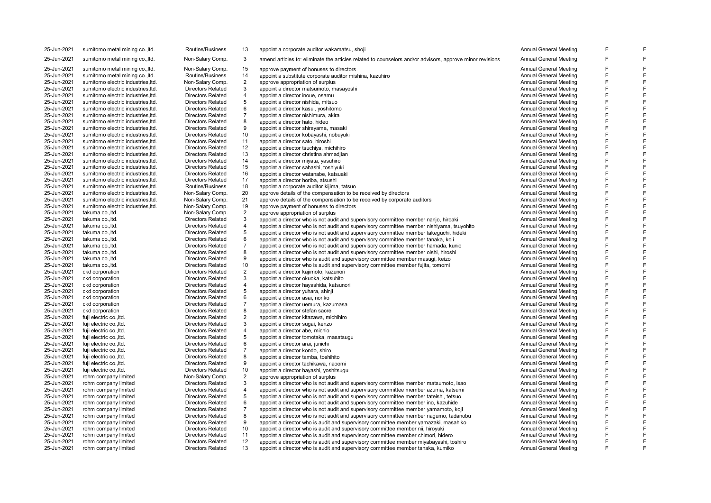| 25-Jun-2021 | sumitomo metal mining co., ltd.    | Routine/Business         | 13             | appoint a corporate auditor wakamatsu, shoji                                                             | Annual General Meeting        |   |   |
|-------------|------------------------------------|--------------------------|----------------|----------------------------------------------------------------------------------------------------------|-------------------------------|---|---|
| 25-Jun-2021 | sumitomo metal mining co., ltd.    | Non-Salary Comp.         | 3              | amend articles to: eliminate the articles related to counselors and/or advisors, approve minor revisions | Annual General Meeting        |   |   |
| 25-Jun-2021 | sumitomo metal mining co., ltd.    | Non-Salary Comp.         | 15             | approve payment of bonuses to directors                                                                  | <b>Annual General Meeting</b> | E |   |
| 25-Jun-2021 | sumitomo metal mining co., Itd.    | <b>Routine/Business</b>  | 14             | appoint a substitute corporate auditor mishina, kazuhiro                                                 | Annual General Meeting        | E |   |
| 25-Jun-2021 | sumitomo electric industries, ltd. | Non-Salary Comp.         | $\overline{2}$ | approve appropriation of surplus                                                                         | Annual General Meeting        | E |   |
| 25-Jun-2021 | sumitomo electric industries. Itd. | <b>Directors Related</b> | 3              | appoint a director matsumoto, masayoshi                                                                  | Annual General Meeting        | F |   |
| 25-Jun-2021 | sumitomo electric industries, td.  | <b>Directors Related</b> | $\overline{4}$ | appoint a director inoue, osamu                                                                          | <b>Annual General Meeting</b> | F |   |
| 25-Jun-2021 | sumitomo electric industries, ltd. | <b>Directors Related</b> | 5              | appoint a director nishida, mitsuo                                                                       | <b>Annual General Meeting</b> | E |   |
| 25-Jun-2021 | sumitomo electric industries, ltd. | <b>Directors Related</b> | 6              | appoint a director kasui, yoshitomo                                                                      | <b>Annual General Meeting</b> | E |   |
| 25-Jun-2021 | sumitomo electric industries, ltd. | <b>Directors Related</b> | $\overline{7}$ | appoint a director nishimura, akira                                                                      | <b>Annual General Meeting</b> | E |   |
| 25-Jun-2021 | sumitomo electric industries. Itd. | <b>Directors Related</b> | 8              | appoint a director hato, hideo                                                                           | Annual General Meeting        | E |   |
| 25-Jun-2021 | sumitomo electric industries, ltd. | <b>Directors Related</b> | 9              | appoint a director shirayama, masaki                                                                     | <b>Annual General Meeting</b> | F |   |
| 25-Jun-2021 | sumitomo electric industries, ltd. | <b>Directors Related</b> | 10             | appoint a director kobayashi, nobuyuki                                                                   | <b>Annual General Meeting</b> | E |   |
| 25-Jun-2021 | sumitomo electric industries, td.  | <b>Directors Related</b> | 11             | appoint a director sato, hiroshi                                                                         | <b>Annual General Meeting</b> | E |   |
| 25-Jun-2021 | sumitomo electric industries, ltd. | <b>Directors Related</b> | 12             | appoint a director tsuchiya, michihiro                                                                   | Annual General Meeting        | E |   |
| 25-Jun-2021 | sumitomo electric industries, ltd. | <b>Directors Related</b> | 13             | appoint a director christina ahmadjian                                                                   | <b>Annual General Meeting</b> | F |   |
| 25-Jun-2021 | sumitomo electric industries, ltd. | <b>Directors Related</b> | 14             | appoint a director miyata, yasuhiro                                                                      | <b>Annual General Meeting</b> | E |   |
| 25-Jun-2021 | sumitomo electric industries, ltd. | <b>Directors Related</b> | 15             | appoint a director sahashi, toshiyuki                                                                    | Annual General Meeting        | E |   |
| 25-Jun-2021 | sumitomo electric industries, ltd. | <b>Directors Related</b> | 16             | appoint a director watanabe, katsuaki                                                                    | <b>Annual General Meeting</b> | F |   |
| 25-Jun-2021 | sumitomo electric industries, ltd. | <b>Directors Related</b> | 17             | appoint a director horiba, atsushi                                                                       | Annual General Meeting        | E |   |
| 25-Jun-2021 | sumitomo electric industries, ltd. | Routine/Business         | 18             | appoint a corporate auditor kijima, tatsuo                                                               | <b>Annual General Meeting</b> | E |   |
| 25-Jun-2021 | sumitomo electric industries, ltd. | Non-Salary Comp.         | 20             | approve details of the compensation to be received by directors                                          | <b>Annual General Meeting</b> | E |   |
| 25-Jun-2021 | sumitomo electric industries, ltd. | Non-Salary Comp.         | 21             | approve details of the compensation to be received by corporate auditors                                 | <b>Annual General Meeting</b> | E |   |
| 25-Jun-2021 | sumitomo electric industries, ltd. | Non-Salary Comp.         | 19             | approve payment of bonuses to directors                                                                  | Annual General Meeting        | F |   |
| 25-Jun-2021 | takuma co., Itd.                   | Non-Salary Comp.         | $\overline{2}$ | approve appropriation of surplus                                                                         | <b>Annual General Meeting</b> | E |   |
| 25-Jun-2021 | takuma co., Itd.                   | <b>Directors Related</b> | 3              | appoint a director who is not audit and supervisory committee member nanjo, hiroaki                      | <b>Annual General Meeting</b> | E | F |
| 25-Jun-2021 | takuma co., Itd.                   | <b>Directors Related</b> | $\overline{4}$ | appoint a director who is not audit and supervisory committee member nishiyama, tsuyohito                | <b>Annual General Meeting</b> | E |   |
| 25-Jun-2021 | takuma co., Itd.                   | <b>Directors Related</b> | 5              | appoint a director who is not audit and supervisory committee member takeguchi, hideki                   | <b>Annual General Meeting</b> | E |   |
| 25-Jun-2021 | takuma co., Itd.                   | <b>Directors Related</b> | 6              | appoint a director who is not audit and supervisory committee member tanaka, koji                        | <b>Annual General Meeting</b> | E |   |
| 25-Jun-2021 | takuma co., Itd.                   | <b>Directors Related</b> | $\overline{7}$ | appoint a director who is not audit and supervisory committee member hamada, kunio                       | <b>Annual General Meeting</b> | F |   |
| 25-Jun-2021 | takuma coltd.                      | <b>Directors Related</b> | 8              | appoint a director who is not audit and supervisory committee member oishi, hiroshi                      | Annual General Meeting        | E |   |
| 25-Jun-2021 | takuma co., Itd.                   | <b>Directors Related</b> | 9              | appoint a director who is audit and supervisory committee member masuqi, keizo                           | <b>Annual General Meeting</b> | E |   |
| 25-Jun-2021 | takuma co., Itd.                   | <b>Directors Related</b> | 10             | appoint a director who is audit and supervisory committee member fujita, tomomi                          | <b>Annual General Meeting</b> | E |   |
| 25-Jun-2021 | ckd corporation                    | <b>Directors Related</b> | $\overline{2}$ | appoint a director kajimoto, kazunori                                                                    | <b>Annual General Meeting</b> | E |   |
| 25-Jun-2021 | ckd corporation                    | <b>Directors Related</b> | 3              | appoint a director okuoka, katsuhito                                                                     | <b>Annual General Meeting</b> | F |   |
| 25-Jun-2021 | ckd corporation                    | <b>Directors Related</b> | $\overline{4}$ | appoint a director hayashida, katsunori                                                                  | Annual General Meeting        | E |   |
| 25-Jun-2021 | ckd corporation                    | <b>Directors Related</b> | 5              | appoint a director yuhara, shinji                                                                        | Annual General Meeting        | E |   |
| 25-Jun-2021 | ckd corporation                    | <b>Directors Related</b> | 6              | appoint a director asai, noriko                                                                          | <b>Annual General Meeting</b> | F |   |
| 25-Jun-2021 | ckd corporation                    | <b>Directors Related</b> | $\overline{7}$ | appoint a director uemura, kazumasa                                                                      | Annual General Meeting        | E |   |
| 25-Jun-2021 | ckd corporation                    | <b>Directors Related</b> | 8              | appoint a director stefan sacre                                                                          | Annual General Meeting        | E |   |
| 25-Jun-2021 | fuji electric co., Itd.            | <b>Directors Related</b> | $\overline{2}$ | appoint a director kitazawa, michihiro                                                                   | <b>Annual General Meeting</b> | E |   |
| 25-Jun-2021 | fuji electric co., Itd.            | <b>Directors Related</b> | 3              | appoint a director sugai, kenzo                                                                          | <b>Annual General Meeting</b> | F |   |
| 25-Jun-2021 | fuji electric co., Itd.            | <b>Directors Related</b> | $\overline{4}$ | appoint a director abe, michio                                                                           | Annual General Meeting        | E |   |
| 25-Jun-2021 | fuji electric co., Itd.            | <b>Directors Related</b> | 5              | appoint a director tomotaka, masatsugu                                                                   | <b>Annual General Meeting</b> | E |   |
| 25-Jun-2021 | fuji electric co., Itd.            | <b>Directors Related</b> | 6              | appoint a director arai, junichi                                                                         | <b>Annual General Meeting</b> | F | F |
| 25-Jun-2021 | fuji electric co., ltd.            | <b>Directors Related</b> | $\overline{7}$ | appoint a director kondo, shiro                                                                          | <b>Annual General Meeting</b> | E |   |
| 25-Jun-2021 | fuji electric co., Itd.            | <b>Directors Related</b> | 8              | appoint a director tamba, toshihito                                                                      | <b>Annual General Meeting</b> | E |   |
| 25-Jun-2021 | fuji electric co., Itd.            | <b>Directors Related</b> | 9              | appoint a director tachikawa, naoomi                                                                     | <b>Annual General Meeting</b> | E |   |
| 25-Jun-2021 | fuji electric co., Itd.            | <b>Directors Related</b> | 10             | appoint a director hayashi, yoshitsugu                                                                   | <b>Annual General Meeting</b> | F |   |
| 25-Jun-2021 | rohm company limited               | Non-Salary Comp.         | $\overline{2}$ | approve appropriation of surplus                                                                         | <b>Annual General Meeting</b> | E |   |
| 25-Jun-2021 | rohm company limited               | <b>Directors Related</b> | 3              | appoint a director who is not audit and supervisory committee member matsumoto, isao                     | <b>Annual General Meeting</b> | E |   |
| 25-Jun-2021 | rohm company limited               | <b>Directors Related</b> | $\overline{4}$ | appoint a director who is not audit and supervisory committee member azuma, katsumi                      | <b>Annual General Meeting</b> | F |   |
| 25-Jun-2021 | rohm company limited               | <b>Directors Related</b> | 5              | appoint a director who is not audit and supervisory committee member tateishi, tetsuo                    | <b>Annual General Meeting</b> | E |   |
| 25-Jun-2021 | rohm company limited               | <b>Directors Related</b> | 6              | appoint a director who is not audit and supervisory committee member ino, kazuhide                       | <b>Annual General Meeting</b> | E |   |
| 25-Jun-2021 | rohm company limited               | <b>Directors Related</b> | $\overline{7}$ | appoint a director who is not audit and supervisory committee member yamamoto, koji                      | <b>Annual General Meeting</b> | E |   |
| 25-Jun-2021 | rohm company limited               | <b>Directors Related</b> | 8              | appoint a director who is not audit and supervisory committee member nagumo, tadanobu                    | <b>Annual General Meeting</b> | E |   |
| 25-Jun-2021 | rohm company limited               | <b>Directors Related</b> | 9              | appoint a director who is audit and supervisory committee member yamazaki, masahiko                      | Annual General Meeting        | E |   |
| 25-Jun-2021 | rohm company limited               | <b>Directors Related</b> | 10             | appoint a director who is audit and supervisory committee member nii, hiroyuki                           | Annual General Meeting        | E |   |
| 25-Jun-2021 | rohm company limited               | <b>Directors Related</b> | 11             | appoint a director who is audit and supervisory committee member chimori, hidero                         | <b>Annual General Meeting</b> | F |   |
| 25-Jun-2021 | rohm company limited               | <b>Directors Related</b> | 12             | appoint a director who is audit and supervisory committee member miyabayashi, toshiro                    | <b>Annual General Meeting</b> | E | F |
| 25-Jun-2021 | rohm company limited               | <b>Directors Related</b> | 13             | appoint a director who is audit and supervisory committee member tanaka, kumiko                          | <b>Annual General Meeting</b> | E | F |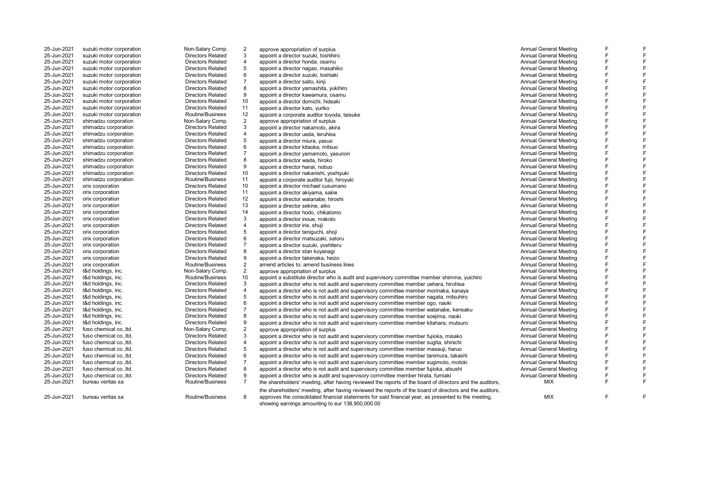| 25-Jun-2021 | suzuki motor corporation | Non-Salary Comp.         | $\overline{2}$ | approve appropriation of surplus                                                                                                                         | <b>Annual General Meeting</b> | F |   |
|-------------|--------------------------|--------------------------|----------------|----------------------------------------------------------------------------------------------------------------------------------------------------------|-------------------------------|---|---|
| 25-Jun-2021 | suzuki motor corporation | <b>Directors Related</b> | 3              | appoint a director suzuki, toshihiro                                                                                                                     | <b>Annual General Meeting</b> | E |   |
| 25-Jun-2021 | suzuki motor corporation | <b>Directors Related</b> | 4              | appoint a director honda, osamu                                                                                                                          | <b>Annual General Meeting</b> | F |   |
| 25-Jun-2021 | suzuki motor corporation | <b>Directors Related</b> | 5              | appoint a director nagao, masahiko                                                                                                                       | Annual General Meeting        | F |   |
| 25-Jun-2021 | suzuki motor corporation | <b>Directors Related</b> | 6              | appoint a director suzuki, toshiaki                                                                                                                      | Annual General Meeting        | F |   |
| 25-Jun-2021 | suzuki motor corporation | <b>Directors Related</b> | $\overline{7}$ | appoint a director saito, kinji                                                                                                                          | <b>Annual General Meeting</b> | F |   |
| 25-Jun-2021 | suzuki motor corporation | <b>Directors Related</b> | 8              | appoint a director yamashita, yukihiro                                                                                                                   | <b>Annual General Meeting</b> | F |   |
| 25-Jun-2021 | suzuki motor corporation | <b>Directors Related</b> | 9              | appoint a director kawamura, osamu                                                                                                                       | <b>Annual General Meeting</b> | E |   |
| 25-Jun-2021 | suzuki motor corporation | <b>Directors Related</b> | 10             | appoint a director domichi, hideaki                                                                                                                      | <b>Annual General Meeting</b> | F |   |
| 25-Jun-2021 | suzuki motor corporation | <b>Directors Related</b> | 11             | appoint a director kato, yuriko                                                                                                                          | <b>Annual General Meeting</b> | E |   |
| 25-Jun-2021 | suzuki motor corporation | Routine/Business         | 12             | appoint a corporate auditor toyoda, taisuke                                                                                                              | Annual General Meeting        | F |   |
| 25-Jun-2021 | shimadzu corporation     | Non-Salary Comp.         | $\overline{2}$ | approve appropriation of surplus                                                                                                                         | <b>Annual General Meeting</b> | E |   |
| 25-Jun-2021 | shimadzu corporation     | <b>Directors Related</b> | 3              | appoint a director nakamoto, akira                                                                                                                       | <b>Annual General Meeting</b> | E |   |
| 25-Jun-2021 | shimadzu corporation     | <b>Directors Related</b> | 4              | appoint a director ueda, teruhisa                                                                                                                        | Annual General Meeting        | F |   |
| 25-Jun-2021 | shimadzu corporation     | <b>Directors Related</b> | 5              | appoint a director miura, yasuo                                                                                                                          | <b>Annual General Meeting</b> | F |   |
| 25-Jun-2021 | shimadzu corporation     | <b>Directors Related</b> | 6              | appoint a director kitaoka, mitsuo                                                                                                                       | <b>Annual General Meeting</b> | F |   |
| 25-Jun-2021 | shimadzu corporation     | <b>Directors Related</b> | $\overline{7}$ | appoint a director yamamoto, yasunori                                                                                                                    | <b>Annual General Meeting</b> | F |   |
| 25-Jun-2021 | shimadzu corporation     | <b>Directors Related</b> | 8              | appoint a director wada, hiroko                                                                                                                          | <b>Annual General Meeting</b> | F |   |
| 25-Jun-2021 | shimadzu corporation     | <b>Directors Related</b> | 9              | appoint a director hanai, nobuo                                                                                                                          | Annual General Meeting        | F |   |
| 25-Jun-2021 | shimadzu corporation     | <b>Directors Related</b> | 10             | appoint a director nakanishi, yoshiyuki                                                                                                                  | Annual General Meeting        | E |   |
| 25-Jun-2021 | shimadzu corporation     | Routine/Business         | 11             | appoint a corporate auditor fujii, hiroyuki                                                                                                              | <b>Annual General Meeting</b> | F |   |
| 25-Jun-2021 | orix corporation         | <b>Directors Related</b> | 10             | appoint a director michael cusumano                                                                                                                      | Annual General Meeting        | F |   |
| 25-Jun-2021 | orix corporation         | <b>Directors Related</b> | 11             | appoint a director akiyama, sakie                                                                                                                        | Annual General Meeting        | E |   |
| 25-Jun-2021 | orix corporation         | <b>Directors Related</b> | 12             | appoint a director watanabe, hiroshi                                                                                                                     | Annual General Meeting        | F |   |
| 25-Jun-2021 | orix corporation         | <b>Directors Related</b> | 13             | appoint a director sekine, aiko                                                                                                                          | Annual General Meeting        | F |   |
| 25-Jun-2021 | orix corporation         | <b>Directors Related</b> | 14             | appoint a director hodo, chikatomo                                                                                                                       | <b>Annual General Meeting</b> | E |   |
| 25-Jun-2021 | orix corporation         | <b>Directors Related</b> | 3              | appoint a director inoue, makoto                                                                                                                         | Annual General Meeting        | E |   |
| 25-Jun-2021 | orix corporation         | <b>Directors Related</b> | 4              | appoint a director irie, shuji                                                                                                                           | Annual General Meeting        | E |   |
| 25-Jun-2021 | orix corporation         | <b>Directors Related</b> | 5              | appoint a director taniquchi, shoji                                                                                                                      | Annual General Meeting        | E |   |
| 25-Jun-2021 | orix corporation         | <b>Directors Related</b> | 6              | appoint a director matsuzaki, satoru                                                                                                                     | <b>Annual General Meeting</b> | E |   |
| 25-Jun-2021 | orix corporation         | <b>Directors Related</b> | $\overline{7}$ | appoint a director suzuki, yoshiteru                                                                                                                     | Annual General Meeting        | F |   |
| 25-Jun-2021 | orix corporation         | <b>Directors Related</b> | 8              | appoint a director stan koyanagi                                                                                                                         | <b>Annual General Meeting</b> | F |   |
| 25-Jun-2021 | orix corporation         | <b>Directors Related</b> | 9              | appoint a director takenaka, heizo                                                                                                                       | <b>Annual General Meeting</b> | F |   |
| 25-Jun-2021 | orix corporation         | Routine/Business         | $\overline{2}$ | amend articles to: amend business lines                                                                                                                  | Annual General Meeting        | F |   |
| 25-Jun-2021 | t&d holdings, inc.       | Non-Salary Comp.         | $\overline{2}$ | approve appropriation of surplus                                                                                                                         | <b>Annual General Meeting</b> | F |   |
| 25-Jun-2021 | t&d holdings, inc.       | Routine/Business         | 10             | appoint a substitute director who is audit and supervisory committee member shimma, yuichiro                                                             | <b>Annual General Meeting</b> | E |   |
| 25-Jun-2021 | t&d holdings, inc.       | <b>Directors Related</b> | 3              | appoint a director who is not audit and supervisory committee member uehara, hirohisa                                                                    | <b>Annual General Meeting</b> | F |   |
| 25-Jun-2021 | t&d holdings, inc.       | <b>Directors Related</b> | 4              | appoint a director who is not audit and supervisory committee member morinaka, kanaya                                                                    | <b>Annual General Meeting</b> | F |   |
| 25-Jun-2021 | t&d holdings, inc.       | <b>Directors Related</b> | 5              | appoint a director who is not audit and supervisory committee member nagata, mitsuhiro                                                                   | <b>Annual General Meeting</b> | E |   |
| 25-Jun-2021 | t&d holdings, inc.       | <b>Directors Related</b> | 6              | appoint a director who is not audit and supervisory committee member ogo, naoki                                                                          | <b>Annual General Meeting</b> | F |   |
| 25-Jun-2021 | t&d holdings, inc.       | <b>Directors Related</b> | $\overline{7}$ | appoint a director who is not audit and supervisory committee member watanabe, kensaku                                                                   | Annual General Meeting        | F |   |
| 25-Jun-2021 | t&d holdings, inc.       | <b>Directors Related</b> | 8              | appoint a director who is not audit and supervisory committee member soejima, naoki                                                                      | <b>Annual General Meeting</b> | E |   |
| 25-Jun-2021 | t&d holdings, inc.       | <b>Directors Related</b> | 9              | appoint a director who is not audit and supervisory committee member kitahara, mutsuro                                                                   | Annual General Meeting        | E |   |
| 25-Jun-2021 | fuso chemical co., Itd.  | Non-Salary Comp.         | $\overline{2}$ | approve appropriation of surplus                                                                                                                         | <b>Annual General Meeting</b> | E |   |
| 25-Jun-2021 | fuso chemical co., ltd.  | <b>Directors Related</b> | 3              | appoint a director who is not audit and supervisory committee member fujioka, misako                                                                     | <b>Annual General Meeting</b> | F |   |
| 25-Jun-2021 | fuso chemical co., ltd.  | <b>Directors Related</b> | 4              | appoint a director who is not audit and supervisory committee member sugita, shinichi                                                                    | <b>Annual General Meeting</b> | E |   |
| 25-Jun-2021 | fuso chemical co., Itd.  | <b>Directors Related</b> | 5              | appoint a director who is not audit and supervisory committee member masauji, haruo                                                                      | Annual General Meeting        | F |   |
| 25-Jun-2021 | fuso chemical co., ltd.  | <b>Directors Related</b> | 6              | appoint a director who is not audit and supervisory committee member tanimura, takashi                                                                   | Annual General Meeting        | E |   |
| 25-Jun-2021 | fuso chemical co., Itd.  | <b>Directors Related</b> | 7              | appoint a director who is not audit and supervisory committee member sugimoto, motoki                                                                    | Annual General Meeting        | E |   |
| 25-Jun-2021 | fuso chemical co., Itd.  | <b>Directors Related</b> | 8              | appoint a director who is not audit and supervisory committee member fujioka, atsushi                                                                    | Annual General Meeting        | F |   |
| 25-Jun-2021 | fuso chemical co., Itd.  | <b>Directors Related</b> | 9              | appoint a director who is audit and supervisory committee member hirata, fumiaki                                                                         | Annual General Meeting        | F |   |
| 25-Jun-2021 | bureau veritas sa        | Routine/Business         | $\overline{7}$ | the shareholders' meeting, after having reviewed the reports of the board of directors and the auditors,                                                 | MIX                           | E |   |
|             |                          |                          |                | the shareholders' meeting, after having reviewed the reports of the board of directors and the auditors,                                                 |                               |   |   |
| 25-Jun-2021 | bureau veritas sa        | Routine/Business         | 8              | approves the consolidated financial statements for said financial year, as presented to the meeting,<br>showing earnings amounting to eur 138,900,000.00 | <b>MIX</b>                    | E | F |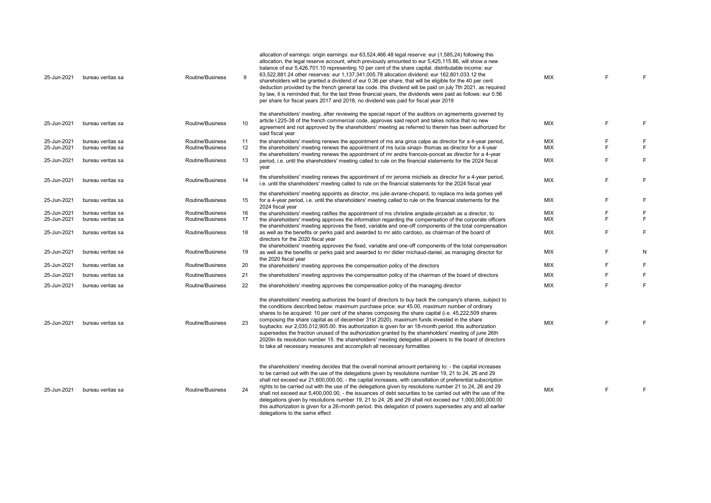| 25-Jun-2021                | bureau veritas sa                      | Routine/Business                     | 9                | allocation of earnings: origin earnings: eur 63,524,466.48 legal reserve: eur (1,585,24) following this<br>allocation, the legal reserve account, which previously amounted to eur 5,425,115.86, will show a new<br>balance of eur 5,426,701.10 representing 10 per cent of the share capital. distributable income: eur<br>63,522,881.24 other reserves: eur 1,137,341,005.78 allocation dividend: eur 162,801,033.12 the<br>shareholders will be granted a dividend of eur 0.36 per share, that will be eligible for the 40 per cent<br>deduction provided by the french general tax code. this dividend will be paid on july 7th 2021. as required<br>by law, it is reminded that, for the last three financial years, the dividends were paid as follows: eur 0.56<br>per share for fiscal years 2017 and 2018, no dividend was paid for fiscal year 2019 | MIX                      | F |        |
|----------------------------|----------------------------------------|--------------------------------------|------------------|---------------------------------------------------------------------------------------------------------------------------------------------------------------------------------------------------------------------------------------------------------------------------------------------------------------------------------------------------------------------------------------------------------------------------------------------------------------------------------------------------------------------------------------------------------------------------------------------------------------------------------------------------------------------------------------------------------------------------------------------------------------------------------------------------------------------------------------------------------------|--------------------------|---|--------|
| 25-Jun-2021                | bureau veritas sa                      | Routine/Business                     | 10 <sup>10</sup> | the shareholders' meeting, after reviewing the special report of the auditors on agreements governed by<br>article I.225-38 of the french commercial code, approves said report and takes notice that no new<br>agreement and not approved by the shareholders' meeting as referred to therein has been authorized for<br>said fiscal year                                                                                                                                                                                                                                                                                                                                                                                                                                                                                                                    | <b>MIX</b>               | F | F      |
| 25-Jun-2021                | bureau veritas sa                      | Routine/Business                     | 11               | the shareholders' meeting renews the appointment of ms ana giros calpe as director for a 4-year period,                                                                                                                                                                                                                                                                                                                                                                                                                                                                                                                                                                                                                                                                                                                                                       | MIX                      | E |        |
| 25-Jun-2021                | bureau veritas sa                      | Routine/Business                     | 12               | the shareholders' meeting renews the appointment of ms lucia sinapi- thomas as director for a 4-year<br>the shareholders' meeting renews the appointment of mr andre francois-poncet as director for a 4-year                                                                                                                                                                                                                                                                                                                                                                                                                                                                                                                                                                                                                                                 | MIX                      | F |        |
| 25-Jun-2021                | bureau veritas sa                      | Routine/Business                     | 13               | period, i.e. until the shareholders' meeting called to rule on the financial statements for the 2024 fiscal<br>year                                                                                                                                                                                                                                                                                                                                                                                                                                                                                                                                                                                                                                                                                                                                           | <b>MIX</b>               | E | E      |
| 25-Jun-2021                | bureau veritas sa                      | Routine/Business                     | 14               | the shareholders' meeting renews the appointment of mr jerome michiels as director for a 4-year period,<br>i.e. until the shareholders' meeting called to rule on the financial statements for the 2024 fiscal year                                                                                                                                                                                                                                                                                                                                                                                                                                                                                                                                                                                                                                           | <b>MIX</b>               | F | F      |
| 25-Jun-2021                | bureau veritas sa                      | Routine/Business                     | 15               | the shareholders' meeting appoints as director, ms julie avrane-chopard, to replace ms ieda gomes yell<br>for a 4-year period, i.e. until the shareholders' meeting called to rule on the financial statements for the<br>2024 fiscal year                                                                                                                                                                                                                                                                                                                                                                                                                                                                                                                                                                                                                    | <b>MIX</b>               | F | F      |
| 25-Jun-2021<br>25-Jun-2021 | bureau veritas sa<br>bureau veritas sa | Routine/Business<br>Routine/Business | 16<br>17         | the shareholders' meeting ratifies the appointment of ms christine anglade-pirzadeh as a director, to<br>the shareholders' meeting approves the information regarding the compensation of the corporate officers                                                                                                                                                                                                                                                                                                                                                                                                                                                                                                                                                                                                                                              | <b>MIX</b><br><b>MIX</b> |   | F<br>F |
| 25-Jun-2021                | bureau veritas sa                      | Routine/Business                     | 18               | the shareholders' meeting approves the fixed, variable and one-off components of the total compensation<br>as well as the benefits or perks paid and awarded to mr aldo cardoso, as chairman of the board of<br>directors for the 2020 fiscal year                                                                                                                                                                                                                                                                                                                                                                                                                                                                                                                                                                                                            | MIX                      | F | F      |
| 25-Jun-2021                | bureau veritas sa                      | Routine/Business                     | 19               | the shareholders' meeting approves the fixed, variable and one-off components of the total compensation<br>as well as the benefits or perks paid and awarded to mr didier michaud-daniel, as managing director for<br>the 2020 fiscal year                                                                                                                                                                                                                                                                                                                                                                                                                                                                                                                                                                                                                    | <b>MIX</b>               | F | N      |
| 25-Jun-2021                | bureau veritas sa                      | Routine/Business                     | 20               | the shareholders' meeting approves the compensation policy of the directors                                                                                                                                                                                                                                                                                                                                                                                                                                                                                                                                                                                                                                                                                                                                                                                   | MIX                      |   | F      |
| 25-Jun-2021                | bureau veritas sa                      | Routine/Business                     | 21               | the shareholders' meeting approves the compensation policy of the chairman of the board of directors                                                                                                                                                                                                                                                                                                                                                                                                                                                                                                                                                                                                                                                                                                                                                          | <b>MIX</b>               |   | F      |
| 25-Jun-2021                | bureau veritas sa                      | Routine/Business                     | 22               | the shareholders' meeting approves the compensation policy of the managing director                                                                                                                                                                                                                                                                                                                                                                                                                                                                                                                                                                                                                                                                                                                                                                           | <b>MIX</b>               | F | F      |
| 25-Jun-2021                | bureau veritas sa                      | Routine/Business                     | 23               | the shareholders' meeting authorizes the board of directors to buy back the company's shares, subject to<br>the conditions described below: maximum purchase price: eur 45.00, maximum number of ordinary<br>shares to be acquired: 10 per cent of the shares composing the share capital (i.e. 45,222,509 shares<br>composing the share capital as of december 31st 2020), maximum funds invested in the share<br>buybacks: eur 2,035,012,905.00. this authorization is given for an 18-month period. this authorization<br>supersedes the fraction unused of the authorization granted by the shareholders' meeting of june 26th<br>2020in its resolution number 15, the shareholders' meeting delegates all powers to the board of directors<br>to take all necessary measures and accomplish all necessary formalities                                    | MIX                      |   |        |
| 25-Jun-2021                | bureau veritas sa                      | Routine/Business                     | 24               | the shareholders' meeting decides that the overall nominal amount pertaining to: - the capital increases<br>to be carried out with the use of the delegations given by resolutions number 19, 21 to 24, 26 and 29<br>shall not exceed eur 21,600,000.00, - the capital increases, with cancellation of preferential subscription<br>rights to be carried out with the use of the delegations given by resolutions number 21 to 24, 26 and 29<br>shall not exceed eur 5.400,000,00, - the issuances of debt securities to be carried out with the use of the<br>delegations given by resolutions number 19, 21 to 24, 26 and 29 shall not exceed eur 1,000,000,000.00<br>this authorization is given for a 26-month period. this delegation of powers supersedes any and all earlier<br>delegations to the same effect                                         | MIX                      | F | F      |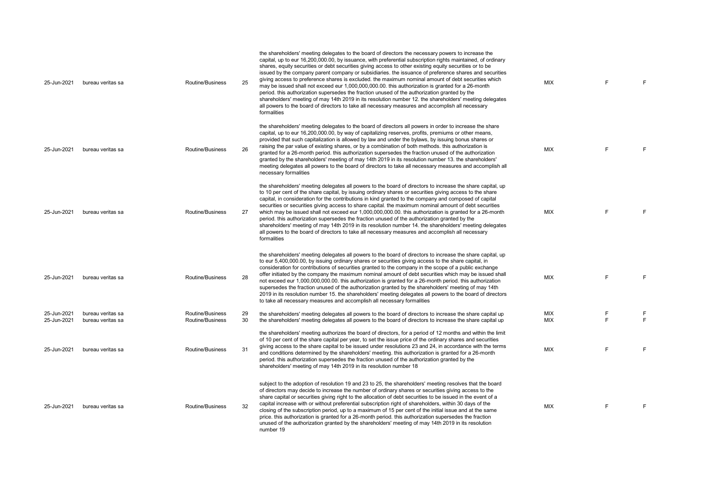| 25-Jun-2021                | bureau veritas sa                      | Routine/Business                     | 25       | the shareholders' meeting delegates to the board of directors the necessary powers to increase the<br>capital, up to eur 16,200,000.00, by issuance, with preferential subscription rights maintained, of ordinary<br>shares, equity securities or debt securities giving access to other existing equity securities or to be<br>issued by the company parent company or subsidiaries, the issuance of preference shares and securities<br>giving access to preference shares is excluded. the maximum nominal amount of debt securities which<br>may be issued shall not exceed eur 1,000,000,000.00. this authorization is granted for a 26-month<br>period, this authorization supersedes the fraction unused of the authorization granted by the<br>shareholders' meeting of may 14th 2019 in its resolution number 12, the shareholders' meeting delegates<br>all powers to the board of directors to take all necessary measures and accomplish all necessary<br>formalities | <b>MIX</b> | E      | F       |
|----------------------------|----------------------------------------|--------------------------------------|----------|------------------------------------------------------------------------------------------------------------------------------------------------------------------------------------------------------------------------------------------------------------------------------------------------------------------------------------------------------------------------------------------------------------------------------------------------------------------------------------------------------------------------------------------------------------------------------------------------------------------------------------------------------------------------------------------------------------------------------------------------------------------------------------------------------------------------------------------------------------------------------------------------------------------------------------------------------------------------------------|------------|--------|---------|
| 25-Jun-2021                | bureau veritas sa                      | Routine/Business                     | 26       | the shareholders' meeting delegates to the board of directors all powers in order to increase the share<br>capital, up to eur 16,200,000.00, by way of capitalizing reserves, profits, premiums or other means,<br>provided that such capitalization is allowed by law and under the bylaws, by issuing bonus shares or<br>raising the par value of existing shares, or by a combination of both methods. this authorization is<br>granted for a 26-month period. this authorization supersedes the fraction unused of the authorization<br>granted by the shareholders' meeting of may 14th 2019 in its resolution number 13. the shareholders'<br>meeting delegates all powers to the board of directors to take all necessary measures and accomplish all<br>necessary formalities                                                                                                                                                                                              | <b>MIX</b> | E      | F       |
| 25-Jun-2021                | bureau veritas sa                      | Routine/Business                     | 27       | the shareholders' meeting delegates all powers to the board of directors to increase the share capital, up<br>to 10 per cent of the share capital, by issuing ordinary shares or securities giving access to the share<br>capital, in consideration for the contributions in kind granted to the company and composed of capital<br>securities or securities giving access to share capital. the maximum nominal amount of debt securities<br>which may be issued shall not exceed eur 1,000,000,000.00. this authorization is granted for a 26-month<br>period. this authorization supersedes the fraction unused of the authorization granted by the<br>shareholders' meeting of may 14th 2019 in its resolution number 14, the shareholders' meeting delegates<br>all powers to the board of directors to take all necessary measures and accomplish all necessary<br>formalities                                                                                               | MIX        | F      | F       |
| 25-Jun-2021                | bureau veritas sa                      | Routine/Business                     | 28       | the shareholders' meeting delegates all powers to the board of directors to increase the share capital, up<br>to eur 5,400,000.00, by issuing ordinary shares or securities giving access to the share capital, in<br>consideration for contributions of securities granted to the company in the scope of a public exchange<br>offer initiated by the company the maximum nominal amount of debt securities which may be issued shall<br>not exceed eur 1,000,000,000.00. this authorization is granted for a 26-month period. this authorization<br>supersedes the fraction unused of the authorization granted by the shareholders' meeting of may 14th<br>2019 in its resolution number 15, the shareholders' meeting delegates all powers to the board of directors<br>to take all necessary measures and accomplish all necessary formalities                                                                                                                                | <b>MIX</b> | E      | F.      |
| 25-Jun-2021<br>25-Jun-2021 | bureau veritas sa<br>bureau veritas sa | Routine/Business<br>Routine/Business | 29<br>30 | the shareholders' meeting delegates all powers to the board of directors to increase the share capital up<br>the shareholders' meeting delegates all powers to the board of directors to increase the share capital up                                                                                                                                                                                                                                                                                                                                                                                                                                                                                                                                                                                                                                                                                                                                                             | MIX<br>MIX | F<br>E | F<br>F. |
| 25-Jun-2021                | bureau veritas sa                      | Routine/Business                     | 31       | the shareholders' meeting authorizes the board of directors, for a period of 12 months and within the limit<br>of 10 per cent of the share capital per year, to set the issue price of the ordinary shares and securities<br>giving access to the share capital to be issued under resolutions 23 and 24, in accordance with the terms<br>and conditions determined by the shareholders' meeting. this authorization is granted for a 26-month<br>period, this authorization supersedes the fraction unused of the authorization granted by the<br>shareholders' meeting of may 14th 2019 in its resolution number 18                                                                                                                                                                                                                                                                                                                                                              | <b>MIX</b> | E      | F       |
| 25-Jun-2021                | bureau veritas sa                      | Routine/Business                     | 32       | subject to the adoption of resolution 19 and 23 to 25, the shareholders' meeting resolves that the board<br>of directors may decide to increase the number of ordinary shares or securities giving access to the<br>share capital or securities giving right to the allocation of debt securities to be issued in the event of a<br>capital increase with or without preferential subscription right of shareholders, within 30 days of the<br>closing of the subscription period, up to a maximum of 15 per cent of the initial issue and at the same<br>price. this authorization is granted for a 26-month period. this authorization supersedes the fraction<br>unused of the authorization granted by the shareholders' meeting of may 14th 2019 in its resolution<br>number 19                                                                                                                                                                                               | MIX        | F      | F       |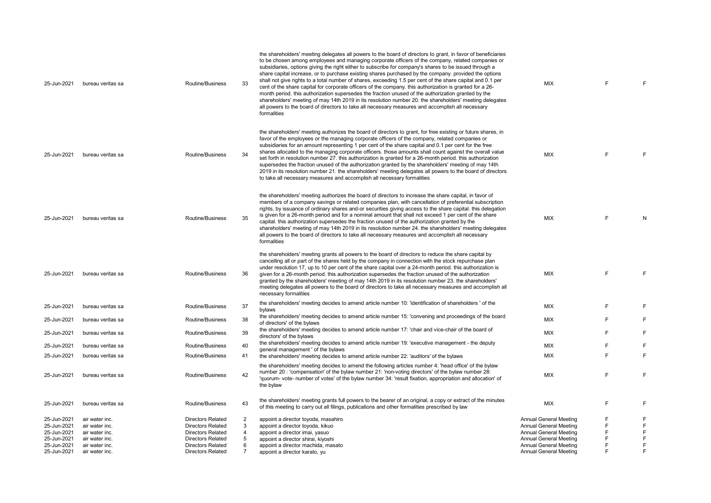| 25-Jun-2021                | bureau veritas sa                | Routine/Business                                     | 33                  | the shareholders' meeting delegates all powers to the board of directors to grant, in favor of beneficiaries<br>to be chosen among employees and managing corporate officers of the company, related companies or<br>subsidiaries, options giving the right either to subscribe for company's shares to be issued through a<br>share capital increase, or to purchase existing shares purchased by the company. provided the options<br>shall not give rights to a total number of shares, exceeding 1.5 per cent of the share capital and 0.1 per<br>cent of the share capital for corporate officers of the company. this authorization is granted for a 26-<br>month period, this authorization supersedes the fraction unused of the authorization granted by the<br>shareholders' meeting of may 14th 2019 in its resolution number 20. the shareholders' meeting delegates<br>all powers to the board of directors to take all necessary measures and accomplish all necessary<br>formalities | <b>MIX</b>                                                     | F | F           |
|----------------------------|----------------------------------|------------------------------------------------------|---------------------|-----------------------------------------------------------------------------------------------------------------------------------------------------------------------------------------------------------------------------------------------------------------------------------------------------------------------------------------------------------------------------------------------------------------------------------------------------------------------------------------------------------------------------------------------------------------------------------------------------------------------------------------------------------------------------------------------------------------------------------------------------------------------------------------------------------------------------------------------------------------------------------------------------------------------------------------------------------------------------------------------------|----------------------------------------------------------------|---|-------------|
| 25-Jun-2021                | bureau veritas sa                | Routine/Business                                     | 34                  | the shareholders' meeting authorizes the board of directors to grant, for free existing or future shares, in<br>favor of the employees or the managing corporate officers of the company, related companies or<br>subsidiaries for an amount representing 1 per cent of the share capital and 0.1 per cent for the free<br>shares allocated to the managing corporate officers. those amounts shall count against the overall value<br>set forth in resolution number 27, this authorization is granted for a 26-month period, this authorization<br>supersedes the fraction unused of the authorization granted by the shareholders' meeting of may 14th<br>2019 in its resolution number 21. the shareholders' meeting delegates all powers to the board of directors<br>to take all necessary measures and accomplish all necessary formalities                                                                                                                                                  | <b>MIX</b>                                                     | E | F           |
| 25-Jun-2021                | bureau veritas sa                | Routine/Business                                     | 35                  | the shareholders' meeting authorizes the board of directors to increase the share capital, in favor of<br>members of a company savings or related companies plan, with cancellation of preferential subscription<br>rights, by issuance of ordinary shares and-or securities giving access to the share capital. this delegation<br>is given for a 26-month period and for a nominal amount that shall not exceed 1 per cent of the share<br>capital. this authorization supersedes the fraction unused of the authorization granted by the<br>shareholders' meeting of may 14th 2019 in its resolution number 24. the shareholders' meeting delegates<br>all powers to the board of directors to take all necessary measures and accomplish all necessary<br>formalities                                                                                                                                                                                                                           | <b>MIX</b>                                                     | F | N           |
| 25-Jun-2021                | bureau veritas sa                | Routine/Business                                     | 36                  | the shareholders' meeting grants all powers to the board of directors to reduce the share capital by<br>cancelling all or part of the shares held by the company in connection with the stock repurchase plan<br>under resolution 17, up to 10 per cent of the share capital over a 24-month period. this authorization is<br>given for a 26-month period. this authorization supersedes the fraction unused of the authorization<br>granted by the shareholders' meeting of may 14th 2019 in its resolution number 23, the shareholders'<br>meeting delegates all powers to the board of directors to take all necessary measures and accomplish all<br>necessary formalities                                                                                                                                                                                                                                                                                                                      | <b>MIX</b>                                                     | F | F           |
| 25-Jun-2021                | bureau veritas sa                | Routine/Business                                     | 37                  | the shareholders' meeting decides to amend article number 10: 'identification of shareholders' of the<br>bylaws                                                                                                                                                                                                                                                                                                                                                                                                                                                                                                                                                                                                                                                                                                                                                                                                                                                                                     | <b>MIX</b>                                                     | E | F           |
| 25-Jun-2021                | bureau veritas sa                | Routine/Business                                     | 38                  | the shareholders' meeting decides to amend article number 15: 'convening and proceedings of the board<br>of directors' of the bylaws                                                                                                                                                                                                                                                                                                                                                                                                                                                                                                                                                                                                                                                                                                                                                                                                                                                                | <b>MIX</b>                                                     | F | F           |
| 25-Jun-2021                | bureau veritas sa                | Routine/Business                                     | 39                  | the shareholders' meeting decides to amend article number 17: 'chair and vice-chair of the board of<br>directors' of the bylaws                                                                                                                                                                                                                                                                                                                                                                                                                                                                                                                                                                                                                                                                                                                                                                                                                                                                     | <b>MIX</b>                                                     | F | F           |
| 25-Jun-2021                | bureau veritas sa                | Routine/Business                                     | 40                  | the shareholders' meeting decides to amend article number 19: 'executive management - the deputy                                                                                                                                                                                                                                                                                                                                                                                                                                                                                                                                                                                                                                                                                                                                                                                                                                                                                                    | MIX                                                            | F | F           |
| 25-Jun-2021                | bureau veritas sa                | Routine/Business                                     | 41                  | general management ' of the bylaws<br>the shareholders' meeting decides to amend article number 22: 'auditors' of the bylaws                                                                                                                                                                                                                                                                                                                                                                                                                                                                                                                                                                                                                                                                                                                                                                                                                                                                        | MIX                                                            | F | F.          |
| 25-Jun-2021                | bureau veritas sa                | Routine/Business                                     | 42                  | the shareholders' meeting decides to amend the following articles number 4: 'head office' of the bylaw<br>number 20 : 'compensation' of the bylaw number 21: 'non-voting directors' of the bylaw number 28:<br>'quorum- vote- number of votes' of the bylaw number 34: 'result fixation, appropriation and allocation' of<br>the bylaw                                                                                                                                                                                                                                                                                                                                                                                                                                                                                                                                                                                                                                                              | MIX                                                            | F | F           |
| 25-Jun-2021                | bureau veritas sa                | Routine/Business                                     | 43                  | the shareholders' meeting grants full powers to the bearer of an original, a copy or extract of the minutes<br>of this meeting to carry out all filings, publications and other formalities prescribed by law                                                                                                                                                                                                                                                                                                                                                                                                                                                                                                                                                                                                                                                                                                                                                                                       | <b>MIX</b>                                                     | F | F           |
| 25-Jun-2021                | air water inc.                   | <b>Directors Related</b>                             | 2                   | appoint a director toyoda, masahiro                                                                                                                                                                                                                                                                                                                                                                                                                                                                                                                                                                                                                                                                                                                                                                                                                                                                                                                                                                 | <b>Annual General Meeting</b>                                  | F | F           |
| 25-Jun-2021                | air water inc.                   | <b>Directors Related</b>                             | 3                   | appoint a director toyoda, kikuo                                                                                                                                                                                                                                                                                                                                                                                                                                                                                                                                                                                                                                                                                                                                                                                                                                                                                                                                                                    | <b>Annual General Meeting</b>                                  | F | $\mathsf F$ |
| 25-Jun-2021                | air water inc.                   | <b>Directors Related</b>                             | 4                   | appoint a director imai, yasuo                                                                                                                                                                                                                                                                                                                                                                                                                                                                                                                                                                                                                                                                                                                                                                                                                                                                                                                                                                      | Annual General Meeting                                         | F | F           |
| 25-Jun-2021                | air water inc.                   | <b>Directors Related</b>                             | 5                   | appoint a director shirai, kiyoshi                                                                                                                                                                                                                                                                                                                                                                                                                                                                                                                                                                                                                                                                                                                                                                                                                                                                                                                                                                  | Annual General Meeting                                         | F | F           |
| 25-Jun-2021<br>25-Jun-2021 | air water inc.<br>air water inc. | <b>Directors Related</b><br><b>Directors Related</b> | 6<br>$\overline{7}$ | appoint a director machida, masato                                                                                                                                                                                                                                                                                                                                                                                                                                                                                                                                                                                                                                                                                                                                                                                                                                                                                                                                                                  | <b>Annual General Meeting</b><br><b>Annual General Meeting</b> | F | F<br>E      |
|                            |                                  |                                                      |                     | appoint a director karato, yu                                                                                                                                                                                                                                                                                                                                                                                                                                                                                                                                                                                                                                                                                                                                                                                                                                                                                                                                                                       |                                                                |   |             |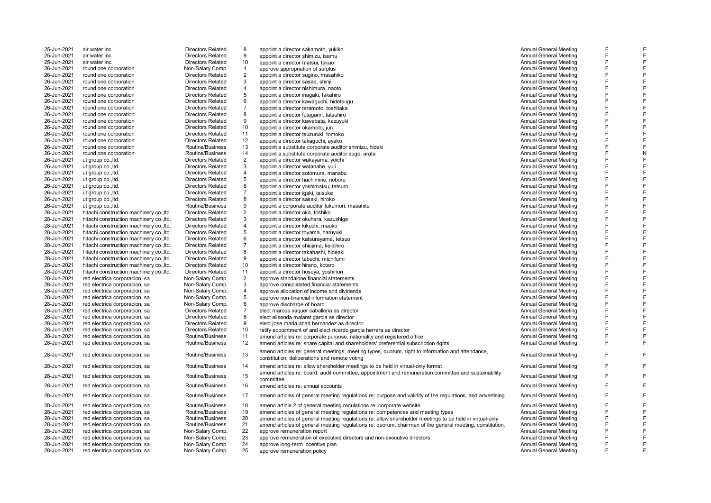| 25-Jun-2021 | air water inc.                           | <b>Directors Related</b> | 8              | appoint a director sakamoto, yukiko                                                                        | <b>Annual General Meeting</b> | F |  |
|-------------|------------------------------------------|--------------------------|----------------|------------------------------------------------------------------------------------------------------------|-------------------------------|---|--|
| 25-Jun-2021 | air water inc.                           | <b>Directors Related</b> | 9              | appoint a director shimizu, isamu                                                                          | Annual General Meeting        | F |  |
| 25-Jun-2021 | air water inc.                           | <b>Directors Related</b> | 10             | appoint a director matsui, takao                                                                           | <b>Annual General Meeting</b> | F |  |
| 26-Jun-2021 | round one corporation                    | Non-Salary Comp.         | $\mathbf{1}$   | approve appropriation of surplus                                                                           | Annual General Meeting        | F |  |
| 26-Jun-2021 | round one corporation                    | <b>Directors Related</b> | 2              | appoint a director sugino, masahiko                                                                        | <b>Annual General Meeting</b> | F |  |
| 26-Jun-2021 | round one corporation                    | <b>Directors Related</b> | 3              | appoint a director sasae, shinji                                                                           | Annual General Meeting        | F |  |
| 26-Jun-2021 | round one corporation                    | <b>Directors Related</b> | 4              | appoint a director nishimura, naoto                                                                        | <b>Annual General Meeting</b> | F |  |
| 26-Jun-2021 | round one corporation                    | <b>Directors Related</b> | 5              | appoint a director inagaki, takahiro                                                                       | <b>Annual General Meeting</b> | F |  |
| 26-Jun-2021 | round one corporation                    | <b>Directors Related</b> | 6              | appoint a director kawaguchi, hidetsugu                                                                    | <b>Annual General Meeting</b> | F |  |
| 26-Jun-2021 | round one corporation                    | <b>Directors Related</b> | $\overline{7}$ | appoint a director teramoto, toshitaka                                                                     | <b>Annual General Meeting</b> | F |  |
| 26-Jun-2021 | round one corporation                    | <b>Directors Related</b> | 8              | appoint a director futagami, tatsuhiro                                                                     | Annual General Meeting        | F |  |
| 26-Jun-2021 | round one corporation                    | <b>Directors Related</b> | 9              | appoint a director kawabata, kazuyuki                                                                      | <b>Annual General Meeting</b> | F |  |
| 26-Jun-2021 | round one corporation                    | <b>Directors Related</b> | 10             | appoint a director okamoto, jun                                                                            | <b>Annual General Meeting</b> | F |  |
| 26-Jun-2021 | round one corporation                    | <b>Directors Related</b> | 11             | appoint a director tsuzuruki, tomoko                                                                       | <b>Annual General Meeting</b> | F |  |
| 26-Jun-2021 | round one corporation                    | <b>Directors Related</b> | 12             |                                                                                                            | <b>Annual General Meeting</b> | F |  |
|             |                                          |                          |                | appoint a director takaguchi, ayako                                                                        |                               | F |  |
| 26-Jun-2021 | round one corporation                    | Routine/Business         | 13             | appoint a substitute corporate auditor shimizu, hideki                                                     | Annual General Meeting        | F |  |
| 26-Jun-2021 | round one corporation                    | Routine/Business         | 14             | appoint a substitute corporate auditor sugo, arata                                                         | <b>Annual General Meeting</b> | F |  |
| 26-Jun-2021 | ut group co., ltd.                       | <b>Directors Related</b> | $\overline{2}$ | appoint a director wakayama, yoichi                                                                        | Annual General Meeting        |   |  |
| 26-Jun-2021 | ut group co., ltd.                       | <b>Directors Related</b> | 3              | appoint a director watanabe, yuji                                                                          | <b>Annual General Meeting</b> | F |  |
| 26-Jun-2021 | ut group co., Itd.                       | <b>Directors Related</b> | $\overline{4}$ | appoint a director sotomura, manabu                                                                        | <b>Annual General Meeting</b> | F |  |
| 26-Jun-2021 | ut group co., ltd.                       | <b>Directors Related</b> | 5              | appoint a director hachimine, noboru                                                                       | <b>Annual General Meeting</b> | F |  |
| 26-Jun-2021 | ut group co., Itd.                       | <b>Directors Related</b> | 6              | appoint a director yoshimatsu, tetsuro                                                                     | <b>Annual General Meeting</b> | F |  |
| 26-Jun-2021 | ut group co., ltd.                       | <b>Directors Related</b> | $\overline{7}$ | appoint a director igaki, taisuke                                                                          | <b>Annual General Meeting</b> | F |  |
| 26-Jun-2021 | ut group co., Itd.                       | <b>Directors Related</b> | 8              | appoint a director sasaki, hiroko                                                                          | Annual General Meeting        | F |  |
| 26-Jun-2021 | ut group co., Itd.                       | Routine/Business         | 9              | appoint a corporate auditor fukumori, masahito                                                             | <b>Annual General Meeting</b> | F |  |
| 28-Jun-2021 | hitachi construction machinery co., Itd. | <b>Directors Related</b> | $\overline{2}$ | appoint a director oka, toshiko                                                                            | <b>Annual General Meeting</b> | F |  |
| 28-Jun-2021 | hitachi construction machinery co., Itd. | <b>Directors Related</b> | 3              | appoint a director okuhara, kazushige                                                                      | Annual General Meeting        | F |  |
| 28-Jun-2021 | hitachi construction machinery co., Itd. | <b>Directors Related</b> | $\overline{4}$ | appoint a director kikuchi, maoko                                                                          | <b>Annual General Meeting</b> | F |  |
| 28-Jun-2021 | hitachi construction machinery co., Itd. | <b>Directors Related</b> | 5              | appoint a director toyama, haruyuki                                                                        | <b>Annual General Meeting</b> | F |  |
| 28-Jun-2021 | hitachi construction machinery co., Itd. | <b>Directors Related</b> | 6              | appoint a director katsurayama, tetsuo                                                                     | <b>Annual General Meeting</b> | F |  |
| 28-Jun-2021 | hitachi construction machinery co., Itd. | <b>Directors Related</b> | $\overline{7}$ | appoint a director shiojima, keiichiro                                                                     | <b>Annual General Meeting</b> | F |  |
| 28-Jun-2021 | hitachi construction machinery co., Itd. | <b>Directors Related</b> | 8              |                                                                                                            | <b>Annual General Meeting</b> | F |  |
|             |                                          |                          |                | appoint a director takahashi, hideaki                                                                      |                               | F |  |
| 28-Jun-2021 | hitachi construction machinery co., Itd. | <b>Directors Related</b> | 9              | appoint a director tabuchi, michifumi                                                                      | <b>Annual General Meeting</b> |   |  |
| 28-Jun-2021 | hitachi construction machinery co., Itd. | <b>Directors Related</b> | 10             | appoint a director hirano, kotaro                                                                          | Annual General Meeting        | F |  |
| 28-Jun-2021 | hitachi construction machinery co., Itd. | <b>Directors Related</b> | 11             | appoint a director hosoya, yoshinori                                                                       | <b>Annual General Meeting</b> | F |  |
| 28-Jun-2021 | red electrica corporacion, sa            | Non-Salary Comp.         | $\overline{2}$ | approve standalone financial statements                                                                    | <b>Annual General Meeting</b> | F |  |
| 28-Jun-2021 | red electrica corporacion, sa            | Non-Salary Comp.         | 3              | approve consolidated financial statements                                                                  | <b>Annual General Meeting</b> | F |  |
| 28-Jun-2021 | red electrica corporacion, sa            | Non-Salary Comp.         | $\overline{4}$ | approve allocation of income and dividends                                                                 | <b>Annual General Meeting</b> | F |  |
| 28-Jun-2021 | red electrica corporacion, sa            | Non-Salary Comp.         | $\sqrt{5}$     | approve non-financial information statement                                                                | <b>Annual General Meeting</b> | F |  |
| 28-Jun-2021 | red electrica corporacion, sa            | Non-Salary Comp.         | 6              | approve discharge of board                                                                                 | <b>Annual General Meeting</b> | F |  |
| 28-Jun-2021 | red electrica corporacion, sa            | <b>Directors Related</b> | $\overline{7}$ | elect marcos vaguer caballeria as director                                                                 | <b>Annual General Meeting</b> | F |  |
| 28-Jun-2021 | red electrica corporacion, sa            | <b>Directors Related</b> | 8              | elect elisenda malaret garcia as director                                                                  | <b>Annual General Meeting</b> | F |  |
| 28-Jun-2021 | red electrica corporacion, sa            | <b>Directors Related</b> | 9              | elect jose maria abad hernandez as director                                                                | <b>Annual General Meeting</b> | F |  |
| 28-Jun-2021 | red electrica corporacion, sa            | <b>Directors Related</b> | 10             | ratify appointment of and elect ricardo garcia herrera as director                                         | Annual General Meeting        | F |  |
| 28-Jun-2021 | red electrica corporacion, sa            | Routine/Business         | 11             | amend articles re: corporate purpose, nationality and registered office                                    | <b>Annual General Meeting</b> | F |  |
| 28-Jun-2021 | red electrica corporacion, sa            | Routine/Business         | 12             | amend articles re: share capital and shareholders' preferential subscription rights                        | <b>Annual General Meeting</b> | F |  |
|             |                                          |                          |                |                                                                                                            |                               |   |  |
| 28-Jun-2021 | red electrica corporacion, sa            | Routine/Business         | 13             | amend articles re: general meetings, meeting types, quorum, right to information and attendance,           | <b>Annual General Meeting</b> | F |  |
|             |                                          |                          |                | constitution, deliberations and remote voting                                                              |                               |   |  |
| 28-Jun-2021 | red electrica corporacion, sa            | Routine/Business         | 14             | amend articles re: allow shareholder meetings to be held in virtual-only format                            | Annual General Meeting        | F |  |
|             |                                          |                          |                | amend articles re: board, audit committee, appointment and remuneration committee and sustainability       |                               | F |  |
| 28-Jun-2021 | red electrica corporacion, sa            | Routine/Business         | 15             | committee                                                                                                  | <b>Annual General Meeting</b> |   |  |
| 28-Jun-2021 | red electrica corporacion, sa            | Routine/Business         | 16             | amend articles re: annual accounts                                                                         | <b>Annual General Meeting</b> | F |  |
|             |                                          |                          |                |                                                                                                            |                               |   |  |
| 28-Jun-2021 | red electrica corporacion, sa            | Routine/Business         | 17             | amend articles of general meeting regulations re: purpose and validity of the regulations, and advertising | <b>Annual General Meeting</b> | F |  |
| 28-Jun-2021 | red electrica corporacion, sa            | Routine/Business         | 18             | amend article 2 of general meeting regulations re: corporate website                                       | Annual General Meeting        | F |  |
| 28-Jun-2021 | red electrica corporacion, sa            | Routine/Business         | 19             | amend articles of general meeting regulations re: competences and meeting types                            | Annual General Meeting        | F |  |
| 28-Jun-2021 | red electrica corporacion, sa            | Routine/Business         | 20             | amend articles of general meeting regulations re: allow shareholder meetings to be held in virtual-only    | Annual General Meeting        | F |  |
| 28-Jun-2021 | red electrica corporacion, sa            | Routine/Business         | 21             |                                                                                                            | <b>Annual General Meeting</b> | F |  |
| 28-Jun-2021 |                                          | Non-Salary Comp.         | 22             | amend articles of general meeting regulations re: quorum, chairman of the general meeting, constitution,   | <b>Annual General Meeting</b> | F |  |
| 28-Jun-2021 | red electrica corporacion, sa            |                          |                | approve remuneration report                                                                                |                               | F |  |
|             | red electrica corporacion, sa            | Non-Salary Comp.         | 23             | approve remuneration of executive directors and non-executive directors                                    | <b>Annual General Meeting</b> | F |  |
| 28-Jun-2021 | red electrica corporacion, sa            | Non-Salary Comp.         | 24             | approve long-term incentive plan                                                                           | Annual General Meeting        |   |  |
| 28-Jun-2021 | red electrica corporacion, sa            | Non-Salary Comp.         | 25             | approve remuneration policy                                                                                | Annual General Meeting        |   |  |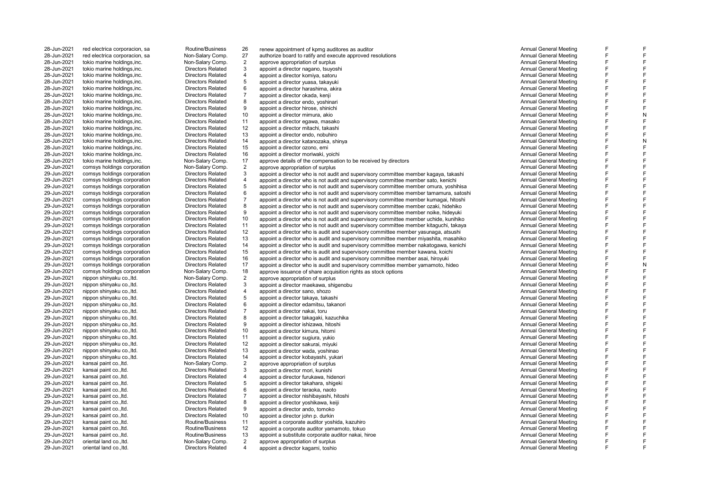28-Jun-2021 tokio marine holdings, inc. Non-Salary Comp.<br>28-Jun-2021 tokio marine holdings.inc. Directors Related 28-Jun-2021 tokio marine holdings,inc. Directors Related 28-Jun-2021 tokio marine holdings, inc.<br>
28-Jun-2021 tokio marine holdings inc.<br>
Directors Related 28-Jun-2021 tokio marine holdings,inc. Directors Related 28-Jun-2021 tokio marine holdings,inc.<br>28-Jun-2021 tokio marine holdings.inc. Directors Related 28-Jun-2021 tokio marine holdings,inc. Directors Related 28-Jun-2021 tokio marine holdings,inc. Directors Related 28-Jun-2021 tokio marine holdings, inc.<br>
28-Jun-2021 tokio marine holdings inc.<br>
Directors Related 29-Jun-2021 comsys holdings corporation Non-Salary Comp.<br>29-Jun-2021 comsys holdings corporation Directors Related 29-Jun-2021 comsys holdings corporation Directors Related<br>
29-Jun-2021 comsys holdings corporation Directors Related 29-Jun-2021 comsys holdings corporation Directors Related 29-Jun-2021 comsys holdings corporation Directors Related 29-Jun-2021 comsys holdings corporation Directors Related<br>29-Jun-2021 comsys holdings corporation Directors Related 29-Jun-2021 comsys holdings corporation Directors Related<br>29-Jun-2021 comsys holdings corporation Directors Related 29-Jun-2021 comsys holdings corporation Directors Related 29-Jun-2021 comsys holdings corporation Directors Related<br>29-Jun-2021 comsys holdings corporation Directors Related 29-Jun-2021 nippon shinyaku co., ltd. Non-Salary Comp.<br>29-Jun-2021 nippon shinyaku co.. ltd. Non-Salary Comp. 29-Jun-2021 nippon shinyaku co.,ltd. Directors Related 29-Jun-2021 nippon shinyaku co.,ltd. Directors Related 29-Jun-2021 nippon shinyaku co.,ltd. Directors Related 29-Jun-2021 nippon shinyaku co.,ltd. Directors Related 29-Jun-2021 nippon shinyaku co.,ltd. Directors Related 29-Jun-2021 nippon shinyaku co.,ltd. Directors Related 29-Jun-2021 nippon shinyaku co.,ltd. Directors Related 29-Jun-2021 kansai paint co.,ltd. Non-Salary Comp. 29-Jun-2021 kansai paint co.,ltd. Directors Related 29-Jun-2021 kansai paint co.,ltd. Directors Related 29-Jun-2021 kansai paint co.,ltd. Directors Related 29-Jun-2021 kansai paint co.,ltd. Directors Related 29-Jun-2021 kansai paint co.,ltd. Directors Related 29-Jun-2021 kansai paint co.,ltd. Directors Related 29-Jun-2021 kansai paint co.,ltd. Directors Related 29-Jun-2021 oriental land co.,ltd. Non-Salary Comp. oriental land co., ltd.

28-Jun-2021 red electrica corporacion, sa **Routine/Business** 26 renew appointment of kpmg auditores as auditor<br>28-Jun-2021 red electrica corporacion, sa Non-Salary Comp. 27 authorize board to ratify and execute approved re 28-Jun-2021 red electrica corporacion, sa **Non-Salary Comp.** 27 authorize board to ratify and execute approved resolutions and the same approved resolutions and the same approved resolutions approved resolutions and the sa 2 approve appropriation of surplus and the second term of the state of the state of the state of the state of the state of the state of the state of the state of the state of the state of the state of the state of the stat 3 appoint a director nagano, tsuyoshi a component controlled to the controlled to the controlled to the controlled meeting on the controlled meeting on the controlled meeting on the controlled meeting on the controlled mee 4 appoint a director komiya, satoru a changa a chang a chang a chang a chang a chang a chang a chang a chang a<br>4 appoint a director vuasa. takavuki a chang a chang a chang a chang a chang a chang a chang a chang a chang a 5 appoint a director yuasa, takayuki Annual General Meeting<br>6 appoint a director harashima. akira appoint a director harashima, akira and a component and a component and a component a director harashima, akira<br>Annual General Meeting approximately a component and a component and a component and annual General Meeting 7 appoint a director okada, kenji Annual General Meeting 8 appoint a director endo, yoshinari a component and the state of the state of the state of the state of the state of the state of the state of the state of the state of the state of the state of the state of the state of 9 appoint a director hirose, shinichi annual General Meeting and a shinichi Annual General Meeting and Annual General Meeting and annual General Meeting and the control of the control of the control of the control of the c 28-Jun-2021 tokio marine holdings,inc. 
Directors Related 10 appoint a director mimura, akio annual General Meeting<br>
28-Jun-2021 tokio marine holdings,inc. Directors Related 11 appoint a director egawa. masako annual Sener 28-Jun-2021 tokio marine holdings,inc. 
28-Jun-2021 tokio marine holdings,inc. 
Directors Related 12 appoint a director mitachi. takashi<br>
28-Jun-2021 tokio marine holdings,inc. 
Directors Related 12 appoint a director mita 28-Jun-2021 tokio marine holdings,inc. 
28-Jun-2021 tokio marine holdings,inc. 
Directors Related 12 appoint a director mitachi, takashi annual General Meeting annual General Meeting annual General Meeting annual General M 28-Jun-2021 tokio marine holdings,inc. 
28-Jun-2021 tokio marine holdings,inc. 
Directors Related 13 appoint a director redo, nobuhiro annual General Meeting Directors Related 14 appoint a director katanozaka shinya annual 28-Jun-2021 tokio marine holdings,inc. 
Directors Related 14 appoint a director katanozaka, shinya annual General Meeting annual General Meeting Directors Related 15 appoint a director ozono emi<br>
28-Jun-2021 tokio marine h 28-Jun-2021 tokio marine holdings,inc. Directors Related 15 appoint a director ozono, emi Annual General Meeting 28-Jun-2021 tokio marine holdings,inc. <br>28-Jun-2021 tokio marine holdings,inc. <br>28-Jun-2021 tokio marine holdings,inc. Directors Non-Salary Comp. 17 approve details of the compensation to be received by directors and the s 28-Jun-2021 tokio marine holdings,inc. 
29-Jun-2021 tokio marine holdings, inc. Mon-Salary Comp. 17 approve details of the compensation to be received by directors Company and a Deneral Meeting Annual General Meeting Neeti 2 approve appropriation of surplus<br>3 approve appropriation of surplus and supervisory committee member kanaval takashi Annual General Meeting 3 appoint a director who is not audit and supervisory committee member kagaya, takashi Annual General Meeting<br>4 appoint a director who is not audit and supervisory committee member sato kenichi annual Annual General Meetin 4 appoint a director who is not audit and supervisory committee member sato, kenichi <br>5 appoint a director who is not audit and supervisory committee member omura voshibisa **Annual General Meeting** 5 appoint a director who is not audit and supervisory committee member omura, yoshihisa **Annual General Meeting**<br>6 appoint a director who is not audit and supervisory committee member tamamura, satoshi annual General Meeti appoint a director who is not audit and supervisory committee member tamamura, satoshi annual Ceneral Meeting<br>Annual General Meeting and supervisory committee member kumagai hitoshi annual General Meeting 7 appoint a director who is not audit and supervisory committee member kumagai, hitoshi **Annual General Meeting**<br>8 appoint a director who is not audit and supervisory committee member ozaki. hidehiko **Annual General Meetin** 8 appoint a director who is not audit and supervisory committee member ozaki, hidehiko Annual General Meeting<br>9 appoint a director who is not audit and supervisory committee member poike, bidewuki Annual General Meeting 9 appoint a director who is not audit and supervisory committee member noike, hideyuki Annual General Meeting<br>10 appoint a director who is not audit and supervisory committee member uchide, kunihiko Annual General Meeting 29-Jun-2021 comsys holdings corporation Directors Related 10 appoint a director who is not audit and supervisory committee member uchide, kunihiko Annual General Meeting Directors Related 11 appoint a director who is not a 29-Jun-2021 comsys holdings corporation Directors Related 11 appoint a director who is not audit and supervisory committee member kitaguchi, takaya Annual General Meeting<br>29-Jun-2021 comsys holdings corporation Directors R 29-Jun-2021 comsys holdings corporation Composition Directors Related 12 appoint a director who is audit and supervisory committee member yasunaga, atsushi Composition Annual General Meeting Directors Related 13 appoint a 29-Jun-2021 comsys holdings corporation Directors Related 13 appoint a director who is audit and supervisory committee member miyashita, masahiko Annual General Meeting<br>29-Jun-2021 comsys holdings corporation Directors Rel 29-Jun-2021 comsys holdings corporation **Directors Related** 14 appoint a director who is audit and supervisory committee member nakatogawa, kenichi annual General Meeting Deneral Meeting Directors Related 15 appoint a dire 29-Jun-2021 comsys holdings corporation Directors Related 15 appoint a director who is audit and supervisory committee member kawana, koichi Annual General Meeting<br>29-Jun-2021 comsys holdings corporation Directors Related 29-Jun-2021 comsys holdings corporation **Directors Related** 16 appoint a director who is audit and supervisory committee member asai, hiroyuki Annual General Meeting Annual General Meeting Directors Related 17 appoint a di 29-Jun-2021 comsys holdings corporation Directors Related 17 appoint a director who is audit and supervisory committee member yamamoto, hideo Annual General Meeting<br>29-Jun-2021 comsys holdings corporation Non-Salary Comp. 29-Jun-2021 comsys holdings corporation Mon-Salary Comp. 18 approve issuance of share acquisition rights as stock options and the manual General Meeting Annual General Meeting Netting Netting and Annual General Meeting Nee 2 approve appropriation of surplus Annual General Meeting 3 appoint a director maekawa, shigenobu <br>3 appoint a director sano shozo <br>3 appoint a director sano shozo <br>4 appoint a director sano shozo 4 appoint a director sano, shozo Annual General Meeting<br>5 appoint a director takaya takashi annual General Meeting 5 appoint a director takaya, takashi and takashi analyon and takashi analyon and takashi Annual General Meeting<br>6 appoint a director edamitsu, takanori analyon analyon analyon analyon analyon analyon and takashi Annual Gen appoint a director edamitsu, takanori a component controller than the component and the Annual General Meeting<br>Annual General Meeting appoint a director nakai, toru 8 appoint a director takagaki, kazuchika Annual General Meeting (Santa Care and Santa Care and Santa Care and S<br>8 appoint a director ishizawa bitoshi 9 appoint a director ishizawa, hitoshi and a ship and a ship and a ship and a ship and a ship and a ship and a<br>10 appoint a director kimura, hitomi and a ship and a ship and a ship and a ship and a ship annual General Meet 29-Jun-2021 nippon shinyaku co.,ltd. **Directors Related** 10 appoint a director kimura, hitomi annual Composition composition of the channel Ceneral Meeting and Directors Related 11 appoint a director sugiura vulkio annual 29-Jun-2021 nippon shinyaku co.,ltd. 
29-Jun-2021 nippon shinyaku co.,ltd. 
Directors Related 12 appoint a director sakurai, mivuki mwando annual General Meeting (29-Jun-2021 nippon shinyaku co.,ltd. Directors Related 12 a 29-Jun-2021 nippon shinyaku co.,ltd. Directors Related 12 appoint a director sakurai, miyuki Annual General Meeting 29-Jun-2021 nippon shinyaku co.,ltd. 
29-Jun-2021 nippon shinyaku co.,ltd. Directors Related 13 appoint a director wada, yoshinao <br>
29-Jun-2021 nippon shinyaku co..ltd. Directors Related 14 appoint a director kobayashi, vu 29-Jun-2021 nippon shinyaku co.,ltd. 
29-Jun-2021 nippon shinyaku co.,ltd. 
29-Jun-2021 kansai paint co.,ltd. 
29-Jun-2021 kansai paint co.,ltd. 
29-Jun-2021 kansai paint co.,ltd. 
29-Jun-2021 Kansai paint co.,ltd. 
29-Jun 2 approve appropriation of surplus and the second term of the state of the state of the state of the state of the state of the state of the state of the state of the state of the state of the state of the state of the stat 3 appoint a director mori, kunishi Annual General Meeting<br>3 appoint a director furukawa. hidenori 4 appoint a director furukawa, hidenori and announce a component and announce the metal Meeting and Annual General Meeting<br>5 appoint a director takahara shigeki 5 appoint a director takahara, shigeki Annual General Meeting<br>6 appoint a director teraoka naoto 6 appoint a director teraoka, naoto Annual General Meeting 7 appoint a director nishibayashi, hitoshi ambushi Annual General Meeting<br>8 appoint a director voshikawa kejiji ambushi Annual General Meeting 8 appoint a director yoshikawa, keiji Annual General Meeting external oriental director ando, tomoko **approximately a contract a contract a contract a**ndo annual General Meeting<br>10 appoint a director iohn particular director iohn particular and a contract a contract and annual Gener 29-Jun-2021 kansai paint co.,ltd. Directors Related 10 appoint a director john p. durkin Annual General Meeting 29-Jun-2021 kansai paint co.,ltd. Routine/Business 11 appoint a corporate auditor yoshida, kazuhiro Annual General Meeting 29-Jun-2021 kansai paint co.,ltd. Routine/Business 12 appoint a corporate auditor yamamoto, tokuo Annual General Meeting 29-Jun-2021 kansai paint co.,ltd. Routine/Business 13 appoint a substitute corporate auditor nakai, hiroe Annual General Meeting 2 approve appropriation of surplus Annual General Meeting appoint a director kagami, toshio

F F F F F F F F F F F F F F F F F F F F F N F F F F F F F N F F F F F F F F F F F F F F F F F F F F F F F F F F  $\mathbf{r}$  $\mathbf{r}$ F F F F F F F F F N F F F F F F F F F F F F F F F F F F F F F F F F F F F F F F F F F F F F  $\blacksquare$ F F F F F F F F F F F F F F F F F F F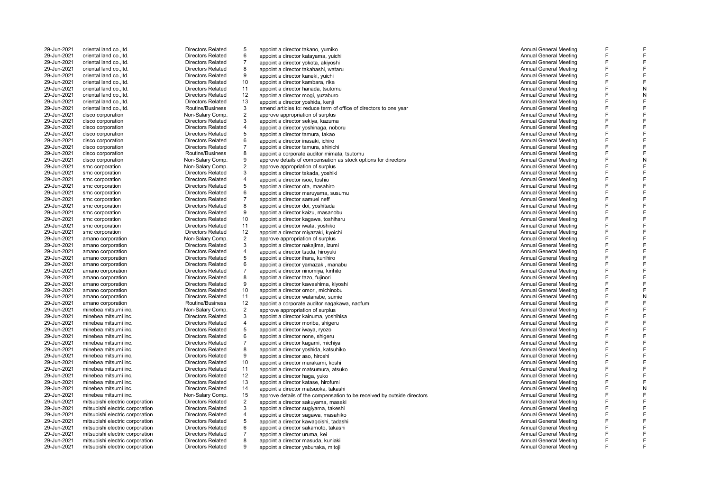| 29-Jun-2021                | oriental land co., ltd.                      | <b>Directors Related</b>                     | 5                   | appoint a director takano, yumiko                                         | <b>Annual General Meeting</b>                                  |
|----------------------------|----------------------------------------------|----------------------------------------------|---------------------|---------------------------------------------------------------------------|----------------------------------------------------------------|
| 29-Jun-2021                | oriental land co., ltd.                      | <b>Directors Related</b>                     | 6                   | appoint a director katayama, yuichi                                       | <b>Annual General Meeting</b>                                  |
| 29-Jun-2021                | oriental land co., ltd.                      | <b>Directors Related</b>                     | $\overline{7}$      | appoint a director yokota, akiyoshi                                       | <b>Annual General Meeting</b>                                  |
| 29-Jun-2021                | oriental land co., ltd.                      | <b>Directors Related</b>                     | 8                   | appoint a director takahashi, wataru                                      | Annual General Meeting                                         |
| 29-Jun-2021                | oriental land co., ltd.                      | <b>Directors Related</b>                     | 9                   | appoint a director kaneki, yuichi                                         | <b>Annual General Meeting</b>                                  |
| 29-Jun-2021                | oriental land co., ltd.                      | <b>Directors Related</b>                     | 10                  | appoint a director kambara, rika                                          | <b>Annual General Meeting</b>                                  |
| 29-Jun-2021                | oriental land co., ltd.                      | <b>Directors Related</b>                     | 11                  | appoint a director hanada, tsutomu                                        | Annual General Meeting                                         |
| 29-Jun-2021                | oriental land co., ltd.                      | <b>Directors Related</b>                     | 12                  | appoint a director mogi, yuzaburo                                         | <b>Annual General Meeting</b>                                  |
| 29-Jun-2021                | oriental land co., ltd.                      | <b>Directors Related</b>                     | 13                  | appoint a director yoshida, kenji                                         | Annual General Meeting                                         |
| 29-Jun-2021                | oriental land co., ltd.                      | Routine/Business                             | 3                   | amend articles to: reduce term of office of directors to one year         | <b>Annual General Meeting</b>                                  |
| 29-Jun-2021<br>29-Jun-2021 | disco corporation<br>disco corporation       | Non-Salary Comp.<br><b>Directors Related</b> | $\sqrt{2}$<br>3     | approve appropriation of surplus                                          | <b>Annual General Meeting</b><br><b>Annual General Meeting</b> |
| 29-Jun-2021                | disco corporation                            | <b>Directors Related</b>                     | $\overline{4}$      | appoint a director sekiya, kazuma<br>appoint a director yoshinaga, noboru | <b>Annual General Meeting</b>                                  |
| 29-Jun-2021                | disco corporation                            | <b>Directors Related</b>                     | $\sqrt{5}$          | appoint a director tamura, takao                                          | <b>Annual General Meeting</b>                                  |
| 29-Jun-2021                | disco corporation                            | <b>Directors Related</b>                     | 6                   | appoint a director inasaki, ichiro                                        | <b>Annual General Meeting</b>                                  |
| 29-Jun-2021                | disco corporation                            | <b>Directors Related</b>                     | $\overline{7}$      | appoint a director tamura, shinichi                                       | <b>Annual General Meeting</b>                                  |
| 29-Jun-2021                | disco corporation                            | Routine/Business                             | 8                   | appoint a corporate auditor mimata, tsutomu                               | <b>Annual General Meeting</b>                                  |
| 29-Jun-2021                | disco corporation                            | Non-Salary Comp.                             | $\boldsymbol{9}$    | approve details of compensation as stock options for directors            | Annual General Meeting                                         |
| 29-Jun-2021                | smc corporation                              | Non-Salary Comp.                             | $\sqrt{2}$          | approve appropriation of surplus                                          | <b>Annual General Meeting</b>                                  |
| 29-Jun-2021                | smc corporation                              | <b>Directors Related</b>                     | 3                   | appoint a director takada, yoshiki                                        | <b>Annual General Meeting</b>                                  |
| 29-Jun-2021                | smc corporation                              | <b>Directors Related</b>                     | $\sqrt{4}$          | appoint a director isoe, toshio                                           | <b>Annual General Meeting</b>                                  |
| 29-Jun-2021                | smc corporation                              | <b>Directors Related</b>                     | 5                   | appoint a director ota, masahiro                                          | <b>Annual General Meeting</b>                                  |
| 29-Jun-2021                | smc corporation                              | <b>Directors Related</b>                     | 6                   | appoint a director maruyama, susumu                                       | <b>Annual General Meeting</b>                                  |
| 29-Jun-2021                | smc corporation                              | <b>Directors Related</b>                     | $\overline{7}$      | appoint a director samuel neff                                            | <b>Annual General Meeting</b>                                  |
| 29-Jun-2021                | smc corporation                              | <b>Directors Related</b>                     | 8                   | appoint a director doi, yoshitada                                         | <b>Annual General Meeting</b>                                  |
| 29-Jun-2021                | smc corporation                              | <b>Directors Related</b>                     | $\boldsymbol{9}$    | appoint a director kaizu, masanobu                                        | <b>Annual General Meeting</b>                                  |
| 29-Jun-2021                | smc corporation                              | <b>Directors Related</b>                     | 10                  | appoint a director kagawa, toshiharu                                      | <b>Annual General Meeting</b>                                  |
| 29-Jun-2021                | smc corporation                              | <b>Directors Related</b>                     | 11                  | appoint a director iwata, yoshiko                                         | Annual General Meeting                                         |
| 29-Jun-2021                | smc corporation                              | <b>Directors Related</b>                     | 12                  | appoint a director miyazaki, kyoichi                                      | <b>Annual General Meeting</b>                                  |
| 29-Jun-2021                | amano corporation                            | Non-Salary Comp.                             | $\overline{2}$      | approve appropriation of surplus                                          | <b>Annual General Meeting</b>                                  |
| 29-Jun-2021                | amano corporation                            | <b>Directors Related</b>                     | 3                   | appoint a director nakajima, izumi                                        | <b>Annual General Meeting</b>                                  |
| 29-Jun-2021                | amano corporation                            | <b>Directors Related</b>                     | 4                   | appoint a director tsuda, hiroyuki                                        | <b>Annual General Meeting</b>                                  |
| 29-Jun-2021                | amano corporation                            | <b>Directors Related</b>                     | 5                   | appoint a director ihara, kunihiro                                        | <b>Annual General Meeting</b>                                  |
| 29-Jun-2021                | amano corporation                            | <b>Directors Related</b>                     | 6                   | appoint a director yamazaki, manabu                                       | <b>Annual General Meeting</b>                                  |
| 29-Jun-2021                | amano corporation                            | <b>Directors Related</b>                     | $\overline{7}$      | appoint a director ninomiya, kirihito                                     | <b>Annual General Meeting</b>                                  |
| 29-Jun-2021                | amano corporation                            | <b>Directors Related</b>                     | 8                   | appoint a director tazo, fujinori                                         | <b>Annual General Meeting</b>                                  |
| 29-Jun-2021                | amano corporation                            | <b>Directors Related</b>                     | 9                   | appoint a director kawashima, kiyoshi                                     | <b>Annual General Meeting</b>                                  |
| 29-Jun-2021                | amano corporation                            | <b>Directors Related</b>                     | 10                  | appoint a director omori, michinobu                                       | Annual General Meeting                                         |
| 29-Jun-2021                | amano corporation                            | <b>Directors Related</b>                     | 11                  | appoint a director watanabe, sumie                                        | <b>Annual General Meeting</b>                                  |
| 29-Jun-2021                | amano corporation                            | Routine/Business                             | 12                  | appoint a corporate auditor nagakawa, naofumi                             | <b>Annual General Meeting</b>                                  |
| 29-Jun-2021<br>29-Jun-2021 | minebea mitsumi inc.<br>minebea mitsumi inc. | Non-Salary Comp.<br><b>Directors Related</b> | $\overline{2}$<br>3 | approve appropriation of surplus<br>appoint a director kainuma, yoshihisa | <b>Annual General Meeting</b><br><b>Annual General Meeting</b> |
| 29-Jun-2021                | minebea mitsumi inc.                         | <b>Directors Related</b>                     | $\sqrt{4}$          |                                                                           | <b>Annual General Meeting</b>                                  |
| 29-Jun-2021                | minebea mitsumi inc.                         | <b>Directors Related</b>                     | $\sqrt{5}$          | appoint a director moribe, shigeru<br>appoint a director iwaya, ryozo     | <b>Annual General Meeting</b>                                  |
| 29-Jun-2021                | minebea mitsumi inc.                         | <b>Directors Related</b>                     | 6                   | appoint a director none, shigeru                                          | Annual General Meeting                                         |
| 29-Jun-2021                | minebea mitsumi inc.                         | <b>Directors Related</b>                     | $\overline{7}$      | appoint a director kagami, michiya                                        | <b>Annual General Meeting</b>                                  |
| 29-Jun-2021                | minebea mitsumi inc.                         | <b>Directors Related</b>                     | 8                   | appoint a director yoshida, katsuhiko                                     | <b>Annual General Meeting</b>                                  |
| 29-Jun-2021                | minebea mitsumi inc.                         | <b>Directors Related</b>                     | $\boldsymbol{9}$    | appoint a director aso, hiroshi                                           | Annual General Meeting                                         |
| 29-Jun-2021                | minebea mitsumi inc.                         | <b>Directors Related</b>                     | 10                  | appoint a director murakami, koshi                                        | <b>Annual General Meeting</b>                                  |
| 29-Jun-2021                | minebea mitsumi inc.                         | <b>Directors Related</b>                     | 11                  | appoint a director matsumura, atsuko                                      | Annual General Meeting                                         |
| 29-Jun-2021                | minebea mitsumi inc.                         | <b>Directors Related</b>                     | 12                  | appoint a director haga, yuko                                             | Annual General Meeting                                         |
| 29-Jun-2021                | minebea mitsumi inc.                         | <b>Directors Related</b>                     | 13                  | appoint a director katase, hirofumi                                       | Annual General Meeting                                         |
| 29-Jun-2021                | minebea mitsumi inc.                         | <b>Directors Related</b>                     | 14                  | appoint a director matsuoka, takashi                                      | <b>Annual General Meeting</b>                                  |
| 29-Jun-2021                | minebea mitsumi inc.                         | Non-Salary Comp.                             | 15                  | approve details of the compensation to be received by outside directors   | <b>Annual General Meeting</b>                                  |
| 29-Jun-2021                | mitsubishi electric corporation              | <b>Directors Related</b>                     | $\overline{2}$      | appoint a director sakuyama, masaki                                       | Annual General Meeting                                         |
| 29-Jun-2021                | mitsubishi electric corporation              | <b>Directors Related</b>                     | 3                   | appoint a director sugiyama, takeshi                                      | Annual General Meeting                                         |
| 29-Jun-2021                | mitsubishi electric corporation              | <b>Directors Related</b>                     | $\sqrt{4}$          | appoint a director sagawa, masahiko                                       | <b>Annual General Meeting</b>                                  |
| 29-Jun-2021                | mitsubishi electric corporation              | <b>Directors Related</b>                     | 5                   | appoint a director kawagoishi, tadashi                                    | <b>Annual General Meeting</b>                                  |
| 29-Jun-2021                | mitsubishi electric corporation              | <b>Directors Related</b>                     | 6                   | appoint a director sakamoto, takashi                                      | <b>Annual General Meeting</b>                                  |
| 29-Jun-2021                | mitsubishi electric corporation              | <b>Directors Related</b>                     | $\overline{7}$      | appoint a director uruma, kei                                             | Annual General Meeting                                         |
| 29-Jun-2021                | mitsubishi electric corporation              | <b>Directors Related</b>                     | 8                   | appoint a director masuda, kuniaki                                        | <b>Annual General Meeting</b>                                  |
| 29-Jun-2021                | mitsubishi electric corporation              | <b>Directors Related</b>                     | 9                   | appoint a director yabunaka, mitoji                                       | Annual General Meeting                                         |
|                            |                                              |                                              |                     |                                                                           |                                                                |

| nual General Meeting  | F      | F      |
|-----------------------|--------|--------|
| nual General Meeting  | F      | F      |
| nual General Meeting  | F      | F      |
| nual General Meeting  | F      | F      |
| nual General Meeting  | F      | F      |
| nual General Meeting  | F      | F      |
| nual General Meeting  | F      | N      |
| nual General Meeting  | F      | N      |
| nual General Meeting  | F      | F      |
| nual General Meeting  | F      | F      |
|                       | F      | F      |
| nual General Meeting  | F      | F      |
| ınual General Meeting |        | F      |
| nual General Meeting  | F      | F      |
| nual General Meeting  | F      |        |
| nual General Meeting  | F      | F      |
| nual General Meeting  | F      | F      |
| nual General Meeting  | F      | F      |
| nual General Meeting  | F      | N      |
| nual General Meeting  | F      | F      |
| nual General Meeting  | F      | F      |
| nual General Meeting  | F      | F      |
| nual General Meeting  | F      | F      |
| nual General Meeting  | F      | F      |
| nual General Meeting  | F      | F      |
| nual General Meeting  | F      | F      |
| nual General Meeting  | F      | F      |
| nual General Meeting  | F      | F      |
| nual General Meeting  | F      | F      |
| nual General Meeting  | F      | F      |
| nual General Meeting  | F      | F      |
| nual General Meeting  | F      | F      |
| nual General Meeting  | F      | F      |
|                       | F      | F      |
| nual General Meeting  | F      | F      |
| nual General Meeting  |        |        |
| nual General Meeting  | F      | F      |
| nual General Meeting  | F      | F      |
| nual General Meeting  | F      | F      |
| nual General Meeting  | F      | F      |
| nual General Meeting  | F      | N      |
| nual General Meeting  | F      | F      |
| nual General Meeting  | F      | F      |
| nual General Meeting  | F      | F      |
| nual General Meeting  | F      | F      |
| nual General Meeting  | F      | F      |
| nual General Meeting  | F      | F      |
| nual General Meeting  | F      | F      |
| nual General Meeting  | F      | F      |
| nual General Meeting  | F      | F      |
| nual General Meeting  | F      | F      |
| nual General Meeting  | F      | F      |
| nual General Meeting  | F      | F      |
| nual General Meeting  | F      | F      |
| nual General Meeting  | F      | N      |
| nual General Meeting  | F      | F      |
|                       |        |        |
| nual General Meeting  | F<br>F | F<br>F |
| nual General Meeting  |        |        |
| nual General Meeting  | F      | F      |
| nual General Meeting  | F      | F      |
| nual General Meeting  | F      | F      |
| nual General Meeting  | F      | F      |
| nual General Meeting  | F      | F      |
| nual General Meeting  | F      | F      |
|                       |        |        |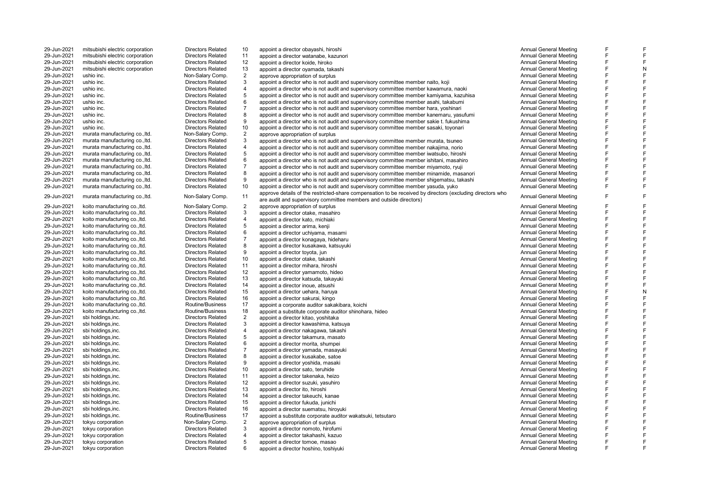| 29-Jun-2021 | mitsubishi electric corporation | <b>Directors Related</b> | 10             | appoint a director obayashi, hiroshi                                                                      | Annual General Meeting        |   |   |
|-------------|---------------------------------|--------------------------|----------------|-----------------------------------------------------------------------------------------------------------|-------------------------------|---|---|
| 29-Jun-2021 | mitsubishi electric corporation | <b>Directors Related</b> | 11             | appoint a director watanabe, kazunori                                                                     | <b>Annual General Meeting</b> |   |   |
| 29-Jun-2021 | mitsubishi electric corporation | <b>Directors Related</b> | 12             | appoint a director koide, hiroko                                                                          | Annual General Meeting        |   |   |
| 29-Jun-2021 | mitsubishi electric corporation | <b>Directors Related</b> | 13             | appoint a director oyamada, takashi                                                                       | Annual General Meeting        |   |   |
| 29-Jun-2021 | ushio inc.                      | Non-Salary Comp.         | $\overline{2}$ | approve appropriation of surplus                                                                          | <b>Annual General Meeting</b> |   |   |
| 29-Jun-2021 | ushio inc.                      | <b>Directors Related</b> | 3              | appoint a director who is not audit and supervisory committee member naito, koji                          | <b>Annual General Meeting</b> | F |   |
| 29-Jun-2021 | ushio inc.                      | <b>Directors Related</b> | $\overline{4}$ | appoint a director who is not audit and supervisory committee member kawamura, naoki                      | Annual General Meeting        | F |   |
| 29-Jun-2021 | ushio inc.                      | <b>Directors Related</b> | 5              | appoint a director who is not audit and supervisory committee member kamiyama, kazuhisa                   | <b>Annual General Meeting</b> | E |   |
| 29-Jun-2021 | ushio inc.                      | <b>Directors Related</b> | 6              | appoint a director who is not audit and supervisory committee member asahi, takabumi                      | Annual General Meeting        |   |   |
| 29-Jun-2021 | ushio inc.                      | <b>Directors Related</b> | $\overline{7}$ | appoint a director who is not audit and supervisory committee member hara, yoshinari                      | <b>Annual General Meeting</b> |   |   |
| 29-Jun-2021 | ushio inc.                      | <b>Directors Related</b> | 8              | appoint a director who is not audit and supervisory committee member kanemaru, yasufumi                   | <b>Annual General Meeting</b> | Е |   |
| 29-Jun-2021 | ushio inc.                      | <b>Directors Related</b> | 9              | appoint a director who is not audit and supervisory committee member sakie t. fukushima                   | Annual General Meeting        |   |   |
| 29-Jun-2021 | ushio inc.                      | <b>Directors Related</b> | 10             | appoint a director who is not audit and supervisory committee member sasaki, toyonari                     | <b>Annual General Meeting</b> | F |   |
| 29-Jun-2021 | murata manufacturing co., ltd.  | Non-Salary Comp.         | $\overline{2}$ | approve appropriation of surplus                                                                          | <b>Annual General Meeting</b> | F |   |
| 29-Jun-2021 | murata manufacturing co., ltd.  | <b>Directors Related</b> | 3              | appoint a director who is not audit and supervisory committee member murata, tsuneo                       | <b>Annual General Meeting</b> |   |   |
| 29-Jun-2021 | murata manufacturing co., ltd.  | <b>Directors Related</b> | $\overline{4}$ | appoint a director who is not audit and supervisory committee member nakajima, norio                      | Annual General Meeting        |   |   |
| 29-Jun-2021 | murata manufacturing co., ltd.  | <b>Directors Related</b> | 5              | appoint a director who is not audit and supervisory committee member iwatsubo, hiroshi                    | <b>Annual General Meeting</b> | F |   |
| 29-Jun-2021 | murata manufacturing co., ltd.  | <b>Directors Related</b> | $\,6\,$        | appoint a director who is not audit and supervisory committee member ishitani, masahiro                   | Annual General Meeting        | E |   |
| 29-Jun-2021 | murata manufacturing co., ltd.  | <b>Directors Related</b> | $\overline{7}$ | appoint a director who is not audit and supervisory committee member miyamoto, ryuji                      | <b>Annual General Meeting</b> | F |   |
| 29-Jun-2021 | murata manufacturing co., ltd.  | <b>Directors Related</b> | 8              | appoint a director who is not audit and supervisory committee member minamide, masanori                   | <b>Annual General Meeting</b> |   |   |
| 29-Jun-2021 | murata manufacturing co., ltd.  | <b>Directors Related</b> | 9              | appoint a director who is not audit and supervisory committee member shigematsu, takashi                  | <b>Annual General Meeting</b> |   |   |
| 29-Jun-2021 | murata manufacturing co., ltd.  | <b>Directors Related</b> | 10             | appoint a director who is not audit and supervisory committee member yasuda, yuko                         | <b>Annual General Meeting</b> | F | F |
|             |                                 |                          |                | approve details of the restricted-share compensation to be received by directors (excluding directors who |                               |   |   |
| 29-Jun-2021 | murata manufacturing co., ltd.  | Non-Salary Comp.         | 11             | are audit and supervisory committee members and outside directors)                                        | <b>Annual General Meeting</b> |   |   |
| 29-Jun-2021 | koito manufacturing co., ltd.   | Non-Salary Comp.         | $\sqrt{2}$     | approve appropriation of surplus                                                                          | <b>Annual General Meeting</b> |   |   |
| 29-Jun-2021 | koito manufacturing co., ltd.   | <b>Directors Related</b> | 3              | appoint a director otake, masahiro                                                                        | <b>Annual General Meeting</b> |   |   |
| 29-Jun-2021 | koito manufacturing co., ltd.   | <b>Directors Related</b> | $\overline{4}$ | appoint a director kato, michiaki                                                                         | <b>Annual General Meeting</b> | E |   |
| 29-Jun-2021 | koito manufacturing co., ltd.   | <b>Directors Related</b> | 5              | appoint a director arima, kenji                                                                           | Annual General Meeting        | F |   |
| 29-Jun-2021 | koito manufacturing co., ltd.   | <b>Directors Related</b> | 6              | appoint a director uchiyama, masami                                                                       | <b>Annual General Meeting</b> | F |   |
| 29-Jun-2021 | koito manufacturing co., ltd.   | <b>Directors Related</b> | $\overline{7}$ | appoint a director konagaya, hideharu                                                                     | Annual General Meeting        |   |   |
| 29-Jun-2021 | koito manufacturing co., ltd.   | <b>Directors Related</b> | 8              | appoint a director kusakawa, katsuyuki                                                                    | <b>Annual General Meeting</b> |   |   |
| 29-Jun-2021 | koito manufacturing co., ltd.   | <b>Directors Related</b> | 9              | appoint a director toyota, jun                                                                            | <b>Annual General Meeting</b> | Е |   |
| 29-Jun-2021 | koito manufacturing co., ltd.   | <b>Directors Related</b> | 10             | appoint a director otake, takashi                                                                         | Annual General Meeting        | F |   |
| 29-Jun-2021 | koito manufacturing co., ltd.   | <b>Directors Related</b> | 11             | appoint a director mihara, hiroshi                                                                        | <b>Annual General Meeting</b> | F |   |
| 29-Jun-2021 | koito manufacturing co., ltd.   | <b>Directors Related</b> | 12             | appoint a director yamamoto, hideo                                                                        | <b>Annual General Meeting</b> |   |   |
| 29-Jun-2021 | koito manufacturing co., ltd.   | <b>Directors Related</b> | 13             | appoint a director katsuda, takayuki                                                                      | <b>Annual General Meeting</b> |   |   |
| 29-Jun-2021 | koito manufacturing co., ltd.   | <b>Directors Related</b> | 14             | appoint a director inoue, atsushi                                                                         | <b>Annual General Meeting</b> | Е |   |
| 29-Jun-2021 | koito manufacturing co., ltd.   | <b>Directors Related</b> | 15             | appoint a director uehara, haruya                                                                         | <b>Annual General Meeting</b> | F | N |
| 29-Jun-2021 | koito manufacturing co., ltd.   | <b>Directors Related</b> | 16             | appoint a director sakurai, kingo                                                                         | <b>Annual General Meeting</b> | F |   |
| 29-Jun-2021 | koito manufacturing co., ltd.   | Routine/Business         | 17             | appoint a corporate auditor sakakibara, koichi                                                            | Annual General Meeting        |   |   |
| 29-Jun-2021 | koito manufacturing co., ltd.   | Routine/Business         | 18             | appoint a substitute corporate auditor shinohara, hideo                                                   | Annual General Meeting        | F |   |
| 29-Jun-2021 | sbi holdings, inc.              | <b>Directors Related</b> | $\overline{2}$ | appoint a director kitao, yoshitaka                                                                       | <b>Annual General Meeting</b> | F |   |
| 29-Jun-2021 | sbi holdings, inc.              | <b>Directors Related</b> | 3              | appoint a director kawashima, katsuya                                                                     | <b>Annual General Meeting</b> | F |   |
| 29-Jun-2021 | sbi holdings, inc.              | <b>Directors Related</b> | $\overline{4}$ | appoint a director nakagawa, takashi                                                                      | <b>Annual General Meeting</b> | E |   |
| 29-Jun-2021 | sbi holdings, inc.              | <b>Directors Related</b> | 5              | appoint a director takamura, masato                                                                       | Annual General Meeting        | F |   |
| 29-Jun-2021 | sbi holdings, inc.              | <b>Directors Related</b> | 6              | appoint a director morita, shumpei                                                                        | <b>Annual General Meeting</b> | F |   |
| 29-Jun-2021 | sbi holdings, inc.              | <b>Directors Related</b> | $\overline{7}$ | appoint a director vamada, masavuki                                                                       | <b>Annual General Meeting</b> |   |   |
| 29-Jun-2021 | sbi holdings, inc.              | <b>Directors Related</b> | 8              | appoint a director kusakabe, satoe                                                                        | <b>Annual General Meeting</b> | F |   |
| 29-Jun-2021 | sbi holdings, inc.              | <b>Directors Related</b> | 9              | appoint a director yoshida, masaki                                                                        | Annual General Meeting        | E |   |
| 29-Jun-2021 | sbi holdings, inc.              | <b>Directors Related</b> | 10             | appoint a director sato, teruhide                                                                         | <b>Annual General Meeting</b> | E |   |
| 29-Jun-2021 | sbi holdings, inc.              | <b>Directors Related</b> | 11             | appoint a director takenaka, heizo                                                                        | Annual General Meeting        |   |   |
| 29-Jun-2021 | sbi holdings, inc.              | <b>Directors Related</b> | 12             | appoint a director suzuki, yasuhiro                                                                       | Annual General Meeting        |   |   |
| 29-Jun-2021 | sbi holdings, inc.              | <b>Directors Related</b> | 13             | appoint a director ito, hiroshi                                                                           | <b>Annual General Meeting</b> | F |   |
| 29-Jun-2021 | sbi holdings, inc.              | <b>Directors Related</b> | 14             | appoint a director takeuchi, kanae                                                                        | Annual General Meeting        | E |   |
| 29-Jun-2021 | sbi holdings, inc.              | <b>Directors Related</b> | 15             | appoint a director fukuda, junichi                                                                        | <b>Annual General Meeting</b> | E |   |
| 29-Jun-2021 | sbi holdings.inc.               | <b>Directors Related</b> | 16             | appoint a director suematsu, hiroyuki                                                                     | Annual General Meeting        |   |   |
| 29-Jun-2021 | sbi holdings, inc.              | Routine/Business         | 17             | appoint a substitute corporate auditor wakatsuki, tetsutaro                                               | Annual General Meeting        |   |   |
| 29-Jun-2021 | tokyu corporation               | Non-Salary Comp.         | $\sqrt{2}$     | approve appropriation of surplus                                                                          | <b>Annual General Meeting</b> | F |   |
| 29-Jun-2021 | tokyu corporation               | <b>Directors Related</b> | 3              | appoint a director nomoto, hirofumi                                                                       | Annual General Meeting        | F |   |
| 29-Jun-2021 | tokyu corporation               | <b>Directors Related</b> | 4              | appoint a director takahashi, kazuo                                                                       | <b>Annual General Meeting</b> | F |   |
| 29-Jun-2021 | tokyu corporation               | <b>Directors Related</b> | 5              | appoint a director tomoe, masao                                                                           | Annual General Meeting        |   |   |
| 29-Jun-2021 | tokyu corporation               | <b>Directors Related</b> | 6              | appoint a director hoshino, toshiyuki                                                                     | <b>Annual General Meeting</b> |   |   |
|             |                                 |                          |                |                                                                                                           |                               |   |   |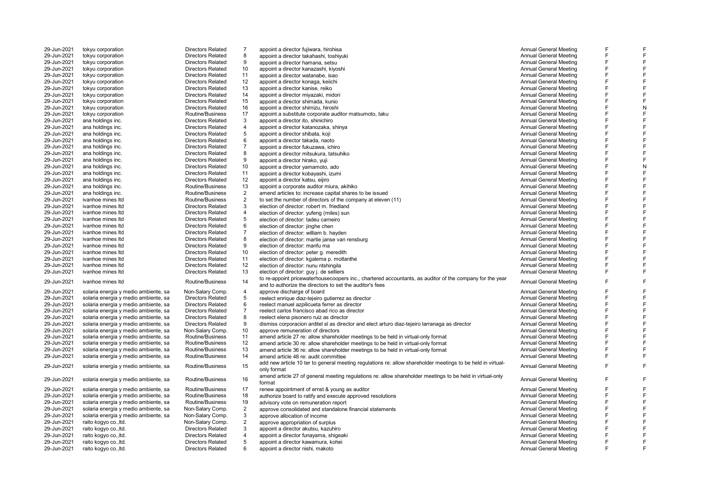| 29-Jun-2021 | tokyu corporation                    | <b>Directors Related</b> | 7              | appoint a director fujiwara, hirohisa                                                                                                                                | <b>Annual General Meeting</b> |   |   |
|-------------|--------------------------------------|--------------------------|----------------|----------------------------------------------------------------------------------------------------------------------------------------------------------------------|-------------------------------|---|---|
| 29-Jun-2021 | tokyu corporation                    | <b>Directors Related</b> | 8              | appoint a director takahashi, toshiyuki                                                                                                                              | <b>Annual General Meeting</b> |   |   |
| 29-Jun-2021 | tokyu corporation                    | <b>Directors Related</b> | 9              | appoint a director hamana, setsu                                                                                                                                     | <b>Annual General Meeting</b> |   |   |
| 29-Jun-2021 | tokyu corporation                    | <b>Directors Related</b> | 10             | appoint a director kanazashi, kiyoshi                                                                                                                                | Annual General Meeting        |   |   |
| 29-Jun-2021 | tokyu corporation                    | <b>Directors Related</b> | 11             | appoint a director watanabe, isao                                                                                                                                    | <b>Annual General Meeting</b> | E |   |
| 29-Jun-2021 | tokyu corporation                    | <b>Directors Related</b> | 12             | appoint a director konaga, keiichi                                                                                                                                   | <b>Annual General Meeting</b> |   | F |
| 29-Jun-2021 | tokyu corporation                    | <b>Directors Related</b> | 13             | appoint a director kanise, reiko                                                                                                                                     | <b>Annual General Meeting</b> | F | F |
| 29-Jun-2021 | tokyu corporation                    | <b>Directors Related</b> | 14             | appoint a director miyazaki, midori                                                                                                                                  | <b>Annual General Meeting</b> | F |   |
| 29-Jun-2021 | tokyu corporation                    | <b>Directors Related</b> | 15             | appoint a director shimada, kunio                                                                                                                                    | <b>Annual General Meeting</b> |   |   |
| 29-Jun-2021 | tokyu corporation                    | <b>Directors Related</b> | 16             | appoint a director shimizu, hiroshi                                                                                                                                  | <b>Annual General Meeting</b> | E | N |
| 29-Jun-2021 | tokyu corporation                    | Routine/Business         | 17             | appoint a substitute corporate auditor matsumoto, taku                                                                                                               | <b>Annual General Meeting</b> | E | F |
| 29-Jun-2021 | ana holdings inc.                    | <b>Directors Related</b> | 3              | appoint a director ito, shinichiro                                                                                                                                   | <b>Annual General Meeting</b> | E | F |
| 29-Jun-2021 | ana holdings inc.                    | Directors Related        | $\overline{4}$ | appoint a director katanozaka, shinya                                                                                                                                | <b>Annual General Meeting</b> | F |   |
| 29-Jun-2021 | ana holdings inc.                    | <b>Directors Related</b> | 5              | appoint a director shibata, koji                                                                                                                                     | Annual General Meeting        | E |   |
|             |                                      | <b>Directors Related</b> | 6              |                                                                                                                                                                      |                               | F | F |
| 29-Jun-2021 | ana holdings inc.                    |                          |                | appoint a director takada, naoto                                                                                                                                     | <b>Annual General Meeting</b> |   | F |
| 29-Jun-2021 | ana holdings inc.                    | <b>Directors Related</b> | $\overline{7}$ | appoint a director fukuzawa, ichiro                                                                                                                                  | <b>Annual General Meeting</b> |   |   |
| 29-Jun-2021 | ana holdings inc.                    | <b>Directors Related</b> | 8              | appoint a director mitsukura, tatsuhiko                                                                                                                              | <b>Annual General Meeting</b> |   |   |
| 29-Jun-2021 | ana holdings inc.                    | <b>Directors Related</b> | 9              | appoint a director hirako, yuji                                                                                                                                      | <b>Annual General Meeting</b> |   |   |
| 29-Jun-2021 | ana holdings inc.                    | <b>Directors Related</b> | 10             | appoint a director yamamoto, ado                                                                                                                                     | Annual General Meeting        |   | N |
| 29-Jun-2021 | ana holdings inc.                    | <b>Directors Related</b> | 11             | appoint a director kobayashi, izumi                                                                                                                                  | Annual General Meeting        | F |   |
| 29-Jun-2021 | ana holdings inc.                    | <b>Directors Related</b> | 12             | appoint a director katsu, eijiro                                                                                                                                     | <b>Annual General Meeting</b> | F |   |
| 29-Jun-2021 | ana holdings inc.                    | Routine/Business         | 13             | appoint a corporate auditor miura, akihiko                                                                                                                           | <b>Annual General Meeting</b> | E |   |
| 29-Jun-2021 | ana holdings inc.                    | Routine/Business         | $\overline{2}$ | amend articles to: increase capital shares to be issued                                                                                                              | <b>Annual General Meeting</b> |   |   |
| 29-Jun-2021 | ivanhoe mines Itd                    | Routine/Business         | $\overline{2}$ | to set the number of directors of the company at eleven (11)                                                                                                         | <b>Annual General Meeting</b> |   |   |
| 29-Jun-2021 | ivanhoe mines Itd                    | <b>Directors Related</b> | 3              | election of director: robert m. friedland                                                                                                                            | <b>Annual General Meeting</b> |   |   |
| 29-Jun-2021 | ivanhoe mines Itd                    | <b>Directors Related</b> | 4              | election of director: yufeng (miles) sun                                                                                                                             | <b>Annual General Meeting</b> | F | F |
| 29-Jun-2021 | ivanhoe mines Itd                    | <b>Directors Related</b> | 5              | election of director: tadeu carneiro                                                                                                                                 | <b>Annual General Meeting</b> | F |   |
| 29-Jun-2021 | ivanhoe mines Itd                    | <b>Directors Related</b> | 6              | election of director: jinghe chen                                                                                                                                    | Annual General Meeting        |   |   |
| 29-Jun-2021 | ivanhoe mines Itd                    | <b>Directors Related</b> | $\overline{7}$ | election of director: william b. hayden                                                                                                                              | <b>Annual General Meeting</b> | E |   |
| 29-Jun-2021 | ivanhoe mines Itd                    | <b>Directors Related</b> | 8              | election of director: martie janse van rensburg                                                                                                                      | <b>Annual General Meeting</b> |   |   |
| 29-Jun-2021 | <i>ivanhoe mines Itd</i>             | <b>Directors Related</b> | 9              | election of director: manfu ma                                                                                                                                       | <b>Annual General Meeting</b> |   |   |
|             |                                      |                          |                |                                                                                                                                                                      |                               |   |   |
| 29-Jun-2021 | ivanhoe mines Itd                    | <b>Directors Related</b> | 10             | election of director: peter g. meredith                                                                                                                              | <b>Annual General Meeting</b> |   |   |
| 29-Jun-2021 | ivanhoe mines Itd                    | <b>Directors Related</b> | 11             | election of director: kgalema p. motlanthe                                                                                                                           | <b>Annual General Meeting</b> |   |   |
| 29-Jun-2021 | <i>ivanhoe mines Itd</i>             | <b>Directors Related</b> | 12             | election of director: nunu ntshingila                                                                                                                                | <b>Annual General Meeting</b> | F |   |
| 29-Jun-2021 | ivanhoe mines Itd                    | <b>Directors Related</b> | 13             | election of director: guy j. de selliers                                                                                                                             | <b>Annual General Meeting</b> | F | F |
| 29-Jun-2021 | ivanhoe mines Itd                    | Routine/Business         | 14             | to re-appoint pricewaterhousecoopers inc., chartered accountants, as auditor of the company for the year<br>and to authorize the directors to set the auditor's fees | <b>Annual General Meeting</b> |   | F |
| 29-Jun-2021 | solaria energia y medio ambiente, sa | Non-Salary Comp.         | 4              | approve discharge of board                                                                                                                                           | <b>Annual General Meeting</b> |   |   |
| 29-Jun-2021 | solaria energia y medio ambiente, sa | <b>Directors Related</b> | 5              | reelect enrique diaz-tejeiro qutierrez as director                                                                                                                   | <b>Annual General Meeting</b> | F |   |
| 29-Jun-2021 | solaria energia y medio ambiente, sa | <b>Directors Related</b> | 6              | reelect manuel azpilicueta ferrer as director                                                                                                                        | Annual General Meeting        |   |   |
| 29-Jun-2021 | solaria energia y medio ambiente, sa | <b>Directors Related</b> | $\overline{7}$ | reelect carlos francisco abad rico as director                                                                                                                       | Annual General Meeting        | F |   |
| 29-Jun-2021 | solaria energia y medio ambiente, sa | <b>Directors Related</b> | 8              | reelect elena pisonero ruiz as director                                                                                                                              | <b>Annual General Meeting</b> |   |   |
| 29-Jun-2021 | solaria energia y medio ambiente, sa | <b>Directors Related</b> | 9              | dismiss corporacion arditel sl as director and elect arturo diaz-tejeiro larranaga as director                                                                       | <b>Annual General Meeting</b> |   |   |
| 29-Jun-2021 | solaria energia y medio ambiente, sa | Non-Salary Comp.         | 10             | approve remuneration of directors                                                                                                                                    | <b>Annual General Meeting</b> | F |   |
| 29-Jun-2021 | solaria energia y medio ambiente, sa | Routine/Business         | 11             | amend article 27 re: allow shareholder meetings to be held in virtual-only format                                                                                    | <b>Annual General Meeting</b> |   |   |
| 29-Jun-2021 | solaria energia y medio ambiente, sa | Routine/Business         | 12             | amend article 30 re: allow shareholder meetings to be held in virtual-only format                                                                                    | Annual General Meeting        |   |   |
| 29-Jun-2021 | solaria energia y medio ambiente, sa | Routine/Business         | 13             | amend article 36 re: allow shareholder meetings to be held in virtual-only format                                                                                    | <b>Annual General Meeting</b> |   |   |
| 29-Jun-2021 | solaria energia y medio ambiente, sa | Routine/Business         | 14             | amend article 48 re: audit committee                                                                                                                                 | <b>Annual General Meeting</b> |   | F |
|             |                                      |                          |                | add new article 10 ter to general meeting regulations re: allow shareholder meetings to be held in virtual-                                                          |                               |   |   |
| 29-Jun-2021 | solaria energia y medio ambiente, sa | Routine/Business         | 15             | only format                                                                                                                                                          | Annual General Meeting        |   |   |
| 29-Jun-2021 | solaria energia y medio ambiente, sa | Routine/Business         | 16             | amend article 27 of general meeting regulations re: allow shareholder meetings to be held in virtual-only<br>format                                                  | <b>Annual General Meeting</b> |   | F |
| 29-Jun-2021 | solaria energia y medio ambiente, sa | Routine/Business         | 17             | renew appointment of ernst & young as auditor                                                                                                                        | <b>Annual General Meeting</b> |   |   |
| 29-Jun-2021 | solaria energia y medio ambiente, sa | Routine/Business         | 18             | authorize board to ratify and execute approved resolutions                                                                                                           | Annual General Meeting        | E | F |
| 29-Jun-2021 | solaria energia y medio ambiente, sa | Routine/Business         | 19             | advisory vote on remuneration report                                                                                                                                 | <b>Annual General Meeting</b> |   | F |
| 29-Jun-2021 | solaria energia y medio ambiente, sa | Non-Salary Comp.         | $\overline{2}$ | approve consolidated and standalone financial statements                                                                                                             | Annual General Meeting        | E |   |
| 29-Jun-2021 | solaria energia y medio ambiente, sa | Non-Salary Comp.         | 3              | approve allocation of income                                                                                                                                         | Annual General Meeting        |   |   |
| 29-Jun-2021 | raito kogyo co., ltd.                | Non-Salary Comp.         | $\overline{2}$ | approve appropriation of surplus                                                                                                                                     | <b>Annual General Meeting</b> |   |   |
| 29-Jun-2021 | raito kogyo co., ltd.                | <b>Directors Related</b> | 3              | appoint a director akutsu, kazuhiro                                                                                                                                  | <b>Annual General Meeting</b> |   |   |
| 29-Jun-2021 | raito kogyo co., ltd.                | <b>Directors Related</b> | 4              | appoint a director funayama, shigeaki                                                                                                                                | Annual General Meeting        |   |   |
| 29-Jun-2021 | raito kogyo co., ltd.                | <b>Directors Related</b> | 5              | appoint a director kawamura, kohei                                                                                                                                   | <b>Annual General Meeting</b> |   |   |
| 29-Jun-2021 | raito kogyo co., ltd.                | <b>Directors Related</b> | 6              | appoint a director nishi, makoto                                                                                                                                     | Annual General Meeting        |   |   |
|             |                                      |                          |                |                                                                                                                                                                      |                               |   |   |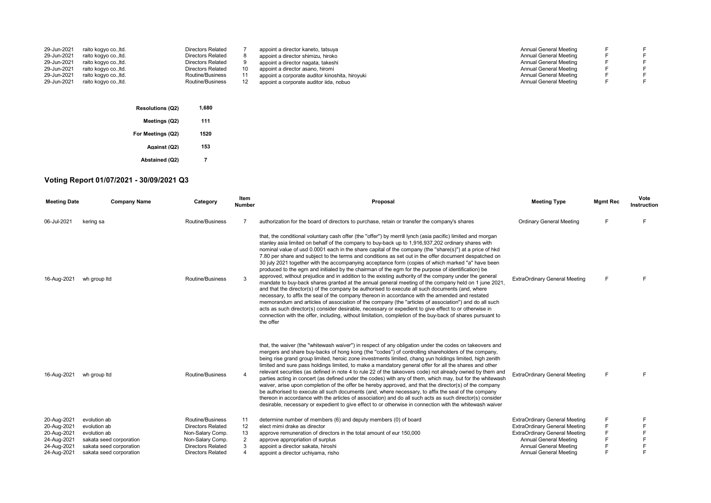| 29-Jun-2021<br>29-Jun-2021<br>29-Jun-2021<br>29-Jun-2021<br>29-Jun-2021 | raito kogvo coltd.<br>raito kogyo co., ltd.<br>raito kogyo co., ltd.<br>raito kogyo co.,ltd.<br>raito kogyo co., ltd. | <b>Directors Related</b><br><b>Directors Related</b><br><b>Directors Related</b><br><b>Directors Related</b><br>Routine/Business | appoint a director kaneto, tatsuya<br>appoint a director shimizu, hiroko<br>appoint a director nagata, takeshi<br>appoint a director asano, hiromi<br>appoint a corporate auditor kinoshita, hiroyuki | Annual General Meeting<br>Annual General Meeting<br>Annual General Meeting<br>Annual General Meeting<br>Annual General Meeting |  |
|-------------------------------------------------------------------------|-----------------------------------------------------------------------------------------------------------------------|----------------------------------------------------------------------------------------------------------------------------------|-------------------------------------------------------------------------------------------------------------------------------------------------------------------------------------------------------|--------------------------------------------------------------------------------------------------------------------------------|--|
| 29-Jun-2021                                                             | raito kogyo co., ltd.                                                                                                 | Routine/Business                                                                                                                 | appoint a corporate auditor iida, nobuo                                                                                                                                                               | Annual General Meeting                                                                                                         |  |
|                                                                         |                                                                                                                       |                                                                                                                                  |                                                                                                                                                                                                       |                                                                                                                                |  |

| <b>Resolutions (Q2)</b> | 1,680 |
|-------------------------|-------|
| Meetings (Q2)           | 111   |
| For Meetings (Q2)       | 1520  |
| Against (Q2)            | 153   |
| <b>Abstained (Q2)</b>   |       |

## **Voting Report 01/07/2021 - 30/09/2021 Q3**

| <b>Meeting Date</b> | <b>Company Name</b>     | Category                 | Item<br><b>Number</b> | Proposal                                                                                                                                                                                                                                                                                                                                                                                                                                                                                                                                                                                                                                                                                                                                                                                                                                                                                                                                                                                                                                                                                                                                                                                                                                                                                                                                                                                                              | <b>Meeting Type</b>                  | <b>Mgmt Rec</b> | Vote<br>Instruction |
|---------------------|-------------------------|--------------------------|-----------------------|-----------------------------------------------------------------------------------------------------------------------------------------------------------------------------------------------------------------------------------------------------------------------------------------------------------------------------------------------------------------------------------------------------------------------------------------------------------------------------------------------------------------------------------------------------------------------------------------------------------------------------------------------------------------------------------------------------------------------------------------------------------------------------------------------------------------------------------------------------------------------------------------------------------------------------------------------------------------------------------------------------------------------------------------------------------------------------------------------------------------------------------------------------------------------------------------------------------------------------------------------------------------------------------------------------------------------------------------------------------------------------------------------------------------------|--------------------------------------|-----------------|---------------------|
| 06-Jul-2021         | kering sa               | Routine/Business         |                       | authorization for the board of directors to purchase, retain or transfer the company's shares                                                                                                                                                                                                                                                                                                                                                                                                                                                                                                                                                                                                                                                                                                                                                                                                                                                                                                                                                                                                                                                                                                                                                                                                                                                                                                                         | <b>Ordinary General Meeting</b>      | F               |                     |
| 16-Aug-2021         | wh group ltd            | Routine/Business         | 3                     | that, the conditional voluntary cash offer (the "offer") by merrill lynch (asia pacific) limited and morgan<br>stanley asia limited on behalf of the company to buy-back up to 1,916,937,202 ordinary shares with<br>nominal value of usd 0.0001 each in the share capital of the company (the "share(s)") at a price of hkd<br>7.80 per share and subject to the terms and conditions as set out in the offer document despatched on<br>30 july 2021 together with the accompanying acceptance form (copies of which marked "a" have been<br>produced to the egm and initialed by the chairman of the egm for the purpose of identification) be<br>approved, without prejudice and in addition to the existing authority of the company under the general<br>mandate to buy-back shares granted at the annual general meeting of the company held on 1 june 2021,<br>and that the director(s) of the company be authorised to execute all such documents (and, where<br>necessary, to affix the seal of the company thereon in accordance with the amended and restated<br>memorandum and articles of association of the company (the "articles of association") and do all such<br>acts as such director(s) consider desirable, necessary or expedient to give effect to or otherwise in<br>connection with the offer, including, without limitation, completion of the buy-back of shares pursuant to<br>the offer | <b>ExtraOrdinary General Meeting</b> | F               |                     |
| 16-Aug-2021         | wh group Itd            | Routine/Business         | $\overline{4}$        | that, the waiver (the "whitewash waiver") in respect of any obligation under the codes on takeovers and<br>mergers and share buy-backs of hong kong (the "codes") of controlling shareholders of the company,<br>being rise grand group limited, heroic zone investments limited, chang yun holdings limited, high zenith<br>limited and sure pass holdings limited, to make a mandatory general offer for all the shares and other<br>relevant securities (as defined in note 4 to rule 22 of the takeovers code) not already owned by them and<br>parties acting in concert (as defined under the codes) with any of them, which may, but for the whitewash<br>waiver, arise upon completion of the offer be hereby approved, and that the director(s) of the company<br>be authorised to execute all such documents (and, where necessary, to affix the seal of the company<br>thereon in accordance with the articles of association) and do all such acts as such director(s) consider<br>desirable, necessary or expedient to give effect to or otherwise in connection with the whitewash waiver                                                                                                                                                                                                                                                                                                               | <b>ExtraOrdinary General Meeting</b> | F               |                     |
| 20-Aug-2021         | evolution ab            | Routine/Business         | 11                    | determine number of members (6) and deputy members (0) of board                                                                                                                                                                                                                                                                                                                                                                                                                                                                                                                                                                                                                                                                                                                                                                                                                                                                                                                                                                                                                                                                                                                                                                                                                                                                                                                                                       | <b>ExtraOrdinary General Meeting</b> |                 |                     |
| 20-Aug-2021         | evolution ab            | <b>Directors Related</b> | 12                    | elect mimi drake as director                                                                                                                                                                                                                                                                                                                                                                                                                                                                                                                                                                                                                                                                                                                                                                                                                                                                                                                                                                                                                                                                                                                                                                                                                                                                                                                                                                                          | <b>ExtraOrdinary General Meeting</b> |                 |                     |
| 20-Aug-2021         | evolution ab            | Non-Salary Comp.         | 13                    | approve remuneration of directors in the total amount of eur 150,000                                                                                                                                                                                                                                                                                                                                                                                                                                                                                                                                                                                                                                                                                                                                                                                                                                                                                                                                                                                                                                                                                                                                                                                                                                                                                                                                                  | <b>ExtraOrdinary General Meeting</b> |                 |                     |
| 24-Aug-2021         | sakata seed corporation | Non-Salary Comp.         | 2                     | approve appropriation of surplus                                                                                                                                                                                                                                                                                                                                                                                                                                                                                                                                                                                                                                                                                                                                                                                                                                                                                                                                                                                                                                                                                                                                                                                                                                                                                                                                                                                      | Annual General Meeting               |                 |                     |
| 24-Aug-2021         | sakata seed corporation | <b>Directors Related</b> | 3                     | appoint a director sakata, hiroshi                                                                                                                                                                                                                                                                                                                                                                                                                                                                                                                                                                                                                                                                                                                                                                                                                                                                                                                                                                                                                                                                                                                                                                                                                                                                                                                                                                                    | Annual General Meeting               |                 |                     |
| 24-Aug-2021         | sakata seed corporation | <b>Directors Related</b> | $\overline{4}$        | appoint a director uchiyama, risho                                                                                                                                                                                                                                                                                                                                                                                                                                                                                                                                                                                                                                                                                                                                                                                                                                                                                                                                                                                                                                                                                                                                                                                                                                                                                                                                                                                    | Annual General Meeting               |                 |                     |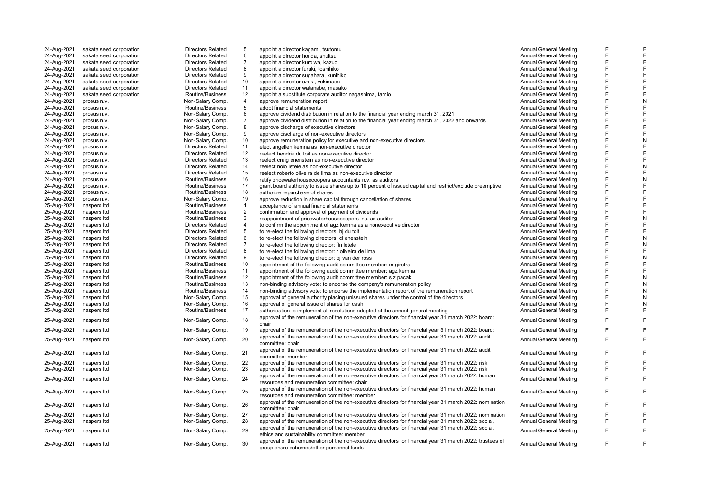| 24-Aug-2021 | sakata seed corporation | <b>Directors Related</b> | 5                  | appoint a director kagami, tsutomu                                                                        | <b>Annual General Meeting</b> |   |   |
|-------------|-------------------------|--------------------------|--------------------|-----------------------------------------------------------------------------------------------------------|-------------------------------|---|---|
| 24-Aug-2021 | sakata seed corporation | <b>Directors Related</b> | 6                  | appoint a director honda, shuitsu                                                                         | <b>Annual General Meeting</b> |   |   |
| 24-Aug-2021 | sakata seed corporation | <b>Directors Related</b> | $\overline{7}$     | appoint a director kuroiwa, kazuo                                                                         | <b>Annual General Meeting</b> |   |   |
| 24-Aug-2021 | sakata seed corporation | <b>Directors Related</b> | 8                  | appoint a director furuki, toshihiko                                                                      | Annual General Meeting        |   |   |
| 24-Aug-2021 | sakata seed corporation | <b>Directors Related</b> | 9                  | appoint a director sugahara, kunihiko                                                                     | <b>Annual General Meeting</b> |   |   |
| 24-Aug-2021 | sakata seed corporation | <b>Directors Related</b> | 10                 | appoint a director ozaki, yukimasa                                                                        | <b>Annual General Meeting</b> | E |   |
| 24-Aug-2021 | sakata seed corporation | <b>Directors Related</b> | 11                 | appoint a director watanabe, masako                                                                       | <b>Annual General Meeting</b> |   |   |
| 24-Aug-2021 | sakata seed corporation | Routine/Business         | 12                 | appoint a substitute corporate auditor nagashima, tamio                                                   | Annual General Meeting        | E |   |
| 24-Aug-2021 | prosus n.v.             | Non-Salary Comp.         | 4                  | approve remuneration report                                                                               | <b>Annual General Meeting</b> |   | N |
| 24-Aug-2021 | prosus n.v.             | Routine/Business         | 5                  | adopt financial statements                                                                                | <b>Annual General Meeting</b> |   |   |
| 24-Aug-2021 | prosus n.v.             | Non-Salary Comp.         | 6                  | approve dividend distribution in relation to the financial year ending march 31, 2021                     | <b>Annual General Meeting</b> | F |   |
| 24-Aug-2021 | prosus n.v.             | Non-Salary Comp.         | $\overline{7}$     | approve dividend distribution in relation to the financial year ending march 31, 2022 and onwards         | <b>Annual General Meeting</b> |   |   |
| 24-Aug-2021 | prosus n.v.             | Non-Salary Comp.         | 8                  | approve discharge of executive directors                                                                  | <b>Annual General Meeting</b> | E |   |
| 24-Aug-2021 | prosus n.v.             | Non-Salary Comp.         | 9                  | approve discharge of non-executive directors                                                              | <b>Annual General Meeting</b> |   |   |
| 24-Aug-2021 | prosus n.v.             | Non-Salary Comp.         | 10                 | approve remuneration policy for executive and non-executive directors                                     | <b>Annual General Meeting</b> |   |   |
| 24-Aug-2021 | prosus n.v.             | <b>Directors Related</b> | 11                 | elect angelien kemna as non-executive director                                                            | <b>Annual General Meeting</b> |   |   |
| 24-Aug-2021 | prosus n.v.             | <b>Directors Related</b> | 12                 | reelect hendrik du toit as non-executive director                                                         | <b>Annual General Meeting</b> |   |   |
| 24-Aug-2021 | prosus n.v.             | <b>Directors Related</b> | 13                 | reelect craig enenstein as non-executive director                                                         | <b>Annual General Meeting</b> | F |   |
| 24-Aug-2021 | prosus n.v.             | <b>Directors Related</b> | 14                 | reelect nolo letele as non-executive director                                                             | <b>Annual General Meeting</b> |   | N |
| 24-Aug-2021 | prosus n.v.             | <b>Directors Related</b> | 15                 | reelect roberto oliveira de lima as non-executive director                                                | <b>Annual General Meeting</b> | E |   |
| 24-Aug-2021 | prosus n.v.             | Routine/Business         | 16                 | ratify pricewaterhousecoopers accountants n.v. as auditors                                                | <b>Annual General Meeting</b> |   | N |
|             |                         | Routine/Business         | 17                 | grant board authority to issue shares up to 10 percent of issued capital and restrict/exclude preemptive  | Annual General Meeting        | E |   |
| 24-Aug-2021 | prosus n.v.             |                          | 18                 |                                                                                                           |                               |   |   |
| 24-Aug-2021 | prosus n.v.             | Routine/Business         |                    | authorize repurchase of shares                                                                            | <b>Annual General Meeting</b> |   |   |
| 24-Aug-2021 | prosus n.v.             | Non-Salary Comp.         | 19<br>$\mathbf{1}$ | approve reduction in share capital through cancellation of shares                                         | <b>Annual General Meeting</b> | E |   |
| 25-Aug-2021 | naspers Itd             | Routine/Business         |                    | acceptance of annual financial statements                                                                 | <b>Annual General Meeting</b> |   |   |
| 25-Aug-2021 | naspers Itd             | Routine/Business         | $\overline{2}$     | confirmation and approval of payment of dividends                                                         | Annual General Meeting        | E |   |
| 25-Aug-2021 | naspers Itd             | Routine/Business         | 3                  | reappointment of pricewaterhousecoopers inc. as auditor                                                   | <b>Annual General Meeting</b> |   | N |
| 25-Aug-2021 | naspers Itd             | <b>Directors Related</b> | $\overline{4}$     | to confirm the appointment of agz kemna as a nonexecutive director                                        | <b>Annual General Meeting</b> |   |   |
| 25-Aug-2021 | naspers Itd             | <b>Directors Related</b> | 5                  | to re-elect the following directors: hj du toit                                                           | <b>Annual General Meeting</b> |   |   |
| 25-Aug-2021 | naspers Itd             | <b>Directors Related</b> | 6                  | to re-elect the following directors: cl enenstein                                                         | <b>Annual General Meeting</b> | F | N |
| 25-Aug-2021 | naspers Itd             | <b>Directors Related</b> | $\overline{7}$     | to re-elect the following director: fin letele                                                            | <b>Annual General Meeting</b> |   | N |
| 25-Aug-2021 | naspers Itd             | <b>Directors Related</b> | 8                  | to re-elect the following director: r oliveira de lima                                                    | <b>Annual General Meeting</b> | E |   |
| 25-Aug-2021 | naspers Itd             | <b>Directors Related</b> | 9                  | to re-elect the following director: bj van der ross                                                       | <b>Annual General Meeting</b> |   |   |
| 25-Aug-2021 | naspers Itd             | Routine/Business         | 10                 | appointment of the following audit committee member: m girotra                                            | <b>Annual General Meeting</b> |   |   |
| 25-Aug-2021 | naspers Itd             | Routine/Business         | 11                 | appointment of the following audit committee member: agz kemna                                            | <b>Annual General Meeting</b> |   |   |
| 25-Aug-2021 | naspers Itd             | Routine/Business         | 12                 | appointment of the following audit committee member: siz pacak                                            | <b>Annual General Meeting</b> |   | N |
| 25-Aug-2021 | naspers Itd             | Routine/Business         | 13                 | non-binding advisory vote: to endorse the company's remuneration policy                                   | Annual General Meeting        | F |   |
| 25-Aug-2021 | naspers Itd             | Routine/Business         | 14                 | non-binding advisory vote: to endorse the implementation report of the remuneration report                | <b>Annual General Meeting</b> |   |   |
| 25-Aug-2021 | naspers Itd             | Non-Salary Comp.         | 15                 | approval of general authority placing unissued shares under the control of the directors                  | <b>Annual General Meeting</b> | E |   |
| 25-Aug-2021 | naspers Itd             | Non-Salary Comp.         | 16                 | approval of general issue of shares for cash                                                              | <b>Annual General Meeting</b> |   |   |
| 25-Aug-2021 | naspers Itd             | Routine/Business         | 17                 | authorisation to implement all resolutions adopted at the annual general meeting                          | <b>Annual General Meeting</b> |   |   |
|             |                         |                          |                    | approval of the remuneration of the non-executive directors for financial year 31 march 2022: board:      |                               | F |   |
| 25-Aug-2021 | naspers Itd             | Non-Salary Comp.         | 18                 | chair                                                                                                     | <b>Annual General Meeting</b> |   |   |
| 25-Aug-2021 | naspers Itd             | Non-Salary Comp.         | 19                 | approval of the remuneration of the non-executive directors for financial year 31 march 2022: board:      | <b>Annual General Meeting</b> |   | F |
|             |                         |                          |                    | approval of the remuneration of the non-executive directors for financial year 31 march 2022: audit       |                               |   | F |
| 25-Aug-2021 | naspers Itd             | Non-Salary Comp.         | 20                 | committee: chair                                                                                          | <b>Annual General Meeting</b> |   |   |
|             |                         |                          |                    | approval of the remuneration of the non-executive directors for financial year 31 march 2022: audit       |                               |   |   |
| 25-Aug-2021 | naspers Itd             | Non-Salary Comp.         | 21                 | committee: member                                                                                         | <b>Annual General Meeting</b> |   | F |
| 25-Aug-2021 | naspers Itd             | Non-Salary Comp.         | 22                 | approval of the remuneration of the non-executive directors for financial year 31 march 2022: risk        | <b>Annual General Meeting</b> |   |   |
| 25-Aug-2021 | naspers Itd             | Non-Salary Comp.         | 23                 | approval of the remuneration of the non-executive directors for financial year 31 march 2022: risk        | <b>Annual General Meeting</b> |   |   |
|             |                         |                          |                    | approval of the remuneration of the non-executive directors for financial year 31 march 2022: human       |                               |   |   |
| 25-Aug-2021 | naspers Itd             | Non-Salary Comp.         | 24                 | resources and remuneration committee: chair                                                               | <b>Annual General Meeting</b> |   | F |
|             |                         |                          |                    | approval of the remuneration of the non-executive directors for financial year 31 march 2022: human       |                               |   |   |
| 25-Aug-2021 | naspers Itd             | Non-Salary Comp.         | 25                 | resources and remuneration committee: member                                                              | <b>Annual General Meeting</b> |   | F |
|             |                         |                          |                    | approval of the remuneration of the non-executive directors for financial year 31 march 2022; nomination  |                               |   |   |
| 25-Aug-2021 | naspers Itd             | Non-Salary Comp.         | 26                 | committee: chair                                                                                          | <b>Annual General Meeting</b> |   | F |
| 25-Aug-2021 | naspers Itd             | Non-Salary Comp.         | 27                 | approval of the remuneration of the non-executive directors for financial year 31 march 2022: nomination  | <b>Annual General Meeting</b> |   |   |
| 25-Aug-2021 | naspers Itd             | Non-Salary Comp.         | 28                 | approval of the remuneration of the non-executive directors for financial year 31 march 2022: social,     | <b>Annual General Meeting</b> |   | F |
|             |                         |                          |                    | approval of the remuneration of the non-executive directors for financial year 31 march 2022: social,     |                               |   |   |
| 25-Aug-2021 | naspers Itd             | Non-Salary Comp.         | 29                 | ethics and sustainability committee: member                                                               | <b>Annual General Meeting</b> |   |   |
|             |                         |                          |                    | approval of the remuneration of the non-executive directors for financial year 31 march 2022: trustees of |                               |   |   |
| 25-Aug-2021 | naspers Itd             | Non-Salary Comp.         | 30                 | group share schemes/other personnel funds                                                                 | <b>Annual General Meeting</b> |   | F |
|             |                         |                          |                    |                                                                                                           |                               |   |   |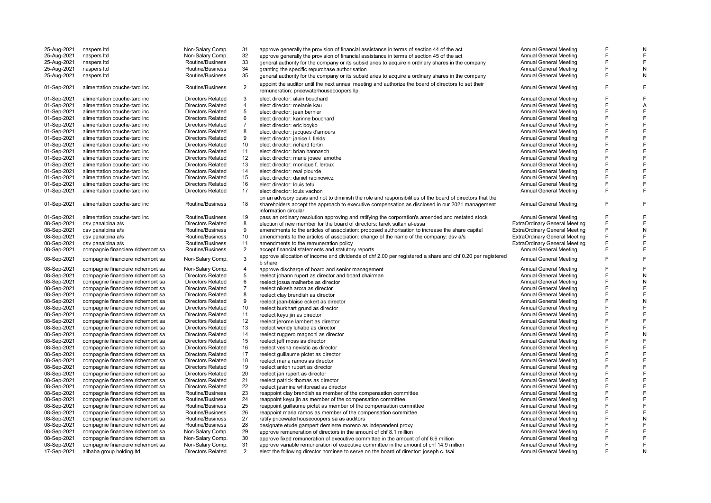| 25-Aug-2021                | naspers Itd                                                            | Non-Salary Comp.                     | 31                  | approve generally the provision of financial assistance in terms of section 44 of the act                                                                      | Annual General Meeting                                         | F | N |
|----------------------------|------------------------------------------------------------------------|--------------------------------------|---------------------|----------------------------------------------------------------------------------------------------------------------------------------------------------------|----------------------------------------------------------------|---|---|
|                            |                                                                        |                                      | 32                  |                                                                                                                                                                |                                                                | F | F |
| 25-Aug-2021                | naspers Itd                                                            | Non-Salary Comp.                     |                     | approve generally the provision of financial assistance in terms of section 45 of the act                                                                      | Annual General Meeting                                         |   |   |
| 25-Aug-2021                | naspers Itd                                                            | Routine/Business                     | 33                  | general authority for the company or its subsidiaries to acquire n ordinary shares in the company                                                              | <b>Annual General Meeting</b>                                  |   | F |
| 25-Aug-2021                | naspers Itd                                                            | Routine/Business                     | 34                  | granting the specific repurchase authorisation                                                                                                                 | <b>Annual General Meeting</b>                                  | F | N |
| 25-Aug-2021                | naspers Itd                                                            | Routine/Business                     | 35                  | general authority for the company or its subsidiaries to acquire a ordinary shares in the company                                                              | <b>Annual General Meeting</b>                                  | F | N |
| 01-Sep-2021                | alimentation couche-tard inc                                           | Routine/Business                     | 2                   | appoint the auditor until the next annual meeting and authorize the board of directors to set their<br>remuneration: pricewaterhousecoopers llp                | <b>Annual General Meeting</b>                                  | F | F |
| 01-Sep-2021                | alimentation couche-tard inc                                           | <b>Directors Related</b>             | 3                   | elect director: alain bouchard                                                                                                                                 | Annual General Meeting                                         | F | F |
|                            |                                                                        |                                      | $\overline{4}$      |                                                                                                                                                                |                                                                | F |   |
| 01-Sep-2021                | alimentation couche-tard inc                                           | <b>Directors Related</b>             |                     | elect director: melanie kau                                                                                                                                    | <b>Annual General Meeting</b>                                  |   | Α |
| 01-Sep-2021                | alimentation couche-tard inc                                           | <b>Directors Related</b>             | 5                   | elect director: jean bernier                                                                                                                                   | <b>Annual General Meeting</b>                                  |   | F |
| 01-Sep-2021                | alimentation couche-tard inc                                           | <b>Directors Related</b>             | 6                   | elect director: karinne bouchard                                                                                                                               | <b>Annual General Meeting</b>                                  |   | F |
| 01-Sep-2021                | alimentation couche-tard inc                                           | <b>Directors Related</b>             | $\overline{7}$      | elect director: eric boyko                                                                                                                                     | Annual General Meeting                                         |   | F |
| 01-Sep-2021                | alimentation couche-tard inc                                           | <b>Directors Related</b>             | 8                   | elect director: jacques d'amours                                                                                                                               | Annual General Meeting                                         | F | F |
| 01-Sep-2021                | alimentation couche-tard inc                                           | <b>Directors Related</b>             | 9                   | elect director: janice I. fields                                                                                                                               | Annual General Meeting                                         | F | F |
| 01-Sep-2021                | alimentation couche-tard inc                                           | <b>Directors Related</b>             | 10                  | elect director: richard fortin                                                                                                                                 | <b>Annual General Meeting</b>                                  |   | F |
| 01-Sep-2021                | alimentation couche-tard inc                                           | <b>Directors Related</b>             | 11                  | elect director: brian hannasch                                                                                                                                 | <b>Annual General Meeting</b>                                  |   | F |
| 01-Sep-2021                | alimentation couche-tard inc                                           | <b>Directors Related</b>             | 12                  |                                                                                                                                                                | Annual General Meeting                                         | F | F |
|                            |                                                                        |                                      |                     | elect director: marie josee lamothe                                                                                                                            |                                                                | F |   |
| 01-Sep-2021                | alimentation couche-tard inc                                           | <b>Directors Related</b>             | 13                  | elect director: monique f. leroux                                                                                                                              | Annual General Meeting                                         |   | F |
| 01-Sep-2021                | alimentation couche-tard inc                                           | <b>Directors Related</b>             | 14                  | elect director: real plourde                                                                                                                                   | Annual General Meeting                                         | F | F |
| 01-Sep-2021                | alimentation couche-tard inc                                           | <b>Directors Related</b>             | 15                  | elect director: daniel rabinowicz                                                                                                                              | <b>Annual General Meeting</b>                                  |   | F |
| 01-Sep-2021                | alimentation couche-tard inc                                           | <b>Directors Related</b>             | 16                  | elect director: louis tetu                                                                                                                                     | <b>Annual General Meeting</b>                                  | F | F |
| 01-Sep-2021                | alimentation couche-tard inc                                           | <b>Directors Related</b>             | 17                  | elect director: louis vachon                                                                                                                                   | <b>Annual General Meeting</b>                                  | F | F |
|                            |                                                                        |                                      |                     | on an advisory basis and not to diminish the role and responsibilities of the board of directors that the                                                      |                                                                |   |   |
| 01-Sep-2021                | alimentation couche-tard inc                                           | Routine/Business                     | 18                  | shareholders accept the approach to executive compensation as disclosed in our 2021 management<br>information circular                                         | <b>Annual General Meeting</b>                                  | F | E |
| 01-Sep-2021                | alimentation couche-tard inc                                           | Routine/Business                     | 19                  | pass an ordinary resolution approving and ratifying the corporation's amended and restated stock                                                               | <b>Annual General Meeting</b>                                  |   |   |
| 08-Sep-2021                | dsv panalpina a/s                                                      | <b>Directors Related</b>             | 8                   | election of new member for the board of directors: tarek sultan al-essa                                                                                        | <b>ExtraOrdinary General Meeting</b>                           | F | F |
| 08-Sep-2021                | dsv panalpina a/s                                                      | Routine/Business                     | 9                   | amendments to the articles of association: proposed authorisation to increase the share capital                                                                | <b>ExtraOrdinary General Meeting</b>                           | F | N |
| 08-Sep-2021                | dsv panalpina a/s                                                      | Routine/Business                     | 10                  | amendments to the articles of association: change of the name of the company: dsv a/s                                                                          | <b>ExtraOrdinary General Meeting</b>                           | F | F |
| 08-Sep-2021                | dsy panalpina a/s                                                      | Routine/Business                     | 11                  | amendments to the remuneration policy                                                                                                                          | <b>ExtraOrdinary General Meeting</b>                           | F | F |
|                            |                                                                        |                                      |                     |                                                                                                                                                                |                                                                | F | F |
| 08-Sep-2021<br>08-Sep-2021 | compagnie financiere richemont sa<br>compagnie financiere richemont sa | Routine/Business<br>Non-Salary Comp. | $\overline{2}$<br>3 | accept financial statements and statutory reports<br>approve allocation of income and dividends of chf 2.00 per registered a share and chf 0.20 per registered | <b>Annual General Meeting</b><br><b>Annual General Meeting</b> | F | F |
|                            |                                                                        |                                      |                     | b share                                                                                                                                                        |                                                                |   |   |
| 08-Sep-2021                | compagnie financiere richemont sa                                      | Non-Salary Comp.                     | $\overline{4}$      | approve discharge of board and senior management                                                                                                               | <b>Annual General Meeting</b>                                  |   | F |
| 08-Sep-2021                | compagnie financiere richemont sa                                      | <b>Directors Related</b>             | 5                   | reelect johann rupert as director and board chairman                                                                                                           | <b>Annual General Meeting</b>                                  | F | N |
| 08-Sep-2021                | compagnie financiere richemont sa                                      | <b>Directors Related</b>             | 6                   | reelect josua malherbe as director                                                                                                                             | <b>Annual General Meeting</b>                                  |   | N |
| 08-Sep-2021                | compagnie financiere richemont sa                                      | <b>Directors Related</b>             | $\overline{7}$      | reelect nikesh arora as director                                                                                                                               | <b>Annual General Meeting</b>                                  | F | F |
| 08-Sep-2021                | compagnie financiere richemont sa                                      | <b>Directors Related</b>             | 8                   | reelect clay brendish as director                                                                                                                              | <b>Annual General Meeting</b>                                  | F | F |
| 08-Sep-2021                | compagnie financiere richemont sa                                      | <b>Directors Related</b>             | 9                   | reelect jean-blaise eckert as director                                                                                                                         | Annual General Meeting                                         | F | N |
| 08-Sep-2021                | compagnie financiere richemont sa                                      | <b>Directors Related</b>             | 10                  | reelect burkhart grund as director                                                                                                                             | Annual General Meeting                                         |   | F |
|                            |                                                                        | <b>Directors Related</b>             | 11                  |                                                                                                                                                                | <b>Annual General Meeting</b>                                  |   | F |
| 08-Sep-2021                | compagnie financiere richemont sa                                      |                                      |                     | reelect keyu jin as director                                                                                                                                   |                                                                |   | F |
| 08-Sep-2021                | compagnie financiere richemont sa                                      | <b>Directors Related</b>             | 12                  | reelect jerome lambert as director                                                                                                                             | Annual General Meeting                                         |   |   |
| 08-Sep-2021                | compagnie financiere richemont sa                                      | <b>Directors Related</b>             | 13                  | reelect wendy luhabe as director                                                                                                                               | <b>Annual General Meeting</b>                                  |   | F |
| 08-Sep-2021                | compagnie financiere richemont sa                                      | <b>Directors Related</b>             | 14                  | reelect ruggero magnoni as director                                                                                                                            | <b>Annual General Meeting</b>                                  | F | N |
| 08-Sep-2021                | compagnie financiere richemont sa                                      | <b>Directors Related</b>             | 15                  | reelect jeff moss as director                                                                                                                                  | <b>Annual General Meeting</b>                                  |   | F |
| 08-Sep-2021                | compagnie financiere richemont sa                                      | <b>Directors Related</b>             | 16                  | reelect vesna nevistic as director                                                                                                                             | <b>Annual General Meeting</b>                                  |   | F |
| 08-Sep-2021                | compagnie financiere richemont sa                                      | <b>Directors Related</b>             | 17                  | reelect guillaume pictet as director                                                                                                                           | Annual General Meeting                                         | F | F |
| 08-Sep-2021                | compagnie financiere richemont sa                                      | <b>Directors Related</b>             | 18                  | reelect maria ramos as director                                                                                                                                | <b>Annual General Meeting</b>                                  |   | F |
| 08-Sep-2021                | compagnie financiere richemont sa                                      | <b>Directors Related</b>             | 19                  | reelect anton rupert as director                                                                                                                               | <b>Annual General Meeting</b>                                  | F | F |
| 08-Sep-2021                | compagnie financiere richemont sa                                      | <b>Directors Related</b>             | 20                  | reelect jan rupert as director                                                                                                                                 | <b>Annual General Meeting</b>                                  |   | F |
| 08-Sep-2021                | compagnie financiere richemont sa                                      | <b>Directors Related</b>             | 21                  | reelect patrick thomas as director                                                                                                                             | <b>Annual General Meeting</b>                                  |   | F |
|                            |                                                                        | <b>Directors Related</b>             | 22                  |                                                                                                                                                                | Annual General Meeting                                         |   | F |
| 08-Sep-2021                | compagnie financiere richemont sa                                      |                                      |                     | reelect jasmine whitbread as director                                                                                                                          |                                                                | F | F |
| 08-Sep-2021                | compagnie financiere richemont sa                                      | Routine/Business                     | 23                  | reappoint clay brendish as member of the compensation committee                                                                                                | <b>Annual General Meeting</b>                                  |   |   |
| 08-Sep-2021                | compagnie financiere richemont sa                                      | Routine/Business                     | 24                  | reappoint keyu jin as member of the compensation committee                                                                                                     | <b>Annual General Meeting</b>                                  | F | F |
| 08-Sep-2021                | compagnie financiere richemont sa                                      | Routine/Business                     | 25                  | reappoint guillaume pictet as member of the compensation committee                                                                                             | <b>Annual General Meeting</b>                                  | F | F |
| 08-Sep-2021                | compagnie financiere richemont sa                                      | Routine/Business                     | 26                  | reappoint maria ramos as member of the compensation committee                                                                                                  | <b>Annual General Meeting</b>                                  |   | F |
| 08-Sep-2021                | compagnie financiere richemont sa                                      | Routine/Business                     | 27                  | ratify pricewaterhousecoopers sa as auditors                                                                                                                   | <b>Annual General Meeting</b>                                  |   | N |
| 08-Sep-2021                | compagnie financiere richemont sa                                      | Routine/Business                     | 28                  | designate etude gampert demierre moreno as independent proxy                                                                                                   | Annual General Meeting                                         | F | F |
| 08-Sep-2021                | compagnie financiere richemont sa                                      | Non-Salary Comp.                     | 29                  | approve remuneration of directors in the amount of chf 8.1 million                                                                                             | <b>Annual General Meeting</b>                                  |   | F |
| 08-Sep-2021                | compagnie financiere richemont sa                                      | Non-Salary Comp.                     | 30                  | approve fixed remuneration of executive committee in the amount of chf 6.6 million                                                                             | <b>Annual General Meeting</b>                                  |   | F |
| 08-Sep-2021                | compagnie financiere richemont sa                                      | Non-Salary Comp.                     | 31                  | approve variable remuneration of executive committee in the amount of chf 14.9 million                                                                         | <b>Annual General Meeting</b>                                  | F | F |
| 17-Sep-2021                | alibaba group holding Itd                                              | <b>Directors Related</b>             | 2                   | elect the following director nominee to serve on the board of director: joseph c. tsai                                                                         | <b>Annual General Meeting</b>                                  |   | N |
|                            |                                                                        |                                      |                     |                                                                                                                                                                |                                                                |   |   |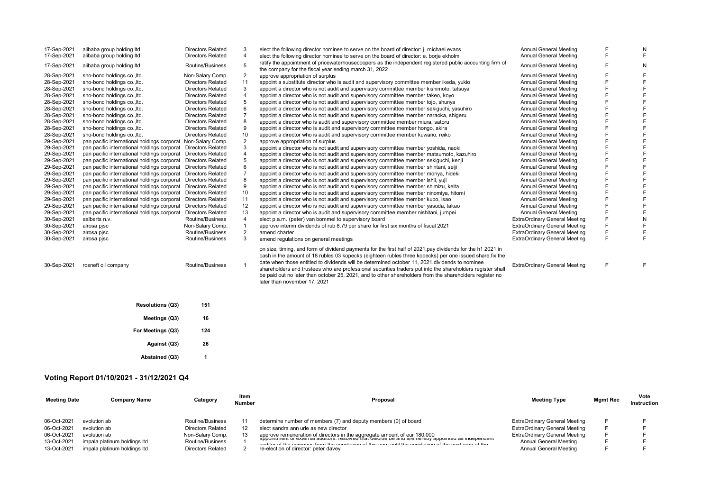| 17-Sep-2021 | alibaba group holding Itd                   | <b>Directors Related</b> | 3                       | elect the following director nominee to serve on the board of director: j. michael evans                                                                                                                                                                                                                                                                                                                                                                                                                                                                                         | <b>Annual General Meeting</b>        | F | N |
|-------------|---------------------------------------------|--------------------------|-------------------------|----------------------------------------------------------------------------------------------------------------------------------------------------------------------------------------------------------------------------------------------------------------------------------------------------------------------------------------------------------------------------------------------------------------------------------------------------------------------------------------------------------------------------------------------------------------------------------|--------------------------------------|---|---|
| 17-Sep-2021 | alibaba group holding Itd                   | <b>Directors Related</b> | $\overline{4}$          | elect the following director nominee to serve on the board of director: e. borje ekholm                                                                                                                                                                                                                                                                                                                                                                                                                                                                                          | <b>Annual General Meeting</b>        | F |   |
| 17-Sep-2021 | alibaba group holding Itd                   | Routine/Business         | 5                       | ratify the appointment of pricewaterhousecoopers as the independent registered public accounting firm of<br>the company for the fiscal year ending march 31, 2022                                                                                                                                                                                                                                                                                                                                                                                                                | <b>Annual General Meeting</b>        | F | N |
| 28-Sep-2021 | sho-bond holdings co., ltd.                 | Non-Salary Comp.         | 2                       | approve appropriation of surplus                                                                                                                                                                                                                                                                                                                                                                                                                                                                                                                                                 | Annual General Meeting               |   |   |
| 28-Sep-2021 | sho-bond holdings co., ltd.                 | <b>Directors Related</b> | 11                      | appoint a substitute director who is audit and supervisory committee member ikeda, yukio                                                                                                                                                                                                                                                                                                                                                                                                                                                                                         | Annual General Meeting               | E |   |
| 28-Sep-2021 | sho-bond holdings co., ltd.                 | <b>Directors Related</b> | 3                       | appoint a director who is not audit and supervisory committee member kishimoto, tatsuya                                                                                                                                                                                                                                                                                                                                                                                                                                                                                          | <b>Annual General Meeting</b>        | E |   |
| 28-Sep-2021 | sho-bond holdings co., ltd.                 | <b>Directors Related</b> |                         | appoint a director who is not audit and supervisory committee member takeo, koyo                                                                                                                                                                                                                                                                                                                                                                                                                                                                                                 | <b>Annual General Meeting</b>        | F |   |
| 28-Sep-2021 | sho-bond holdings co., ltd.                 | <b>Directors Related</b> | 5                       | appoint a director who is not audit and supervisory committee member tojo, shunya                                                                                                                                                                                                                                                                                                                                                                                                                                                                                                | Annual General Meeting               | F |   |
| 28-Sep-2021 | sho-bond holdings co., ltd.                 | <b>Directors Related</b> |                         | appoint a director who is not audit and supervisory committee member sekiguchi, yasuhiro                                                                                                                                                                                                                                                                                                                                                                                                                                                                                         | <b>Annual General Meeting</b>        |   |   |
| 28-Sep-2021 | sho-bond holdings co., ltd.                 | <b>Directors Related</b> |                         | appoint a director who is not audit and supervisory committee member naraoka, shigeru                                                                                                                                                                                                                                                                                                                                                                                                                                                                                            | <b>Annual General Meeting</b>        | F |   |
| 28-Sep-2021 | sho-bond holdings co., ltd.                 | <b>Directors Related</b> | 8                       | appoint a director who is audit and supervisory committee member miura, satoru                                                                                                                                                                                                                                                                                                                                                                                                                                                                                                   | Annual General Meeting               | E |   |
| 28-Sep-2021 | sho-bond holdings co., ltd.                 | <b>Directors Related</b> | 9                       | appoint a director who is audit and supervisory committee member hongo, akira                                                                                                                                                                                                                                                                                                                                                                                                                                                                                                    | <b>Annual General Meeting</b>        |   |   |
| 28-Sep-2021 | sho-bond holdings co., ltd.                 | <b>Directors Related</b> | 10                      | appoint a director who is audit and supervisory committee member kuwano, reiko                                                                                                                                                                                                                                                                                                                                                                                                                                                                                                   | <b>Annual General Meeting</b>        | E |   |
| 29-Sep-2021 | pan pacific international holdings corporat | Non-Salary Comp.         | $\overline{2}$          | approve appropriation of surplus                                                                                                                                                                                                                                                                                                                                                                                                                                                                                                                                                 | <b>Annual General Meeting</b>        | E |   |
| 29-Sep-2021 | pan pacific international holdings corporat | <b>Directors Related</b> | 3                       | appoint a director who is not audit and supervisory committee member yoshida, naoki                                                                                                                                                                                                                                                                                                                                                                                                                                                                                              | <b>Annual General Meeting</b>        |   |   |
| 29-Sep-2021 | pan pacific international holdings corporat | <b>Directors Related</b> | $\overline{4}$          | appoint a director who is not audit and supervisory committee member matsumoto, kazuhiro                                                                                                                                                                                                                                                                                                                                                                                                                                                                                         | <b>Annual General Meeting</b>        | F |   |
| 29-Sep-2021 | pan pacific international holdings corporat | <b>Directors Related</b> |                         | appoint a director who is not audit and supervisory committee member sekiguchi, kenji                                                                                                                                                                                                                                                                                                                                                                                                                                                                                            | Annual General Meeting               | F |   |
| 29-Sep-2021 | pan pacific international holdings corporat | <b>Directors Related</b> | 6                       | appoint a director who is not audit and supervisory committee member shintani, seiji                                                                                                                                                                                                                                                                                                                                                                                                                                                                                             | Annual General Meeting               | E |   |
| 29-Sep-2021 | pan pacific international holdings corporat | <b>Directors Related</b> |                         | appoint a director who is not audit and supervisory committee member moriva, hideki                                                                                                                                                                                                                                                                                                                                                                                                                                                                                              | <b>Annual General Meeting</b>        | E |   |
| 29-Sep-2021 | pan pacific international holdings corporat | <b>Directors Related</b> | 8                       | appoint a director who is not audit and supervisory committee member ishii, yuji                                                                                                                                                                                                                                                                                                                                                                                                                                                                                                 | Annual General Meeting               |   |   |
| 29-Sep-2021 | pan pacific international holdings corporat | <b>Directors Related</b> | 9                       | appoint a director who is not audit and supervisory committee member shimizu, keita                                                                                                                                                                                                                                                                                                                                                                                                                                                                                              | <b>Annual General Meeting</b>        | F |   |
| 29-Sep-2021 | pan pacific international holdings corporat | <b>Directors Related</b> | 10                      | appoint a director who is not audit and supervisory committee member ninomiya, hitomi                                                                                                                                                                                                                                                                                                                                                                                                                                                                                            | <b>Annual General Meeting</b>        | F |   |
| 29-Sep-2021 | pan pacific international holdings corporat | <b>Directors Related</b> | 11                      | appoint a director who is not audit and supervisory committee member kubo, isao                                                                                                                                                                                                                                                                                                                                                                                                                                                                                                  | <b>Annual General Meeting</b>        | E |   |
| 29-Sep-2021 | pan pacific international holdings corporat | <b>Directors Related</b> | 12                      | appoint a director who is not audit and supervisory committee member yasuda, takao                                                                                                                                                                                                                                                                                                                                                                                                                                                                                               | Annual General Meeting               | F |   |
| 29-Sep-2021 | pan pacific international holdings corporat | <b>Directors Related</b> | 13                      | appoint a director who is audit and supervisory committee member nishitani, jumpei                                                                                                                                                                                                                                                                                                                                                                                                                                                                                               | <b>Annual General Meeting</b>        | F |   |
| 30-Sep-2021 | aalberts n.v.                               | Routine/Business         | $\overline{\mathbf{A}}$ | elect p.a.m. (peter) van bommel to supervisory board                                                                                                                                                                                                                                                                                                                                                                                                                                                                                                                             | <b>ExtraOrdinary General Meeting</b> | F |   |
| 30-Sep-2021 | alrosa pjsc                                 | Non-Salary Comp.         |                         | approve interim dividends of rub 8.79 per share for first six months of fiscal 2021                                                                                                                                                                                                                                                                                                                                                                                                                                                                                              | <b>ExtraOrdinary General Meeting</b> | F |   |
| 30-Sep-2021 | alrosa pisc                                 | Routine/Business         | $\overline{2}$          | amend charter                                                                                                                                                                                                                                                                                                                                                                                                                                                                                                                                                                    | <b>ExtraOrdinary General Meeting</b> | F |   |
| 30-Sep-2021 | alrosa pjsc                                 | Routine/Business         | 3                       | amend regulations on general meetings                                                                                                                                                                                                                                                                                                                                                                                                                                                                                                                                            | ExtraOrdinary General Meeting        | F |   |
| 30-Sep-2021 | rosneft oil company                         | Routine/Business         |                         | on size, timing, and form of dividend payments for the first half of 2021 pay dividends for the h1 2021 in<br>cash in the amount of 18 rubles 03 kopecks (eighteen rubles three kopecks) per one issued share fix the<br>date when those entitled to dividends will be determined october 11, 2021 dividends to nominee<br>shareholders and trustees who are professional securities traders put into the shareholders register shall<br>be paid out no later than october 25, 2021, and to other shareholders from the shareholders register no<br>later than november 17, 2021 | <b>ExtraOrdinary General Meeting</b> | F |   |
|             | <b>Resolutions (Q3)</b><br>Meetings (Q3)    | 151<br>16                |                         |                                                                                                                                                                                                                                                                                                                                                                                                                                                                                                                                                                                  |                                      |   |   |
|             |                                             |                          |                         |                                                                                                                                                                                                                                                                                                                                                                                                                                                                                                                                                                                  |                                      |   |   |
|             | For Meetings (Q3)                           | 124                      |                         |                                                                                                                                                                                                                                                                                                                                                                                                                                                                                                                                                                                  |                                      |   |   |
|             | Against (Q3)                                | 26                       |                         |                                                                                                                                                                                                                                                                                                                                                                                                                                                                                                                                                                                  |                                      |   |   |

## **Voting Report 01/10/2021 - 31/12/2021 Q4**

**Abstained (Q3) 1**

| <b>Meeting Date</b> | <b>Company Name</b>          | Category                 | ltem<br><b>Number</b> | Proposal                                                                                                                                                                                                  | <b>Meeting Type</b>           | <b>Mgmt Rec</b> | Vote<br>Instruction |
|---------------------|------------------------------|--------------------------|-----------------------|-----------------------------------------------------------------------------------------------------------------------------------------------------------------------------------------------------------|-------------------------------|-----------------|---------------------|
| 06-Oct-2021         | evolution ab                 | Routine/Business         |                       | determine number of members (7) and deputy members (0) of board                                                                                                                                           | ExtraOrdinary General Meeting |                 |                     |
| 06-Oct-2021         | evolution ab                 | <b>Directors Related</b> |                       | elect sandra ann urie as new director                                                                                                                                                                     | ExtraOrdinary General Meeting |                 |                     |
| 06-Oct-2021         | evolution ab                 | Non-Salary Comp.         |                       | approve remuneration of directors in the aggregate amount of eur 180,000                                                                                                                                  | ExtraOrdinary General Meeting |                 |                     |
| 13-Oct-2021         | impala platinum holdings Itd | Routine/Business         |                       | appointment or external auditors, resolved that deloitte be and are nereby appointed as independent<br>ouditor of the company from the conclusion of this cam until the conclusion of the next cam of the | Annual General Meeting        |                 |                     |
| 13-Oct-2021         | impala platinum holdings ltd | <b>Directors Related</b> |                       | re-election of director: peter davey                                                                                                                                                                      | Annual General Meeting        |                 |                     |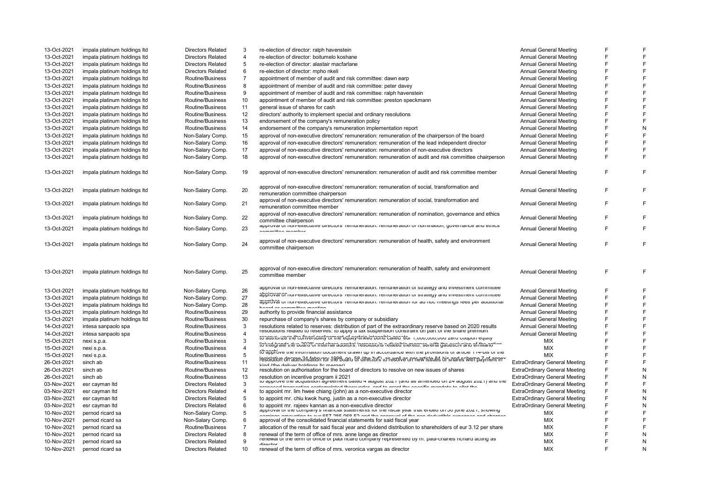| 13-Oct-2021                | impala platinum holdings Itd         | <b>Directors Related</b>                             | 3                       | re-election of director: ralph havenstein                                                                                                                                                                                                                          | <b>Annual General Meeting</b>        |        |        |
|----------------------------|--------------------------------------|------------------------------------------------------|-------------------------|--------------------------------------------------------------------------------------------------------------------------------------------------------------------------------------------------------------------------------------------------------------------|--------------------------------------|--------|--------|
| 13-Oct-2021                | impala platinum holdings Itd         | <b>Directors Related</b>                             | $\overline{4}$          | re-election of director: boitumelo koshane                                                                                                                                                                                                                         | <b>Annual General Meeting</b>        | F      |        |
| 13-Oct-2021                | impala platinum holdings Itd         | <b>Directors Related</b>                             | 5                       | re-election of director: alastair macfarlane                                                                                                                                                                                                                       | <b>Annual General Meeting</b>        |        |        |
| 13-Oct-2021                | impala platinum holdings Itd         | <b>Directors Related</b>                             | 6                       | re-election of director: mpho nkeli                                                                                                                                                                                                                                | <b>Annual General Meeting</b>        | E      |        |
| 13-Oct-2021                | impala platinum holdings Itd         | Routine/Business                                     | $\overline{7}$          | appointment of member of audit and risk committee: dawn earp                                                                                                                                                                                                       | <b>Annual General Meeting</b>        | F      | F      |
| 13-Oct-2021                | impala platinum holdings Itd         | Routine/Business                                     | 8                       | appointment of member of audit and risk committee: peter davey                                                                                                                                                                                                     | Annual General Meeting               |        |        |
| 13-Oct-2021                | impala platinum holdings Itd         | Routine/Business                                     | 9                       | appointment of member of audit and risk committee: ralph havenstein                                                                                                                                                                                                | <b>Annual General Meeting</b>        | E      |        |
| 13-Oct-2021                | impala platinum holdings Itd         | Routine/Business                                     | 10                      | appointment of member of audit and risk committee: preston speckmann                                                                                                                                                                                               | <b>Annual General Meeting</b>        | F      |        |
| 13-Oct-2021                | impala platinum holdings Itd         | Routine/Business                                     | 11                      | general issue of shares for cash                                                                                                                                                                                                                                   | <b>Annual General Meeting</b>        | F      |        |
| 13-Oct-2021                | impala platinum holdings Itd         | Routine/Business                                     | 12                      | directors' authority to implement special and ordinary resolutions                                                                                                                                                                                                 | <b>Annual General Meeting</b>        | F      |        |
| 13-Oct-2021                | impala platinum holdings Itd         | Routine/Business                                     | 13                      | endorsement of the company's remuneration policy                                                                                                                                                                                                                   | <b>Annual General Meeting</b>        | F      |        |
| 13-Oct-2021                | impala platinum holdings Itd         | Routine/Business                                     | 14                      | endorsement of the company's remuneration implementation report                                                                                                                                                                                                    | <b>Annual General Meeting</b>        | E      |        |
| 13-Oct-2021                | impala platinum holdings Itd         | Non-Salary Comp.                                     | 15                      | approval of non-executive directors' remuneration: remuneration of the chairperson of the board                                                                                                                                                                    | <b>Annual General Meeting</b>        | F      |        |
| 13-Oct-2021                | impala platinum holdings Itd         | Non-Salary Comp.                                     | 16                      | approval of non-executive directors' remuneration: remuneration of the lead independent director                                                                                                                                                                   | <b>Annual General Meeting</b>        | F      |        |
| 13-Oct-2021                | impala platinum holdings Itd         | Non-Salary Comp.                                     | 17                      | approval of non-executive directors' remuneration: remuneration of non-executive directors                                                                                                                                                                         | <b>Annual General Meeting</b>        | F      |        |
| 13-Oct-2021                | impala platinum holdings Itd         | Non-Salary Comp.                                     | 18                      | approval of non-executive directors' remuneration: remuneration of audit and risk committee chairperson                                                                                                                                                            | <b>Annual General Meeting</b>        | F      |        |
|                            |                                      |                                                      |                         |                                                                                                                                                                                                                                                                    |                                      |        |        |
| 13-Oct-2021                | impala platinum holdings Itd         | Non-Salary Comp.                                     | 19                      | approval of non-executive directors' remuneration: remuneration of audit and risk committee member                                                                                                                                                                 | <b>Annual General Meeting</b>        | E      |        |
| 13-Oct-2021                | impala platinum holdings Itd         | Non-Salary Comp.                                     | 20                      | approval of non-executive directors' remuneration: remuneration of social, transformation and<br>remuneration committee chairperson                                                                                                                                | <b>Annual General Meeting</b>        |        |        |
|                            |                                      |                                                      |                         | approval of non-executive directors' remuneration: remuneration of social, transformation and                                                                                                                                                                      |                                      |        |        |
| 13-Oct-2021                | impala platinum holdings Itd         | Non-Salary Comp.                                     | 21                      | remuneration committee member                                                                                                                                                                                                                                      | <b>Annual General Meeting</b>        | F      |        |
| 13-Oct-2021                | impala platinum holdings Itd         | Non-Salary Comp.                                     | 22                      | approval of non-executive directors' remuneration: remuneration of nomination, governance and ethics                                                                                                                                                               | <b>Annual General Meeting</b>        |        |        |
| 13-Oct-2021                | impala platinum holdings Itd         | Non-Salary Comp.                                     | 23                      | committee chairperson<br>approvar or non-executive directors Termineration. remuneration or nomination, governance and ethics                                                                                                                                      | <b>Annual General Meeting</b>        |        | F      |
|                            |                                      |                                                      |                         | sammillas mambar                                                                                                                                                                                                                                                   |                                      |        |        |
| 13-Oct-2021                | impala platinum holdings Itd         | Non-Salary Comp.                                     | 24                      | approval of non-executive directors' remuneration: remuneration of health, safety and environment<br>committee chairperson                                                                                                                                         | <b>Annual General Meeting</b>        | F      | F      |
|                            |                                      |                                                      |                         |                                                                                                                                                                                                                                                                    |                                      |        |        |
| 13-Oct-2021                | impala platinum holdings Itd         | Non-Salary Comp.                                     | 25                      | approval of non-executive directors' remuneration: remuneration of health, safety and environment<br>committee member                                                                                                                                              | <b>Annual General Meeting</b>        | F      | F      |
| 13-Oct-2021                | impala platinum holdings Itd         | Non-Salary Comp.                                     | 26                      | approvarior non-executive unectors remaineration, remaineration or strategy and investment committee                                                                                                                                                               | <b>Annual General Meeting</b>        | F      |        |
| 13-Oct-2021                | impala platinum holdings Itd         | Non-Salary Comp.                                     | 27                      | approvaronnon-executive unectors remuneration, remuneration or strategy and investment committee                                                                                                                                                                   | <b>Annual General Meeting</b>        | E      |        |
| 13-Oct-2021                | impala platinum holdings Itd         | Non-Salary Comp.                                     | 28                      | approvar or non-executive directors remuneration, remuneration for ad noc meetings rees per additional                                                                                                                                                             | <b>Annual General Meeting</b>        | F      |        |
| 13-Oct-2021                | impala platinum holdings Itd         | Routine/Business                                     | 29                      | بمالحميه ممللا مستحمرتم المحمط<br>authority to provide financial assistance                                                                                                                                                                                        | <b>Annual General Meeting</b>        | F      |        |
| 13-Oct-2021                | impala platinum holdings Itd         | Routine/Business                                     | 30                      | repurchase of company's shares by company or subsidiary                                                                                                                                                                                                            | <b>Annual General Meeting</b>        | F      |        |
| 14-Oct-2021                | intesa sanpaolo spa                  | Routine/Business                                     | 3                       | resolutions related to reserves: distribution of part of the extraordinary reserve based on 2020 results                                                                                                                                                           | <b>Annual General Meeting</b>        | F      |        |
| 14-Oct-2021                | intesa sanpaolo spa                  | Routine/Business                                     | $\overline{4}$          | resolutions related to reserves, to apply a tax suspension constraint on part of the share premium                                                                                                                                                                 | <b>Annual General Meeting</b>        | F      |        |
| 15-Oct-2021                | nexi s.p.a.                          | Routine/Business                                     | 3                       | to autriorize me cofiver limity or me equity-finite disordi baned for into yout out zero coupon equity                                                                                                                                                             | MIX                                  | E      |        |
| 15-Oct-2021                |                                      |                                                      |                         |                                                                                                                                                                                                                                                                    |                                      | F      |        |
|                            |                                      |                                                      |                         | lio indebate the polar of the natural method of the control of the polar international control of the notion                                                                                                                                                       |                                      |        |        |
|                            | nexi s.p.a.                          | Routine/Business                                     | $\overline{\mathbf{A}}$ | tö approve me information document drawn up in accordance with the provisions or anticle in 4-bis or the                                                                                                                                                           | <b>MIX</b>                           |        |        |
| 15-Oct-2021                | nexi s.p.a.                          | Routine/Business                                     | 5                       | lesiolation on aanolisatorinor the Board 5P difectors' to resolve on new issues birsnares wampayment in                                                                                                                                                            | MIX                                  | F      |        |
| 26-Oct-2021                | sinch ab                             | Routine/Business                                     | 11                      | lifind (the deliver holdings lie morger)                                                                                                                                                                                                                           | <b>ExtraOrdinary General Meeting</b> | E      |        |
| 26-Oct-2021                | sinch ab                             | Routine/Business                                     | 12                      | resolution on authorisation for the board of directors to resolve on new issues of shares                                                                                                                                                                          | <b>ExtraOrdinary General Meeting</b> | F      | Ν      |
| 26-Oct-2021                | sinch ab                             | Routine/Business                                     | 13                      | resolution on incentive program ii 2021                                                                                                                                                                                                                            | <b>ExtraOrdinary General Meeting</b> | F      | N      |
| 03-Nov-2021                | esr cayman Itd                       | <b>Directors Related</b>                             | 3                       | to approve the acquisition agreement dated 4 august zoz i (and as amended on z4 august zoz i) and the<br>ned treneentien eentempleted thereunder, and to arent the eneallic mendete to allet the                                                                   | <b>ExtraOrdinary General Meeting</b> | F      | F      |
| 03-Nov-2021                | esr cayman Itd                       | <b>Directors Related</b>                             | $\overline{4}$          | to appoint mr. lim hwee chiang (john) as a non-executive director                                                                                                                                                                                                  | <b>ExtraOrdinary General Meeting</b> | F      | N      |
| 03-Nov-2021                | esr cayman Itd                       | <b>Directors Related</b>                             | 5                       | to appoint mr. chiu kwok hung, justin as a non-executive director                                                                                                                                                                                                  | <b>ExtraOrdinary General Meeting</b> | F      | Ν      |
| 03-Nov-2021                | esr cayman Itd                       | <b>Directors Related</b>                             | 6                       |                                                                                                                                                                                                                                                                    | <b>ExtraOrdinary General Meeting</b> | E      | N      |
| 10-Nov-2021                | pernod ricard sa                     | Non-Salary Comp.                                     | 5                       | to appoint mr. rajeev kannan as a non-executive director<br>approvaror ure company's imanciar statements for the itscar year that ended on 50 june zoz (, showing<br>nnarmtina ta are CE7 00E 000 E0 and the annearal of the non-dedicatible overnoon and oberance | <b>MIX</b>                           | E      |        |
| 10-Nov-2021                | pernod ricard sa                     | Non-Salary Comp.                                     | 6                       | approval of the consolidated financial statements for said fiscal year                                                                                                                                                                                             | <b>MIX</b>                           | E      |        |
| 10-Nov-2021                | pernod ricard sa                     | Routine/Business                                     | $\overline{7}$          | allocation of the result for said fiscal year and dividend distribution to shareholders of eur 3.12 per share                                                                                                                                                      | <b>MIX</b>                           | E      |        |
| 10-Nov-2021                | pernod ricard sa                     | <b>Directors Related</b>                             | 8                       | renewal of the term of office of mrs. anne lange as director                                                                                                                                                                                                       | MIX                                  |        | Ν      |
| 10-Nov-2021<br>10-Nov-2021 | pernod ricard sa<br>pernod ricard sa | <b>Directors Related</b><br><b>Directors Related</b> | 9<br>10                 | renewar or the term or onice or paul ncard company represented by m. paul-charles nchard acting as<br>alternation<br>renewal of the term of office of mrs. veronica vargas as director                                                                             | <b>MIX</b><br><b>MIX</b>             | E<br>F | N<br>N |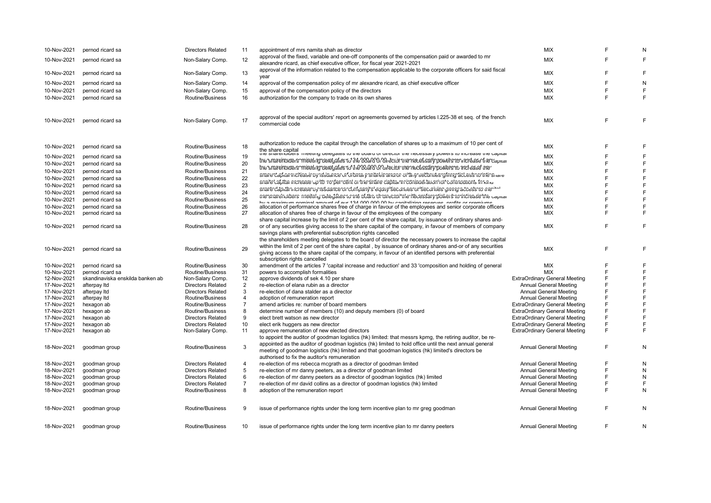| 10-Nov-2021 | pernod ricard sa                 | <b>Directors Related</b> | 11             | appointment of mrs namita shah as director                                                                                                                                                                  | <b>MIX</b>                           |   |   |
|-------------|----------------------------------|--------------------------|----------------|-------------------------------------------------------------------------------------------------------------------------------------------------------------------------------------------------------------|--------------------------------------|---|---|
| 10-Nov-2021 | pernod ricard sa                 | Non-Salary Comp.         | 12             | approval of the fixed, variable and one-off components of the compensation paid or awarded to mr                                                                                                            | <b>MIX</b>                           | E | E |
|             |                                  |                          |                | alexandre ricard, as chief executive officer, for fiscal year 2021-2021                                                                                                                                     |                                      |   |   |
| 10-Nov-2021 | pernod ricard sa                 | Non-Salary Comp.         | 13             | approval of the information related to the compensation applicable to the corporate officers for said fiscal                                                                                                | <b>MIX</b>                           | E | F |
|             |                                  |                          |                | year                                                                                                                                                                                                        |                                      | E |   |
| 10-Nov-2021 | pernod ricard sa                 | Non-Salary Comp.         | 14             | approval of the compensation policy of mr alexandre ricard, as chief executive officer                                                                                                                      | <b>MIX</b>                           | E | N |
| 10-Nov-2021 | pernod ricard sa                 | Non-Salary Comp.         | 15             | approval of the compensation policy of the directors                                                                                                                                                        | <b>MIX</b>                           |   | F |
| 10-Nov-2021 | pernod ricard sa                 | Routine/Business         | 16             | authorization for the company to trade on its own shares                                                                                                                                                    | <b>MIX</b>                           | E | F |
|             |                                  |                          |                |                                                                                                                                                                                                             |                                      |   |   |
|             |                                  |                          |                | approval of the special auditors' report on agreements governed by articles 1.225-38 et seg. of the french                                                                                                  |                                      |   |   |
| 10-Nov-2021 | pernod ricard sa                 | Non-Salary Comp.         | 17             | commercial code                                                                                                                                                                                             | MIX                                  | E | F |
|             |                                  |                          |                |                                                                                                                                                                                                             |                                      |   |   |
|             |                                  |                          |                |                                                                                                                                                                                                             |                                      |   |   |
| 10-Nov-2021 | pernod ricard sa                 | Routine/Business         | 18             | authorization to reduce the capital through the cancellation of shares up to a maximum of 10 per cent of                                                                                                    | <b>MIX</b>                           | F | F |
|             |                                  |                          |                | the share capital<br>the shareholders inteeting delegates to the board or director the necessary powers to increase the capital                                                                             | <b>MIX</b>                           | E | F |
| 10-Nov-2021 | pernod ricard sa                 | Routine/Business         | 19             | the smaremolders mieeting delegates to the 000.000 Chector the necessary powers to increase the capital                                                                                                     |                                      |   |   |
| 10-Nov-2021 | pernod ricard sa                 | Routine/Business         | 20             | hiersmaneinolidersomieetlinghoelietyateshtofthefoodionOnfultectonhinennecessatrypowtensholmicheaset meh                                                                                                     | <b>MIX</b>                           | E | E |
| 10-Nov-2021 | pernod ricard sa                 | Routine/Business         | 21             | smare daplica miditease by issuance of orbinal y shiares and or bita iy sedboutes giorn tacless for intersitate                                                                                             | <b>MIX</b>                           | E | F |
| 10-Nov-2021 | pernod ricard sa                 | Routine/Business         | 22             | snaifel capital increase up to no per cent or the share capital in consideration for collumorations in kind                                                                                                 | <b>MIX</b>                           | E | F |
| 10-Nov-2021 | pernod ricard sa                 | Routine/Business         | 23             |                                                                                                                                                                                                             | <b>MIX</b>                           | F | F |
| 10-Nov-2021 | pernod ricard sa                 | Routine/Business         | 24             | snare dapitan idrease by issuance on donfpany's lequity securities or securities giving access to me "~"                                                                                                    | <b>MIX</b>                           | F | E |
| 10-Nov-2021 | pernod ricard sa                 | Routine/Business         | 25             | mersmanelnorders inneeting radieg alles to the obthin of undecroint interifecessary plowers to indirease the capital                                                                                        | <b>MIX</b>                           | E | E |
| 10-Nov-2021 | pernod ricard sa                 | Routine/Business         | 26             | hu a mavimum naminal amount of our 194.000.000.00 hu conitalizing recenses, profits or promiume<br>allocation of performance shares free of charge in favour of the employees and senior corporate officers | <b>MIX</b>                           | E | E |
| 10-Nov-2021 | pernod ricard sa                 | Routine/Business         | 27             | allocation of shares free of charge in favour of the employees of the company                                                                                                                               | <b>MIX</b>                           | E | E |
|             |                                  |                          |                | share capital increase by the limit of 2 per cent of the share capital, by issuance of ordinary shares and-                                                                                                 |                                      |   |   |
| 10-Nov-2021 | pernod ricard sa                 | Routine/Business         | 28             | or of any securities giving access to the share capital of the company, in favour of members of company                                                                                                     | <b>MIX</b>                           | E | F |
|             |                                  |                          |                | savings plans with preferential subscription rights cancelled                                                                                                                                               |                                      |   |   |
|             |                                  |                          |                | the shareholders meeting delegates to the board of director the necessary powers to increase the capital                                                                                                    |                                      |   |   |
|             |                                  |                          |                | within the limit of 2 per cent of the share capital, by issuance of ordinary shares and-or of any securities                                                                                                |                                      |   |   |
| 10-Nov-2021 | pernod ricard sa                 | Routine/Business         | 29             | giving access to the share capital of the company, in favour of an identified persons with preferential                                                                                                     | <b>MIX</b>                           | E | F |
|             |                                  |                          |                | subscription rights cancelled                                                                                                                                                                               |                                      |   |   |
| 10-Nov-2021 | pernod ricard sa                 | Routine/Business         | 30             | amendment of the articles 7 'capital increase and reduction' and 33 'composition and holding of general                                                                                                     | <b>MIX</b>                           | E | F |
| 10-Nov-2021 | pernod ricard sa                 | Routine/Business         | 31             | powers to accomplish formalities                                                                                                                                                                            | <b>MIX</b>                           | E | E |
| 12-Nov-2021 | skandinaviska enskilda banken ab | Non-Salary Comp.         | 12             | approve dividends of sek 4.10 per share                                                                                                                                                                     | <b>ExtraOrdinary General Meeting</b> | F | F |
|             |                                  |                          | $\overline{2}$ |                                                                                                                                                                                                             |                                      | F | F |
| 17-Nov-2021 | afterpay Itd                     | <b>Directors Related</b> | 3              | re-election of elana rubin as a director                                                                                                                                                                    | <b>Annual General Meeting</b>        | E | E |
| 17-Nov-2021 | afterpay Itd                     | <b>Directors Related</b> |                | re-election of dana stalder as a director                                                                                                                                                                   | <b>Annual General Meeting</b>        | F | F |
| 17-Nov-2021 | afterpay Itd                     | Routine/Business         | 4              | adoption of remuneration report                                                                                                                                                                             | <b>Annual General Meeting</b>        |   |   |
| 17-Nov-2021 | hexagon ab                       | Routine/Business         | $\overline{7}$ | amend articles re: number of board members                                                                                                                                                                  | <b>ExtraOrdinary General Meeting</b> | F | F |
| 17-Nov-2021 | hexagon ab                       | Routine/Business         | 8              | determine number of members (10) and deputy members (0) of board                                                                                                                                            | <b>ExtraOrdinary General Meeting</b> | E | E |
| 17-Nov-2021 | hexagon ab                       | <b>Directors Related</b> | 9              | elect brett watson as new director                                                                                                                                                                          | <b>ExtraOrdinary General Meeting</b> | F | F |
| 17-Nov-2021 | hexagon ab                       | <b>Directors Related</b> | 10             | elect erik huggers as new director                                                                                                                                                                          | <b>ExtraOrdinary General Meeting</b> | F | F |
| 17-Nov-2021 | hexagon ab                       | Non-Salary Comp.         | 11             | approve remuneration of new elected directors                                                                                                                                                               | <b>ExtraOrdinary General Meeting</b> | E | E |
|             |                                  |                          |                | to appoint the auditor of goodman logistics (hk) limited: that messrs kpmg, the retiring auditor, be re-                                                                                                    |                                      |   |   |
| 18-Nov-2021 | goodman group                    | Routine/Business         | 3              | appointed as the auditor of goodman logistics (hk) limited to hold office until the next annual general                                                                                                     | <b>Annual General Meeting</b>        | E | N |
|             |                                  |                          |                | meeting of goodman logistics (hk) limited and that goodman logistics (hk) limited's directors be                                                                                                            |                                      |   |   |
|             |                                  |                          |                | authorised to fix the auditor's remuneration                                                                                                                                                                |                                      |   |   |
| 18-Nov-2021 | goodman group                    | <b>Directors Related</b> | 4              | re-election of ms rebecca mcgrath as a director of goodman limited                                                                                                                                          | <b>Annual General Meeting</b>        | E | N |
| 18-Nov-2021 | goodman group                    | <b>Directors Related</b> | 5              | re-election of mr danny peeters, as a director of goodman limited                                                                                                                                           | <b>Annual General Meeting</b>        | E | N |
| 18-Nov-2021 | goodman group                    | <b>Directors Related</b> | 6              | re-election of mr danny peeters as a director of goodman logistics (hk) limited                                                                                                                             | <b>Annual General Meeting</b>        | F | N |
| 18-Nov-2021 | goodman group                    | <b>Directors Related</b> | $\overline{7}$ | re-election of mr david collins as a director of goodman logistics (hk) limited                                                                                                                             | <b>Annual General Meeting</b>        | F | F |
| 18-Nov-2021 | goodman group                    | Routine/Business         | 8              | adoption of the remuneration report                                                                                                                                                                         | <b>Annual General Meeting</b>        | E | N |
|             |                                  |                          |                |                                                                                                                                                                                                             |                                      |   |   |
|             |                                  |                          |                |                                                                                                                                                                                                             |                                      |   |   |
| 18-Nov-2021 | goodman group                    | Routine/Business         | 9              | issue of performance rights under the long term incentive plan to mr greg goodman                                                                                                                           | <b>Annual General Meeting</b>        | E | N |
|             |                                  |                          |                |                                                                                                                                                                                                             |                                      |   |   |
| 18-Nov-2021 | goodman group                    | Routine/Business         | 10             | issue of performance rights under the long term incentive plan to mr danny peeters                                                                                                                          | Annual General Meeting               |   | N |
|             |                                  |                          |                |                                                                                                                                                                                                             |                                      |   |   |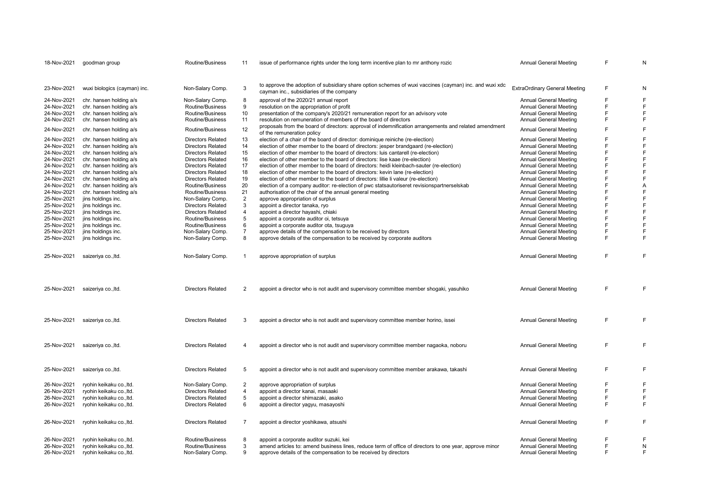| 18-Nov-2021 | goodman group                                        | Routine/Business         | 11             | issue of performance rights under the long term incentive plan to mr anthony rozic                                                                     | <b>Annual General Meeting</b>        | F  | N            |
|-------------|------------------------------------------------------|--------------------------|----------------|--------------------------------------------------------------------------------------------------------------------------------------------------------|--------------------------------------|----|--------------|
|             |                                                      |                          |                | to approve the adoption of subsidiary share option schemes of wuxi vaccines (cayman) inc. and wuxi xdc                                                 |                                      |    |              |
| 23-Nov-2021 | wuxi biologics (cayman) inc.                         | Non-Salary Comp.         | 3              | cayman inc., subsidiaries of the company                                                                                                               | <b>ExtraOrdinary General Meeting</b> | F  | N            |
| 24-Nov-2021 | chr. hansen holding a/s                              | Non-Salary Comp.         | 8              | approval of the 2020/21 annual report                                                                                                                  | <b>Annual General Meeting</b>        | F  | $\mathsf F$  |
| 24-Nov-2021 | chr. hansen holding a/s                              | Routine/Business         | 9              | resolution on the appropriation of profit                                                                                                              | Annual General Meeting               | F  | $\mathsf F$  |
| 24-Nov-2021 | chr. hansen holding a/s                              | Routine/Business         | 10             | presentation of the company's 2020/21 remuneration report for an advisory vote                                                                         | <b>Annual General Meeting</b>        | F  | $\mathsf{F}$ |
| 24-Nov-2021 | chr. hansen holding a/s                              | Routine/Business         | 11             | resolution on remuneration of members of the board of directors                                                                                        | <b>Annual General Meeting</b>        | F  | $\mathsf F$  |
| 24-Nov-2021 | chr. hansen holding a/s                              | Routine/Business         | 12             | proposals from the board of directors: approval of indemnification arrangements and related amendment<br>of the remuneration policy                    | <b>Annual General Meeting</b>        | F  | $\mathsf F$  |
| 24-Nov-2021 | chr. hansen holding a/s                              | <b>Directors Related</b> | 13             | election of a chair of the board of director: dominique reiniche (re-election)                                                                         | <b>Annual General Meeting</b>        | F  | $\mathsf F$  |
| 24-Nov-2021 | chr. hansen holding a/s                              | <b>Directors Related</b> | 14             | election of other member to the board of directors: jesper brandgaard (re-election)                                                                    | <b>Annual General Meeting</b>        | F  | $\mathsf F$  |
| 24-Nov-2021 | chr. hansen holding a/s                              | <b>Directors Related</b> | 15             | election of other member to the board of directors: luis cantarell (re-election)                                                                       | <b>Annual General Meeting</b>        | F  | $\mathsf F$  |
| 24-Nov-2021 | chr. hansen holding a/s                              | <b>Directors Related</b> | 16             | election of other member to the board of directors: lise kaae (re-election)                                                                            | <b>Annual General Meeting</b>        | F  | $\mathsf F$  |
| 24-Nov-2021 | chr. hansen holding a/s                              | <b>Directors Related</b> | 17             | election of other member to the board of directors: heidi kleinbach-sauter (re-election)                                                               | <b>Annual General Meeting</b>        | F  | $\mathsf F$  |
| 24-Nov-2021 | chr. hansen holding a/s                              | <b>Directors Related</b> | 18             | election of other member to the board of directors: kevin lane (re-election)                                                                           | <b>Annual General Meeting</b>        | F  | $\mathsf F$  |
| 24-Nov-2021 | chr. hansen holding a/s                              | <b>Directors Related</b> | 19             | election of other member to the board of directors: lillie li valeur (re-election)                                                                     | <b>Annual General Meeting</b>        | F  | $\mathsf F$  |
| 24-Nov-2021 |                                                      | Routine/Business         | 20             |                                                                                                                                                        | Annual General Meeting               | F  | A            |
| 24-Nov-2021 | chr. hansen holding a/s<br>chr. hansen holding a/s   | Routine/Business         | 21             | election of a company auditor: re-election of pwc statsautoriseret revisionspartnerselskab<br>authorisation of the chair of the annual general meeting | Annual General Meeting               | F  | F            |
|             |                                                      |                          | $\overline{2}$ |                                                                                                                                                        |                                      | F  | $\mathsf{F}$ |
| 25-Nov-2021 | jins holdings inc.                                   | Non-Salary Comp.         |                | approve appropriation of surplus                                                                                                                       | <b>Annual General Meeting</b>        | F  | $\mathsf F$  |
| 25-Nov-2021 | jins holdings inc.                                   | <b>Directors Related</b> | 3              | appoint a director tanaka, ryo                                                                                                                         | <b>Annual General Meeting</b>        |    |              |
| 25-Nov-2021 | jins holdings inc.                                   | <b>Directors Related</b> | $\overline{4}$ | appoint a director hayashi, chiaki                                                                                                                     | Annual General Meeting               | F  | $\mathsf F$  |
| 25-Nov-2021 | jins holdings inc.                                   | Routine/Business         | 5              | appoint a corporate auditor oi, tetsuya                                                                                                                | Annual General Meeting               | F  | $\mathsf F$  |
| 25-Nov-2021 | jins holdings inc.                                   | Routine/Business         | 6              | appoint a corporate auditor ota, tsuguya                                                                                                               | Annual General Meeting               | F  | $\mathsf F$  |
| 25-Nov-2021 | jins holdings inc.                                   | Non-Salary Comp.         | $\overline{7}$ | approve details of the compensation to be received by directors                                                                                        | <b>Annual General Meeting</b>        | F  | $\mathsf F$  |
| 25-Nov-2021 | jins holdings inc.                                   | Non-Salary Comp.         | 8              | approve details of the compensation to be received by corporate auditors                                                                               | <b>Annual General Meeting</b>        | F  | $\mathsf{F}$ |
| 25-Nov-2021 | saizeriya co., Itd.                                  | Non-Salary Comp.         | $\mathbf{1}$   | approve appropriation of surplus                                                                                                                       | <b>Annual General Meeting</b>        | F. | $\mathsf{F}$ |
| 25-Nov-2021 | saizeriya co., Itd.                                  | <b>Directors Related</b> | $\overline{2}$ | appoint a director who is not audit and supervisory committee member shogaki, yasuhiko                                                                 | <b>Annual General Meeting</b>        | F. | $\mathsf{F}$ |
| 25-Nov-2021 | saizeriya co., Itd.                                  | <b>Directors Related</b> | 3              | appoint a director who is not audit and supervisory committee member horino, issei                                                                     | <b>Annual General Meeting</b>        | F. | F            |
| 25-Nov-2021 | saizeriya co., Itd.                                  | <b>Directors Related</b> | 4              | appoint a director who is not audit and supervisory committee member nagaoka, noboru                                                                   | <b>Annual General Meeting</b>        | F  | $\mathsf F$  |
| 25-Nov-2021 | saizeriya co., Itd.                                  | <b>Directors Related</b> | 5              | appoint a director who is not audit and supervisory committee member arakawa, takashi                                                                  | Annual General Meeting               | F. | F            |
| 26-Nov-2021 | ryohin keikaku co., ltd.                             | Non-Salary Comp.         | $\overline{2}$ | approve appropriation of surplus                                                                                                                       | <b>Annual General Meeting</b>        | F  | $\mathsf F$  |
| 26-Nov-2021 | ryohin keikaku co., ltd.                             | <b>Directors Related</b> | 4              | appoint a director kanai, masaaki                                                                                                                      | <b>Annual General Meeting</b>        | F. | $\mathsf F$  |
| 26-Nov-2021 | ryohin keikaku co., ltd.                             | <b>Directors Related</b> | 5              | appoint a director shimazaki, asako                                                                                                                    | Annual General Meeting               | F  | $\mathsf F$  |
| 26-Nov-2021 | ryohin keikaku co., ltd.                             | <b>Directors Related</b> | 6              | appoint a director yagyu, masayoshi                                                                                                                    | <b>Annual General Meeting</b>        | F. | $\mathsf{F}$ |
|             |                                                      |                          |                |                                                                                                                                                        |                                      |    |              |
| 26-Nov-2021 | ryohin keikaku co., ltd.                             | <b>Directors Related</b> | $\overline{7}$ | appoint a director yoshikawa, atsushi                                                                                                                  | <b>Annual General Meeting</b>        | F  | $\mathsf F$  |
| 26-Nov-2021 |                                                      | Routine/Business         | 8              | appoint a corporate auditor suzuki, kei                                                                                                                | Annual General Meeting               | F  | F            |
| 26-Nov-2021 | ryohin keikaku co., ltd.<br>ryohin keikaku co., ltd. | Routine/Business         | 3              | amend articles to: amend business lines, reduce term of office of directors to one year, approve minor                                                 | <b>Annual General Meeting</b>        | F  | N            |
| 26-Nov-2021 | ryohin keikaku co., ltd.                             | Non-Salary Comp.         | 9              | approve details of the compensation to be received by directors                                                                                        | <b>Annual General Meeting</b>        | F. | $\mathsf F$  |
|             |                                                      |                          |                |                                                                                                                                                        |                                      |    |              |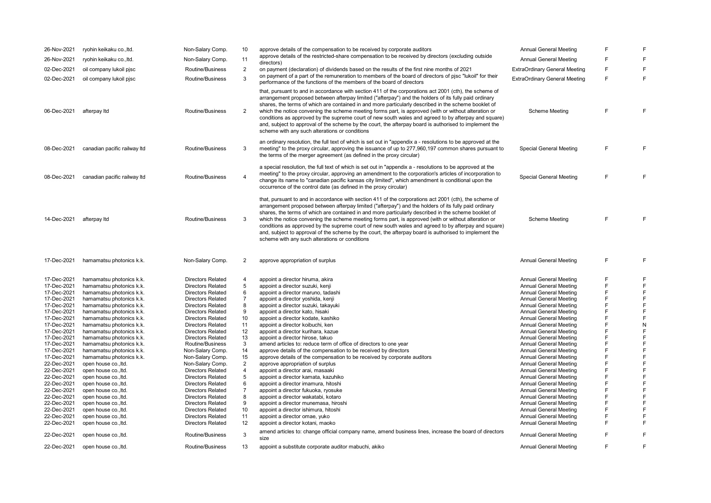| 26-Nov-2021                | ryohin keikaku co., ltd.     | Non-Salary Comp.                     | 10                | approve details of the compensation to be received by corporate auditors                                                                                                                                                                                                                                                                                                                                                                                                                                                                                                                                                                                                                            | <b>Annual General Meeting</b>                                  | F      | F                           |
|----------------------------|------------------------------|--------------------------------------|-------------------|-----------------------------------------------------------------------------------------------------------------------------------------------------------------------------------------------------------------------------------------------------------------------------------------------------------------------------------------------------------------------------------------------------------------------------------------------------------------------------------------------------------------------------------------------------------------------------------------------------------------------------------------------------------------------------------------------------|----------------------------------------------------------------|--------|-----------------------------|
| 26-Nov-2021                | ryohin keikaku co., ltd.     | Non-Salary Comp.                     | 11                | approve details of the restricted-share compensation to be received by directors (excluding outside<br>directors)                                                                                                                                                                                                                                                                                                                                                                                                                                                                                                                                                                                   | <b>Annual General Meeting</b>                                  | F      | $\mathsf F$                 |
| 02-Dec-2021                | oil company lukoil pjsc      | Routine/Business                     | $\overline{2}$    | on payment (declaration) of dividends based on the results of the first nine months of 2021                                                                                                                                                                                                                                                                                                                                                                                                                                                                                                                                                                                                         | <b>ExtraOrdinary General Meeting</b>                           | F      | $\mathsf F$                 |
| 02-Dec-2021                | oil company lukoil pjsc      | Routine/Business                     | 3                 | on payment of a part of the remuneration to members of the board of directors of pisc "lukoil" for their<br>performance of the functions of the members of the board of directors                                                                                                                                                                                                                                                                                                                                                                                                                                                                                                                   | <b>ExtraOrdinary General Meeting</b>                           | F      | $\mathsf F$                 |
| 06-Dec-2021                | afterpay Itd                 | Routine/Business                     | $\overline{2}$    | that, pursuant to and in accordance with section 411 of the corporations act 2001 (cth), the scheme of<br>arrangement proposed between afterpay limited ("afterpay") and the holders of its fully paid ordinary<br>shares, the terms of which are contained in and more particularly described in the scheme booklet of<br>which the notice convening the scheme meeting forms part, is approved (with or without alteration or<br>conditions as approved by the supreme court of new south wales and agreed to by afterpay and square)<br>and, subject to approval of the scheme by the court, the afterpay board is authorised to implement the<br>scheme with any such alterations or conditions | <b>Scheme Meeting</b>                                          | F      | F                           |
| 08-Dec-2021                | canadian pacific railway Itd | Routine/Business                     | 3                 | an ordinary resolution, the full text of which is set out in "appendix a - resolutions to be approved at the<br>meeting" to the proxy circular, approving the issuance of up to 277,960,197 common shares pursuant to<br>the terms of the merger agreement (as defined in the proxy circular)                                                                                                                                                                                                                                                                                                                                                                                                       | <b>Special General Meeting</b>                                 | F      | F                           |
| 08-Dec-2021                | canadian pacific railway Itd | Routine/Business                     | 4                 | a special resolution, the full text of which is set out in "appendix a - resolutions to be approved at the<br>meeting" to the proxy circular, approving an amendment to the corporation's articles of incorporation to<br>change its name to "canadian pacific kansas city limited", which amendment is conditional upon the<br>occurrence of the control date (as defined in the proxy circular)                                                                                                                                                                                                                                                                                                   | <b>Special General Meeting</b>                                 | F      | F                           |
| 14-Dec-2021                | afterpay Itd                 | Routine/Business                     | 3                 | that, pursuant to and in accordance with section 411 of the corporations act 2001 (cth), the scheme of<br>arrangement proposed between afterpay limited ("afterpay") and the holders of its fully paid ordinary<br>shares, the terms of which are contained in and more particularly described in the scheme booklet of<br>which the notice convening the scheme meeting forms part, is approved (with or without alteration or<br>conditions as approved by the supreme court of new south wales and agreed to by afterpay and square)<br>and, subject to approval of the scheme by the court, the afterpay board is authorised to implement the<br>scheme with any such alterations or conditions | <b>Scheme Meeting</b>                                          | F      | F                           |
| 17-Dec-2021                | hamamatsu photonics k.k.     | Non-Salary Comp.                     | 2                 | approve appropriation of surplus                                                                                                                                                                                                                                                                                                                                                                                                                                                                                                                                                                                                                                                                    | <b>Annual General Meeting</b>                                  | F      | $\mathsf F$                 |
|                            |                              |                                      |                   |                                                                                                                                                                                                                                                                                                                                                                                                                                                                                                                                                                                                                                                                                                     |                                                                |        |                             |
| 17-Dec-2021                |                              | <b>Directors Related</b>             | 4                 |                                                                                                                                                                                                                                                                                                                                                                                                                                                                                                                                                                                                                                                                                                     | <b>Annual General Meeting</b>                                  | F      |                             |
|                            | hamamatsu photonics k.k.     |                                      |                   | appoint a director hiruma, akira                                                                                                                                                                                                                                                                                                                                                                                                                                                                                                                                                                                                                                                                    |                                                                | F      | $\mathsf F$                 |
| 17-Dec-2021                | hamamatsu photonics k.k.     | <b>Directors Related</b>             | 5                 | appoint a director suzuki, kenji                                                                                                                                                                                                                                                                                                                                                                                                                                                                                                                                                                                                                                                                    | <b>Annual General Meeting</b>                                  |        | $\mathsf F$                 |
| 17-Dec-2021                | hamamatsu photonics k.k.     | <b>Directors Related</b>             | 6                 | appoint a director maruno, tadashi                                                                                                                                                                                                                                                                                                                                                                                                                                                                                                                                                                                                                                                                  | <b>Annual General Meeting</b>                                  | F      | $\mathsf F$                 |
| 17-Dec-2021                | hamamatsu photonics k.k.     | <b>Directors Related</b>             | $\overline{7}$    | appoint a director yoshida, kenji                                                                                                                                                                                                                                                                                                                                                                                                                                                                                                                                                                                                                                                                   | <b>Annual General Meeting</b>                                  | F<br>F | $\mathsf F$                 |
| 17-Dec-2021                | hamamatsu photonics k.k.     | <b>Directors Related</b>             | 8                 | appoint a director suzuki, takayuki                                                                                                                                                                                                                                                                                                                                                                                                                                                                                                                                                                                                                                                                 | <b>Annual General Meeting</b>                                  |        | $\overline{F}$              |
| 17-Dec-2021                | hamamatsu photonics k.k.     | <b>Directors Related</b>             | 9                 | appoint a director kato, hisaki                                                                                                                                                                                                                                                                                                                                                                                                                                                                                                                                                                                                                                                                     | <b>Annual General Meeting</b>                                  | F      | $\mathsf F$                 |
| 17-Dec-2021                | hamamatsu photonics k.k.     | <b>Directors Related</b>             | 10                | appoint a director kodate, kashiko                                                                                                                                                                                                                                                                                                                                                                                                                                                                                                                                                                                                                                                                  | <b>Annual General Meeting</b>                                  | F      | $\mathsf F$                 |
| 17-Dec-2021                | hamamatsu photonics k.k.     | <b>Directors Related</b>             | 11                | appoint a director koibuchi, ken                                                                                                                                                                                                                                                                                                                                                                                                                                                                                                                                                                                                                                                                    | <b>Annual General Meeting</b>                                  | F      | $\mathsf{N}$                |
| 17-Dec-2021                | hamamatsu photonics k.k.     | <b>Directors Related</b>             | $12 \overline{ }$ | appoint a director kurihara, kazue                                                                                                                                                                                                                                                                                                                                                                                                                                                                                                                                                                                                                                                                  | Annual General Meeting                                         | F      | $\mathsf F$                 |
| 17-Dec-2021                | hamamatsu photonics k.k.     | <b>Directors Related</b>             | 13                | appoint a director hirose, takuo                                                                                                                                                                                                                                                                                                                                                                                                                                                                                                                                                                                                                                                                    | <b>Annual General Meeting</b>                                  | F      | $\mathsf F$                 |
| 17-Dec-2021                | hamamatsu photonics k.k.     | Routine/Business                     | 3                 | amend articles to: reduce term of office of directors to one year                                                                                                                                                                                                                                                                                                                                                                                                                                                                                                                                                                                                                                   | <b>Annual General Meeting</b>                                  | F      | $\mathsf F$                 |
| 17-Dec-2021                | hamamatsu photonics k.k.     | Non-Salary Comp.                     | 14                | approve details of the compensation to be received by directors                                                                                                                                                                                                                                                                                                                                                                                                                                                                                                                                                                                                                                     | <b>Annual General Meeting</b>                                  | F      | $\mathsf F$                 |
| 17-Dec-2021                | hamamatsu photonics k.k.     | Non-Salary Comp.                     | 15                | approve details of the compensation to be received by corporate auditors                                                                                                                                                                                                                                                                                                                                                                                                                                                                                                                                                                                                                            | <b>Annual General Meeting</b>                                  | F      | $\mathsf F$                 |
| 22-Dec-2021                | open house co., ltd.         | Non-Salary Comp.                     | $\overline{2}$    | approve appropriation of surplus                                                                                                                                                                                                                                                                                                                                                                                                                                                                                                                                                                                                                                                                    | <b>Annual General Meeting</b>                                  | F      | $\overline{F}$              |
| 22-Dec-2021                | open house co., ltd.         | <b>Directors Related</b>             | 4                 | appoint a director arai, masaaki                                                                                                                                                                                                                                                                                                                                                                                                                                                                                                                                                                                                                                                                    | <b>Annual General Meeting</b>                                  | F      | $\mathsf F$                 |
| 22-Dec-2021                | open house co., ltd.         | <b>Directors Related</b>             | 5                 | appoint a director kamata, kazuhiko                                                                                                                                                                                                                                                                                                                                                                                                                                                                                                                                                                                                                                                                 | <b>Annual General Meeting</b>                                  | F      | $\mathsf F$                 |
| 22-Dec-2021                | open house co., ltd.         | <b>Directors Related</b>             | 6                 | appoint a director imamura, hitoshi                                                                                                                                                                                                                                                                                                                                                                                                                                                                                                                                                                                                                                                                 | <b>Annual General Meeting</b>                                  | F      | $\mathsf F$                 |
| 22-Dec-2021                | open house co., Itd.         | <b>Directors Related</b>             | $\overline{7}$    | appoint a director fukuoka, ryosuke                                                                                                                                                                                                                                                                                                                                                                                                                                                                                                                                                                                                                                                                 | <b>Annual General Meeting</b>                                  | F      | $\mathsf F$                 |
| 22-Dec-2021                | open house co., Itd.         | <b>Directors Related</b>             | 8                 | appoint a director wakatabi, kotaro                                                                                                                                                                                                                                                                                                                                                                                                                                                                                                                                                                                                                                                                 | <b>Annual General Meeting</b>                                  | F      | $\mathsf F$                 |
| 22-Dec-2021                | open house co., Itd.         | <b>Directors Related</b>             | 9                 | appoint a director munemasa, hiroshi                                                                                                                                                                                                                                                                                                                                                                                                                                                                                                                                                                                                                                                                | <b>Annual General Meeting</b>                                  | F      | $\mathsf{F}$                |
| 22-Dec-2021                | open house co., Itd.         | <b>Directors Related</b>             | 10                | appoint a director ishimura, hitoshi                                                                                                                                                                                                                                                                                                                                                                                                                                                                                                                                                                                                                                                                | <b>Annual General Meeting</b>                                  | F      | $\mathsf F$                 |
| 22-Dec-2021                | open house co., ltd.         | <b>Directors Related</b>             | 11                | appoint a director omae, yuko                                                                                                                                                                                                                                                                                                                                                                                                                                                                                                                                                                                                                                                                       | <b>Annual General Meeting</b>                                  | F      | $\mathsf F$                 |
| 22-Dec-2021                | open house co., ltd.         | <b>Directors Related</b>             | 12                | appoint a director kotani, maoko                                                                                                                                                                                                                                                                                                                                                                                                                                                                                                                                                                                                                                                                    | <b>Annual General Meeting</b>                                  | F      | $\mathsf F$                 |
| 22-Dec-2021<br>22-Dec-2021 | open house co., ltd.         | Routine/Business<br>Routine/Business | 3<br>13           | amend articles to: change official company name, amend business lines, increase the board of directors<br>size<br>appoint a substitute corporate auditor mabuchi, akiko                                                                                                                                                                                                                                                                                                                                                                                                                                                                                                                             | <b>Annual General Meeting</b><br><b>Annual General Meeting</b> | F<br>F | $\mathsf F$<br>$\mathsf{F}$ |